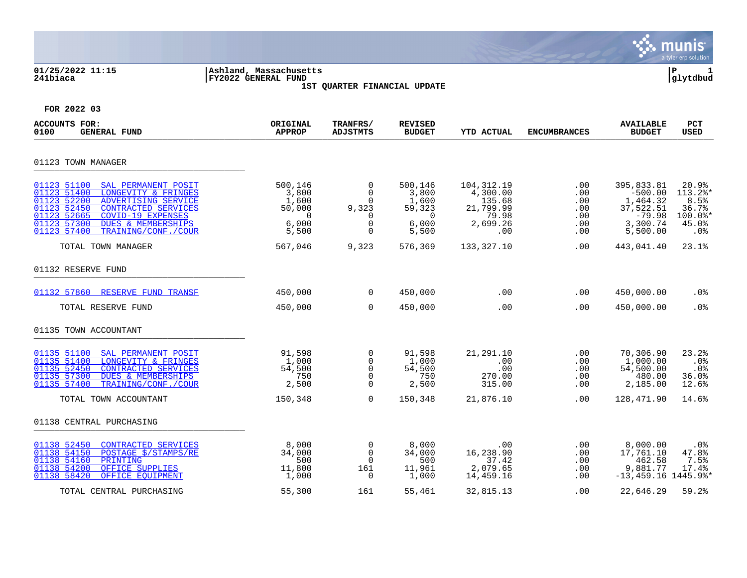|                                                                                                                                                                                                                                                                            |                                                                         |                                                                                       |                                                                         |                                                                             |                                                    |                                                                                      | munis<br>a tyler erp solution                                |
|----------------------------------------------------------------------------------------------------------------------------------------------------------------------------------------------------------------------------------------------------------------------------|-------------------------------------------------------------------------|---------------------------------------------------------------------------------------|-------------------------------------------------------------------------|-----------------------------------------------------------------------------|----------------------------------------------------|--------------------------------------------------------------------------------------|--------------------------------------------------------------|
| 01/25/2022 11:15<br>241biaca                                                                                                                                                                                                                                               | Ashland, Massachusetts<br><b>FY2022 GENERAL FUND</b>                    | 1ST QUARTER FINANCIAL UPDATE                                                          |                                                                         |                                                                             |                                                    |                                                                                      | ΙP<br>1<br>glytdbud                                          |
| FOR 2022 03                                                                                                                                                                                                                                                                |                                                                         |                                                                                       |                                                                         |                                                                             |                                                    |                                                                                      |                                                              |
| ACCOUNTS FOR:<br><b>GENERAL FUND</b><br>0100                                                                                                                                                                                                                               | ORIGINAL<br><b>APPROP</b>                                               | TRANFRS/<br><b>ADJSTMTS</b>                                                           | <b>REVISED</b><br><b>BUDGET</b>                                         | <b>YTD ACTUAL</b>                                                           | <b>ENCUMBRANCES</b>                                | <b>AVAILABLE</b><br><b>BUDGET</b>                                                    | PCT<br><b>USED</b>                                           |
| 01123 TOWN MANAGER                                                                                                                                                                                                                                                         |                                                                         |                                                                                       |                                                                         |                                                                             |                                                    |                                                                                      |                                                              |
| 01123 51100<br>SAL PERMANENT POSIT<br>01123 51400<br>LONGEVITY & FRINGES<br>01123 52200<br>ADVERTISING SERVICE<br>01123 52450<br><b>CONTRACTED SERVICES</b><br>01123 52665<br>COVID-19 EXPENSES<br>01123 57300<br>DUES & MEMBERSHIPS<br>01123 57400<br>TRAINING/CONF./COUR | 500,146<br>3,800<br>1,600<br>50,000<br>$\overline{0}$<br>6,000<br>5,500 | 0<br>$\mathbf 0$<br>$\mathbf 0$<br>9,323<br>$\mathbf 0$<br>$\mathbf 0$<br>$\mathbf 0$ | 500,146<br>3,800<br>1,600<br>59,323<br>$\overline{0}$<br>6,000<br>5,500 | 104, 312. 19<br>4,300.00<br>135.68<br>21,799.99<br>79.98<br>2,699.26<br>.00 | $.00 \,$<br>.00<br>.00<br>.00<br>.00<br>.00<br>.00 | 395,833.81<br>$-500.00$<br>1,464.32<br>37,522.51<br>$-79.98$<br>3,300.74<br>5,500.00 | 20.9%<br>113.2%*<br>8.5%<br>36.7%<br>100.0%*<br>45.0%<br>.0% |
| TOTAL TOWN MANAGER                                                                                                                                                                                                                                                         | 567,046                                                                 | 9,323                                                                                 | 576,369                                                                 | 133,327.10                                                                  | .00                                                | 443,041.40                                                                           | 23.1%                                                        |
| 01132 RESERVE FUND                                                                                                                                                                                                                                                         |                                                                         |                                                                                       |                                                                         |                                                                             |                                                    |                                                                                      |                                                              |
| RESERVE FUND TRANSF<br>01132 57860                                                                                                                                                                                                                                         | 450,000                                                                 | $\Omega$                                                                              | 450,000                                                                 | .00                                                                         | .00                                                | 450,000.00                                                                           | .0 <sub>8</sub>                                              |
| TOTAL RESERVE FUND                                                                                                                                                                                                                                                         | 450,000                                                                 | $\mathbf 0$                                                                           | 450,000                                                                 | .00                                                                         | .00                                                | 450,000.00                                                                           | .0%                                                          |
| 01135 TOWN ACCOUNTANT                                                                                                                                                                                                                                                      |                                                                         |                                                                                       |                                                                         |                                                                             |                                                    |                                                                                      |                                                              |
| 01135 51100<br>SAL PERMANENT POSIT<br>01135 51400<br>LONGEVITY & FRINGES<br>01135 52450<br><b>CONTRACTED SERVICES</b><br>01135 57300<br><b>DUES &amp; MEMBERSHIPS</b><br>01135 57400<br>TRAINING/CONF./COUR                                                                | 91,598<br>1,000<br>54,500<br>750<br>2,500                               | 0<br>0<br>$\mathbf 0$<br>$\Omega$<br>$\Omega$                                         | 91,598<br>1,000<br>54,500<br>750<br>2,500                               | 21,291.10<br>.00<br>.00<br>270.00<br>315.00                                 | .00<br>.00<br>.00<br>.00<br>.00                    | 70,306.90<br>1,000.00<br>54,500.00<br>480.00<br>2,185.00                             | 23.2%<br>.0%<br>.0 <sub>8</sub><br>36.0%<br>12.6%            |
| TOTAL TOWN ACCOUNTANT                                                                                                                                                                                                                                                      | 150,348                                                                 | $\Omega$                                                                              | 150,348                                                                 | 21,876.10                                                                   | .00                                                | 128,471.90                                                                           | 14.6%                                                        |
| 01138 CENTRAL PURCHASING                                                                                                                                                                                                                                                   |                                                                         |                                                                                       |                                                                         |                                                                             |                                                    |                                                                                      |                                                              |
| 01138 52450<br>CONTRACTED SERVICES<br>01138 54150<br>POSTAGE \$/STAMPS/RE<br>01138 54160<br>PRINTING<br>01138 54200<br>OFFICE SUPPLIES<br>01138 58420<br>OFFICE EOUIPMENT                                                                                                  | 8,000<br>34,000<br>500<br>11,800<br>1,000                               | $\mathbf 0$<br>$\mathbf 0$<br>$\overline{0}$<br>161<br>0                              | 8,000<br>34,000<br>500<br>11,961<br>1,000                               | .00<br>16,238.90<br>37.42<br>2,079.65<br>14,459.16                          | .00<br>.00<br>.00<br>.00<br>.00                    | 8,000.00<br>17,761.10<br>462.58<br>9,881.77<br>$-13,459.16$ 1445.9%*                 | .0%<br>47.8%<br>7.5%<br>17.4%                                |
| TOTAL CENTRAL PURCHASING                                                                                                                                                                                                                                                   | 55,300                                                                  | 161                                                                                   | 55,461                                                                  | 32,815.13                                                                   | .00                                                | 22,646.29                                                                            | 59.2%                                                        |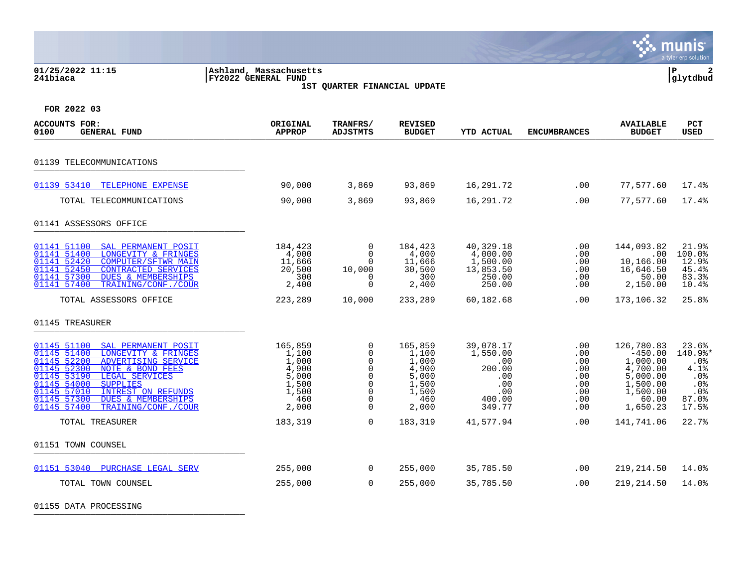| 01/25/2022 11:15<br>241biaca                                                                                                                                                                                                                                                                                                                           | Ashland, Massachusetts<br>FY2022 GENERAL FUND                                 | 1ST QUARTER FINANCIAL UPDATE                                                                       |                                                                               |                                                                                 |                                                                                 |                                                                                                          | ΙP<br>$\mathbf{2}$<br>glytdbud                                                        |
|--------------------------------------------------------------------------------------------------------------------------------------------------------------------------------------------------------------------------------------------------------------------------------------------------------------------------------------------------------|-------------------------------------------------------------------------------|----------------------------------------------------------------------------------------------------|-------------------------------------------------------------------------------|---------------------------------------------------------------------------------|---------------------------------------------------------------------------------|----------------------------------------------------------------------------------------------------------|---------------------------------------------------------------------------------------|
| FOR 2022 03                                                                                                                                                                                                                                                                                                                                            |                                                                               |                                                                                                    |                                                                               |                                                                                 |                                                                                 |                                                                                                          |                                                                                       |
| <b>ACCOUNTS FOR:</b><br><b>GENERAL FUND</b><br>0100                                                                                                                                                                                                                                                                                                    | ORIGINAL<br><b>APPROP</b>                                                     | TRANFRS/<br><b>ADJSTMTS</b>                                                                        | <b>REVISED</b><br><b>BUDGET</b>                                               | <b>YTD ACTUAL</b>                                                               | <b>ENCUMBRANCES</b>                                                             | <b>AVAILABLE</b><br><b>BUDGET</b>                                                                        | <b>PCT</b><br><b>USED</b>                                                             |
| 01139 TELECOMMUNICATIONS                                                                                                                                                                                                                                                                                                                               |                                                                               |                                                                                                    |                                                                               |                                                                                 |                                                                                 |                                                                                                          |                                                                                       |
| 01139 53410 TELEPHONE EXPENSE                                                                                                                                                                                                                                                                                                                          | 90,000                                                                        | 3,869                                                                                              | 93,869                                                                        | 16,291.72                                                                       | .00                                                                             | 77,577.60                                                                                                | 17.4%                                                                                 |
| TOTAL TELECOMMUNICATIONS                                                                                                                                                                                                                                                                                                                               | 90,000                                                                        | 3,869                                                                                              | 93,869                                                                        | 16,291.72                                                                       | .00                                                                             | 77,577.60                                                                                                | 17.4%                                                                                 |
| 01141 ASSESSORS OFFICE                                                                                                                                                                                                                                                                                                                                 |                                                                               |                                                                                                    |                                                                               |                                                                                 |                                                                                 |                                                                                                          |                                                                                       |
| 01141 51100<br>SAL PERMANENT POSIT<br>01141 51400<br>LONGEVITY & FRINGES<br>01141 52420<br><b>COMPUTER/SFTWR MAIN</b><br>01141 52450<br>CONTRACTED SERVICES<br>01141 57300<br><b>DUES &amp; MEMBERSHIPS</b><br>01141 57400<br>TRAINING/CONF./COUR                                                                                                      | 184,423<br>4,000<br>11,666<br>20,500<br>300<br>2,400                          | 0<br>$\Omega$<br>$\Omega$<br>10,000<br>0<br>$\mathbf 0$                                            | 184,423<br>4,000<br>11,666<br>30,500<br>300<br>2,400                          | 40,329.18<br>4,000.00<br>1,500.00<br>13,853.50<br>250.00<br>250.00              | $.00 \,$<br>.00<br>.00<br>$.00 \,$<br>.00<br>$.00 \,$                           | 144,093.82<br>.00<br>10,166.00<br>16,646.50<br>50.00<br>2,150.00                                         | 21.9%<br>100.0%<br>12.9%<br>45.4%<br>83.3%<br>10.4%                                   |
| TOTAL ASSESSORS OFFICE                                                                                                                                                                                                                                                                                                                                 | 223,289                                                                       | 10,000                                                                                             | 233,289                                                                       | 60,182.68                                                                       | .00                                                                             | 173,106.32                                                                                               | 25.8%                                                                                 |
| 01145 TREASURER                                                                                                                                                                                                                                                                                                                                        |                                                                               |                                                                                                    |                                                                               |                                                                                 |                                                                                 |                                                                                                          |                                                                                       |
| SAL PERMANENT POSIT<br>01145 51100<br>01145 51400<br>LONGEVITY & FRINGES<br>01145 52200<br>ADVERTISING SERVICE<br>01145 52300<br>NOTE & BOND FEES<br>01145 53190<br>LEGAL SERVICES<br>01145 54000<br><b>SUPPLIES</b><br>01145 57010<br><b>INTREST ON REFUNDS</b><br>01145 57300<br><b>DUES &amp; MEMBERSHIPS</b><br>01145 57400<br>TRAINING/CONF./COUR | 165,859<br>1,100<br>1,000<br>4,900<br>5,000<br>1,500<br>1,500<br>460<br>2,000 | 0<br>$\mathbf 0$<br>0<br>$\Omega$<br>$\mathbf 0$<br>0<br>$\overline{0}$<br>$\Omega$<br>$\mathbf 0$ | 165,859<br>1,100<br>1,000<br>4,900<br>5,000<br>1,500<br>1,500<br>460<br>2,000 | 39,078.17<br>1,550.00<br>.00<br>200.00<br>.00<br>.00<br>.00<br>400.00<br>349.77 | .00<br>.00<br>.00<br>$.00 \,$<br>$.00 \,$<br>$.00 \,$<br>.00<br>.00<br>$.00 \,$ | 126,780.83<br>$-450.00$<br>1,000.00<br>4,700.00<br>5,000.00<br>1,500.00<br>1,500.00<br>60.00<br>1,650.23 | 23.6%<br>140.9%*<br>$.0\%$<br>4.1%<br>.0%<br>.0%<br>.0 <sub>8</sub><br>87.0%<br>17.5% |
| TOTAL TREASURER                                                                                                                                                                                                                                                                                                                                        | 183,319                                                                       | $\overline{0}$                                                                                     | 183,319                                                                       | 41,577.94                                                                       | .00                                                                             | 141,741.06                                                                                               | 22.7%                                                                                 |
| 01151 TOWN COUNSEL                                                                                                                                                                                                                                                                                                                                     |                                                                               |                                                                                                    |                                                                               |                                                                                 |                                                                                 |                                                                                                          |                                                                                       |
| 01151 53040 PURCHASE LEGAL SERV                                                                                                                                                                                                                                                                                                                        | 255,000                                                                       | $\mathbf 0$                                                                                        | 255,000                                                                       | 35,785.50                                                                       | .00                                                                             | 219,214.50                                                                                               | 14.0%                                                                                 |
| TOTAL TOWN COUNSEL                                                                                                                                                                                                                                                                                                                                     | 255,000                                                                       | $\mathbf 0$                                                                                        | 255,000                                                                       | 35,785.50                                                                       | .00                                                                             | 219,214.50                                                                                               | 14.0%                                                                                 |

 $\ddot{\mathbf{w}}$  munis

01155 DATA PROCESSING \_\_\_\_\_\_\_\_\_\_\_\_\_\_\_\_\_\_\_\_\_\_\_\_\_\_\_\_\_\_\_\_\_\_\_\_\_\_\_\_\_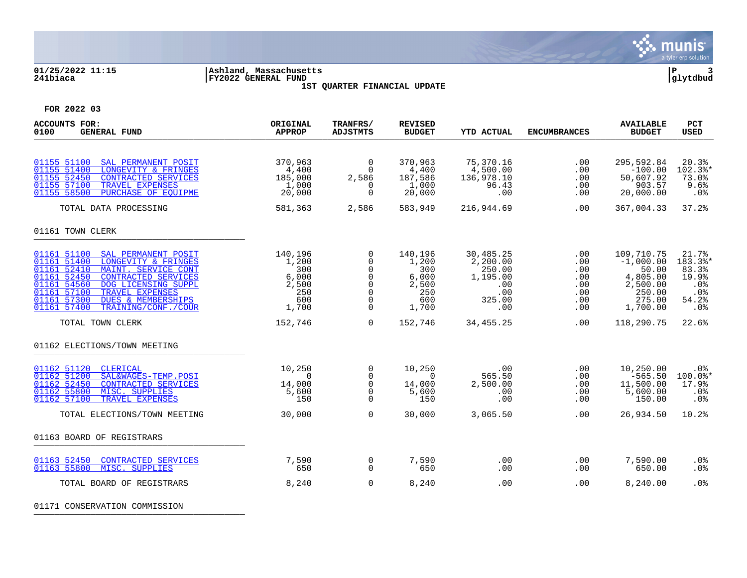

### **01/25/2022 11:15 |Ashland, Massachusetts |P 3 241biaca |FY2022 GENERAL FUND |glytdbud 1ST QUARTER FINANCIAL UPDATE**



**FOR 2022 03**

| <b>ACCOUNTS FOR:</b><br><b>GENERAL FUND</b><br>0100                                                                                                                                                                                                                                                                       | ORIGINAL<br><b>APPROP</b>                                        | TRANFRS/<br><b>ADJSTMTS</b>                                                                | <b>REVISED</b><br><b>BUDGET</b>                                  | <b>YTD ACTUAL</b>                                                          | <b>ENCUMBRANCES</b>                                  | <b>AVAILABLE</b><br><b>BUDGET</b>                                                          | PCT<br><b>USED</b>                                                           |
|---------------------------------------------------------------------------------------------------------------------------------------------------------------------------------------------------------------------------------------------------------------------------------------------------------------------------|------------------------------------------------------------------|--------------------------------------------------------------------------------------------|------------------------------------------------------------------|----------------------------------------------------------------------------|------------------------------------------------------|--------------------------------------------------------------------------------------------|------------------------------------------------------------------------------|
| 01155 51100<br>SAL PERMANENT POSIT<br>01155 51400<br>LONGEVITY & FRINGES<br>01155 52450<br><b>CONTRACTED SERVICES</b><br>01155 57100<br>TRAVEL EXPENSES<br>01155 58500<br>PURCHASE OF EOUIPME                                                                                                                             | 370,963<br>4,400<br>185,000<br>1,000<br>20,000                   | $\mathbf 0$<br>$\Omega$<br>2,586<br>0<br>$\Omega$                                          | 370,963<br>4,400<br>187,586<br>1,000<br>20,000                   | 75,370.16<br>4,500.00<br>136,978.10<br>96.43<br>.00                        | .00<br>.00<br>.00<br>.00<br>.00                      | 295,592.84<br>$-100.00$<br>50,607.92<br>903.57<br>20,000.00                                | 20.3%<br>102.3%*<br>73.0%<br>9.6%<br>.0%                                     |
| TOTAL DATA PROCESSING                                                                                                                                                                                                                                                                                                     | 581,363                                                          | 2,586                                                                                      | 583,949                                                          | 216,944.69                                                                 | .00.                                                 | 367,004.33                                                                                 | 37.2%                                                                        |
| 01161 TOWN CLERK                                                                                                                                                                                                                                                                                                          |                                                                  |                                                                                            |                                                                  |                                                                            |                                                      |                                                                                            |                                                                              |
| 01161 51100<br>SAL PERMANENT POSIT<br>01161 51400<br>LONGEVITY & FRINGES<br>01161 52410<br>MAINT. SERVICE CONT<br>01161 52450<br><b>CONTRACTED SERVICES</b><br>01161 54560<br>DOG LICENSING SUPPL<br>01161 57100<br>TRAVEL EXPENSES<br>01161 57300<br><b>DUES &amp; MEMBERSHIPS</b><br>01161 57400<br>TRAINING/CONF./COUR | 140,196<br>1,200<br>300<br>6,000<br>2,500<br>250<br>600<br>1,700 | 0<br>0<br>$\Omega$<br>$\mathbf 0$<br>$\Omega$<br>$\mathbf 0$<br>$\mathbf 0$<br>$\mathbf 0$ | 140,196<br>1,200<br>300<br>6,000<br>2,500<br>250<br>600<br>1,700 | 30,485.25<br>2,200.00<br>250.00<br>1,195.00<br>.00<br>.00<br>325.00<br>.00 | .00<br>.00<br>.00<br>.00<br>.00<br>.00<br>.00<br>.00 | 109,710.75<br>$-1,000.00$<br>50.00<br>4,805.00<br>2,500.00<br>250.00<br>275.00<br>1,700.00 | 21.7%<br>183.3%*<br>83.3%<br>19.9%<br>.0%<br>.0%<br>54.2%<br>.0 <sup>8</sup> |
| TOTAL TOWN CLERK                                                                                                                                                                                                                                                                                                          | 152,746                                                          | $\Omega$                                                                                   | 152,746                                                          | 34,455.25                                                                  | .00                                                  | 118,290.75                                                                                 | 22.6%                                                                        |
| 01162 ELECTIONS/TOWN MEETING                                                                                                                                                                                                                                                                                              |                                                                  |                                                                                            |                                                                  |                                                                            |                                                      |                                                                                            |                                                                              |
| 01162 51120<br><b>CLERICAL</b><br>01162 51200<br>SAL&WAGES-TEMP.POSI<br>01162 52450<br>CONTRACTED SERVICES<br>01162 55800<br>MISC. SUPPLIES<br>TRAVEL EXPENSES<br>01162 57100                                                                                                                                             | 10,250<br>$\Omega$<br>14,000<br>5,600<br>150                     | $\mathbf 0$<br>$\Omega$<br>0<br>$\mathbf 0$<br>$\Omega$                                    | 10,250<br>$\Omega$<br>14,000<br>5,600<br>150                     | .00<br>565.50<br>2,500.00<br>.00<br>.00                                    | .00<br>.00<br>.00<br>.00<br>.00                      | 10,250.00<br>$-565.50$<br>11,500.00<br>5,600.00<br>150.00                                  | .0%<br>$100.0$ *<br>17.9%<br>.0%<br>.0%                                      |
| TOTAL ELECTIONS/TOWN MEETING                                                                                                                                                                                                                                                                                              | 30,000                                                           | $\Omega$                                                                                   | 30,000                                                           | 3,065.50                                                                   | .00                                                  | 26,934.50                                                                                  | 10.2%                                                                        |
| 01163 BOARD OF REGISTRARS                                                                                                                                                                                                                                                                                                 |                                                                  |                                                                                            |                                                                  |                                                                            |                                                      |                                                                                            |                                                                              |
| 01163 52450<br><b>CONTRACTED SERVICES</b><br>01163 55800<br>MISC. SUPPLIES                                                                                                                                                                                                                                                | 7,590<br>650                                                     | 0<br>$\mathbf 0$                                                                           | 7,590<br>650                                                     | .00<br>.00                                                                 | .00<br>.00                                           | 7,590.00<br>650.00                                                                         | .0 <sub>8</sub><br>.0%                                                       |
| TOTAL BOARD OF REGISTRARS                                                                                                                                                                                                                                                                                                 | 8,240                                                            | $\Omega$                                                                                   | 8,240                                                            | .00                                                                        | .00                                                  | 8,240.00                                                                                   | .0 <sup>8</sup>                                                              |

01171 CONSERVATION COMMISSION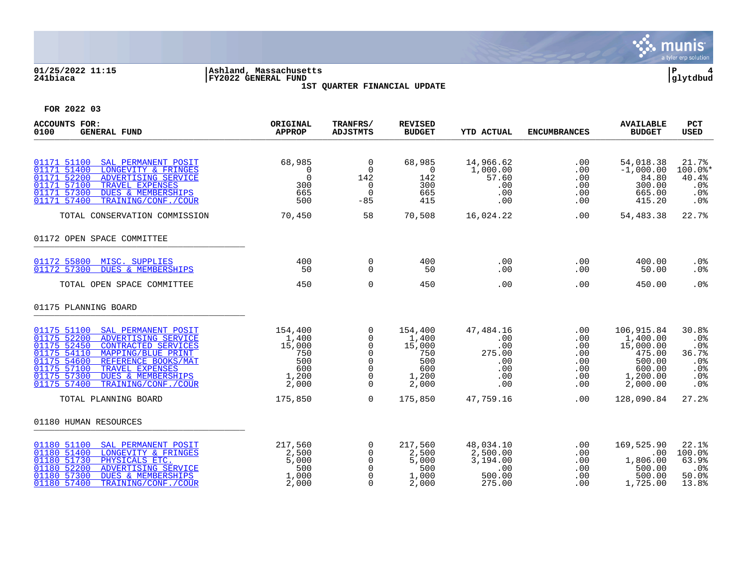

### **01/25/2022 11:15 |Ashland, Massachusetts |P 4 241biaca |FY2022 GENERAL FUND |glytdbud 1ST QUARTER FINANCIAL UPDATE**



| <b>ACCOUNTS FOR:</b><br>0100<br><b>GENERAL FUND</b>                                                                                                                                                                                                                                                                   | ORIGINAL<br><b>APPROP</b>                                         | <b>TRANFRS/</b><br><b>ADJSTMTS</b>                                                   | <b>REVISED</b><br><b>BUDGET</b>                                   | <b>YTD ACTUAL</b>                                             | <b>ENCUMBRANCES</b>                                  | <b>AVAILABLE</b><br><b>BUDGET</b>                                                         | <b>PCT</b><br><b>USED</b>                                               |
|-----------------------------------------------------------------------------------------------------------------------------------------------------------------------------------------------------------------------------------------------------------------------------------------------------------------------|-------------------------------------------------------------------|--------------------------------------------------------------------------------------|-------------------------------------------------------------------|---------------------------------------------------------------|------------------------------------------------------|-------------------------------------------------------------------------------------------|-------------------------------------------------------------------------|
| 01171 51100<br>SAL PERMANENT POSIT<br>01171 51400<br>LONGEVITY & FRINGES<br>01171 52200<br>ADVERTISING SERVICE<br>01171 57100<br>TRAVEL EXPENSES<br>01171 57300<br><b>DUES &amp; MEMBERSHIPS</b><br>01171 57400<br>TRAINING/CONF./COUR                                                                                | 68,985<br>$\Omega$<br>$\Omega$<br>300<br>665<br>500               | $\overline{0}$<br>$\Omega$<br>142<br>$\mathbf 0$<br>$\Omega$<br>$-85$                | 68,985<br>$\Omega$<br>142<br>300<br>665<br>415                    | 14,966.62<br>1,000.00<br>57.60<br>.00<br>.00<br>.00           | .00<br>.00<br>.00<br>.00<br>.00<br>.00               | 54,018.38<br>$-1,000.00$<br>84.80<br>300.00<br>665.00<br>415.20                           | 21.7%<br>$100.0$ *<br>40.4%<br>.0%<br>.0 <sub>8</sub><br>.0%            |
| TOTAL CONSERVATION COMMISSION                                                                                                                                                                                                                                                                                         | 70,450                                                            | 58                                                                                   | 70,508                                                            | 16,024.22                                                     | .00                                                  | 54,483.38                                                                                 | 22.7%                                                                   |
| 01172 OPEN SPACE COMMITTEE                                                                                                                                                                                                                                                                                            |                                                                   |                                                                                      |                                                                   |                                                               |                                                      |                                                                                           |                                                                         |
| 01172 55800 MISC. SUPPLIES<br><b>DUES &amp; MEMBERSHIPS</b><br>01172 57300                                                                                                                                                                                                                                            | 400<br>50                                                         | $\mathbf 0$<br>$\Omega$                                                              | 400<br>50                                                         | .00<br>.00                                                    | $.00 \,$<br>.00                                      | 400.00<br>50.00                                                                           | $.0\%$<br>.0%                                                           |
| TOTAL OPEN SPACE COMMITTEE                                                                                                                                                                                                                                                                                            | 450                                                               | $\mathbf 0$                                                                          | 450                                                               | .00                                                           | .00                                                  | 450.00                                                                                    | .0%                                                                     |
| 01175 PLANNING BOARD                                                                                                                                                                                                                                                                                                  |                                                                   |                                                                                      |                                                                   |                                                               |                                                      |                                                                                           |                                                                         |
| 01175 51100 SAL PERMANENT POSIT<br>01175 52200<br>ADVERTISING SERVICE<br>01175 52450<br><b>CONTRACTED SERVICES</b><br>01175 54110<br>MAPPING/BLUE PRINT<br>01175 54600<br>REFERENCE BOOKS/MAT<br>01175 57100<br>TRAVEL EXPENSES<br><b>DUES &amp; MEMBERSHIPS</b><br>01175 57300<br>01175 57400<br>TRAINING/CONF./COUR | 154,400<br>1,400<br>15,000<br>750<br>500<br>600<br>1,200<br>2,000 | $\mathbf 0$<br>$\mathbf 0$<br>0<br>$\Omega$<br>$\Omega$<br>$\Omega$<br>0<br>$\Omega$ | 154,400<br>1,400<br>15,000<br>750<br>500<br>600<br>1,200<br>2,000 | 47,484.16<br>.00<br>.00<br>275.00<br>.00<br>.00<br>.00<br>.00 | .00<br>.00<br>.00<br>.00<br>.00<br>.00<br>.00<br>.00 | 106,915.84<br>1,400.00<br>15,000.00<br>475.00<br>500.00<br>600.00<br>1,200.00<br>2,000.00 | 30.8%<br>.0%<br>.0 <sub>8</sub><br>36.7%<br>$.0\%$<br>.0%<br>.0%<br>.0% |
| TOTAL PLANNING BOARD                                                                                                                                                                                                                                                                                                  | 175,850                                                           | $\Omega$                                                                             | 175,850                                                           | 47,759.16                                                     | .00                                                  | 128,090.84                                                                                | 27.2%                                                                   |
| 01180 HUMAN RESOURCES                                                                                                                                                                                                                                                                                                 |                                                                   |                                                                                      |                                                                   |                                                               |                                                      |                                                                                           |                                                                         |
| 01180 51100<br>SAL PERMANENT POSIT<br>01180 51400<br>LONGEVITY & FRINGES<br>01180 51730<br>PHYSICALS ETC.<br>01180 52200<br>ADVERTISING SERVICE<br>01180 57300<br><b>DUES &amp; MEMBERSHIPS</b><br>01180 57400<br>TRAINING/CONF./COUR                                                                                 | 217,560<br>2,500<br>5,000<br>500<br>1,000<br>2,000                | 0<br>$\Omega$<br>$\mathbf 0$<br>$\mathbf 0$<br>$\Omega$<br>$\Omega$                  | 217,560<br>2,500<br>5,000<br>500<br>1,000<br>2,000                | 48,034.10<br>2,500.00<br>3,194.00<br>.00<br>500.00<br>275.00  | .00<br>.00<br>.00<br>.00<br>.00<br>.00               | 169,525.90<br>.00<br>1,806.00<br>500.00<br>500.00<br>1,725.00                             | 22.1%<br>100.0%<br>63.9%<br>.0%<br>50.0%<br>13.8%                       |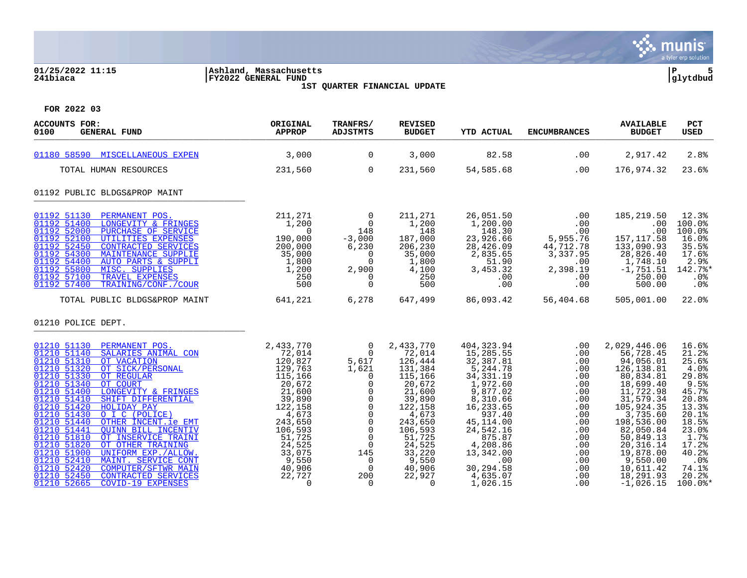

### **01/25/2022 11:15 |Ashland, Massachusetts |P 5 241biaca |FY2022 GENERAL FUND |glytdbud**



**1ST QUARTER FINANCIAL UPDATE**

| <b>ACCOUNTS FOR:</b><br>0100<br><b>GENERAL FUND</b>                                                                                                                                                                                                                                                                                                                                                                                                                                                                                                                                                                                                                                                           | ORIGINAL<br><b>APPROP</b>                                                                                                                                                                                                    | TRANFRS/<br><b>ADJSTMTS</b>                                                                                                                                                                                                  | <b>REVISED</b><br><b>BUDGET</b>                                                                                                                                                                     | <b>YTD ACTUAL</b>                                                                                                                                                                                                                   | <b>ENCUMBRANCES</b>                                                                                                               | <b>AVAILABLE</b><br><b>BUDGET</b>                                                                                                                                                                                                                           | PCT<br><b>USED</b>                                                                                                                                                     |
|---------------------------------------------------------------------------------------------------------------------------------------------------------------------------------------------------------------------------------------------------------------------------------------------------------------------------------------------------------------------------------------------------------------------------------------------------------------------------------------------------------------------------------------------------------------------------------------------------------------------------------------------------------------------------------------------------------------|------------------------------------------------------------------------------------------------------------------------------------------------------------------------------------------------------------------------------|------------------------------------------------------------------------------------------------------------------------------------------------------------------------------------------------------------------------------|-----------------------------------------------------------------------------------------------------------------------------------------------------------------------------------------------------|-------------------------------------------------------------------------------------------------------------------------------------------------------------------------------------------------------------------------------------|-----------------------------------------------------------------------------------------------------------------------------------|-------------------------------------------------------------------------------------------------------------------------------------------------------------------------------------------------------------------------------------------------------------|------------------------------------------------------------------------------------------------------------------------------------------------------------------------|
| 01180 58590 MISCELLANEOUS EXPEN                                                                                                                                                                                                                                                                                                                                                                                                                                                                                                                                                                                                                                                                               | 3,000                                                                                                                                                                                                                        | $\overline{0}$                                                                                                                                                                                                               | 3,000                                                                                                                                                                                               | 82.58                                                                                                                                                                                                                               | .00                                                                                                                               | 2,917.42                                                                                                                                                                                                                                                    | 2.8%                                                                                                                                                                   |
| TOTAL HUMAN RESOURCES                                                                                                                                                                                                                                                                                                                                                                                                                                                                                                                                                                                                                                                                                         | 231,560                                                                                                                                                                                                                      | $\overline{0}$                                                                                                                                                                                                               | 231,560                                                                                                                                                                                             | 54,585.68                                                                                                                                                                                                                           | .00                                                                                                                               | 176,974.32                                                                                                                                                                                                                                                  | 23.6%                                                                                                                                                                  |
| 01192 PUBLIC BLDGS&PROP MAINT                                                                                                                                                                                                                                                                                                                                                                                                                                                                                                                                                                                                                                                                                 |                                                                                                                                                                                                                              |                                                                                                                                                                                                                              |                                                                                                                                                                                                     |                                                                                                                                                                                                                                     |                                                                                                                                   |                                                                                                                                                                                                                                                             |                                                                                                                                                                        |
| 01192 51130<br>PERMANENT POS.<br>01192 51400<br>LONGEVITY & FRINGES<br>01192 52000<br>PURCHASE OF SERVICE<br>01192 52100<br>UTILITIES EXPENSES<br>01192 52450<br>CONTRACTED SERVICES<br>01192 54300<br>MAINTENANCE SUPPLIE<br>01192 54400<br>AUTO PARTS & SUPPLI<br>01192 55800<br>MISC. SUPPLIES<br>01192 57100<br>TRAVEL EXPENSES<br>01192 57400<br>TRAINING/CONF./COUR                                                                                                                                                                                                                                                                                                                                     | 211,271<br>1,200<br>$\Omega$<br>190,000<br>200,000<br>35,000<br>1,800<br>1,200<br>250<br>500                                                                                                                                 | $\overline{0}$<br>$\overline{0}$<br>148<br>$-3,000$<br>6,230<br>$\Omega$<br>$\mathbf 0$<br>2,900<br>0<br>$\mathbf 0$                                                                                                         | 211,271<br>1,200<br>148<br>187,000<br>206,230<br>35,000<br>1,800<br>4,100<br>250<br>500                                                                                                             | 26,051.50<br>1,200.00<br>148.30<br>23,926.66<br>28,426.09<br>2,835.65<br>51.90<br>3,453.32<br>.00<br>.00                                                                                                                            | .00<br>.00<br>.00<br>5,955.76<br>44,712.78<br>3,337.95<br>.00<br>2,398.19<br>.00<br>.00                                           | 185,219.50<br>.00<br>.00<br>157, 117.58<br>133,090.93<br>28,826.40<br>1,748.10<br>$-1,751.51$<br>250.00<br>500.00                                                                                                                                           | 12.3%<br>100.0%<br>100.0%<br>16.0%<br>35.5%<br>17.6%<br>2.9%<br>142.7%*<br>$.0\%$<br>.0%                                                                               |
| TOTAL PUBLIC BLDGS&PROP MAINT                                                                                                                                                                                                                                                                                                                                                                                                                                                                                                                                                                                                                                                                                 | 641,221                                                                                                                                                                                                                      | 6,278                                                                                                                                                                                                                        | 647,499                                                                                                                                                                                             | 86,093.42                                                                                                                                                                                                                           | 56,404.68                                                                                                                         | 505,001.00                                                                                                                                                                                                                                                  | $22.0$ <sup>8</sup>                                                                                                                                                    |
| 01210 POLICE DEPT.                                                                                                                                                                                                                                                                                                                                                                                                                                                                                                                                                                                                                                                                                            |                                                                                                                                                                                                                              |                                                                                                                                                                                                                              |                                                                                                                                                                                                     |                                                                                                                                                                                                                                     |                                                                                                                                   |                                                                                                                                                                                                                                                             |                                                                                                                                                                        |
| 01210 51130<br>PERMANENT POS.<br>SALARIES ANIMAL CON<br>01210 51140<br>01210 51310<br>OT VACATION<br>01210 51320<br>OT SICK/PERSONAL<br>01210 51330<br>OT REGULAR<br>01210 51340<br>OT COURT<br>01210 51400<br>LONGEVITY & FRINGES<br>01210 51410<br>SHIFT DIFFERENTIAL<br>01210 51420<br><b>HOLIDAY PAY</b><br>01210 51430<br>O I C (POLICE)<br>01210 51440<br>OTHER INCENT.ie EMT<br>01210 51441<br>QUINN BILL INCENTIV<br>01210 51810<br>OT INSERVICE TRAINI<br>01210 51820<br>OT OTHER TRAINING<br>01210 51900<br>UNIFORM EXP./ALLOW.<br>01210 52410<br>MAINT. SERVICE CONT<br>01210 52420<br><b>COMPUTER/SFTWR MAIN</b><br>01210 52450<br><b>CONTRACTED SERVICES</b><br>01210 52665<br>COVID-19 EXPENSES | 2,433,770<br>$72^{7}_{12}$<br>$120^{9}_{12}$<br>$129^{9}_{12}$<br>$115^{122}$<br>20,672<br>21,600<br>39,890<br>122,158<br>4,673<br>243,650<br>106,593<br>51,725<br>24,525<br>33,075<br>9,550<br>40,906<br>22,727<br>$\Omega$ | $\overline{0}$<br>$\mathbf 0$<br>5,617<br>1,621<br>0<br>$\mathbf 0$<br>$\Omega$<br>0<br>$\mathbf 0$<br>$\mathbf 0$<br>$\mathbf 0$<br>$\mathbf 0$<br>0<br>$\overline{0}$<br>145<br>$\Omega$<br>$\mathbf 0$<br>200<br>$\Omega$ | 2,433,770<br>72,014<br>126,444<br>131,384<br>115,166<br>20,672<br>21,600<br>39,890<br>122,158<br>4,673<br>243,650<br>106,593<br>51,725<br>24,525<br>33,220<br>9,550<br>40,906<br>22,927<br>$\Omega$ | 404,323.94<br>15,285.55<br>32,387.81<br>5,244.78<br>34, 331.19<br>1,972.60<br>9,877.02<br>8,310.66<br>16,233.65<br>937.40<br>45, 114.00<br>24,542.16<br>875.87<br>4,208.86<br>13,342.00<br>.00<br>30,294.58<br>4,635.07<br>1,026.15 | .00<br>.00<br>.00<br>.00<br>.00<br>.00<br>.00<br>.00<br>.00<br>.00<br>.00<br>.00<br>.00<br>.00<br>.00<br>.00<br>.00<br>.00<br>.00 | 2,029,446.06<br>56,728.45<br>94,056.01<br>126, 138.81<br>80,834.81<br>18,699.40<br>11,722.98<br>31,579.34<br>105,924.35<br>3,735.60<br>198,536.00<br>82,050.84<br>50,849.13<br>20, 316.14<br>19,878.00<br>9,550.00<br>10,611.42<br>18,291.93<br>$-1.026.15$ | 16.6%<br>21.2%<br>25.6%<br>4.0%<br>29.8%<br>9.5%<br>45.7%<br>20.8%<br>13.3%<br>20.1%<br>18.5%<br>23.0%<br>1.7%<br>17.2%<br>40.2%<br>.0%<br>74.1%<br>20.2%<br>$100.0$ * |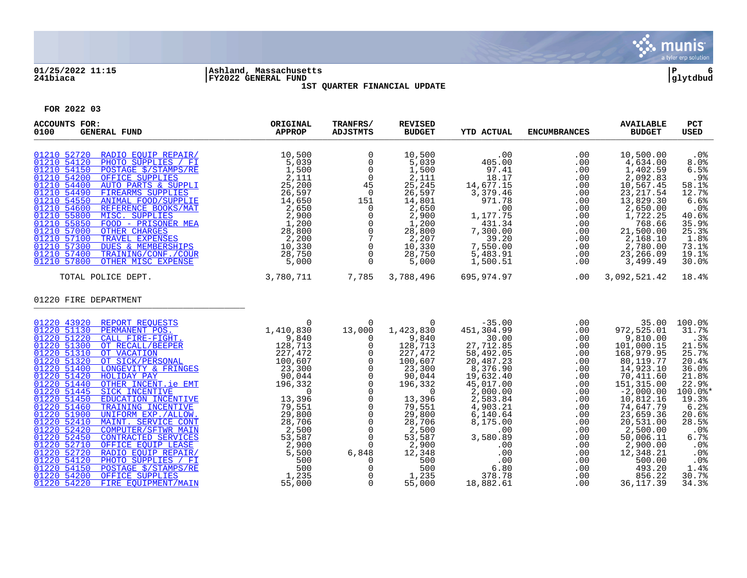

### **01/25/2022 11:15 |Ashland, Massachusetts |P 6 241biaca |FY2022 GENERAL FUND |glytdbud 1ST QUARTER FINANCIAL UPDATE**



| <b>ACCOUNTS FOR:</b><br>0100<br><b>GENERAL FUND</b>                                                                                                                                                                                                                                                                                                                                                                                                                                                                                                                                                                                                                                                                                      | ORIGINAL<br><b>APPROP</b> | TRANFRS/<br><b>ADJSTMTS</b>                                                                                                                                                                                                                                                                                                                  | <b>REVISED</b><br><b>BUDGET</b>                                                                                                                                                                                                         | <b>YTD ACTUAL</b>                                                                                                                                                                                                                                | <b>ENCUMBRANCES</b>                                                                                                                                    | <b>AVAILABLE</b><br><b>BUDGET</b>                                                                                                                                                                                                                                                 | PCT<br><b>USED</b>                                                                                                                                                                             |
|------------------------------------------------------------------------------------------------------------------------------------------------------------------------------------------------------------------------------------------------------------------------------------------------------------------------------------------------------------------------------------------------------------------------------------------------------------------------------------------------------------------------------------------------------------------------------------------------------------------------------------------------------------------------------------------------------------------------------------------|---------------------------|----------------------------------------------------------------------------------------------------------------------------------------------------------------------------------------------------------------------------------------------------------------------------------------------------------------------------------------------|-----------------------------------------------------------------------------------------------------------------------------------------------------------------------------------------------------------------------------------------|--------------------------------------------------------------------------------------------------------------------------------------------------------------------------------------------------------------------------------------------------|--------------------------------------------------------------------------------------------------------------------------------------------------------|-----------------------------------------------------------------------------------------------------------------------------------------------------------------------------------------------------------------------------------------------------------------------------------|------------------------------------------------------------------------------------------------------------------------------------------------------------------------------------------------|
| 01210 52720 RADIO EOUIP REPAIR/<br>$\begin{tabular}{l c c c c c} \multicolumn{1}{c}{\textbf{RADIO EQUIP REPAIR/}} & \multicolumn{1}{c}{10\, , 500} \\ \hline \multicolumn{1}{c}{\textbf{PHOTO SUPPLIES / FI}} & \multicolumn{1}{c}{5\, , 039} \\ \hline \multicolumn{1}{c}{\textbf{DSTAGE S/STAMPS/RE}} & \multicolumn{1}{c}{1\, , 500} \\ \hline \multicolumn{1}{c}{\textbf{OPTCE SUPPLIES}} & \multicolumn{1}{c}{2\, , 111} \\ \hline \multicolumn{1}{c}{\textbf{APTO PARTS & SD$<br>01210 54120<br>01210 54150<br>01210 54200<br>01210 54400<br>01210 54490<br>01210 54550<br>01210 54600<br>01210 55800<br>01210 55850<br>01210 57000<br>01210 57100<br>01210 57300<br>01210 57400<br>01210 57800<br>3,780,711<br>TOTAL POLICE DEPT. | 10,500                    | $\mathbf 0$<br>$\mathsf{O}$<br>$\overline{0}$<br>$\overline{0}$<br>45<br>$\overline{0}$<br>$151$<br>0<br>0<br>0<br>0<br>0<br>7<br>0<br>$\overline{0}$<br>$\Omega$                                                                                                                                                                            | 10,500<br>5,039<br>1,500<br>2,111<br>25, 245<br>26,597<br>14,801<br>2,650<br>2,900<br>1,200<br>28,800<br>2,207<br>10,330<br>28,750<br>5,000<br>7,785 3,788,496                                                                          | .00<br>405.00<br>97.41<br>18.17<br>14,677.15<br>3,379.46<br>971.78<br>.00<br>1,177.75<br>431.34<br>7,300.00<br>39.20<br>7,550.00<br>5,483.91<br>1,500.51<br>695,974.97                                                                           | .00<br>.00<br>.00<br>.00<br>.00<br>.00<br>.00<br>.00<br>.00<br>.00<br>.00<br>.00<br>.00<br>.00<br>.00<br>.00                                           | 10,500.00<br>4,634.00<br>1,402.59<br>2,092.83<br>10,567.45<br>23, 217.54<br>13,829.30<br>2,650.00<br>1,722.25<br>768.66<br>21,500.00<br>2,168.10<br>2,780.00<br>23,266.09<br>3,499.49<br>3,092,521.42                                                                             | $.0\%$<br>8.0%<br>6.5%<br>.9%<br>58.1%<br>12.7%<br>6.6%<br>$.0\%$<br>40.6%<br>35.9%<br>25.3%<br>1.8%<br>73.1%<br>19.1%<br>30.0%<br>18.4%                                                       |
| 01220 FIRE DEPARTMENT                                                                                                                                                                                                                                                                                                                                                                                                                                                                                                                                                                                                                                                                                                                    |                           |                                                                                                                                                                                                                                                                                                                                              |                                                                                                                                                                                                                                         |                                                                                                                                                                                                                                                  |                                                                                                                                                        |                                                                                                                                                                                                                                                                                   |                                                                                                                                                                                                |
| 01220 43920 REPORT REQUESTS<br>REPORT REQUESTS<br>PERMANENT POS. 1,410,830<br>CALL FIRE-FIGHT. 1,410,830<br>OT RECALL/BEEPER<br>128,713<br>OT VACATION<br>OT VACATION<br>TONGEVITY & FRINGES<br>227,472<br>227,472<br>200,607<br>LONGEVITY & FRINGES<br>200,044<br>OTER INCENTIVE<br>EDUC<br>01220 51130<br>01220 51220<br>01220 51300<br>01220 51310<br>01220 51320<br>01220 51400<br>01220 51420<br>01220 51440<br>01220 51445<br>01220 51450<br>01220 51460<br>01220 51900<br>01220 52410<br>01220 52420<br>01220 52450<br>01220 52710<br>01220 52720<br>01220 54120<br>01220 54150<br>01220 54200<br>01220 54220                                                                                                                     |                           | $\mathbf 0$<br>13,000<br>$\overline{0}$<br>$\mathsf{O}$<br>$\mathsf{O}$<br>$\mathsf{O}$<br>$\overline{0}$<br>$\overline{0}$<br>$\overline{0}$<br>$\Omega$<br>$\mathbf 0$<br>$\mathsf 0$<br>$\overline{0}$<br>$\mathsf{O}$<br>$\mathbf 0$<br>$\mathbf 0$<br>$\Omega$<br>6,848<br>$\Omega$<br>$\mathsf{O}$<br>$\overline{0}$<br>$\overline{0}$ | $\overline{0}$<br>1,423,830<br>9,840<br>128,713<br>227,472<br>100,607<br>23,300<br>90,044<br>196,332<br>$\overline{0}$<br>13,396<br>79,551<br>29,800<br>28,706<br>2,500<br>53,587<br>$2,900$<br>12.340<br>500<br>500<br>1,235<br>55,000 | $-35.00$<br>451,304.99<br>30.00<br>27,712.85<br>58,492.05<br>20,487.23<br>8, 376.90<br>19,632.40<br>45,017.00<br>2,000.00<br>2,583.84<br>4,903.21<br>6,140.64<br>8,175.00<br>.00<br>3,580.89<br>.00<br>.00<br>.00<br>6.80<br>378.78<br>18,882.61 | .00<br>.00<br>.00<br>.00<br>.00<br>.00<br>.00<br>.00<br>.00<br>.00<br>.00<br>.00<br>.00<br>.00<br>.00<br>.00<br>.00<br>.00<br>.00<br>.00<br>.00<br>.00 | 35.00<br>972,525.01<br>9,810.00<br>101,000.15<br>168,979.95<br>80,119.77<br>14,923.10<br>70,411.60<br>151,315.00<br>$-2,000.00$<br>10,812.16<br>74,647.79<br>23,659.36<br>20,531.00<br>2,500.00<br>50,006.11<br>2,900.00<br>12,348.21<br>500.00<br>493.20<br>856.22<br>36, 117.39 | 100.0%<br>31.7%<br>.3%<br>21.5%<br>25.7%<br>20.4%<br>36.0%<br>21.8%<br>22.9%<br>100.0%*<br>19.3%<br>6.2%<br>20.6%<br>28.5%<br>$.0\%$<br>6.7%<br>.0%<br>.0%<br>$.0\%$<br>1.4%<br>30.7%<br>34.3% |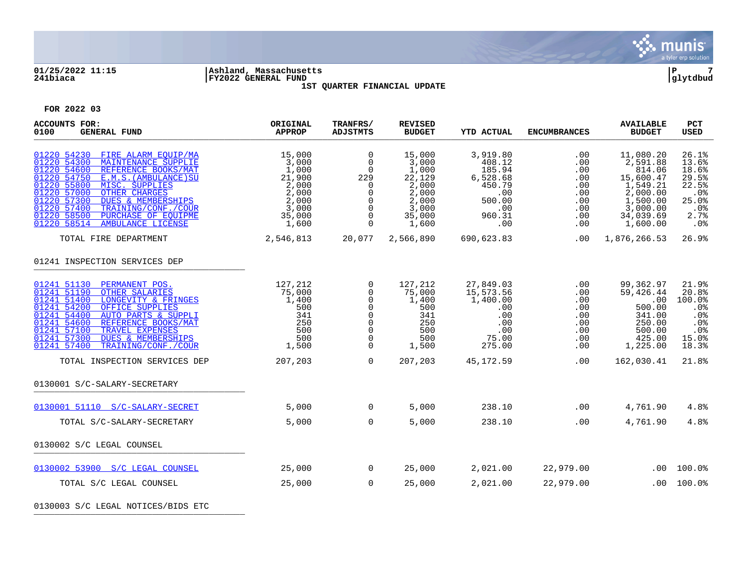

### **01/25/2022 11:15 |Ashland, Massachusetts |P 7 241biaca |FY2022 GENERAL FUND |glytdbud 1ST QUARTER FINANCIAL UPDATE**



**FOR 2022 03**

| ORIGINAL<br><b>APPROP</b>                                                                 | TRANFRS/<br><b>ADJSTMTS</b>                                                                                                       | <b>REVISED</b><br><b>BUDGET</b>                                                           | <b>YTD ACTUAL</b>                                                                           | <b>ENCUMBRANCES</b>                                                   | <b>AVAILABLE</b><br><b>BUDGET</b>                                                                                     | <b>PCT</b><br><b>USED</b>                                                       |
|-------------------------------------------------------------------------------------------|-----------------------------------------------------------------------------------------------------------------------------------|-------------------------------------------------------------------------------------------|---------------------------------------------------------------------------------------------|-----------------------------------------------------------------------|-----------------------------------------------------------------------------------------------------------------------|---------------------------------------------------------------------------------|
| 15,000<br>3,000<br>1,000<br>21,900<br>2,000<br>2,000<br>2,000<br>3,000<br>35,000<br>1,600 | $\mathbf 0$<br>$\mathbf 0$<br>$\mathbf 0$<br>229<br>$\mathbf 0$<br>$\Omega$<br>$\mathbf 0$<br>$\Omega$<br>$\mathbf 0$<br>$\Omega$ | 15,000<br>3,000<br>1,000<br>22,129<br>2,000<br>2,000<br>2,000<br>3,000<br>35,000<br>1,600 | 3,919.80<br>408.12<br>185.94<br>6,528.68<br>450.79<br>.00<br>500.00<br>.00<br>960.31<br>.00 | .00<br>.00<br>.00<br>.00<br>.00<br>.00<br>.00<br>.00<br>.00<br>.00    | 11,080.20<br>2,591.88<br>814.06<br>15,600.47<br>1,549.21<br>2,000.00<br>1,500.00<br>3,000.00<br>34,039.69<br>1,600.00 | 26.1%<br>13.6%<br>18.6%<br>29.5%<br>22.5%<br>.0%<br>25.0%<br>.0%<br>2.7%<br>.0% |
| 2,546,813                                                                                 |                                                                                                                                   | 2,566,890                                                                                 | 690,623.83                                                                                  |                                                                       | 1,876,266.53                                                                                                          | 26.9%                                                                           |
|                                                                                           |                                                                                                                                   |                                                                                           |                                                                                             |                                                                       |                                                                                                                       |                                                                                 |
| 127,212<br>75,000<br>1,400<br>500<br>341<br>250<br>500<br>500<br>1,500                    | 0<br>0<br>$\Omega$<br>$\mathbf 0$<br>0<br>$\mathbf 0$<br>$\Omega$<br>$\mathbf 0$<br>$\Omega$                                      | 127,212<br>75,000<br>1,400<br>500<br>341<br>250<br>500<br>500<br>1,500                    | 27,849.03<br>15,573.56<br>1,400.00<br>.00<br>.00<br>.00<br>.00<br>75.00<br>275.00           | .00<br>$.00 \,$<br>.00<br>.00<br>.00<br>.00<br>.00<br>$.00 \,$<br>.00 | 99,362.97<br>59,426.44<br>.00<br>500.00<br>341.00<br>250.00<br>500.00<br>425.00<br>1,225.00                           | 21.9%<br>20.8%<br>100.0%<br>.0%<br>.0%<br>.0%<br>.0%<br>15.0%<br>18.3%          |
| 207,203                                                                                   | $\Omega$                                                                                                                          | 207,203                                                                                   | 45,172.59                                                                                   | .00                                                                   | 162,030.41                                                                                                            | 21.8%                                                                           |
|                                                                                           |                                                                                                                                   |                                                                                           |                                                                                             |                                                                       |                                                                                                                       |                                                                                 |
| 5,000                                                                                     | $\Omega$                                                                                                                          | 5,000                                                                                     | 238.10                                                                                      | .00                                                                   | 4,761.90                                                                                                              | 4.8%                                                                            |
| 5,000                                                                                     | $\overline{0}$                                                                                                                    | 5,000                                                                                     | 238.10                                                                                      | .00                                                                   | 4,761.90                                                                                                              | 4.8%                                                                            |
|                                                                                           |                                                                                                                                   |                                                                                           |                                                                                             |                                                                       |                                                                                                                       |                                                                                 |
| 25,000                                                                                    | $\overline{0}$                                                                                                                    | 25,000                                                                                    | 2,021.00                                                                                    | 22,979.00                                                             | .00                                                                                                                   | 100.0%                                                                          |
| 25,000                                                                                    | $\Omega$                                                                                                                          | 25,000                                                                                    | 2,021.00                                                                                    | 22,979.00                                                             | $.00 \,$                                                                                                              | 100.0%                                                                          |
|                                                                                           |                                                                                                                                   |                                                                                           | 20,077                                                                                      |                                                                       |                                                                                                                       | .00                                                                             |

0130003 S/C LEGAL NOTICES/BIDS ETC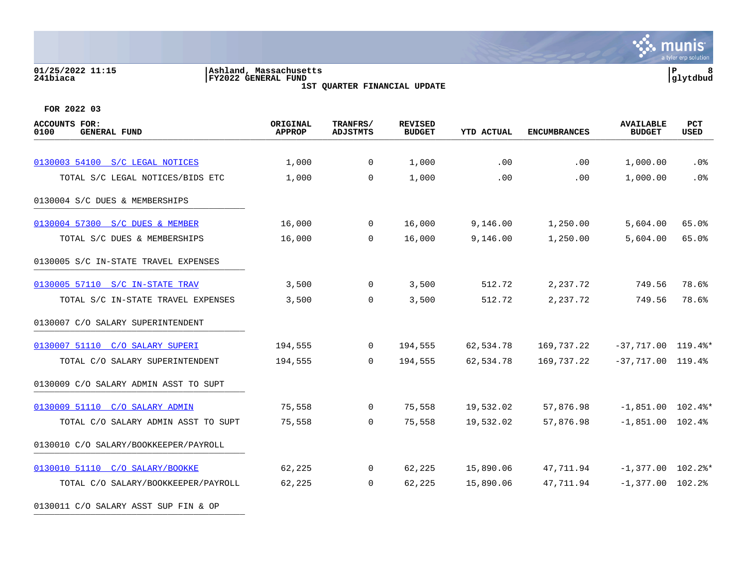#### **01/25/2022 11:15 |Ashland, Massachusetts |P 8 241biaca |FY2022 GENERAL FUND |glytdbud 1ST QUARTER FINANCIAL UPDATE**

**\*** munis a tyler erp solution

| <b>ACCOUNTS FOR:</b><br>0100<br><b>GENERAL FUND</b> | ORIGINAL<br><b>APPROP</b> | TRANFRS/<br><b>ADJSTMTS</b> | <b>REVISED</b><br><b>BUDGET</b> | <b>YTD ACTUAL</b> | <b>ENCUMBRANCES</b> | <b>AVAILABLE</b><br><b>BUDGET</b> | PCT<br>USED |
|-----------------------------------------------------|---------------------------|-----------------------------|---------------------------------|-------------------|---------------------|-----------------------------------|-------------|
|                                                     |                           |                             |                                 |                   |                     |                                   |             |
| 0130003 54100 S/C LEGAL NOTICES                     | 1,000                     | $\mathbf{0}$                | 1,000                           | .00               | .00                 | 1,000.00                          | $.0\%$      |
| TOTAL S/C LEGAL NOTICES/BIDS ETC                    | 1,000                     | $\Omega$                    | 1,000                           | .00               | .00                 | 1,000.00                          | .0%         |
| 0130004 S/C DUES & MEMBERSHIPS                      |                           |                             |                                 |                   |                     |                                   |             |
| 0130004 57300 S/C DUES & MEMBER                     | 16,000                    | $\overline{0}$              | 16,000                          | 9,146.00          | 1,250.00            | 5,604.00                          | 65.0%       |
| TOTAL S/C DUES & MEMBERSHIPS                        | 16,000                    | $\Omega$                    | 16,000                          | 9,146.00          | 1,250.00            | 5,604.00                          | 65.0%       |
| 0130005 S/C IN-STATE TRAVEL EXPENSES                |                           |                             |                                 |                   |                     |                                   |             |
| 0130005 57110 S/C IN-STATE TRAV                     | 3,500                     | $\mathbf{0}$                | 3,500                           | 512.72            | 2,237.72            | 749.56                            | 78.6%       |
| TOTAL S/C IN-STATE TRAVEL EXPENSES                  | 3,500                     | $\mathbf 0$                 | 3,500                           | 512.72            | 2,237.72            | 749.56                            | 78.6%       |
| 0130007 C/O SALARY SUPERINTENDENT                   |                           |                             |                                 |                   |                     |                                   |             |
| 0130007 51110 C/O SALARY SUPERI                     | 194,555                   | $\overline{0}$              | 194,555                         | 62,534.78         | 169,737.22          | $-37,717.00$ 119.4%*              |             |
| TOTAL C/O SALARY SUPERINTENDENT                     | 194,555                   | $\Omega$                    | 194,555                         | 62,534.78         | 169,737.22          | $-37,717.00$ 119.4%               |             |
| 0130009 C/O SALARY ADMIN ASST TO SUPT               |                           |                             |                                 |                   |                     |                                   |             |
| 0130009 51110 C/O SALARY ADMIN                      | 75,558                    | $\mathbf 0$                 | 75,558                          | 19,532.02         | 57,876.98           | $-1,851.00$ 102.4%*               |             |
| TOTAL C/O SALARY ADMIN ASST TO SUPT                 | 75,558                    | $\Omega$                    | 75,558                          | 19,532.02         | 57,876.98           | $-1,851.00$ 102.4%                |             |
| 0130010 C/O SALARY/BOOKKEEPER/PAYROLL               |                           |                             |                                 |                   |                     |                                   |             |
| 0130010 51110 C/O SALARY/BOOKKE                     | 62,225                    | $\mathbf 0$                 | 62,225                          | 15,890.06         | 47,711.94           | $-1,377.00$ 102.2%*               |             |
| TOTAL C/O SALARY/BOOKKEEPER/PAYROLL                 | 62,225                    | $\Omega$                    | 62,225                          | 15,890.06         | 47,711.94           | $-1,377.00$ 102.2%                |             |
| 0130011 C/O SALARY ASST SUP FIN & OP                |                           |                             |                                 |                   |                     |                                   |             |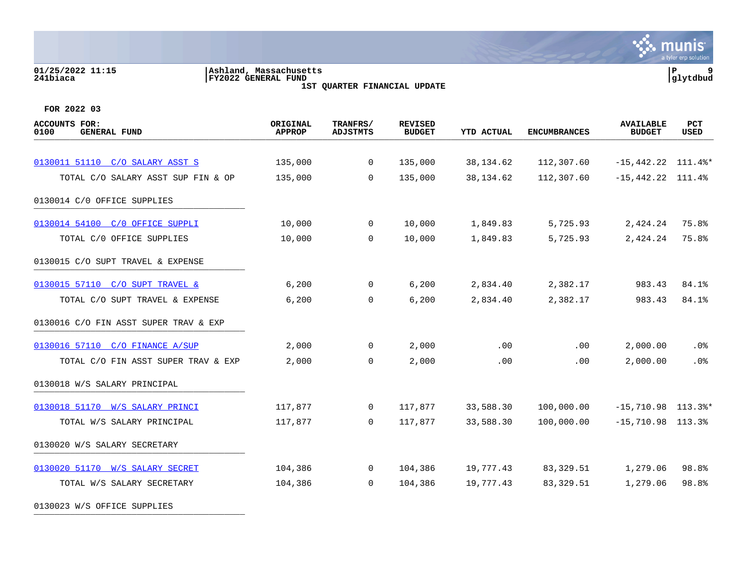#### **01/25/2022 11:15 |Ashland, Massachusetts |P 9 241biaca |FY2022 GENERAL FUND |glytdbud 1ST QUARTER FINANCIAL UPDATE**



| <b>ACCOUNTS FOR:</b><br><b>GENERAL FUND</b><br>0100 | ORIGINAL<br><b>APPROP</b> | TRANFRS/<br><b>ADJSTMTS</b> | <b>REVISED</b><br><b>BUDGET</b> | <b>YTD ACTUAL</b> | <b>ENCUMBRANCES</b> | <b>AVAILABLE</b><br><b>BUDGET</b> | <b>PCT</b><br><b>USED</b> |
|-----------------------------------------------------|---------------------------|-----------------------------|---------------------------------|-------------------|---------------------|-----------------------------------|---------------------------|
|                                                     |                           |                             |                                 |                   |                     |                                   |                           |
| 0130011 51110 C/O SALARY ASST S                     | 135,000                   | $\mathbf 0$                 | 135,000                         | 38, 134.62        | 112,307.60          | $-15,442.22$ 111.4%*              |                           |
| TOTAL C/O SALARY ASST SUP FIN & OP                  | 135,000                   | $\Omega$                    | 135,000                         | 38, 134.62        | 112,307.60          | $-15,442.22$ 111.4%               |                           |
| 0130014 C/O OFFICE SUPPLIES                         |                           |                             |                                 |                   |                     |                                   |                           |
| 0130014 54100 C/O OFFICE SUPPLI                     | 10,000                    | 0                           | 10,000                          | 1,849.83          | 5,725.93            | 2,424.24                          | 75.8%                     |
| TOTAL C/0 OFFICE SUPPLIES                           | 10,000                    | $\mathbf 0$                 | 10,000                          | 1,849.83          | 5,725.93            | 2,424.24                          | 75.8%                     |
| 0130015 C/O SUPT TRAVEL & EXPENSE                   |                           |                             |                                 |                   |                     |                                   |                           |
| 0130015 57110 C/O SUPT TRAVEL &                     | 6,200                     | $\mathbf 0$                 | 6,200                           | 2,834.40          | 2,382.17            | 983.43                            | 84.1%                     |
| TOTAL C/O SUPT TRAVEL & EXPENSE                     | 6,200                     | $\mathbf 0$                 | 6,200                           | 2,834.40          | 2,382.17            | 983.43                            | 84.1%                     |
| 0130016 C/O FIN ASST SUPER TRAV & EXP               |                           |                             |                                 |                   |                     |                                   |                           |
| 0130016 57110 C/O FINANCE A/SUP                     | 2,000                     | 0                           | 2,000                           | .00               | .00                 | 2,000.00                          | . 0%                      |
| TOTAL C/O FIN ASST SUPER TRAV & EXP                 | 2,000                     | $\mathbf 0$                 | 2,000                           | .00               | .00                 | 2,000.00                          | .0%                       |
| 0130018 W/S SALARY PRINCIPAL                        |                           |                             |                                 |                   |                     |                                   |                           |
| 0130018 51170 W/S SALARY PRINCI                     | 117,877                   | $\mathbf 0$                 | 117,877                         | 33,588.30         | 100,000.00          | $-15,710.98$ 113.3%*              |                           |
| TOTAL W/S SALARY PRINCIPAL                          | 117,877                   | $\Omega$                    | 117,877                         | 33,588.30         | 100,000.00          | $-15,710.98$ 113.3%               |                           |
| 0130020 W/S SALARY SECRETARY                        |                           |                             |                                 |                   |                     |                                   |                           |
| 0130020 51170 W/S SALARY SECRET                     | 104,386                   | $\mathbf 0$                 | 104,386                         | 19,777.43         | 83,329.51           | 1,279.06                          | 98.8%                     |
| TOTAL W/S SALARY SECRETARY                          | 104,386                   | 0                           | 104,386                         | 19,777.43         | 83, 329.51          | 1,279.06                          | 98.8%                     |
| 0130023 W/S OFFICE SUPPLIES                         |                           |                             |                                 |                   |                     |                                   |                           |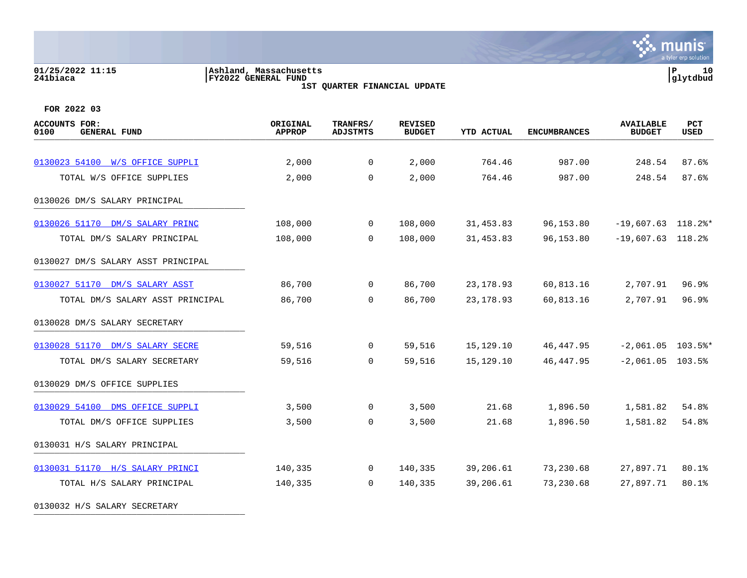#### **01/25/2022 11:15 |Ashland, Massachusetts |P 10 241biaca |FY2022 GENERAL FUND |glytdbud 1ST QUARTER FINANCIAL UPDATE**



| <b>ACCOUNTS FOR:</b><br>0100<br><b>GENERAL FUND</b> | ORIGINAL<br><b>APPROP</b> | TRANFRS/<br><b>ADJSTMTS</b> | <b>REVISED</b><br><b>BUDGET</b> | <b>YTD ACTUAL</b> | <b>ENCUMBRANCES</b> | <b>AVAILABLE</b><br><b>BUDGET</b> | PCT<br>USED |
|-----------------------------------------------------|---------------------------|-----------------------------|---------------------------------|-------------------|---------------------|-----------------------------------|-------------|
|                                                     |                           |                             |                                 |                   |                     |                                   |             |
| 0130023 54100 W/S OFFICE SUPPLI                     | 2,000                     | $\mathbf{0}$                | 2,000                           | 764.46            | 987.00              | 248.54                            | 87.6%       |
| TOTAL W/S OFFICE SUPPLIES                           | 2,000                     | $\Omega$                    | 2,000                           | 764.46            | 987.00              | 248.54                            | 87.6%       |
| 0130026 DM/S SALARY PRINCIPAL                       |                           |                             |                                 |                   |                     |                                   |             |
| 0130026 51170 DM/S SALARY PRINC                     | 108,000                   | $\overline{0}$              | 108,000                         | 31,453.83         | 96,153.80           | $-19,607.63$ 118.2%*              |             |
| TOTAL DM/S SALARY PRINCIPAL                         | 108,000                   | $\Omega$                    | 108,000                         | 31,453.83         | 96,153.80           | $-19,607.63$ 118.2%               |             |
| 0130027 DM/S SALARY ASST PRINCIPAL                  |                           |                             |                                 |                   |                     |                                   |             |
| 0130027 51170 DM/S SALARY ASST                      | 86,700                    | $\mathbf 0$                 | 86,700                          | 23, 178.93        | 60,813.16           | 2,707.91                          | 96.9%       |
| TOTAL DM/S SALARY ASST PRINCIPAL                    | 86,700                    | $\overline{0}$              | 86,700                          | 23, 178.93        | 60,813.16           | 2,707.91                          | 96.9%       |
| 0130028 DM/S SALARY SECRETARY                       |                           |                             |                                 |                   |                     |                                   |             |
| 0130028 51170 DM/S SALARY SECRE                     | 59,516                    | $\overline{0}$              | 59,516                          | 15,129.10         | 46,447.95           | $-2,061.05$ 103.5%*               |             |
| TOTAL DM/S SALARY SECRETARY                         | 59,516                    | $\Omega$                    | 59,516                          | 15,129.10         | 46, 447.95          | $-2,061.05$ 103.5%                |             |
| 0130029 DM/S OFFICE SUPPLIES                        |                           |                             |                                 |                   |                     |                                   |             |
| 0130029 54100 DMS OFFICE SUPPLI                     | 3,500                     | $\mathbf 0$                 | 3,500                           | 21.68             | 1,896.50            | 1,581.82                          | 54.8%       |
| TOTAL DM/S OFFICE SUPPLIES                          | 3,500                     | $\overline{0}$              | 3,500                           | 21.68             | 1,896.50            | 1,581.82                          | 54.8%       |
| 0130031 H/S SALARY PRINCIPAL                        |                           |                             |                                 |                   |                     |                                   |             |
| 0130031 51170 H/S SALARY PRINCI                     | 140,335                   | $\overline{0}$              | 140,335                         | 39,206.61         | 73,230.68           | 27,897.71                         | 80.1%       |
| TOTAL H/S SALARY PRINCIPAL                          | 140,335                   | $\Omega$                    | 140,335                         | 39,206.61         | 73,230.68           | 27,897.71                         | 80.1%       |
| 0130032 H/S SALARY SECRETARY                        |                           |                             |                                 |                   |                     |                                   |             |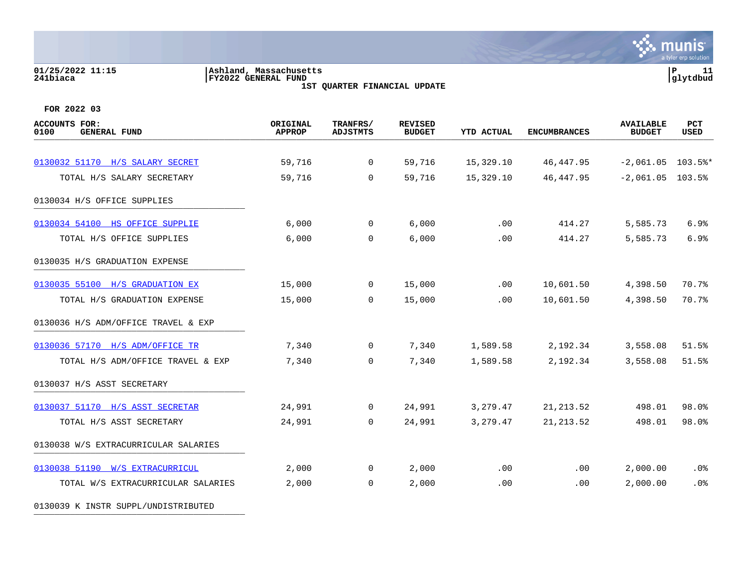# **01/25/2022 11:15 |Ashland, Massachusetts |P 11 241biaca |FY2022 GENERAL FUND |glytdbud**

**1ST QUARTER FINANCIAL UPDATE**



**FOR 2022 03**

| <b>ACCOUNTS FOR:</b><br>0100<br><b>GENERAL FUND</b> | ORIGINAL<br><b>APPROP</b> | TRANFRS/<br><b>ADJSTMTS</b> | <b>REVISED</b><br><b>BUDGET</b> | <b>YTD ACTUAL</b> | <b>ENCUMBRANCES</b> | <b>AVAILABLE</b><br><b>BUDGET</b> | PCT<br>USED |
|-----------------------------------------------------|---------------------------|-----------------------------|---------------------------------|-------------------|---------------------|-----------------------------------|-------------|
| 0130032 51170 H/S SALARY SECRET                     | 59,716                    | $\mathbf 0$                 | 59,716                          | 15,329.10         | 46, 447.95          | $-2,061.05$ 103.5%*               |             |
| TOTAL H/S SALARY SECRETARY                          | 59,716                    | $\mathbf 0$                 | 59,716                          | 15,329.10         | 46, 447.95          | $-2,061.05$ 103.5%                |             |
| 0130034 H/S OFFICE SUPPLIES                         |                           |                             |                                 |                   |                     |                                   |             |
| 0130034 54100 HS OFFICE SUPPLIE                     | 6,000                     | $\overline{0}$              | 6,000                           | .00               | 414.27              | 5,585.73                          | 6.9%        |
| TOTAL H/S OFFICE SUPPLIES                           | 6,000                     | $\mathbf 0$                 | 6,000                           | .00               | 414.27              | 5,585.73                          | 6.9%        |
| 0130035 H/S GRADUATION EXPENSE                      |                           |                             |                                 |                   |                     |                                   |             |
| 0130035 55100 H/S GRADUATION EX                     | 15,000                    | $\mathbf 0$                 | 15,000                          | .00               | 10,601.50           | 4,398.50                          | 70.7%       |
| TOTAL H/S GRADUATION EXPENSE                        | 15,000                    | $\Omega$                    | 15,000                          | .00               | 10,601.50           | 4,398.50                          | 70.7%       |
| 0130036 H/S ADM/OFFICE TRAVEL & EXP                 |                           |                             |                                 |                   |                     |                                   |             |
| 0130036 57170 H/S ADM/OFFICE TR                     | 7,340                     | $\overline{0}$              | 7,340                           | 1,589.58          | 2,192.34            | 3,558.08                          | 51.5%       |
| TOTAL H/S ADM/OFFICE TRAVEL & EXP                   | 7,340                     | $\Omega$                    | 7,340                           | 1,589.58          | 2,192.34            | 3,558.08                          | 51.5%       |
| 0130037 H/S ASST SECRETARY                          |                           |                             |                                 |                   |                     |                                   |             |
| 0130037 51170 H/S ASST SECRETAR                     | 24,991                    | $\overline{0}$              | 24,991                          | 3,279.47          | 21, 213.52          | 498.01                            | 98.0%       |
| TOTAL H/S ASST SECRETARY                            | 24,991                    | $\mathbf 0$                 | 24,991                          | 3,279.47          | 21, 213.52          | 498.01                            | 98.0%       |
| 0130038 W/S EXTRACURRICULAR SALARIES                |                           |                             |                                 |                   |                     |                                   |             |
| 0130038 51190 W/S EXTRACURRICUL                     | 2,000                     | $\overline{0}$              | 2,000                           | .00               | .00                 | 2,000.00                          | .0%         |
| TOTAL W/S EXTRACURRICULAR SALARIES                  | 2,000                     | $\mathbf 0$                 | 2,000                           | .00               | .00                 | 2,000.00                          | .0%         |

0130039 K INSTR SUPPL/UNDISTRIBUTED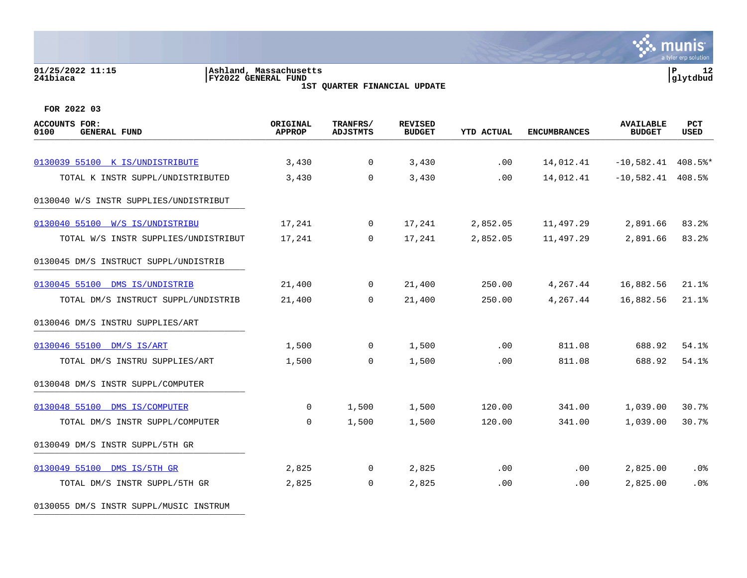#### **01/25/2022 11:15 |Ashland, Massachusetts |P 12 241biaca |FY2022 GENERAL FUND |glytdbud 1ST QUARTER FINANCIAL UPDATE**



**FOR 2022 03**

| <b>ACCOUNTS FOR:</b><br>0100<br><b>GENERAL FUND</b> | ORIGINAL<br><b>APPROP</b> | TRANFRS/<br><b>ADJSTMTS</b> | <b>REVISED</b><br><b>BUDGET</b> | <b>YTD ACTUAL</b> | <b>ENCUMBRANCES</b> | <b>AVAILABLE</b><br><b>BUDGET</b> | PCT<br>USED |
|-----------------------------------------------------|---------------------------|-----------------------------|---------------------------------|-------------------|---------------------|-----------------------------------|-------------|
|                                                     |                           |                             |                                 |                   |                     |                                   |             |
| 0130039 55100 K IS/UNDISTRIBUTE                     | 3,430                     | $\overline{0}$              | 3,430                           | .00               | 14,012.41           | $-10,582.41$ 408.5%*              |             |
| TOTAL K INSTR SUPPL/UNDISTRIBUTED                   | 3,430                     | $\Omega$                    | 3,430                           | .00               | 14,012.41           | $-10,582.41$ 408.5%               |             |
| 0130040 W/S INSTR SUPPLIES/UNDISTRIBUT              |                           |                             |                                 |                   |                     |                                   |             |
| 0130040 55100 W/S IS/UNDISTRIBU                     | 17,241                    | $\Omega$                    | 17,241                          | 2,852.05          | 11,497.29           | 2,891.66                          | 83.2%       |
| TOTAL W/S INSTR SUPPLIES/UNDISTRIBUT                | 17,241                    | $\Omega$                    | 17,241                          | 2,852.05          | 11,497.29           | 2,891.66                          | 83.2%       |
| 0130045 DM/S INSTRUCT SUPPL/UNDISTRIB               |                           |                             |                                 |                   |                     |                                   |             |
| 0130045 55100 DMS IS/UNDISTRIB                      | 21,400                    | $\overline{0}$              | 21,400                          | 250.00            | 4,267.44            | 16,882.56                         | 21.1%       |
| TOTAL DM/S INSTRUCT SUPPL/UNDISTRIB                 | 21,400                    | $\Omega$                    | 21,400                          | 250.00            | 4,267.44            | 16,882.56                         | 21.1%       |
| 0130046 DM/S INSTRU SUPPLIES/ART                    |                           |                             |                                 |                   |                     |                                   |             |
| 0130046 55100 DM/S IS/ART                           | 1,500                     | $\overline{0}$              | 1,500                           | .00               | 811.08              | 688.92                            | 54.1%       |
| TOTAL DM/S INSTRU SUPPLIES/ART                      | 1,500                     | $\overline{0}$              | 1,500                           | .00               | 811.08              | 688.92                            | 54.1%       |
| 0130048 DM/S INSTR SUPPL/COMPUTER                   |                           |                             |                                 |                   |                     |                                   |             |
| 0130048 55100 DMS IS/COMPUTER                       | $\mathbf{0}$              | 1,500                       | 1,500                           | 120.00            | 341.00              | 1,039.00                          | 30.7%       |
| TOTAL DM/S INSTR SUPPL/COMPUTER                     | $\overline{0}$            | 1,500                       | 1,500                           | 120.00            | 341.00              | 1,039.00                          | 30.7%       |
| 0130049 DM/S INSTR SUPPL/5TH GR                     |                           |                             |                                 |                   |                     |                                   |             |
| 0130049 55100 DMS IS/5TH GR                         | 2,825                     | $\overline{0}$              | 2,825                           | .00               | $.00 \,$            | 2,825.00                          | .0%         |
| TOTAL DM/S INSTR SUPPL/5TH GR                       | 2,825                     | $\overline{0}$              | 2,825                           | .00               | .00                 | 2,825.00                          | .0%         |
|                                                     |                           |                             |                                 |                   |                     |                                   |             |

0130055 DM/S INSTR SUPPL/MUSIC INSTRUM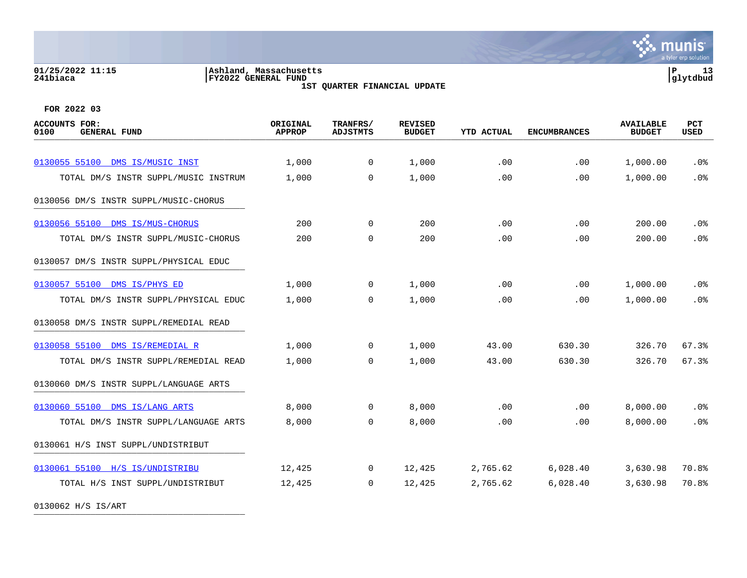### **01/25/2022 11:15 |Ashland, Massachusetts |P 13 241biaca |FY2022 GENERAL FUND |glytdbud**

**1ST QUARTER FINANCIAL UPDATE**



**FOR 2022 03**

| <b>ACCOUNTS FOR:</b><br>0100<br><b>GENERAL FUND</b> | ORIGINAL<br><b>APPROP</b> | TRANFRS/<br><b>ADJSTMTS</b> | <b>REVISED</b><br><b>BUDGET</b> | <b>YTD ACTUAL</b> | <b>ENCUMBRANCES</b> | <b>AVAILABLE</b><br><b>BUDGET</b> | PCT<br><b>USED</b> |
|-----------------------------------------------------|---------------------------|-----------------------------|---------------------------------|-------------------|---------------------|-----------------------------------|--------------------|
|                                                     |                           |                             |                                 |                   |                     |                                   |                    |
| 0130055 55100 DMS IS/MUSIC INST                     | 1,000                     | $\mathbf 0$                 | 1,000                           | .00               | .00                 | 1,000.00                          | .0%                |
| TOTAL DM/S INSTR SUPPL/MUSIC INSTRUM                | 1,000                     | $\Omega$                    | 1,000                           | .00               | .00                 | 1,000.00                          | .0%                |
| 0130056 DM/S INSTR SUPPL/MUSIC-CHORUS               |                           |                             |                                 |                   |                     |                                   |                    |
| 0130056 55100 DMS IS/MUS-CHORUS                     | 200                       | $\overline{0}$              | 200                             | .00               | .00                 | 200.00                            | $.0\%$             |
| TOTAL DM/S INSTR SUPPL/MUSIC-CHORUS                 | 200                       | 0                           | 200                             | .00               | .00                 | 200.00                            | .0%                |
| 0130057 DM/S INSTR SUPPL/PHYSICAL EDUC              |                           |                             |                                 |                   |                     |                                   |                    |
| 0130057 55100<br>DMS IS/PHYS ED                     | 1,000                     | $\mathbf{0}$                | 1,000                           | .00               | .00                 | 1,000.00                          | .0 <sub>8</sub>    |
| TOTAL DM/S INSTR SUPPL/PHYSICAL EDUC                | 1,000                     | $\overline{0}$              | 1,000                           | .00               | .00                 | 1,000.00                          | .0%                |
| 0130058 DM/S INSTR SUPPL/REMEDIAL READ              |                           |                             |                                 |                   |                     |                                   |                    |
| 0130058 55100 DMS IS/REMEDIAL R                     | 1,000                     | $\Omega$                    | 1,000                           | 43.00             | 630.30              | 326.70                            | 67.3%              |
| TOTAL DM/S INSTR SUPPL/REMEDIAL READ                | 1,000                     | $\overline{0}$              | 1,000                           | 43.00             | 630.30              | 326.70                            | 67.3%              |
| 0130060 DM/S INSTR SUPPL/LANGUAGE ARTS              |                           |                             |                                 |                   |                     |                                   |                    |
| 0130060 55100 DMS IS/LANG ARTS                      | 8,000                     | $\overline{0}$              | 8,000                           | .00               | .00                 | 8,000.00                          | .0%                |
| TOTAL DM/S INSTR SUPPL/LANGUAGE ARTS                | 8,000                     | $\overline{0}$              | 8,000                           | .00               | .00                 | 8,000.00                          | .0%                |
| 0130061 H/S INST SUPPL/UNDISTRIBUT                  |                           |                             |                                 |                   |                     |                                   |                    |
| 0130061 55100 H/S IS/UNDISTRIBU                     | 12,425                    | $\overline{0}$              | 12,425                          | 2,765.62          | 6,028.40            | 3,630.98                          | 70.8%              |
| TOTAL H/S INST SUPPL/UNDISTRIBUT                    | 12,425                    | $\overline{0}$              | 12,425                          | 2,765.62          | 6,028.40            | 3,630.98                          | 70.8%              |
|                                                     |                           |                             |                                 |                   |                     |                                   |                    |

0130062 H/S IS/ART \_\_\_\_\_\_\_\_\_\_\_\_\_\_\_\_\_\_\_\_\_\_\_\_\_\_\_\_\_\_\_\_\_\_\_\_\_\_\_\_\_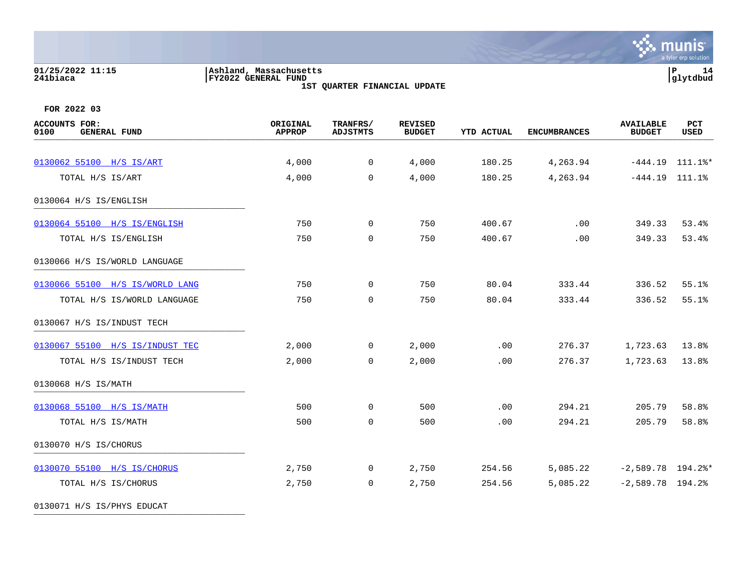# **01/25/2022 11:15 |Ashland, Massachusetts |P 14 241biaca |FY2022 GENERAL FUND |glytdbud**

**1ST QUARTER FINANCIAL UPDATE**



**FOR 2022 03**

| <b>ACCOUNTS FOR:</b><br>0100<br><b>GENERAL FUND</b> | ORIGINAL<br><b>APPROP</b> | TRANFRS/<br><b>ADJSTMTS</b> | <b>REVISED</b><br><b>BUDGET</b> | YTD ACTUAL | <b>ENCUMBRANCES</b> | <b>AVAILABLE</b><br><b>BUDGET</b> | PCT<br>USED       |
|-----------------------------------------------------|---------------------------|-----------------------------|---------------------------------|------------|---------------------|-----------------------------------|-------------------|
| 0130062 55100 H/S IS/ART                            | 4,000                     | $\overline{0}$              | 4,000                           | 180.25     | 4,263.94            |                                   | $-444.19$ 111.1%* |
| TOTAL H/S IS/ART                                    | 4,000                     | $\Omega$                    | 4,000                           | 180.25     | 4,263.94            | $-444.19$ $111.1$ <sup>8</sup>    |                   |
| 0130064 H/S IS/ENGLISH                              |                           |                             |                                 |            |                     |                                   |                   |
| 0130064 55100 H/S IS/ENGLISH                        | 750                       | $\overline{0}$              | 750                             | 400.67     | .00                 | 349.33                            | 53.4%             |
| TOTAL H/S IS/ENGLISH                                | 750                       | $\Omega$                    | 750                             | 400.67     | .00                 | 349.33                            | 53.4%             |
| 0130066 H/S IS/WORLD LANGUAGE                       |                           |                             |                                 |            |                     |                                   |                   |
| 0130066 55100 H/S IS/WORLD LANG                     | 750                       | $\overline{0}$              | 750                             | 80.04      | 333.44              | 336.52                            | 55.1%             |
| TOTAL H/S IS/WORLD LANGUAGE                         | 750                       | $\mathbf 0$                 | 750                             | 80.04      | 333.44              | 336.52                            | 55.1%             |
| 0130067 H/S IS/INDUST TECH                          |                           |                             |                                 |            |                     |                                   |                   |
| 0130067 55100 H/S IS/INDUST TEC                     | 2,000                     | $\mathbf 0$                 | 2,000                           | .00        | 276.37              | 1,723.63                          | 13.8%             |
| TOTAL H/S IS/INDUST TECH                            | 2,000                     | $\overline{0}$              | 2,000                           | .00        | 276.37              | 1,723.63                          | 13.8%             |
| 0130068 H/S IS/MATH                                 |                           |                             |                                 |            |                     |                                   |                   |
| 0130068 55100 H/S IS/MATH                           | 500                       | $\mathbf 0$                 | 500                             | .00        | 294.21              | 205.79                            | 58.8%             |
| TOTAL H/S IS/MATH                                   | 500                       | $\mathbf 0$                 | 500                             | .00        | 294.21              | 205.79                            | 58.8%             |
| 0130070 H/S IS/CHORUS                               |                           |                             |                                 |            |                     |                                   |                   |
| 0130070 55100 H/S IS/CHORUS                         | 2,750                     | $\overline{0}$              | 2,750                           | 254.56     | 5,085.22            | $-2,589.78$ 194.2%*               |                   |
| TOTAL H/S IS/CHORUS                                 | 2,750                     | $\mathbf 0$                 | 2,750                           | 254.56     | 5,085.22            | $-2,589.78$ 194.2%                |                   |
|                                                     |                           |                             |                                 |            |                     |                                   |                   |

0130071 H/S IS/PHYS EDUCAT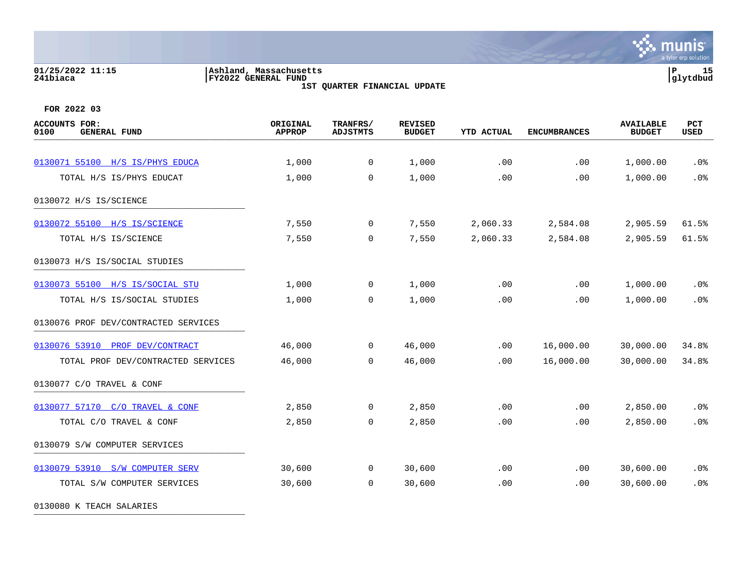### **01/25/2022 11:15 |Ashland, Massachusetts |P 15 241biaca |FY2022 GENERAL FUND |glytdbud**

**1ST QUARTER FINANCIAL UPDATE**



**FOR 2022 03**

| <b>ACCOUNTS FOR:</b><br><b>GENERAL FUND</b><br>0100 | ORIGINAL<br><b>APPROP</b> | TRANFRS/<br><b>ADJSTMTS</b> | <b>REVISED</b><br><b>BUDGET</b> | <b>YTD ACTUAL</b> | <b>ENCUMBRANCES</b> | <b>AVAILABLE</b><br><b>BUDGET</b> | PCT<br><b>USED</b> |
|-----------------------------------------------------|---------------------------|-----------------------------|---------------------------------|-------------------|---------------------|-----------------------------------|--------------------|
|                                                     |                           |                             |                                 |                   |                     |                                   |                    |
| 0130071 55100 H/S IS/PHYS EDUCA                     | 1,000                     | 0                           | 1,000                           | .00               | .00                 | 1,000.00                          | .0%                |
| TOTAL H/S IS/PHYS EDUCAT                            | 1,000                     | 0                           | 1,000                           | .00               | .00                 | 1,000.00                          | .0%                |
| 0130072 H/S IS/SCIENCE                              |                           |                             |                                 |                   |                     |                                   |                    |
| 0130072 55100 H/S IS/SCIENCE                        | 7,550                     | 0                           | 7,550                           | 2,060.33          | 2,584.08            | 2,905.59                          | 61.5%              |
| TOTAL H/S IS/SCIENCE                                | 7,550                     | 0                           | 7,550                           | 2,060.33          | 2,584.08            | 2,905.59                          | 61.5%              |
| 0130073 H/S IS/SOCIAL STUDIES                       |                           |                             |                                 |                   |                     |                                   |                    |
| 0130073 55100 H/S IS/SOCIAL STU                     | 1,000                     | $\mathbf 0$                 | 1,000                           | .00               | .00                 | 1,000.00                          | .0%                |
| TOTAL H/S IS/SOCIAL STUDIES                         | 1,000                     | $\mathbf 0$                 | 1,000                           | .00               | .00                 | 1,000.00                          | .0%                |
| 0130076 PROF DEV/CONTRACTED SERVICES                |                           |                             |                                 |                   |                     |                                   |                    |
| 0130076 53910<br>PROF DEV/CONTRACT                  | 46,000                    | $\mathbf 0$                 | 46,000                          | .00               | 16,000.00           | 30,000.00                         | 34.8%              |
| TOTAL PROF DEV/CONTRACTED SERVICES                  | 46,000                    | $\mathbf 0$                 | 46,000                          | .00               | 16,000.00           | 30,000.00                         | 34.8%              |
| 0130077 C/O TRAVEL & CONF                           |                           |                             |                                 |                   |                     |                                   |                    |
| 0130077 57170 C/O TRAVEL & CONF                     | 2,850                     | $\mathbf 0$                 | 2,850                           | .00               | .00                 | 2,850.00                          | .0%                |
| TOTAL C/O TRAVEL & CONF                             | 2,850                     | $\mathbf 0$                 | 2,850                           | .00               | .00                 | 2,850.00                          | .0%                |
| 0130079 S/W COMPUTER SERVICES                       |                           |                             |                                 |                   |                     |                                   |                    |
| 0130079 53910 S/W COMPUTER SERV                     | 30,600                    | $\mathbf 0$                 | 30,600                          | .00               | .00                 | 30,600.00                         | .0%                |
| TOTAL S/W COMPUTER SERVICES                         | 30,600                    | $\mathbf 0$                 | 30,600                          | .00               | .00                 | 30,600.00                         | .0%                |
|                                                     |                           |                             |                                 |                   |                     |                                   |                    |

0130080 K TEACH SALARIES \_\_\_\_\_\_\_\_\_\_\_\_\_\_\_\_\_\_\_\_\_\_\_\_\_\_\_\_\_\_\_\_\_\_\_\_\_\_\_\_\_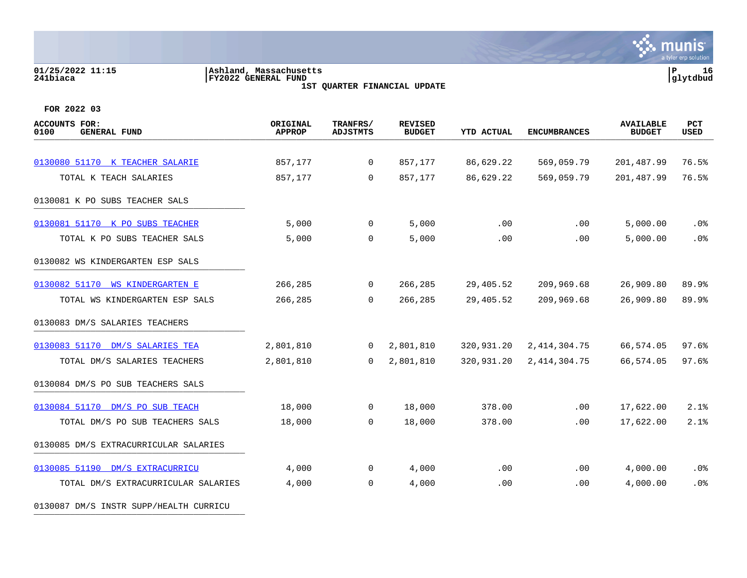#### **01/25/2022 11:15 |Ashland, Massachusetts |P 16 241biaca |FY2022 GENERAL FUND |glytdbud 1ST QUARTER FINANCIAL UPDATE**

**∵ munis** a tyler erp solution

**FOR 2022 03**

| <b>ACCOUNTS FOR:</b><br><b>GENERAL FUND</b><br>0100 | ORIGINAL<br><b>APPROP</b> | TRANFRS/<br><b>ADJSTMTS</b> | <b>REVISED</b><br><b>BUDGET</b> | <b>YTD ACTUAL</b> | <b>ENCUMBRANCES</b> | <b>AVAILABLE</b><br><b>BUDGET</b> | <b>PCT</b><br><b>USED</b> |
|-----------------------------------------------------|---------------------------|-----------------------------|---------------------------------|-------------------|---------------------|-----------------------------------|---------------------------|
|                                                     |                           |                             |                                 |                   |                     |                                   |                           |
| 0130080 51170 K TEACHER SALARIE                     | 857,177                   | $\overline{0}$              | 857,177                         | 86,629.22         | 569,059.79          | 201,487.99                        | 76.5%                     |
| TOTAL K TEACH SALARIES                              | 857,177                   | $\mathbf 0$                 | 857,177                         | 86,629.22         | 569,059.79          | 201,487.99                        | 76.5%                     |
| 0130081 K PO SUBS TEACHER SALS                      |                           |                             |                                 |                   |                     |                                   |                           |
| 0130081 51170 K PO SUBS TEACHER                     | 5,000                     | $\mathbf 0$                 | 5,000                           | .00               | $.00 \,$            | 5,000.00                          | $.0\%$                    |
| TOTAL K PO SUBS TEACHER SALS                        | 5,000                     | 0                           | 5,000                           | .00               | .00                 | 5,000.00                          | .0%                       |
| 0130082 WS KINDERGARTEN ESP SALS                    |                           |                             |                                 |                   |                     |                                   |                           |
| 0130082 51170 WS KINDERGARTEN E                     | 266,285                   | $\mathbf 0$                 | 266,285                         | 29,405.52         | 209,969.68          | 26,909.80                         | 89.9%                     |
| TOTAL WS KINDERGARTEN ESP SALS                      | 266,285                   | $\Omega$                    | 266,285                         | 29,405.52         | 209,969.68          | 26,909.80                         | 89.9%                     |
| 0130083 DM/S SALARIES TEACHERS                      |                           |                             |                                 |                   |                     |                                   |                           |
| 0130083 51170 DM/S SALARIES TEA                     | 2,801,810                 | $\mathbf 0$                 | 2,801,810                       | 320,931.20        | 2, 414, 304. 75     | 66,574.05                         | 97.6%                     |
| TOTAL DM/S SALARIES TEACHERS                        | 2,801,810                 | $\overline{0}$              | 2,801,810                       | 320,931.20        | 2, 414, 304. 75     | 66,574.05                         | 97.6%                     |
| 0130084 DM/S PO SUB TEACHERS SALS                   |                           |                             |                                 |                   |                     |                                   |                           |
| 0130084 51170 DM/S PO SUB TEACH                     | 18,000                    | $\mathbf 0$                 | 18,000                          | 378.00            | .00                 | 17,622.00                         | 2.1%                      |
| TOTAL DM/S PO SUB TEACHERS SALS                     | 18,000                    | $\overline{0}$              | 18,000                          | 378.00            | .00                 | 17,622.00                         | 2.1%                      |
| 0130085 DM/S EXTRACURRICULAR SALARIES               |                           |                             |                                 |                   |                     |                                   |                           |
| 0130085 51190 DM/S EXTRACURRICU                     | 4,000                     | $\mathbf 0$                 | 4,000                           | .00               | .00                 | 4,000.00                          | .0%                       |
| TOTAL DM/S EXTRACURRICULAR SALARIES                 | 4,000                     | 0                           | 4,000                           | .00               | .00                 | 4,000.00                          | .0%                       |
|                                                     |                           |                             |                                 |                   |                     |                                   |                           |

0130087 DM/S INSTR SUPP/HEALTH CURRICU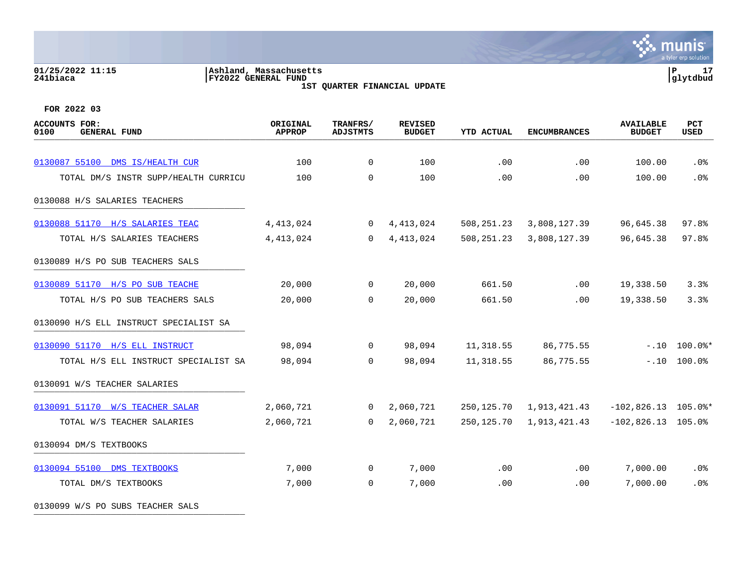#### **01/25/2022 11:15 |Ashland, Massachusetts |P 17 241biaca |FY2022 GENERAL FUND |glytdbud 1ST QUARTER FINANCIAL UPDATE**



**FOR 2022 03**

0130099 W/S PO SUBS TEACHER SALS

| <b>ACCOUNTS FOR:</b><br>0100<br><b>GENERAL FUND</b> | ORIGINAL<br><b>APPROP</b> | TRANFRS/<br><b>ADJSTMTS</b> | <b>REVISED</b><br><b>BUDGET</b> | <b>YTD ACTUAL</b> | <b>ENCUMBRANCES</b>        | <b>AVAILABLE</b><br><b>BUDGET</b> | PCT<br>USED                 |
|-----------------------------------------------------|---------------------------|-----------------------------|---------------------------------|-------------------|----------------------------|-----------------------------------|-----------------------------|
| 0130087 55100 DMS IS/HEALTH CUR                     | 100                       | $\overline{0}$              | 100                             | .00               | .00                        | 100.00                            | .0%                         |
| TOTAL DM/S INSTR SUPP/HEALTH CURRICU                | 100                       | $\mathbf 0$                 | 100                             | .00               | .00                        | 100.00                            | .0%                         |
| 0130088 H/S SALARIES TEACHERS                       |                           |                             |                                 |                   |                            |                                   |                             |
| 0130088 51170 H/S SALARIES TEAC                     | 4,413,024                 | $\overline{0}$              | 4,413,024                       | 508,251.23        | 3,808,127.39               | 96,645.38                         | 97.8%                       |
| TOTAL H/S SALARIES TEACHERS                         | 4, 413, 024               | $\Omega$                    | 4, 413, 024                     | 508,251.23        | 3,808,127.39               | 96,645.38                         | 97.8%                       |
| 0130089 H/S PO SUB TEACHERS SALS                    |                           |                             |                                 |                   |                            |                                   |                             |
| 0130089 51170 H/S PO SUB TEACHE                     | 20,000                    | $\overline{0}$              | 20,000                          | 661.50            | .00                        | 19,338.50                         | 3.3%                        |
| TOTAL H/S PO SUB TEACHERS SALS                      | 20,000                    | $\Omega$                    | 20,000                          | 661.50            | .00                        | 19,338.50                         | 3.3%                        |
| 0130090 H/S ELL INSTRUCT SPECIALIST SA              |                           |                             |                                 |                   |                            |                                   |                             |
| 0130090 51170 H/S ELL INSTRUCT                      | 98,094                    | $\mathbf{0}$                | 98,094                          | 11,318.55         | 86,775.55                  |                                   | $-.10$ $100.0$ <sup>*</sup> |
| TOTAL H/S ELL INSTRUCT SPECIALIST SA                | 98,094                    | $\Omega$                    | 98,094                          | 11,318.55         | 86,775.55                  |                                   | $-.10$ $100.0%$             |
| 0130091 W/S TEACHER SALARIES                        |                           |                             |                                 |                   |                            |                                   |                             |
| 0130091 51170 W/S TEACHER SALAR                     | 2,060,721                 | $\overline{0}$              | 2,060,721                       |                   | 250, 125.70 1, 913, 421.43 | $-102,826.13$ 105.0%*             |                             |
| TOTAL W/S TEACHER SALARIES                          | 2,060,721                 | $\Omega$                    | 2,060,721                       |                   | 250, 125.70 1, 913, 421.43 | $-102,826.13$ 105.0%              |                             |
| 0130094 DM/S TEXTBOOKS                              |                           |                             |                                 |                   |                            |                                   |                             |
| 0130094 55100 DMS TEXTBOOKS                         | 7,000                     | $\overline{0}$              | 7,000                           | .00               | .00                        | 7,000.00                          | .0%                         |
| TOTAL DM/S TEXTBOOKS                                | 7,000                     | $\Omega$                    | 7,000                           | .00               | .00                        | 7,000.00                          | .0%                         |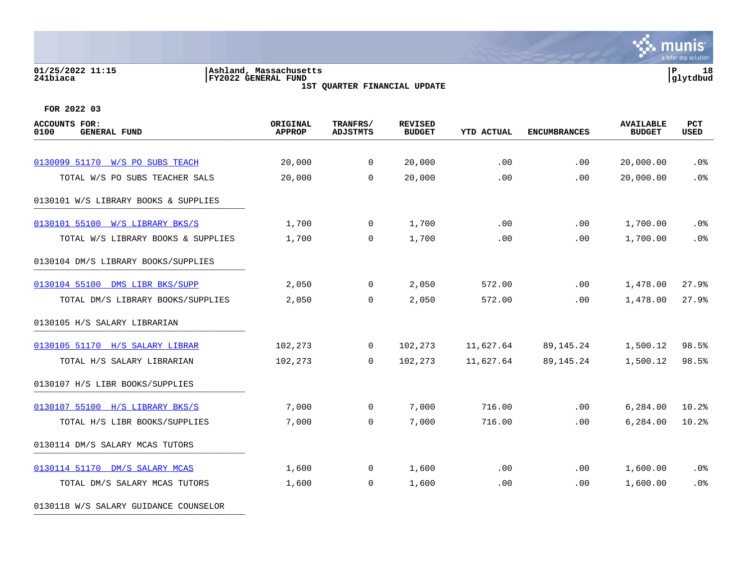# **01/25/2022 11:15 |Ashland, Massachusetts |P 18 241biaca |FY2022 GENERAL FUND |glytdbud**

**1ST QUARTER FINANCIAL UPDATE**



**FOR 2022 03**

| <b>ACCOUNTS FOR:</b><br>0100<br><b>GENERAL FUND</b> | ORIGINAL<br><b>APPROP</b> | TRANFRS/<br><b>ADJSTMTS</b> | <b>REVISED</b><br><b>BUDGET</b> | <b>YTD ACTUAL</b> | <b>ENCUMBRANCES</b> | <b>AVAILABLE</b><br><b>BUDGET</b> | PCT<br>USED |
|-----------------------------------------------------|---------------------------|-----------------------------|---------------------------------|-------------------|---------------------|-----------------------------------|-------------|
|                                                     |                           |                             |                                 |                   |                     |                                   |             |
| 0130099 51170 W/S PO SUBS TEACH                     | 20,000                    | $\overline{0}$              | 20,000                          | .00               | .00                 | 20,000.00                         | .0%         |
| TOTAL W/S PO SUBS TEACHER SALS                      | 20,000                    | $\Omega$                    | 20,000                          | .00               | .00                 | 20,000.00                         | .0%         |
| 0130101 W/S LIBRARY BOOKS & SUPPLIES                |                           |                             |                                 |                   |                     |                                   |             |
| 0130101 55100 W/S LIBRARY BKS/S                     | 1,700                     | $\mathbf 0$                 | 1,700                           | .00               | .00                 | 1,700.00                          | .0%         |
| TOTAL W/S LIBRARY BOOKS & SUPPLIES                  | 1,700                     | $\mathbf 0$                 | 1,700                           | .00               | .00                 | 1,700.00                          | .0%         |
| 0130104 DM/S LIBRARY BOOKS/SUPPLIES                 |                           |                             |                                 |                   |                     |                                   |             |
| 0130104 55100 DMS LIBR BKS/SUPP                     | 2,050                     | $\mathbf 0$                 | 2,050                           | 572.00            | $.00 \,$            | 1,478.00                          | 27.9%       |
| TOTAL DM/S LIBRARY BOOKS/SUPPLIES                   | 2,050                     | 0                           | 2,050                           | 572.00            | .00                 | 1,478.00                          | 27.9%       |
| 0130105 H/S SALARY LIBRARIAN                        |                           |                             |                                 |                   |                     |                                   |             |
| 0130105 51170 H/S SALARY LIBRAR                     | 102,273                   | $\mathbf 0$                 | 102,273                         | 11,627.64         | 89,145.24           | 1,500.12                          | 98.5%       |
| TOTAL H/S SALARY LIBRARIAN                          | 102,273                   | $\Omega$                    | 102,273                         | 11,627.64         | 89,145.24           | 1,500.12                          | 98.5%       |
| 0130107 H/S LIBR BOOKS/SUPPLIES                     |                           |                             |                                 |                   |                     |                                   |             |
| 0130107 55100 H/S LIBRARY BKS/S                     | 7,000                     | $\overline{0}$              | 7,000                           | 716.00            | .00                 | 6,284.00                          | 10.2%       |
| TOTAL H/S LIBR BOOKS/SUPPLIES                       | 7,000                     | 0                           | 7,000                           | 716.00            | .00                 | 6,284.00                          | 10.2%       |
| 0130114 DM/S SALARY MCAS TUTORS                     |                           |                             |                                 |                   |                     |                                   |             |
| 0130114 51170 DM/S SALARY MCAS                      | 1,600                     | $\mathbf 0$                 | 1,600                           | .00               | .00                 | 1,600.00                          | .0%         |
| TOTAL DM/S SALARY MCAS TUTORS                       | 1,600                     | 0                           | 1,600                           | .00               | .00                 | 1,600.00                          | .0%         |
|                                                     |                           |                             |                                 |                   |                     |                                   |             |

0130118 W/S SALARY GUIDANCE COUNSELOR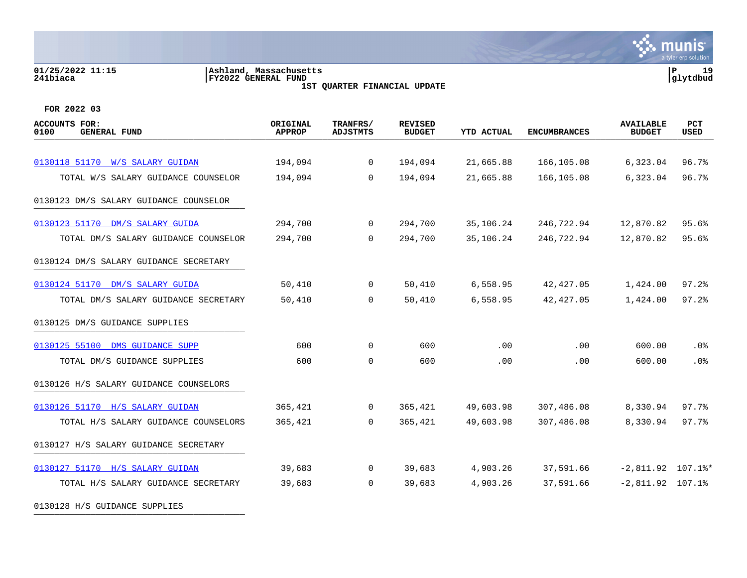#### **01/25/2022 11:15 |Ashland, Massachusetts |P 19 241biaca |FY2022 GENERAL FUND |glytdbud 1ST QUARTER FINANCIAL UPDATE**



| <b>ACCOUNTS FOR:</b><br>0100<br><b>GENERAL FUND</b> | ORIGINAL<br><b>APPROP</b> | TRANFRS/<br><b>ADJSTMTS</b> | <b>REVISED</b><br><b>BUDGET</b> | <b>YTD ACTUAL</b> | <b>ENCUMBRANCES</b> | <b>AVAILABLE</b><br><b>BUDGET</b> | PCT<br><b>USED</b> |
|-----------------------------------------------------|---------------------------|-----------------------------|---------------------------------|-------------------|---------------------|-----------------------------------|--------------------|
|                                                     |                           |                             |                                 |                   |                     |                                   |                    |
| 0130118 51170 W/S SALARY GUIDAN                     | 194,094                   | $\overline{0}$              | 194,094                         | 21,665.88         | 166,105.08          | 6,323.04                          | 96.7%              |
| TOTAL W/S SALARY GUIDANCE COUNSELOR                 | 194,094                   | $\Omega$                    | 194,094                         | 21,665.88         | 166,105.08          | 6,323.04                          | 96.7%              |
| 0130123 DM/S SALARY GUIDANCE COUNSELOR              |                           |                             |                                 |                   |                     |                                   |                    |
| 0130123 51170 DM/S SALARY GUIDA                     | 294,700                   | 0                           | 294,700                         | 35,106.24         | 246,722.94          | 12,870.82                         | 95.6%              |
| TOTAL DM/S SALARY GUIDANCE COUNSELOR                | 294,700                   | $\Omega$                    | 294,700                         | 35,106.24         | 246,722.94          | 12,870.82                         | 95.6%              |
| 0130124 DM/S SALARY GUIDANCE SECRETARY              |                           |                             |                                 |                   |                     |                                   |                    |
| 0130124 51170 DM/S SALARY GUIDA                     | 50,410                    | $\overline{0}$              | 50,410                          | 6,558.95          | 42, 427.05          | 1,424.00                          | 97.2%              |
| TOTAL DM/S SALARY GUIDANCE SECRETARY                | 50,410                    | 0                           | 50,410                          | 6,558.95          | 42,427.05           | 1,424.00                          | 97.2%              |
| 0130125 DM/S GUIDANCE SUPPLIES                      |                           |                             |                                 |                   |                     |                                   |                    |
| 0130125 55100 DMS GUIDANCE SUPP                     | 600                       | 0                           | 600                             | .00               | .00                 | 600.00                            | .0%                |
| TOTAL DM/S GUIDANCE SUPPLIES                        | 600                       | $\mathbf 0$                 | 600                             | .00               | .00                 | 600.00                            | .0%                |
| 0130126 H/S SALARY GUIDANCE COUNSELORS              |                           |                             |                                 |                   |                     |                                   |                    |
| 0130126 51170 H/S SALARY GUIDAN                     | 365,421                   | $\overline{0}$              | 365,421                         | 49,603.98         | 307,486.08          | 8,330.94                          | 97.7%              |
| TOTAL H/S SALARY GUIDANCE COUNSELORS                | 365,421                   | $\Omega$                    | 365,421                         | 49,603.98         | 307,486.08          | 8,330.94                          | 97.7%              |
| 0130127 H/S SALARY GUIDANCE SECRETARY               |                           |                             |                                 |                   |                     |                                   |                    |
| 0130127 51170 H/S SALARY GUIDAN                     | 39,683                    | $\mathbf 0$                 | 39,683                          | 4,903.26          | 37,591.66           | $-2,811.92$ 107.1%*               |                    |
| TOTAL H/S SALARY GUIDANCE SECRETARY                 | 39,683                    | $\Omega$                    | 39,683                          | 4,903.26          | 37,591.66           | $-2,811.92$ 107.1%                |                    |
| 0130128 H/S GUIDANCE SUPPLIES                       |                           |                             |                                 |                   |                     |                                   |                    |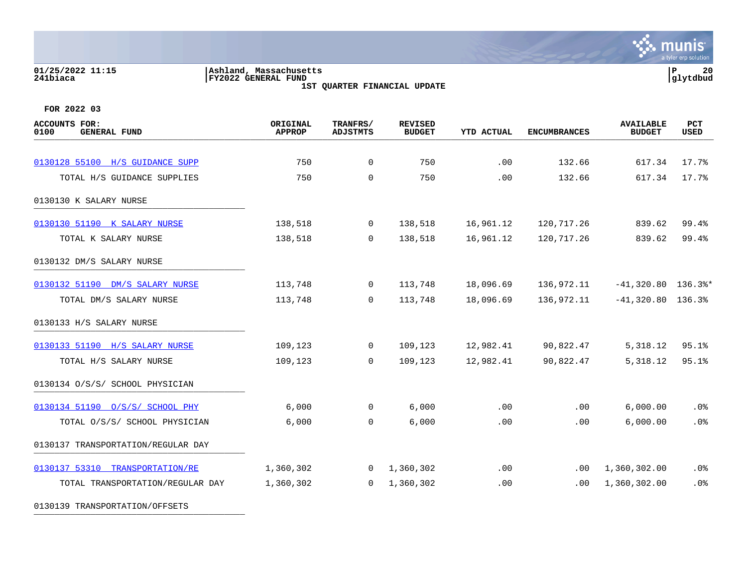# **01/25/2022 11:15 |Ashland, Massachusetts |P 20 241biaca |FY2022 GENERAL FUND |glytdbud**

**1ST QUARTER FINANCIAL UPDATE**



**FOR 2022 03**

| ACCOUNTS FOR:<br>0100<br><b>GENERAL FUND</b> | ORIGINAL<br><b>APPROP</b> | TRANFRS/<br><b>ADJSTMTS</b> | <b>REVISED</b><br><b>BUDGET</b> | <b>YTD ACTUAL</b> | <b>ENCUMBRANCES</b> | <b>AVAILABLE</b><br><b>BUDGET</b> | PCT<br><b>USED</b> |
|----------------------------------------------|---------------------------|-----------------------------|---------------------------------|-------------------|---------------------|-----------------------------------|--------------------|
| 0130128 55100 H/S GUIDANCE SUPP              | 750                       | $\Omega$                    | 750                             | .00               | 132.66              | 617.34                            | 17.7%              |
| TOTAL H/S GUIDANCE SUPPLIES                  | 750                       | $\mathbf 0$                 | 750                             | .00               | 132.66              | 617.34                            | 17.7%              |
| 0130130 K SALARY NURSE                       |                           |                             |                                 |                   |                     |                                   |                    |
| 0130130 51190 K SALARY NURSE                 | 138,518                   | $\overline{0}$              | 138,518                         | 16,961.12         | 120,717.26          | 839.62                            | 99.4%              |
| TOTAL K SALARY NURSE                         | 138,518                   | $\overline{0}$              | 138,518                         | 16,961.12         | 120,717.26          | 839.62                            | 99.4%              |
| 0130132 DM/S SALARY NURSE                    |                           |                             |                                 |                   |                     |                                   |                    |
| 0130132 51190 DM/S SALARY NURSE              | 113,748                   | $\overline{0}$              | 113,748                         | 18,096.69         | 136,972.11          | $-41,320.80$ 136.3%*              |                    |
| TOTAL DM/S SALARY NURSE                      | 113,748                   | $\Omega$                    | 113,748                         | 18,096.69         | 136,972.11          | $-41,320.80$ 136.3%               |                    |
| 0130133 H/S SALARY NURSE                     |                           |                             |                                 |                   |                     |                                   |                    |
| 0130133 51190 H/S SALARY NURSE               | 109,123                   | $\overline{0}$              | 109,123                         | 12,982.41         | 90,822.47           | 5,318.12                          | 95.1%              |
| TOTAL H/S SALARY NURSE                       | 109,123                   | $\Omega$                    | 109,123                         | 12,982.41         | 90,822.47           | 5,318.12                          | 95.1%              |
| 0130134 O/S/S/ SCHOOL PHYSICIAN              |                           |                             |                                 |                   |                     |                                   |                    |
| 0130134 51190 0/S/S/ SCHOOL PHY              | 6,000                     | $\overline{0}$              | 6,000                           | .00               | $.00 \,$            | 6,000.00                          | .0%                |
| TOTAL 0/S/S/ SCHOOL PHYSICIAN                | 6,000                     | $\mathbf 0$                 | 6,000                           | .00               | .00                 | 6,000.00                          | .0%                |
| 0130137 TRANSPORTATION/REGULAR DAY           |                           |                             |                                 |                   |                     |                                   |                    |
| 0130137 53310 TRANSPORTATION/RE              | 1,360,302                 | $\overline{0}$              | 1,360,302                       | .00               | $.00 \,$            | 1,360,302.00                      | .0%                |
| TOTAL TRANSPORTATION/REGULAR DAY             | 1,360,302                 | $\Omega$                    | 1,360,302                       | .00               | .00                 | 1,360,302.00                      | .0%                |

0130139 TRANSPORTATION/OFFSETS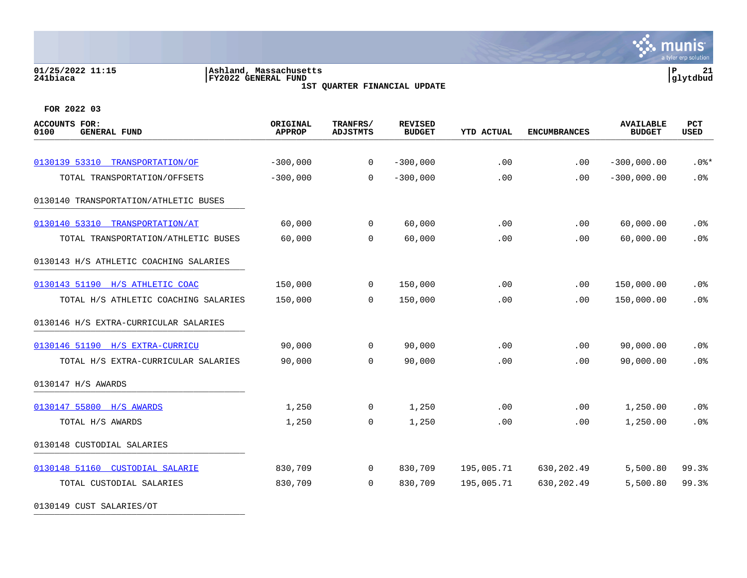# **01/25/2022 11:15 |Ashland, Massachusetts |P 21 241biaca |FY2022 GENERAL FUND |glytdbud**

**1ST QUARTER FINANCIAL UPDATE**



**FOR 2022 03**

| <b>ACCOUNTS FOR:</b><br>0100<br><b>GENERAL FUND</b> | ORIGINAL<br><b>APPROP</b> | TRANFRS/<br><b>ADJSTMTS</b> | <b>REVISED</b><br><b>BUDGET</b> | <b>YTD ACTUAL</b> | <b>ENCUMBRANCES</b> | <b>AVAILABLE</b><br><b>BUDGET</b> | PCT<br>USED |
|-----------------------------------------------------|---------------------------|-----------------------------|---------------------------------|-------------------|---------------------|-----------------------------------|-------------|
|                                                     |                           |                             |                                 |                   |                     |                                   |             |
| 0130139 53310 TRANSPORTATION/OF                     | $-300,000$                | $\mathbf 0$                 | $-300,000$                      | .00               | .00                 | $-300,000.00$                     | $.0$ %*     |
| TOTAL TRANSPORTATION/OFFSETS                        | $-300,000$                | $\Omega$                    | $-300,000$                      | .00               | .00                 | $-300,000.00$                     | .0%         |
| 0130140 TRANSPORTATION/ATHLETIC BUSES               |                           |                             |                                 |                   |                     |                                   |             |
| 0130140 53310 TRANSPORTATION/AT                     | 60,000                    | $\overline{0}$              | 60,000                          | .00               | .00                 | 60,000.00                         | .0%         |
| TOTAL TRANSPORTATION/ATHLETIC BUSES                 | 60,000                    | $\Omega$                    | 60,000                          | .00               | .00                 | 60,000.00                         | .0%         |
| 0130143 H/S ATHLETIC COACHING SALARIES              |                           |                             |                                 |                   |                     |                                   |             |
| 0130143 51190 H/S ATHLETIC COAC                     | 150,000                   | 0                           | 150,000                         | .00               | .00                 | 150,000.00                        | .0%         |
| TOTAL H/S ATHLETIC COACHING SALARIES                | 150,000                   | $\Omega$                    | 150,000                         | .00               | .00                 | 150,000.00                        | .0%         |
| 0130146 H/S EXTRA-CURRICULAR SALARIES               |                           |                             |                                 |                   |                     |                                   |             |
| 0130146 51190 H/S EXTRA-CURRICU                     | 90,000                    | 0                           | 90,000                          | .00               | .00                 | 90,000.00                         | .0%         |
| TOTAL H/S EXTRA-CURRICULAR SALARIES                 | 90,000                    | $\Omega$                    | 90,000                          | .00               | .00                 | 90,000.00                         | .0%         |
| 0130147 H/S AWARDS                                  |                           |                             |                                 |                   |                     |                                   |             |
| 0130147 55800 H/S AWARDS                            | 1,250                     | $\overline{0}$              | 1,250                           | .00               | .00                 | 1,250.00                          | .0%         |
| TOTAL H/S AWARDS                                    | 1,250                     | 0                           | 1,250                           | .00               | .00                 | 1,250.00                          | .0%         |
| 0130148 CUSTODIAL SALARIES                          |                           |                             |                                 |                   |                     |                                   |             |
| 0130148 51160 CUSTODIAL SALARIE                     | 830,709                   | $\overline{0}$              | 830,709                         | 195,005.71        | 630, 202.49         | 5,500.80                          | 99.3%       |
| TOTAL CUSTODIAL SALARIES                            | 830,709                   | $\Omega$                    | 830,709                         | 195,005.71        | 630, 202.49         | 5,500.80                          | 99.3%       |
|                                                     |                           |                             |                                 |                   |                     |                                   |             |

0130149 CUST SALARIES/OT \_\_\_\_\_\_\_\_\_\_\_\_\_\_\_\_\_\_\_\_\_\_\_\_\_\_\_\_\_\_\_\_\_\_\_\_\_\_\_\_\_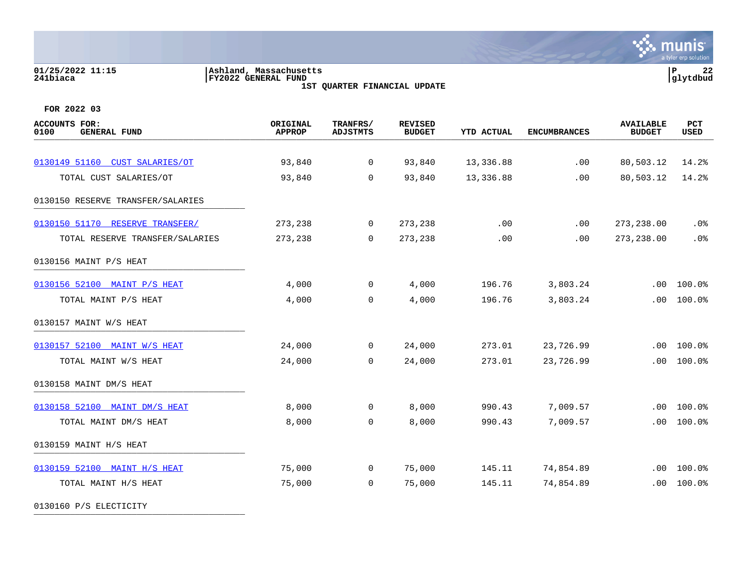# **01/25/2022 11:15 |Ashland, Massachusetts |P 22 241biaca |FY2022 GENERAL FUND |glytdbud**

**1ST QUARTER FINANCIAL UPDATE**



**FOR 2022 03**

| <b>ACCOUNTS FOR:</b><br>0100<br><b>GENERAL FUND</b> | ORIGINAL<br><b>APPROP</b> | TRANFRS/<br><b>ADJSTMTS</b> | <b>REVISED</b><br><b>BUDGET</b> | YTD ACTUAL | <b>ENCUMBRANCES</b> | <b>AVAILABLE</b><br><b>BUDGET</b> | PCT<br>USED |
|-----------------------------------------------------|---------------------------|-----------------------------|---------------------------------|------------|---------------------|-----------------------------------|-------------|
|                                                     |                           |                             |                                 |            |                     |                                   |             |
| 0130149 51160 CUST SALARIES/OT                      | 93,840                    | $\mathbf 0$                 | 93,840                          | 13,336.88  | .00                 | 80,503.12                         | 14.2%       |
| TOTAL CUST SALARIES/OT                              | 93,840                    | $\Omega$                    | 93,840                          | 13,336.88  | .00                 | 80,503.12                         | 14.2%       |
| 0130150 RESERVE TRANSFER/SALARIES                   |                           |                             |                                 |            |                     |                                   |             |
| 0130150 51170 RESERVE TRANSFER/                     | 273,238                   | $\overline{0}$              | 273,238                         | $.00 \,$   | .00                 | 273, 238.00                       | $.0\%$      |
| TOTAL RESERVE TRANSFER/SALARIES                     | 273,238                   | $\Omega$                    | 273,238                         | .00        | .00                 | 273, 238.00                       | .0%         |
| 0130156 MAINT P/S HEAT                              |                           |                             |                                 |            |                     |                                   |             |
| 0130156 52100 MAINT P/S HEAT                        | 4,000                     | $\mathbf 0$                 | 4,000                           | 196.76     | 3,803.24            | .00                               | 100.0%      |
| TOTAL MAINT P/S HEAT                                | 4,000                     | $\Omega$                    | 4,000                           | 196.76     | 3,803.24            | .00                               | 100.0%      |
| 0130157 MAINT W/S HEAT                              |                           |                             |                                 |            |                     |                                   |             |
| 0130157 52100 MAINT W/S HEAT                        | 24,000                    | $\overline{0}$              | 24,000                          | 273.01     | 23,726.99           | .00                               | 100.0%      |
| TOTAL MAINT W/S HEAT                                | 24,000                    | $\Omega$                    | 24,000                          | 273.01     | 23,726.99           | .00                               | 100.0%      |
| 0130158 MAINT DM/S HEAT                             |                           |                             |                                 |            |                     |                                   |             |
| 0130158 52100 MAINT DM/S HEAT                       | 8,000                     | $\overline{0}$              | 8,000                           | 990.43     | 7,009.57            | .00                               | 100.0%      |
| TOTAL MAINT DM/S HEAT                               | 8,000                     | $\mathbf 0$                 | 8,000                           | 990.43     | 7,009.57            | .00                               | 100.0%      |
| 0130159 MAINT H/S HEAT                              |                           |                             |                                 |            |                     |                                   |             |
| 0130159 52100 MAINT H/S HEAT                        | 75,000                    | $\mathsf{O}$                | 75,000                          | 145.11     | 74,854.89           | .00                               | 100.0%      |
| TOTAL MAINT H/S HEAT                                | 75,000                    | $\Omega$                    | 75,000                          | 145.11     | 74,854.89           | .00                               | 100.0%      |
|                                                     |                           |                             |                                 |            |                     |                                   |             |

0130160 P/S ELECTICITY \_\_\_\_\_\_\_\_\_\_\_\_\_\_\_\_\_\_\_\_\_\_\_\_\_\_\_\_\_\_\_\_\_\_\_\_\_\_\_\_\_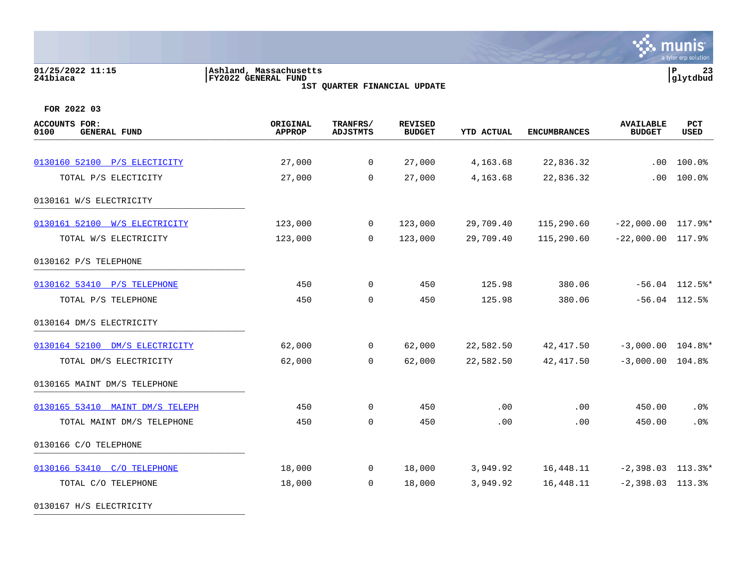# **01/25/2022 11:15 |Ashland, Massachusetts |P 23 241biaca |FY2022 GENERAL FUND |glytdbud**

**1ST QUARTER FINANCIAL UPDATE**



| <b>ACCOUNTS FOR:</b><br>0100<br><b>GENERAL FUND</b> | ORIGINAL<br><b>APPROP</b> | TRANFRS/<br><b>ADJSTMTS</b> | <b>REVISED</b><br><b>BUDGET</b> | YTD ACTUAL | <b>ENCUMBRANCES</b> | <b>AVAILABLE</b><br><b>BUDGET</b> | PCT<br><b>USED</b> |
|-----------------------------------------------------|---------------------------|-----------------------------|---------------------------------|------------|---------------------|-----------------------------------|--------------------|
|                                                     |                           |                             |                                 |            |                     |                                   |                    |
| 0130160 52100 P/S ELECTICITY                        | 27,000                    | $\mathbf 0$                 | 27,000                          | 4,163.68   | 22,836.32           | $.00 \,$                          | 100.0%             |
| TOTAL P/S ELECTICITY                                | 27,000                    | $\Omega$                    | 27,000                          | 4,163.68   | 22,836.32           | .00                               | 100.0%             |
| 0130161 W/S ELECTRICITY                             |                           |                             |                                 |            |                     |                                   |                    |
| 0130161 52100 W/S ELECTRICITY                       | 123,000                   | $\overline{0}$              | 123,000                         | 29,709.40  | 115,290.60          | $-22,000.00$ $117.9$ <sup>*</sup> |                    |
| TOTAL W/S ELECTRICITY                               | 123,000                   | $\overline{0}$              | 123,000                         | 29,709.40  | 115,290.60          | $-22,000.00$ 117.9%               |                    |
| 0130162 P/S TELEPHONE                               |                           |                             |                                 |            |                     |                                   |                    |
| 0130162 53410 P/S TELEPHONE                         | 450                       | $\Omega$                    | 450                             | 125.98     | 380.06              |                                   | $-56.04$ 112.5%*   |
| TOTAL P/S TELEPHONE                                 | 450                       | $\mathbf 0$                 | 450                             | 125.98     | 380.06              |                                   | $-56.04$ 112.5%    |
| 0130164 DM/S ELECTRICITY                            |                           |                             |                                 |            |                     |                                   |                    |
| 0130164 52100 DM/S ELECTRICITY                      | 62,000                    | $\overline{0}$              | 62,000                          | 22,582.50  | 42,417.50           | $-3,000.00$ $104.8$ <sup>*</sup>  |                    |
| TOTAL DM/S ELECTRICITY                              | 62,000                    | $\Omega$                    | 62,000                          | 22,582.50  | 42,417.50           | $-3,000.00$ $104.8$ <sup>9</sup>  |                    |
| 0130165 MAINT DM/S TELEPHONE                        |                           |                             |                                 |            |                     |                                   |                    |
| 0130165 53410 MAINT DM/S TELEPH                     | 450                       | $\overline{0}$              | 450                             | .00        | .00                 | 450.00                            | .0%                |
| TOTAL MAINT DM/S TELEPHONE                          | 450                       | $\mathbf 0$                 | 450                             | .00        | .00                 | 450.00                            | .0%                |
| 0130166 C/O TELEPHONE                               |                           |                             |                                 |            |                     |                                   |                    |
| 0130166 53410 C/O TELEPHONE                         | 18,000                    | $\overline{0}$              | 18,000                          | 3,949.92   | 16,448.11           | $-2,398.03$ 113.3%*               |                    |
| TOTAL C/O TELEPHONE                                 | 18,000                    | $\mathbf 0$                 | 18,000                          | 3,949.92   | 16,448.11           | $-2,398.03$ 113.3%                |                    |
| 0130167 H/S ELECTRICITY                             |                           |                             |                                 |            |                     |                                   |                    |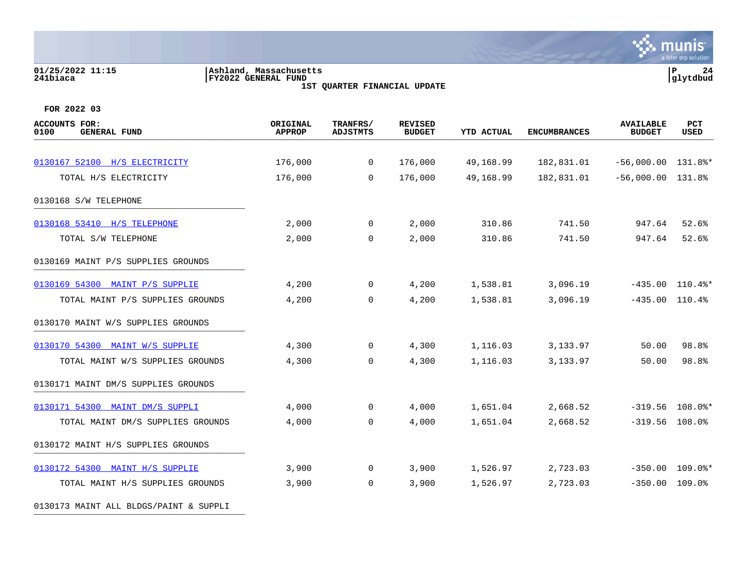#### **01/25/2022 11:15 |Ashland, Massachusetts |P 24 241biaca |FY2022 GENERAL FUND |glytdbud 1ST QUARTER FINANCIAL UPDATE**

 $\ddot{\mathbf{w}}$  munis a tyler erp solution

| <b>ACCOUNTS FOR:</b><br>0100<br><b>GENERAL FUND</b> | ORIGINAL<br><b>APPROP</b> | TRANFRS/<br><b>ADJSTMTS</b> | <b>REVISED</b><br><b>BUDGET</b> | <b>YTD ACTUAL</b> | <b>ENCUMBRANCES</b> | <b>AVAILABLE</b><br><b>BUDGET</b> | PCT<br>USED       |
|-----------------------------------------------------|---------------------------|-----------------------------|---------------------------------|-------------------|---------------------|-----------------------------------|-------------------|
| 0130167 52100 H/S ELECTRICITY                       | 176,000                   | $\mathbf{0}$                | 176,000                         | 49,168.99         | 182,831.01          | $-56,000.00$ 131.8%*              |                   |
| TOTAL H/S ELECTRICITY                               | 176,000                   | $\Omega$                    | 176,000                         | 49,168.99         | 182,831.01          | $-56,000.00$ 131.8%               |                   |
| 0130168 S/W TELEPHONE                               |                           |                             |                                 |                   |                     |                                   |                   |
| 0130168 53410 H/S TELEPHONE                         | 2,000                     | $\overline{0}$              | 2,000                           | 310.86            | 741.50              | 947.64                            | 52.6%             |
| TOTAL S/W TELEPHONE                                 | 2,000                     | $\mathbf 0$                 | 2,000                           | 310.86            | 741.50              | 947.64                            | 52.6%             |
| 0130169 MAINT P/S SUPPLIES GROUNDS                  |                           |                             |                                 |                   |                     |                                   |                   |
| 0130169 54300 MAINT P/S SUPPLIE                     | 4,200                     | $\mathbf{0}$                | 4,200                           | 1,538.81          | 3,096.19            |                                   | $-435.00$ 110.4%* |
| TOTAL MAINT P/S SUPPLIES GROUNDS                    | 4,200                     | 0                           | 4,200                           | 1,538.81          | 3,096.19            | $-435.00$ 110.4%                  |                   |
| 0130170 MAINT W/S SUPPLIES GROUNDS                  |                           |                             |                                 |                   |                     |                                   |                   |
| 0130170 54300 MAINT W/S SUPPLIE                     | 4,300                     | $\overline{0}$              | 4,300                           | 1,116.03          | 3,133.97            | 50.00                             | 98.8%             |
| TOTAL MAINT W/S SUPPLIES GROUNDS                    | 4,300                     | 0                           | 4,300                           | 1,116.03          | 3, 133.97           | 50.00                             | 98.8%             |
| 0130171 MAINT DM/S SUPPLIES GROUNDS                 |                           |                             |                                 |                   |                     |                                   |                   |
| 0130171 54300 MAINT DM/S SUPPLI                     | 4,000                     | $\mathbf{0}$                | 4,000                           | 1,651.04          | 2,668.52            |                                   | $-319.56$ 108.0%* |
| TOTAL MAINT DM/S SUPPLIES GROUNDS                   | 4,000                     | $\mathbf 0$                 | 4,000                           | 1,651.04          | 2,668.52            | $-319.56$ 108.0%                  |                   |
| 0130172 MAINT H/S SUPPLIES GROUNDS                  |                           |                             |                                 |                   |                     |                                   |                   |
| 0130172 54300 MAINT H/S SUPPLIE                     | 3,900                     | $\overline{0}$              | 3,900                           | 1,526.97          | 2,723.03            | $-350.00$                         | $109.0$ *         |
| TOTAL MAINT H/S SUPPLIES GROUNDS                    | 3,900                     | $\overline{0}$              | 3,900                           | 1,526.97          | 2,723.03            | $-350.00$ 109.0%                  |                   |
| 0130173 MAINT ALL BLDGS/PAINT & SUPPLI              |                           |                             |                                 |                   |                     |                                   |                   |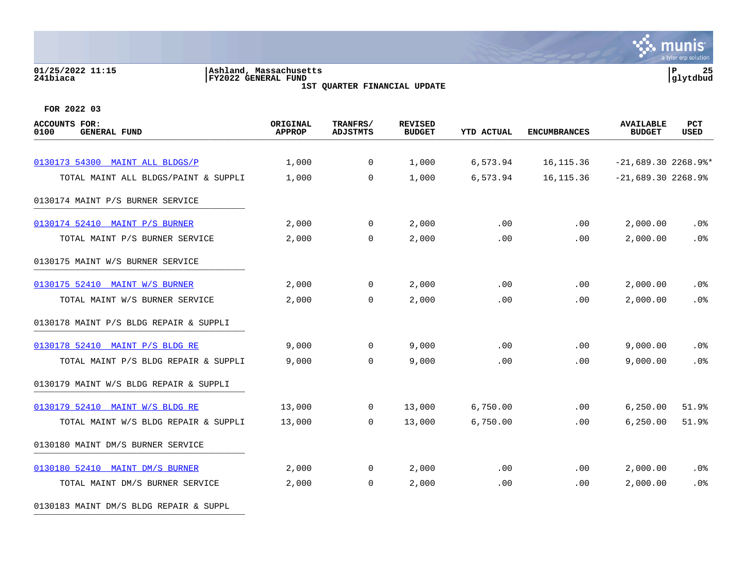# **01/25/2022 11:15 |Ashland, Massachusetts |P 25 241biaca |FY2022 GENERAL FUND |glytdbud**

**1ST QUARTER FINANCIAL UPDATE**



**FOR 2022 03**

| <b>ACCOUNTS FOR:</b><br><b>GENERAL FUND</b><br>0100 | ORIGINAL<br><b>APPROP</b> | TRANFRS/<br><b>ADJSTMTS</b> | <b>REVISED</b><br><b>BUDGET</b> | <b>YTD ACTUAL</b> | <b>ENCUMBRANCES</b> | <b>AVAILABLE</b><br><b>BUDGET</b> | <b>PCT</b><br><b>USED</b> |
|-----------------------------------------------------|---------------------------|-----------------------------|---------------------------------|-------------------|---------------------|-----------------------------------|---------------------------|
| 0130173 54300 MAINT ALL BLDGS/P                     | 1,000                     | $\overline{0}$              | 1,000                           | 6,573.94          | 16, 115.36          | $-21,689.30$ 2268.9%*             |                           |
| TOTAL MAINT ALL BLDGS/PAINT & SUPPLI                | 1,000                     | $\mathbf 0$                 | 1,000                           | 6,573.94          | 16, 115.36          | $-21,689.30$ 2268.9%              |                           |
| 0130174 MAINT P/S BURNER SERVICE                    |                           |                             |                                 |                   |                     |                                   |                           |
| 0130174 52410 MAINT P/S BURNER                      | 2,000                     | $\overline{0}$              | 2,000                           | .00               | .00                 | 2,000.00                          | $.0\%$                    |
| TOTAL MAINT P/S BURNER SERVICE                      | 2,000                     | $\Omega$                    | 2,000                           | .00               | .00                 | 2,000.00                          | .0%                       |
| 0130175 MAINT W/S BURNER SERVICE                    |                           |                             |                                 |                   |                     |                                   |                           |
| 0130175 52410 MAINT W/S BURNER                      | 2,000                     | $\mathbf 0$                 | 2,000                           | .00               | .00                 | 2,000.00                          | $.0\%$                    |
| TOTAL MAINT W/S BURNER SERVICE                      | 2,000                     | 0                           | 2,000                           | .00               | .00                 | 2,000.00                          | .0%                       |
| 0130178 MAINT P/S BLDG REPAIR & SUPPLI              |                           |                             |                                 |                   |                     |                                   |                           |
| 0130178 52410 MAINT P/S BLDG RE                     | 9,000                     | $\overline{0}$              | 9,000                           | .00               | .00                 | 9,000.00                          | .0%                       |
| TOTAL MAINT P/S BLDG REPAIR & SUPPLI                | 9,000                     | $\Omega$                    | 9,000                           | .00               | .00                 | 9,000.00                          | .0%                       |
| 0130179 MAINT W/S BLDG REPAIR & SUPPLI              |                           |                             |                                 |                   |                     |                                   |                           |
| 0130179 52410 MAINT W/S BLDG RE                     | 13,000                    | $\mathbf 0$                 | 13,000                          | 6,750.00          | $.00 \,$            | 6, 250.00                         | 51.9%                     |
| TOTAL MAINT W/S BLDG REPAIR & SUPPLI                | 13,000                    | $\mathbf 0$                 | 13,000                          | 6,750.00          | .00                 | 6, 250.00                         | 51.9%                     |
| 0130180 MAINT DM/S BURNER SERVICE                   |                           |                             |                                 |                   |                     |                                   |                           |
| 0130180 52410 MAINT DM/S BURNER                     | 2,000                     | $\mathbf 0$                 | 2,000                           | .00               | .00                 | 2,000.00                          | $.0\%$                    |
| TOTAL MAINT DM/S BURNER SERVICE                     | 2,000                     | 0                           | 2,000                           | .00               | .00                 | 2,000.00                          | .0%                       |
|                                                     |                           |                             |                                 |                   |                     |                                   |                           |

0130183 MAINT DM/S BLDG REPAIR & SUPPL \_\_\_\_\_\_\_\_\_\_\_\_\_\_\_\_\_\_\_\_\_\_\_\_\_\_\_\_\_\_\_\_\_\_\_\_\_\_\_\_\_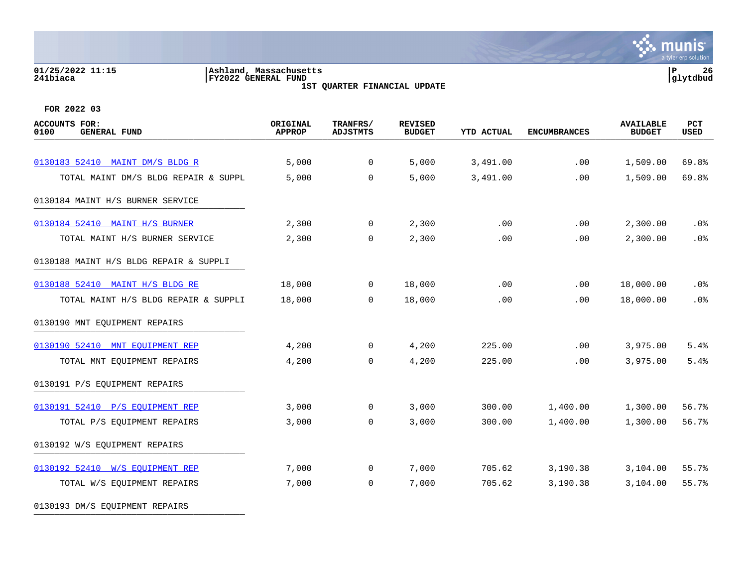# **01/25/2022 11:15 |Ashland, Massachusetts |P 26 241biaca |FY2022 GENERAL FUND |glytdbud**

**1ST QUARTER FINANCIAL UPDATE**



**FOR 2022 03**

| <b>ACCOUNTS FOR:</b><br><b>GENERAL FUND</b><br>0100 | ORIGINAL<br><b>APPROP</b> | TRANFRS/<br><b>ADJSTMTS</b> | <b>REVISED</b><br><b>BUDGET</b> | <b>YTD ACTUAL</b> | <b>ENCUMBRANCES</b> | <b>AVAILABLE</b><br><b>BUDGET</b> | PCT<br>USED |
|-----------------------------------------------------|---------------------------|-----------------------------|---------------------------------|-------------------|---------------------|-----------------------------------|-------------|
|                                                     |                           |                             |                                 |                   |                     |                                   |             |
| 0130183 52410 MAINT DM/S BLDG R                     | 5,000                     | 0                           | 5,000                           | 3,491.00          | .00                 | 1,509.00                          | 69.8%       |
| TOTAL MAINT DM/S BLDG REPAIR & SUPPL                | 5,000                     | $\Omega$                    | 5,000                           | 3,491.00          | .00                 | 1,509.00                          | 69.8%       |
| 0130184 MAINT H/S BURNER SERVICE                    |                           |                             |                                 |                   |                     |                                   |             |
| 0130184 52410 MAINT H/S BURNER                      | 2,300                     | $\overline{0}$              | 2,300                           | .00               | .00                 | 2,300.00                          | .0%         |
| TOTAL MAINT H/S BURNER SERVICE                      | 2,300                     | $\mathbf 0$                 | 2,300                           | .00               | .00                 | 2,300.00                          | .0%         |
| 0130188 MAINT H/S BLDG REPAIR & SUPPLI              |                           |                             |                                 |                   |                     |                                   |             |
| 0130188 52410 MAINT H/S BLDG RE                     | 18,000                    | $\overline{0}$              | 18,000                          | .00               | .00                 | 18,000.00                         | .0%         |
| TOTAL MAINT H/S BLDG REPAIR & SUPPLI                | 18,000                    | $\mathbf 0$                 | 18,000                          | .00               | .00                 | 18,000.00                         | .0%         |
| 0130190 MNT EQUIPMENT REPAIRS                       |                           |                             |                                 |                   |                     |                                   |             |
| 0130190 52410 MNT EOUIPMENT REP                     | 4,200                     | $\mathbf 0$                 | 4,200                           | 225.00            | .00                 | 3,975.00                          | 5.4%        |
| TOTAL MNT EQUIPMENT REPAIRS                         | 4,200                     | $\mathbf 0$                 | 4,200                           | 225.00            | .00                 | 3,975.00                          | 5.4%        |
| 0130191 P/S EQUIPMENT REPAIRS                       |                           |                             |                                 |                   |                     |                                   |             |
| 0130191 52410 P/S EOUIPMENT REP                     | 3,000                     | $\mathbf 0$                 | 3,000                           | 300.00            | 1,400.00            | 1,300.00                          | 56.7%       |
| TOTAL P/S EQUIPMENT REPAIRS                         | 3,000                     | $\mathbf 0$                 | 3,000                           | 300.00            | 1,400.00            | 1,300.00                          | 56.7%       |
| 0130192 W/S EQUIPMENT REPAIRS                       |                           |                             |                                 |                   |                     |                                   |             |
| 0130192 52410 W/S EOUIPMENT REP                     | 7,000                     | $\overline{0}$              | 7,000                           | 705.62            | 3,190.38            | 3,104.00                          | 55.7%       |
| TOTAL W/S EQUIPMENT REPAIRS                         | 7,000                     | 0                           | 7,000                           | 705.62            | 3,190.38            | 3,104.00                          | 55.7%       |
|                                                     |                           |                             |                                 |                   |                     |                                   |             |

0130193 DM/S EQUIPMENT REPAIRS \_\_\_\_\_\_\_\_\_\_\_\_\_\_\_\_\_\_\_\_\_\_\_\_\_\_\_\_\_\_\_\_\_\_\_\_\_\_\_\_\_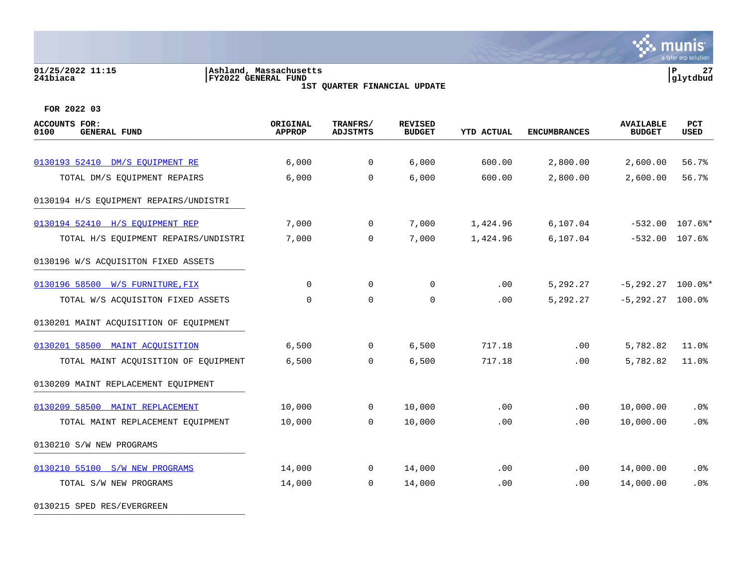#### **01/25/2022 11:15 |Ashland, Massachusetts |P 27 241biaca |FY2022 GENERAL FUND |glytdbud 1ST QUARTER FINANCIAL UPDATE**

**∵ munis** a tyler erp solution

**FOR 2022 03**

| ACCOUNTS FOR:<br>0100<br><b>GENERAL FUND</b> | ORIGINAL<br><b>APPROP</b> | TRANFRS/<br><b>ADJSTMTS</b> | <b>REVISED</b><br><b>BUDGET</b> | <b>YTD ACTUAL</b> | <b>ENCUMBRANCES</b> | <b>AVAILABLE</b><br><b>BUDGET</b> | <b>PCT</b><br>USED |
|----------------------------------------------|---------------------------|-----------------------------|---------------------------------|-------------------|---------------------|-----------------------------------|--------------------|
| 0130193 52410 DM/S EOUIPMENT RE              | 6,000                     | $\mathbf 0$                 | 6,000                           | 600.00            | 2,800.00            | 2,600.00                          | 56.7%              |
| TOTAL DM/S EQUIPMENT REPAIRS                 | 6,000                     | $\Omega$                    | 6,000                           | 600.00            | 2,800.00            | 2,600.00                          | 56.7%              |
| 0130194 H/S EQUIPMENT REPAIRS/UNDISTRI       |                           |                             |                                 |                   |                     |                                   |                    |
| 0130194 52410 H/S EQUIPMENT REP              | 7,000                     | $\mathbf 0$                 | 7,000                           | 1,424.96          | 6, 107.04           |                                   | $-532.00$ 107.6%*  |
| TOTAL H/S EQUIPMENT REPAIRS/UNDISTRI         | 7,000                     | $\Omega$                    | 7,000                           | 1,424.96          | 6, 107.04           | $-532.00$ 107.6%                  |                    |
| 0130196 W/S ACQUISITON FIXED ASSETS          |                           |                             |                                 |                   |                     |                                   |                    |
| 0130196 58500 W/S FURNITURE, FIX             | $\Omega$                  | $\mathbf 0$                 | 0                               | .00               | 5,292.27            | $-5, 292.27$ 100.0%*              |                    |
| TOTAL W/S ACQUISITON FIXED ASSETS            | $\Omega$                  | $\Omega$                    | 0                               | .00               | 5,292.27            | $-5, 292.27$ 100.0%               |                    |
| 0130201 MAINT ACQUISITION OF EQUIPMENT       |                           |                             |                                 |                   |                     |                                   |                    |
| 0130201 58500 MAINT ACOUISITION              | 6,500                     | $\Omega$                    | 6,500                           | 717.18            | .00                 | 5,782.82                          | 11.0%              |
| TOTAL MAINT ACQUISITION OF EQUIPMENT         | 6,500                     | $\Omega$                    | 6,500                           | 717.18            | .00                 | 5,782.82                          | 11.0%              |
| 0130209 MAINT REPLACEMENT EQUIPMENT          |                           |                             |                                 |                   |                     |                                   |                    |
| 0130209 58500 MAINT REPLACEMENT              | 10,000                    | $\Omega$                    | 10,000                          | .00               | .00                 | 10,000.00                         | .0%                |
| TOTAL MAINT REPLACEMENT EQUIPMENT            | 10,000                    | $\mathbf 0$                 | 10,000                          | .00               | .00                 | 10,000.00                         | .0%                |
| 0130210 S/W NEW PROGRAMS                     |                           |                             |                                 |                   |                     |                                   |                    |
| 0130210 55100 S/W NEW PROGRAMS               | 14,000                    | $\Omega$                    | 14,000                          | .00               | $.00 \,$            | 14,000.00                         | .0%                |
| TOTAL S/W NEW PROGRAMS                       | 14,000                    | $\mathbf 0$                 | 14,000                          | .00               | .00                 | 14,000.00                         | .0%                |
|                                              |                           |                             |                                 |                   |                     |                                   |                    |

0130215 SPED RES/EVERGREEN \_\_\_\_\_\_\_\_\_\_\_\_\_\_\_\_\_\_\_\_\_\_\_\_\_\_\_\_\_\_\_\_\_\_\_\_\_\_\_\_\_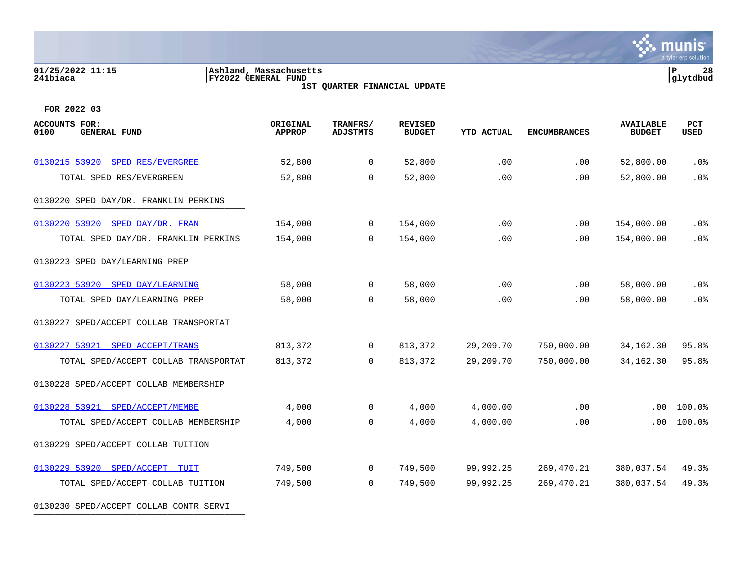# **01/25/2022 11:15 |Ashland, Massachusetts |P 28 241biaca |FY2022 GENERAL FUND |glytdbud**

**1ST QUARTER FINANCIAL UPDATE**



| <b>ACCOUNTS FOR:</b><br>0100<br><b>GENERAL FUND</b> | ORIGINAL<br><b>APPROP</b> | TRANFRS/<br><b>ADJSTMTS</b> | <b>REVISED</b><br><b>BUDGET</b> | <b>YTD ACTUAL</b> | <b>ENCUMBRANCES</b> | <b>AVAILABLE</b><br><b>BUDGET</b> | PCT<br><b>USED</b> |
|-----------------------------------------------------|---------------------------|-----------------------------|---------------------------------|-------------------|---------------------|-----------------------------------|--------------------|
|                                                     |                           |                             |                                 |                   |                     |                                   |                    |
| 0130215 53920 SPED RES/EVERGREE                     | 52,800                    | 0                           | 52,800                          | .00               | .00                 | 52,800.00                         | .0 <sub>8</sub>    |
| TOTAL SPED RES/EVERGREEN                            | 52,800                    | $\mathbf 0$                 | 52,800                          | .00               | .00                 | 52,800.00                         | .0%                |
| 0130220 SPED DAY/DR. FRANKLIN PERKINS               |                           |                             |                                 |                   |                     |                                   |                    |
| 0130220 53920 SPED DAY/DR. FRAN                     | 154,000                   | $\mathbf 0$                 | 154,000                         | .00               | .00                 | 154,000.00                        | .0%                |
| TOTAL SPED DAY/DR. FRANKLIN PERKINS                 | 154,000                   | $\Omega$                    | 154,000                         | .00               | .00.                | 154,000.00                        | .0%                |
| 0130223 SPED DAY/LEARNING PREP                      |                           |                             |                                 |                   |                     |                                   |                    |
| 0130223 53920 SPED DAY/LEARNING                     | 58,000                    | 0                           | 58,000                          | .00               | .00                 | 58,000.00                         | .0%                |
| TOTAL SPED DAY/LEARNING PREP                        | 58,000                    | $\mathbf 0$                 | 58,000                          | .00               | .00                 | 58,000.00                         | .0%                |
| 0130227 SPED/ACCEPT COLLAB TRANSPORTAT              |                           |                             |                                 |                   |                     |                                   |                    |
| 0130227 53921 SPED ACCEPT/TRANS                     | 813,372                   | 0                           | 813,372                         | 29,209.70         | 750,000.00          | 34,162.30                         | 95.8%              |
| TOTAL SPED/ACCEPT COLLAB TRANSPORTAT                | 813,372                   | 0                           | 813,372                         | 29,209.70         | 750,000.00          | 34, 162. 30                       | 95.8%              |
| 0130228 SPED/ACCEPT COLLAB MEMBERSHIP               |                           |                             |                                 |                   |                     |                                   |                    |
| 0130228 53921 SPED/ACCEPT/MEMBE                     | 4,000                     | 0                           | 4,000                           | 4,000.00          | .00                 | .00                               | 100.0%             |
| TOTAL SPED/ACCEPT COLLAB MEMBERSHIP                 | 4,000                     | $\Omega$                    | 4,000                           | 4,000.00          | .00                 | .00.                              | 100.0%             |
| 0130229 SPED/ACCEPT COLLAB TUITION                  |                           |                             |                                 |                   |                     |                                   |                    |
| 0130229 53920 SPED/ACCEPT<br>TUIT                   | 749,500                   | 0                           | 749,500                         | 99,992.25         | 269,470.21          | 380,037.54                        | 49.3%              |
| TOTAL SPED/ACCEPT COLLAB TUITION                    | 749,500                   | $\Omega$                    | 749,500                         | 99,992.25         | 269,470.21          | 380,037.54                        | 49.3%              |
| 0130230 SPED/ACCEPT COLLAB CONTR SERVI              |                           |                             |                                 |                   |                     |                                   |                    |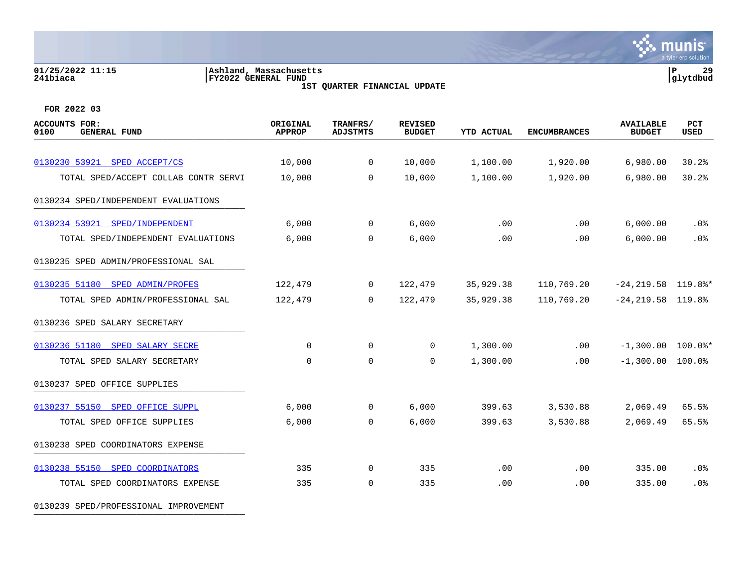# **01/25/2022 11:15 |Ashland, Massachusetts |P 29 241biaca |FY2022 GENERAL FUND |glytdbud**

**1ST QUARTER FINANCIAL UPDATE**



**FOR 2022 03**

| ACCOUNTS FOR:<br>0100<br><b>GENERAL FUND</b> | ORIGINAL<br><b>APPROP</b> | TRANFRS/<br>ADJSTMTS | <b>REVISED</b><br><b>BUDGET</b> | <b>YTD ACTUAL</b> | <b>ENCUMBRANCES</b> | <b>AVAILABLE</b><br><b>BUDGET</b> | PCT<br><b>USED</b> |
|----------------------------------------------|---------------------------|----------------------|---------------------------------|-------------------|---------------------|-----------------------------------|--------------------|
| 0130230 53921 SPED ACCEPT/CS                 |                           | $\overline{0}$       |                                 | 1,100.00          | 1,920.00            | 6,980.00                          | 30.2%              |
|                                              | 10,000                    |                      | 10,000                          |                   |                     |                                   |                    |
| TOTAL SPED/ACCEPT COLLAB CONTR SERVI         | 10,000                    | $\Omega$             | 10,000                          | 1,100.00          | 1,920.00            | 6,980.00                          | 30.2%              |
| 0130234 SPED/INDEPENDENT EVALUATIONS         |                           |                      |                                 |                   |                     |                                   |                    |
| 0130234 53921 SPED/INDEPENDENT               | 6,000                     | $\overline{0}$       | 6,000                           | .00               | .00                 | 6,000.00                          | .0 <sub>8</sub>    |
| TOTAL SPED/INDEPENDENT EVALUATIONS           | 6,000                     | 0                    | 6,000                           | .00               | .00                 | 6,000.00                          | .0%                |
| 0130235 SPED ADMIN/PROFESSIONAL SAL          |                           |                      |                                 |                   |                     |                                   |                    |
| 0130235 51180 SPED ADMIN/PROFES              | 122,479                   | $\mathbf 0$          | 122,479                         | 35,929.38         | 110,769.20          | $-24, 219.58$ 119.8%*             |                    |
| TOTAL SPED ADMIN/PROFESSIONAL SAL            | 122,479                   | $\Omega$             | 122,479                         | 35,929.38         | 110,769.20          | $-24, 219.58$ 119.8%              |                    |
| 0130236 SPED SALARY SECRETARY                |                           |                      |                                 |                   |                     |                                   |                    |
| 0130236 51180 SPED SALARY SECRE              | $\mathbf 0$               | $\mathbf 0$          | 0                               | 1,300.00          | .00                 | $-1,300.00$ $100.0$ *             |                    |
| TOTAL SPED SALARY SECRETARY                  | $\mathbf 0$               | 0                    | $\mathbf 0$                     | 1,300.00          | .00                 | $-1,300.00$                       | 100.0%             |
| 0130237 SPED OFFICE SUPPLIES                 |                           |                      |                                 |                   |                     |                                   |                    |
| 0130237 55150 SPED OFFICE SUPPL              | 6,000                     | $\overline{0}$       | 6,000                           | 399.63            | 3,530.88            | 2,069.49                          | 65.5%              |
| TOTAL SPED OFFICE SUPPLIES                   | 6,000                     | $\mathbf 0$          | 6,000                           | 399.63            | 3,530.88            | 2,069.49                          | 65.5%              |
| 0130238 SPED COORDINATORS EXPENSE            |                           |                      |                                 |                   |                     |                                   |                    |
| 0130238 55150 SPED COORDINATORS              | 335                       | $\mathbf 0$          | 335                             | .00               | .00                 | 335.00                            | .0%                |
| TOTAL SPED COORDINATORS EXPENSE              | 335                       | $\mathbf 0$          | 335                             | .00               | .00                 | 335.00                            | .0 <sup>8</sup>    |
|                                              |                           |                      |                                 |                   |                     |                                   |                    |

0130239 SPED/PROFESSIONAL IMPROVEMENT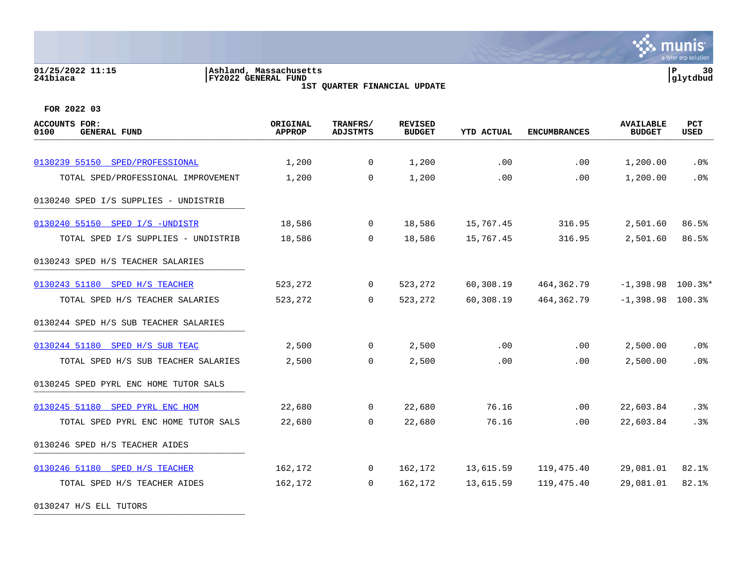#### **01/25/2022 11:15 |Ashland, Massachusetts |P 30 241biaca |FY2022 GENERAL FUND |glytdbud 1ST QUARTER FINANCIAL UPDATE**



**FOR 2022 03**

0130247 H/S ELL TUTORS

| <b>ACCOUNTS FOR:</b><br>0100<br><b>GENERAL FUND</b> | ORIGINAL<br><b>APPROP</b> | TRANFRS/<br><b>ADJSTMTS</b> | <b>REVISED</b><br><b>BUDGET</b> | <b>YTD ACTUAL</b> | <b>ENCUMBRANCES</b> | <b>AVAILABLE</b><br><b>BUDGET</b> | PCT<br>USED |
|-----------------------------------------------------|---------------------------|-----------------------------|---------------------------------|-------------------|---------------------|-----------------------------------|-------------|
|                                                     |                           |                             |                                 |                   |                     |                                   |             |
| 0130239 55150 SPED/PROFESSIONAL                     | 1,200                     | $\overline{0}$              | 1,200                           | .00               | .00                 | 1,200.00                          | .0%         |
| TOTAL SPED/PROFESSIONAL IMPROVEMENT                 | 1,200                     | $\Omega$                    | 1,200                           | .00               | .00                 | 1,200.00                          | .0%         |
| 0130240 SPED I/S SUPPLIES - UNDISTRIB               |                           |                             |                                 |                   |                     |                                   |             |
| 0130240 55150 SPED I/S -UNDISTR                     | 18,586                    | $\overline{0}$              | 18,586                          | 15,767.45         | 316.95              | 2,501.60                          | 86.5%       |
| TOTAL SPED I/S SUPPLIES - UNDISTRIB                 | 18,586                    | $\Omega$                    | 18,586                          | 15,767.45         | 316.95              | 2,501.60                          | 86.5%       |
| 0130243 SPED H/S TEACHER SALARIES                   |                           |                             |                                 |                   |                     |                                   |             |
| 0130243 51180 SPED H/S TEACHER                      | 523,272                   | 0                           | 523,272                         | 60,308.19         | 464,362.79          | $-1,398.98$ 100.3%*               |             |
| TOTAL SPED H/S TEACHER SALARIES                     | 523,272                   | $\overline{0}$              | 523,272                         | 60,308.19         | 464, 362. 79        | $-1,398.98$ 100.3%                |             |
| 0130244 SPED H/S SUB TEACHER SALARIES               |                           |                             |                                 |                   |                     |                                   |             |
| 0130244 51180 SPED H/S SUB TEAC                     | 2,500                     | $\overline{0}$              | 2,500                           | .00               | .00                 | 2,500.00                          | $.0\%$      |
| TOTAL SPED H/S SUB TEACHER SALARIES                 | 2,500                     | $\Omega$                    | 2,500                           | .00               | .00                 | 2,500.00                          | .0%         |
| 0130245 SPED PYRL ENC HOME TUTOR SALS               |                           |                             |                                 |                   |                     |                                   |             |
| 0130245 51180 SPED PYRL ENC HOM                     | 22,680                    | $\Omega$                    | 22,680                          | 76.16             | $.00 \,$            | 22,603.84                         | .3%         |
| TOTAL SPED PYRL ENC HOME TUTOR SALS                 | 22,680                    | $\Omega$                    | 22,680                          | 76.16             | .00                 | 22,603.84                         | .3%         |
| 0130246 SPED H/S TEACHER AIDES                      |                           |                             |                                 |                   |                     |                                   |             |
| 0130246 51180 SPED H/S TEACHER                      | 162,172                   | $\overline{0}$              | 162,172                         | 13,615.59         | 119,475.40          | 29,081.01                         | 82.1%       |
| TOTAL SPED H/S TEACHER AIDES                        | 162,172                   | $\Omega$                    | 162,172                         | 13,615.59         | 119,475.40          | 29,081.01                         | 82.1%       |
|                                                     |                           |                             |                                 |                   |                     |                                   |             |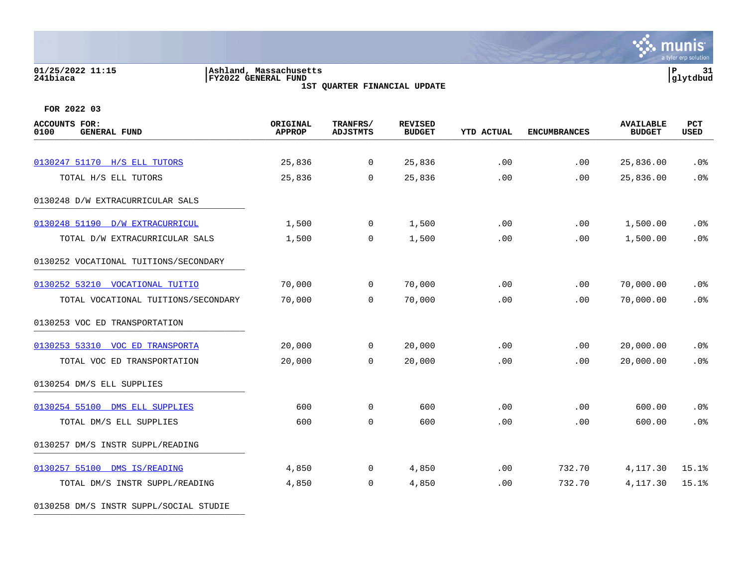### **01/25/2022 11:15 |Ashland, Massachusetts |P 31 241biaca |FY2022 GENERAL FUND |glytdbud**

**1ST QUARTER FINANCIAL UPDATE**



**FOR 2022 03**

| ACCOUNTS FOR:<br><b>GENERAL FUND</b><br>0100 | ORIGINAL<br><b>APPROP</b> | TRANFRS/<br><b>ADJSTMTS</b> | <b>REVISED</b><br><b>BUDGET</b> | <b>YTD ACTUAL</b> | <b>ENCUMBRANCES</b> | <b>AVAILABLE</b><br><b>BUDGET</b> | PCT<br>USED |
|----------------------------------------------|---------------------------|-----------------------------|---------------------------------|-------------------|---------------------|-----------------------------------|-------------|
| 0130247 51170 H/S ELL TUTORS                 | 25,836                    | $\overline{0}$              | 25,836                          | .00               | .00                 | 25,836.00                         | .0%         |
| TOTAL H/S ELL TUTORS                         | 25,836                    | $\mathbf 0$                 | 25,836                          | .00               | .00                 | 25,836.00                         | .0%         |
| 0130248 D/W EXTRACURRICULAR SALS             |                           |                             |                                 |                   |                     |                                   |             |
| 0130248 51190 D/W EXTRACURRICUL              | 1,500                     | $\overline{0}$              | 1,500                           | .00               | .00                 | 1,500.00                          | .0%         |
| TOTAL D/W EXTRACURRICULAR SALS               | 1,500                     | $\mathbf 0$                 | 1,500                           | .00               | .00                 | 1,500.00                          | .0%         |
| 0130252 VOCATIONAL TUITIONS/SECONDARY        |                           |                             |                                 |                   |                     |                                   |             |
| 0130252 53210 VOCATIONAL TUITIO              | 70,000                    | $\overline{0}$              | 70,000                          | .00               | .00                 | 70,000.00                         | $.0\%$      |
| TOTAL VOCATIONAL TUITIONS/SECONDARY          | 70,000                    | $\mathbf 0$                 | 70,000                          | .00               | .00                 | 70,000.00                         | .0%         |
| 0130253 VOC ED TRANSPORTATION                |                           |                             |                                 |                   |                     |                                   |             |
| 0130253 53310 VOC ED TRANSPORTA              | 20,000                    | 0                           | 20,000                          | .00               | .00                 | 20,000.00                         | $.0\%$      |
| TOTAL VOC ED TRANSPORTATION                  | 20,000                    | 0                           | 20,000                          | .00               | .00                 | 20,000.00                         | .0%         |
| 0130254 DM/S ELL SUPPLIES                    |                           |                             |                                 |                   |                     |                                   |             |
| 0130254 55100 DMS ELL SUPPLIES               | 600                       | 0                           | 600                             | .00               | .00                 | 600.00                            | .0%         |
| TOTAL DM/S ELL SUPPLIES                      | 600                       | $\mathbf 0$                 | 600                             | .00               | .00                 | 600.00                            | .0%         |
| 0130257 DM/S INSTR SUPPL/READING             |                           |                             |                                 |                   |                     |                                   |             |
| 0130257 55100 DMS IS/READING                 | 4,850                     | 0                           | 4,850                           | .00               | 732.70              | 4,117.30                          | 15.1%       |
| TOTAL DM/S INSTR SUPPL/READING               | 4,850                     | 0                           | 4,850                           | .00               | 732.70              | 4,117.30                          | 15.1%       |

0130258 DM/S INSTR SUPPL/SOCIAL STUDIE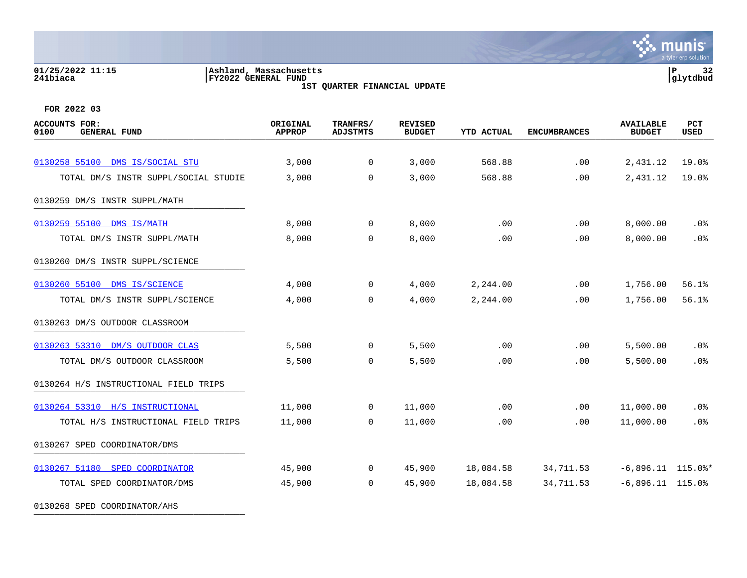### **01/25/2022 11:15 |Ashland, Massachusetts |P 32 241biaca |FY2022 GENERAL FUND |glytdbud**

**1ST QUARTER FINANCIAL UPDATE**



| <b>ACCOUNTS FOR:</b><br>0100<br><b>GENERAL FUND</b> | ORIGINAL<br><b>APPROP</b> | TRANFRS/<br><b>ADJSTMTS</b> | <b>REVISED</b><br><b>BUDGET</b> | <b>YTD ACTUAL</b> | <b>ENCUMBRANCES</b> | <b>AVAILABLE</b><br><b>BUDGET</b> | PCT<br><b>USED</b> |
|-----------------------------------------------------|---------------------------|-----------------------------|---------------------------------|-------------------|---------------------|-----------------------------------|--------------------|
|                                                     |                           |                             |                                 |                   |                     |                                   |                    |
| 0130258 55100 DMS IS/SOCIAL STU                     | 3,000                     | 0                           | 3,000                           | 568.88            | .00                 | 2,431.12                          | 19.0%              |
| TOTAL DM/S INSTR SUPPL/SOCIAL STUDIE                | 3,000                     | 0                           | 3,000                           | 568.88            | .00                 | 2,431.12                          | 19.0%              |
| 0130259 DM/S INSTR SUPPL/MATH                       |                           |                             |                                 |                   |                     |                                   |                    |
| 0130259 55100 DMS IS/MATH                           | 8,000                     | $\overline{0}$              | 8,000                           | .00               | .00                 | 8,000.00                          | .0%                |
| TOTAL DM/S INSTR SUPPL/MATH                         | 8,000                     | $\Omega$                    | 8,000                           | .00               | .00                 | 8,000.00                          | .0%                |
| 0130260 DM/S INSTR SUPPL/SCIENCE                    |                           |                             |                                 |                   |                     |                                   |                    |
| 0130260 55100 DMS IS/SCIENCE                        | 4,000                     | $\overline{0}$              | 4,000                           | 2,244.00          | .00                 | 1,756.00                          | 56.1%              |
| TOTAL DM/S INSTR SUPPL/SCIENCE                      | 4,000                     | 0                           | 4,000                           | 2,244.00          | .00                 | 1,756.00                          | 56.1%              |
| 0130263 DM/S OUTDOOR CLASSROOM                      |                           |                             |                                 |                   |                     |                                   |                    |
| 0130263 53310 DM/S OUTDOOR CLAS                     | 5,500                     | $\overline{0}$              | 5,500                           | .00               | .00                 | 5,500.00                          | .0%                |
| TOTAL DM/S OUTDOOR CLASSROOM                        | 5,500                     | $\Omega$                    | 5,500                           | .00               | .00                 | 5,500.00                          | .0%                |
| 0130264 H/S INSTRUCTIONAL FIELD TRIPS               |                           |                             |                                 |                   |                     |                                   |                    |
| 0130264 53310 H/S INSTRUCTIONAL                     | 11,000                    | 0                           | 11,000                          | .00               | .00                 | 11,000.00                         | $.0\%$             |
| TOTAL H/S INSTRUCTIONAL FIELD TRIPS                 | 11,000                    | 0                           | 11,000                          | .00               | .00                 | 11,000.00                         | .0%                |
| 0130267 SPED COORDINATOR/DMS                        |                           |                             |                                 |                   |                     |                                   |                    |
| 0130267 51180 SPED COORDINATOR                      | 45,900                    | $\overline{0}$              | 45,900                          | 18,084.58         | 34,711.53           | $-6,896.11$ 115.0%*               |                    |
| TOTAL SPED COORDINATOR/DMS                          | 45,900                    | $\Omega$                    | 45,900                          | 18,084.58         | 34,711.53           | $-6,896.11$ 115.0%                |                    |
| 0130268 SPED COORDINATOR/AHS                        |                           |                             |                                 |                   |                     |                                   |                    |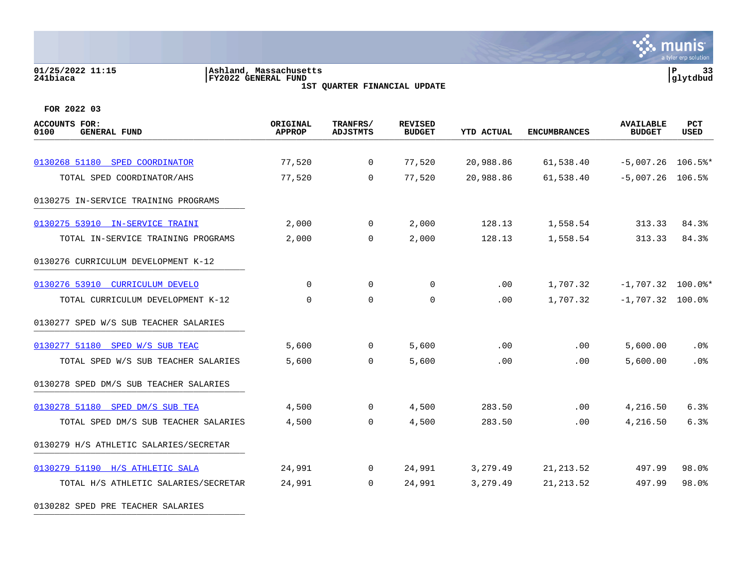#### **01/25/2022 11:15 |Ashland, Massachusetts |P 33 241biaca |FY2022 GENERAL FUND |glytdbud 1ST QUARTER FINANCIAL UPDATE**



**∵ munis** 

| ACCOUNTS FOR:<br>0100<br><b>GENERAL FUND</b> | ORIGINAL<br><b>APPROP</b> | TRANFRS/<br><b>ADJSTMTS</b> | <b>REVISED</b><br><b>BUDGET</b> | <b>YTD ACTUAL</b> | <b>ENCUMBRANCES</b> | <b>AVAILABLE</b><br><b>BUDGET</b> | <b>PCT</b><br><b>USED</b> |
|----------------------------------------------|---------------------------|-----------------------------|---------------------------------|-------------------|---------------------|-----------------------------------|---------------------------|
|                                              |                           |                             |                                 |                   |                     |                                   |                           |
| 0130268 51180 SPED COORDINATOR               | 77,520                    | $\mathbf 0$                 | 77,520                          | 20,988.86         | 61,538.40           | $-5,007.26$ 106.5%*               |                           |
| TOTAL SPED COORDINATOR/AHS                   | 77,520                    | $\Omega$                    | 77,520                          | 20,988.86         | 61,538.40           | $-5,007.26$ 106.5%                |                           |
| 0130275 IN-SERVICE TRAINING PROGRAMS         |                           |                             |                                 |                   |                     |                                   |                           |
| 0130275 53910 IN-SERVICE TRAINI              | 2,000                     | $\overline{0}$              | 2,000                           | 128.13            | 1,558.54            | 313.33                            | 84.3%                     |
| TOTAL IN-SERVICE TRAINING PROGRAMS           | 2,000                     | $\mathbf 0$                 | 2,000                           | 128.13            | 1,558.54            | 313.33                            | 84.3%                     |
| 0130276 CURRICULUM DEVELOPMENT K-12          |                           |                             |                                 |                   |                     |                                   |                           |
| 0130276 53910 CURRICULUM DEVELO              | $\Omega$                  | $\Omega$                    | $\mathbf 0$                     | .00               | 1,707.32            | $-1,707.32$ 100.0%*               |                           |
| TOTAL CURRICULUM DEVELOPMENT K-12            | 0                         | $\mathbf 0$                 | 0                               | .00.              | 1,707.32            | $-1,707.32$ 100.0%                |                           |
| 0130277 SPED W/S SUB TEACHER SALARIES        |                           |                             |                                 |                   |                     |                                   |                           |
| 0130277 51180 SPED W/S SUB TEAC              | 5,600                     | $\overline{0}$              | 5,600                           | .00               | .00                 | 5,600.00                          | .0%                       |
| TOTAL SPED W/S SUB TEACHER SALARIES          | 5,600                     | $\Omega$                    | 5,600                           | .00               | .00                 | 5,600.00                          | .0 <sub>8</sub>           |
| 0130278 SPED DM/S SUB TEACHER SALARIES       |                           |                             |                                 |                   |                     |                                   |                           |
| 0130278 51180 SPED DM/S SUB TEA              | 4,500                     | $\mathbf 0$                 | 4,500                           | 283.50            | .00                 | 4,216.50                          | 6.3%                      |
| TOTAL SPED DM/S SUB TEACHER SALARIES         | 4,500                     | $\Omega$                    | 4,500                           | 283.50            | .00                 | 4,216.50                          | 6.3%                      |
| 0130279 H/S ATHLETIC SALARIES/SECRETAR       |                           |                             |                                 |                   |                     |                                   |                           |
| 0130279 51190 H/S ATHLETIC SALA              | 24,991                    | $\mathsf{O}$                | 24,991                          | 3,279.49          | 21, 213.52          | 497.99                            | 98.0%                     |
| TOTAL H/S ATHLETIC SALARIES/SECRETAR         | 24,991                    | $\Omega$                    | 24,991                          | 3,279.49          | 21, 213.52          | 497.99                            | 98.0%                     |
| 0130282 SPED PRE TEACHER SALARIES            |                           |                             |                                 |                   |                     |                                   |                           |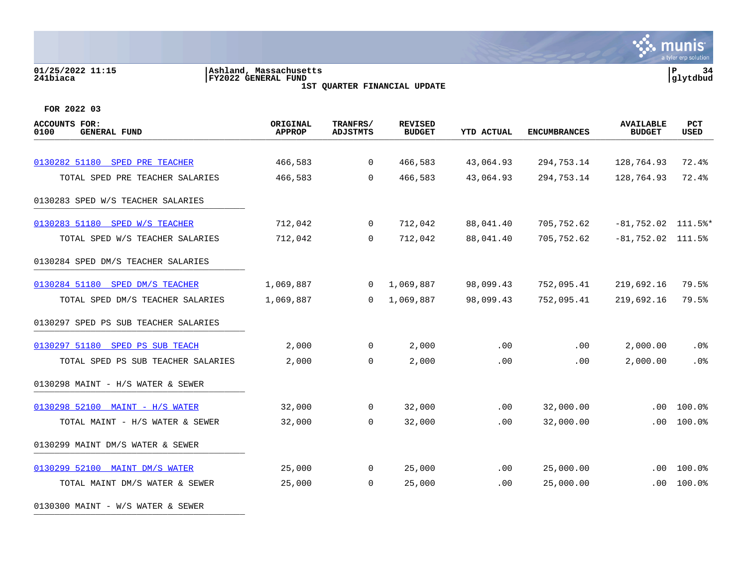#### **01/25/2022 11:15 |Ashland, Massachusetts |P 34 241biaca |FY2022 GENERAL FUND |glytdbud 1ST QUARTER FINANCIAL UPDATE**



**FOR 2022 03**

0130300 MAINT - W/S WATER & SEWER

| <b>ACCOUNTS FOR:</b><br>0100<br><b>GENERAL FUND</b> | ORIGINAL<br><b>APPROP</b> | TRANFRS/<br><b>ADJSTMTS</b> | <b>REVISED</b><br><b>BUDGET</b> | <b>YTD ACTUAL</b> | <b>ENCUMBRANCES</b> | <b>AVAILABLE</b><br><b>BUDGET</b> | <b>PCT</b><br><b>USED</b> |
|-----------------------------------------------------|---------------------------|-----------------------------|---------------------------------|-------------------|---------------------|-----------------------------------|---------------------------|
|                                                     |                           |                             |                                 |                   |                     |                                   |                           |
| 0130282 51180 SPED PRE TEACHER                      | 466,583                   | $\mathbf 0$                 | 466,583                         | 43,064.93         | 294,753.14          | 128,764.93                        | 72.4%                     |
| TOTAL SPED PRE TEACHER SALARIES                     | 466,583                   | $\mathbf 0$                 | 466,583                         | 43,064.93         | 294,753.14          | 128,764.93                        | 72.4%                     |
| 0130283 SPED W/S TEACHER SALARIES                   |                           |                             |                                 |                   |                     |                                   |                           |
| 0130283 51180 SPED W/S TEACHER                      | 712,042                   | $\overline{0}$              | 712,042                         | 88,041.40         | 705,752.62          | $-81,752.02$ 111.5%*              |                           |
| TOTAL SPED W/S TEACHER SALARIES                     | 712,042                   | $\Omega$                    | 712,042                         | 88,041.40         | 705,752.62          | $-81,752.02$ 111.5%               |                           |
| 0130284 SPED DM/S TEACHER SALARIES                  |                           |                             |                                 |                   |                     |                                   |                           |
| 0130284 51180 SPED DM/S TEACHER                     | 1,069,887                 | $\overline{0}$              | 1,069,887                       | 98,099.43         | 752,095.41          | 219,692.16                        | 79.5%                     |
| TOTAL SPED DM/S TEACHER SALARIES                    | 1,069,887                 | $\Omega$                    | 1,069,887                       | 98,099.43         | 752,095.41          | 219,692.16                        | 79.5%                     |
| 0130297 SPED PS SUB TEACHER SALARIES                |                           |                             |                                 |                   |                     |                                   |                           |
| 0130297 51180 SPED PS SUB TEACH                     | 2,000                     | $\overline{0}$              | 2,000                           | .00               | .00                 | 2,000.00                          | $.0\%$                    |
| TOTAL SPED PS SUB TEACHER SALARIES                  | 2,000                     | 0                           | 2,000                           | .00               | .00                 | 2,000.00                          | .0%                       |
| 0130298 MAINT - H/S WATER & SEWER                   |                           |                             |                                 |                   |                     |                                   |                           |
| 0130298 52100 MAINT - H/S WATER                     | 32,000                    | 0                           | 32,000                          | $.00 \,$          | 32,000.00           | $.00 \,$                          | 100.0%                    |
| TOTAL MAINT - H/S WATER & SEWER                     | 32,000                    | $\mathbf 0$                 | 32,000                          | .00               | 32,000.00           | .00                               | 100.0%                    |
| 0130299 MAINT DM/S WATER & SEWER                    |                           |                             |                                 |                   |                     |                                   |                           |
| 0130299 52100 MAINT DM/S WATER                      | 25,000                    | 0                           | 25,000                          | $.00 \,$          | 25,000.00           | .00                               | 100.0%                    |
| TOTAL MAINT DM/S WATER & SEWER                      | 25,000                    | 0                           | 25,000                          | .00               | 25,000.00           | .00                               | 100.0%                    |
|                                                     |                           |                             |                                 |                   |                     |                                   |                           |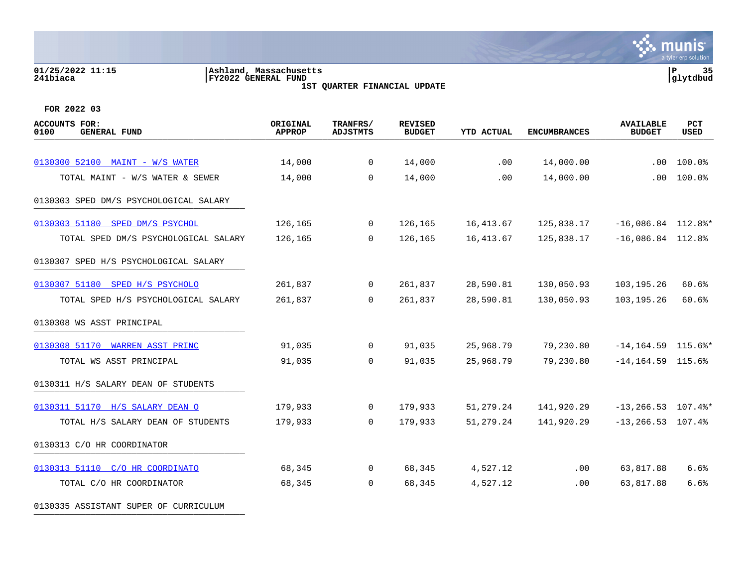# **01/25/2022 11:15 |Ashland, Massachusetts |P 35 241biaca |FY2022 GENERAL FUND |glytdbud**



**1ST QUARTER FINANCIAL UPDATE**

**FOR 2022 03**

| <b>ACCOUNTS FOR:</b><br>0100<br><b>GENERAL FUND</b> | ORIGINAL<br><b>APPROP</b> | TRANFRS/<br><b>ADJSTMTS</b> | <b>REVISED</b><br><b>BUDGET</b> | <b>YTD ACTUAL</b> | <b>ENCUMBRANCES</b> | <b>AVAILABLE</b><br><b>BUDGET</b> | PCT<br><b>USED</b> |
|-----------------------------------------------------|---------------------------|-----------------------------|---------------------------------|-------------------|---------------------|-----------------------------------|--------------------|
| 0130300 52100 MAINT - W/S WATER                     | 14,000                    | $\Omega$                    | 14,000                          | .00               | 14,000.00           | $.00 \,$                          | 100.0%             |
| TOTAL MAINT - W/S WATER & SEWER                     | 14,000                    | $\Omega$                    | 14,000                          | .00               | 14,000.00           | .00                               | 100.0%             |
| 0130303 SPED DM/S PSYCHOLOGICAL SALARY              |                           |                             |                                 |                   |                     |                                   |                    |
| 0130303 51180 SPED DM/S PSYCHOL                     | 126,165                   | $\mathbf{0}$                | 126,165                         | 16,413.67         | 125,838.17          | $-16,086.84$ 112.8%*              |                    |
| TOTAL SPED DM/S PSYCHOLOGICAL SALARY                | 126,165                   | $\Omega$                    | 126,165                         | 16,413.67         | 125,838.17          | $-16,086.84$ 112.8%               |                    |
| 0130307 SPED H/S PSYCHOLOGICAL SALARY               |                           |                             |                                 |                   |                     |                                   |                    |
| 0130307 51180 SPED H/S PSYCHOLO                     | 261,837                   | $\Omega$                    | 261,837                         | 28,590.81         | 130,050.93          | 103,195.26                        | 60.6%              |
| TOTAL SPED H/S PSYCHOLOGICAL SALARY                 | 261,837                   | $\Omega$                    | 261,837                         | 28,590.81         | 130,050.93          | 103,195.26                        | 60.6%              |
| 0130308 WS ASST PRINCIPAL                           |                           |                             |                                 |                   |                     |                                   |                    |
| 0130308 51170 WARREN ASST PRINC                     | 91,035                    | $\overline{0}$              | 91,035                          | 25,968.79         | 79,230.80           | $-14, 164.59$ 115.6%*             |                    |
| TOTAL WS ASST PRINCIPAL                             | 91,035                    | $\Omega$                    | 91,035                          | 25,968.79         | 79,230.80           | $-14, 164.59$ 115.6%              |                    |
| 0130311 H/S SALARY DEAN OF STUDENTS                 |                           |                             |                                 |                   |                     |                                   |                    |
| 0130311 51170 H/S SALARY DEAN O                     | 179,933                   | $\overline{0}$              | 179,933                         | 51,279.24         | 141,920.29          | $-13, 266.53$ 107.4%*             |                    |
| TOTAL H/S SALARY DEAN OF STUDENTS                   | 179,933                   | $\Omega$                    | 179,933                         | 51,279.24         | 141,920.29          | $-13, 266.53$ 107.4%              |                    |
| 0130313 C/O HR COORDINATOR                          |                           |                             |                                 |                   |                     |                                   |                    |
| 0130313 51110 C/O HR COORDINATO                     | 68,345                    | $\overline{0}$              | 68,345                          | 4,527.12          | $.00 \,$            | 63,817.88                         | 6.6%               |
| TOTAL C/O HR COORDINATOR                            | 68,345                    | $\Omega$                    | 68,345                          | 4,527.12          | .00                 | 63,817.88                         | 6.6%               |

0130335 ASSISTANT SUPER OF CURRICULUM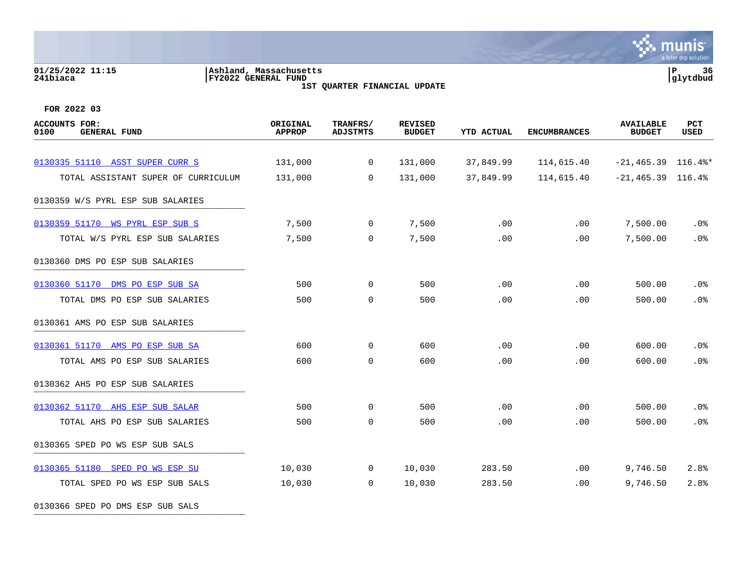# **01/25/2022 11:15 |Ashland, Massachusetts |P 36 241biaca |FY2022 GENERAL FUND |glytdbud**

**1ST QUARTER FINANCIAL UPDATE**



**FOR 2022 03**

0130366 SPED PO DMS ESP SUB SALS

| ACCOUNTS FOR:<br>0100<br><b>GENERAL FUND</b> | ORIGINAL<br><b>APPROP</b> | TRANFRS/<br><b>ADJSTMTS</b> | <b>REVISED</b><br><b>BUDGET</b> | <b>YTD ACTUAL</b> | <b>ENCUMBRANCES</b> | <b>AVAILABLE</b><br><b>BUDGET</b> | <b>PCT</b><br><b>USED</b> |
|----------------------------------------------|---------------------------|-----------------------------|---------------------------------|-------------------|---------------------|-----------------------------------|---------------------------|
|                                              |                           |                             |                                 |                   |                     |                                   |                           |
| 0130335 51110 ASST SUPER CURR S              | 131,000                   | $\overline{0}$              | 131,000                         | 37,849.99         | 114,615.40          | $-21, 465.39$ 116.4%*             |                           |
| TOTAL ASSISTANT SUPER OF CURRICULUM          | 131,000                   | $\mathbf 0$                 | 131,000                         | 37,849.99         | 114,615.40          | $-21,465.39$ 116.4%               |                           |
| 0130359 W/S PYRL ESP SUB SALARIES            |                           |                             |                                 |                   |                     |                                   |                           |
| 0130359 51170 WS PYRL ESP SUB S              | 7,500                     | $\mathsf{O}$                | 7,500                           | .00               | .00                 | 7,500.00                          | .0%                       |
| TOTAL W/S PYRL ESP SUB SALARIES              | 7,500                     | $\Omega$                    | 7,500                           | .00               | .00                 | 7,500.00                          | .0%                       |
| 0130360 DMS PO ESP SUB SALARIES              |                           |                             |                                 |                   |                     |                                   |                           |
| 0130360 51170 DMS PO ESP SUB SA              | 500                       | $\mathbf 0$                 | 500                             | .00               | .00                 | 500.00                            | .0%                       |
| TOTAL DMS PO ESP SUB SALARIES                | 500                       | $\mathbf 0$                 | 500                             | .00               | .00                 | 500.00                            | .0%                       |
| 0130361 AMS PO ESP SUB SALARIES              |                           |                             |                                 |                   |                     |                                   |                           |
| 0130361 51170 AMS PO ESP SUB SA              | 600                       | $\mathbf 0$                 | 600                             | .00               | .00                 | 600.00                            | .0%                       |
| TOTAL AMS PO ESP SUB SALARIES                | 600                       | 0                           | 600                             | .00               | .00                 | 600.00                            | .0%                       |
| 0130362 AHS PO ESP SUB SALARIES              |                           |                             |                                 |                   |                     |                                   |                           |
| 0130362 51170 AHS ESP SUB SALAR              | 500                       | $\mathbf 0$                 | 500                             | .00               | .00                 | 500.00                            | $.0\%$                    |
| TOTAL AHS PO ESP SUB SALARIES                | 500                       | $\mathbf 0$                 | 500                             | .00               | .00                 | 500.00                            | .0%                       |
| 0130365 SPED PO WS ESP SUB SALS              |                           |                             |                                 |                   |                     |                                   |                           |
| 0130365 51180 SPED PO WS ESP SU              | 10,030                    | $\mathbf 0$                 | 10,030                          | 283.50            | .00                 | 9,746.50                          | 2.8%                      |
| TOTAL SPED PO WS ESP SUB SALS                | 10,030                    | $\mathbf 0$                 | 10,030                          | 283.50            | .00                 | 9,746.50                          | 2.8%                      |
|                                              |                           |                             |                                 |                   |                     |                                   |                           |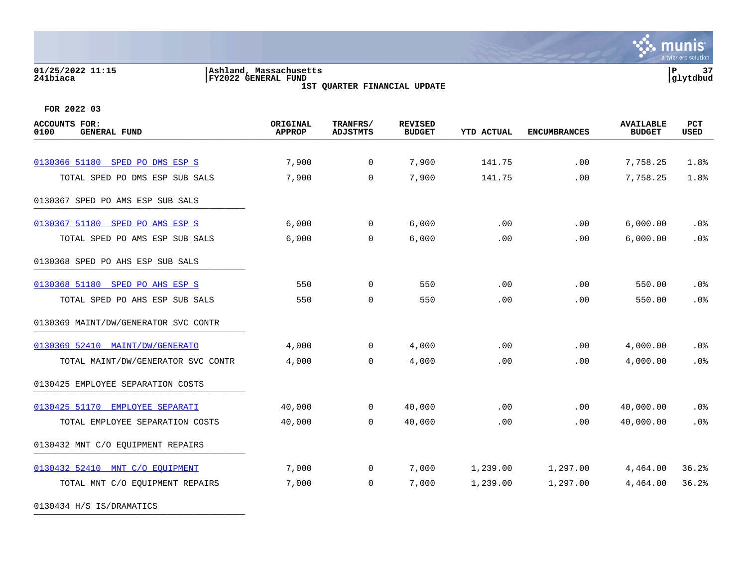### **01/25/2022 11:15 |Ashland, Massachusetts |P 37 241biaca |FY2022 GENERAL FUND |glytdbud 1ST QUARTER FINANCIAL UPDATE**



**FOR 2022 03**

| <b>ACCOUNTS FOR:</b><br>0100<br><b>GENERAL FUND</b> | ORIGINAL<br><b>APPROP</b> | TRANFRS/<br><b>ADJSTMTS</b> | <b>REVISED</b><br><b>BUDGET</b> | <b>YTD ACTUAL</b> | <b>ENCUMBRANCES</b> | <b>AVAILABLE</b><br><b>BUDGET</b> | PCT<br><b>USED</b> |
|-----------------------------------------------------|---------------------------|-----------------------------|---------------------------------|-------------------|---------------------|-----------------------------------|--------------------|
|                                                     |                           |                             |                                 |                   |                     |                                   |                    |
| 0130366 51180 SPED PO DMS ESP S                     | 7,900                     | $\mathbf 0$                 | 7,900                           | 141.75            | .00                 | 7,758.25                          | 1.8%               |
| TOTAL SPED PO DMS ESP SUB SALS                      | 7,900                     | $\mathbf 0$                 | 7,900                           | 141.75            | .00                 | 7,758.25                          | 1.8%               |
| 0130367 SPED PO AMS ESP SUB SALS                    |                           |                             |                                 |                   |                     |                                   |                    |
| 0130367 51180 SPED PO AMS ESP S                     | 6,000                     | $\mathbf 0$                 | 6,000                           | .00               | .00                 | 6,000.00                          | .0%                |
| TOTAL SPED PO AMS ESP SUB SALS                      | 6,000                     | $\mathbf 0$                 | 6,000                           | .00               | .00                 | 6,000.00                          | .0%                |
| 0130368 SPED PO AHS ESP SUB SALS                    |                           |                             |                                 |                   |                     |                                   |                    |
| 0130368 51180 SPED PO AHS ESP S                     | 550                       | $\mathbf 0$                 | 550                             | .00               | .00                 | 550.00                            | $.0\%$             |
| TOTAL SPED PO AHS ESP SUB SALS                      | 550                       | $\mathbf 0$                 | 550                             | .00               | .00                 | 550.00                            | .0%                |
| 0130369 MAINT/DW/GENERATOR SVC CONTR                |                           |                             |                                 |                   |                     |                                   |                    |
| 0130369 52410 MAINT/DW/GENERATO                     | 4,000                     | 0                           | 4,000                           | .00               | .00                 | 4,000.00                          | $.0\%$             |
| TOTAL MAINT/DW/GENERATOR SVC CONTR                  | 4,000                     | $\Omega$                    | 4,000                           | .00               | .00                 | 4,000.00                          | .0%                |
| 0130425 EMPLOYEE SEPARATION COSTS                   |                           |                             |                                 |                   |                     |                                   |                    |
| 0130425 51170 EMPLOYEE SEPARATI                     | 40,000                    | $\mathbf 0$                 | 40,000                          | .00               | .00                 | 40,000.00                         | .0%                |
| TOTAL EMPLOYEE SEPARATION COSTS                     | 40,000                    | $\Omega$                    | 40,000                          | .00               | .00                 | 40,000.00                         | .0%                |
| 0130432 MNT C/O EQUIPMENT REPAIRS                   |                           |                             |                                 |                   |                     |                                   |                    |
| 0130432 52410 MNT C/O EOUIPMENT                     | 7,000                     | 0                           | 7,000                           | 1,239.00          | 1,297.00            | 4,464.00                          | 36.2%              |
| TOTAL MNT C/O EQUIPMENT REPAIRS                     | 7,000                     | 0                           | 7,000                           | 1,239.00          | 1,297.00            | 4,464.00                          | 36.2%              |
|                                                     |                           |                             |                                 |                   |                     |                                   |                    |

0130434 H/S IS/DRAMATICS \_\_\_\_\_\_\_\_\_\_\_\_\_\_\_\_\_\_\_\_\_\_\_\_\_\_\_\_\_\_\_\_\_\_\_\_\_\_\_\_\_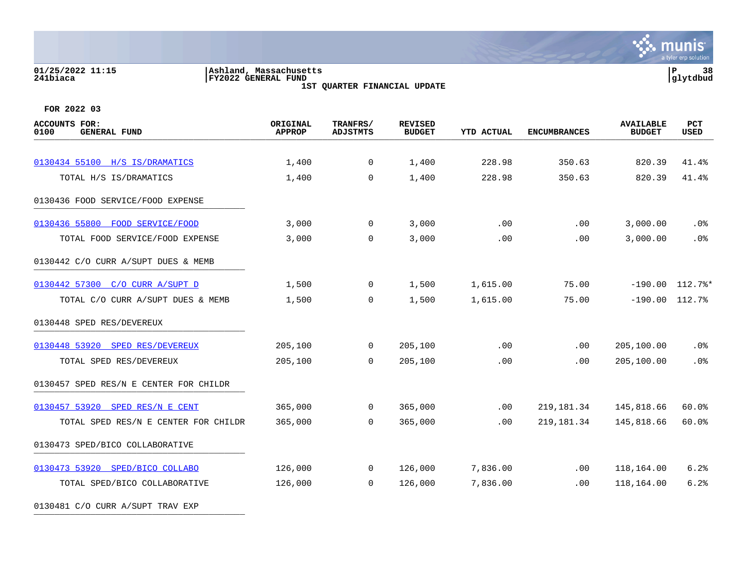## **01/25/2022 11:15 |Ashland, Massachusetts |P 38 241biaca |FY2022 GENERAL FUND |glytdbud**

**1ST QUARTER FINANCIAL UPDATE**



| <b>ACCOUNTS FOR:</b><br><b>GENERAL FUND</b><br>0100 | ORIGINAL<br><b>APPROP</b> | TRANFRS/<br><b>ADJSTMTS</b> | <b>REVISED</b><br><b>BUDGET</b> | <b>YTD ACTUAL</b> | <b>ENCUMBRANCES</b> | <b>AVAILABLE</b><br><b>BUDGET</b> | <b>PCT</b><br><b>USED</b> |
|-----------------------------------------------------|---------------------------|-----------------------------|---------------------------------|-------------------|---------------------|-----------------------------------|---------------------------|
|                                                     |                           |                             |                                 |                   |                     |                                   |                           |
| 0130434 55100 H/S IS/DRAMATICS                      | 1,400                     | 0                           | 1,400                           | 228.98            | 350.63              | 820.39                            | 41.4%                     |
| TOTAL H/S IS/DRAMATICS                              | 1,400                     | $\mathbf 0$                 | 1,400                           | 228.98            | 350.63              | 820.39                            | 41.4%                     |
| 0130436 FOOD SERVICE/FOOD EXPENSE                   |                           |                             |                                 |                   |                     |                                   |                           |
| 0130436 55800<br>FOOD SERVICE/FOOD                  | 3,000                     | 0                           | 3,000                           | .00               | .00                 | 3,000.00                          | .0%                       |
| TOTAL FOOD SERVICE/FOOD EXPENSE                     | 3,000                     | $\mathbf 0$                 | 3,000                           | .00               | .00                 | 3,000.00                          | .0%                       |
| 0130442 C/O CURR A/SUPT DUES & MEMB                 |                           |                             |                                 |                   |                     |                                   |                           |
| 0130442 57300 C/O CURR A/SUPT D                     | 1,500                     | 0                           | 1,500                           | 1,615.00          | 75.00               |                                   | $-190.00$ $112.7$ %*      |
| TOTAL C/O CURR A/SUPT DUES & MEMB                   | 1,500                     | 0                           | 1,500                           | 1,615.00          | 75.00               | $-190.00$ $112.7%$                |                           |
| 0130448 SPED RES/DEVEREUX                           |                           |                             |                                 |                   |                     |                                   |                           |
| 0130448 53920 SPED RES/DEVEREUX                     | 205,100                   | $\overline{0}$              | 205,100                         | .00               | .00                 | 205,100.00                        | $.0\%$                    |
| TOTAL SPED RES/DEVEREUX                             | 205,100                   | $\mathbf 0$                 | 205,100                         | .00               | .00                 | 205,100.00                        | .0%                       |
| 0130457 SPED RES/N E CENTER FOR CHILDR              |                           |                             |                                 |                   |                     |                                   |                           |
| 0130457 53920 SPED RES/N E CENT                     | 365,000                   | $\overline{0}$              | 365,000                         | .00               | 219, 181.34         | 145,818.66                        | 60.0%                     |
| TOTAL SPED RES/N E CENTER FOR CHILDR                | 365,000                   | $\Omega$                    | 365,000                         | .00               | 219, 181.34         | 145,818.66                        | 60.0%                     |
| 0130473 SPED/BICO COLLABORATIVE                     |                           |                             |                                 |                   |                     |                                   |                           |
| 0130473 53920 SPED/BICO COLLABO                     | 126,000                   | 0                           | 126,000                         | 7,836.00          | $.00 \,$            | 118,164.00                        | 6.2%                      |
| TOTAL SPED/BICO COLLABORATIVE                       | 126,000                   | 0                           | 126,000                         | 7,836.00          | .00                 | 118,164.00                        | 6.2%                      |
| 0130481 C/O CURR A/SUPT TRAV EXP                    |                           |                             |                                 |                   |                     |                                   |                           |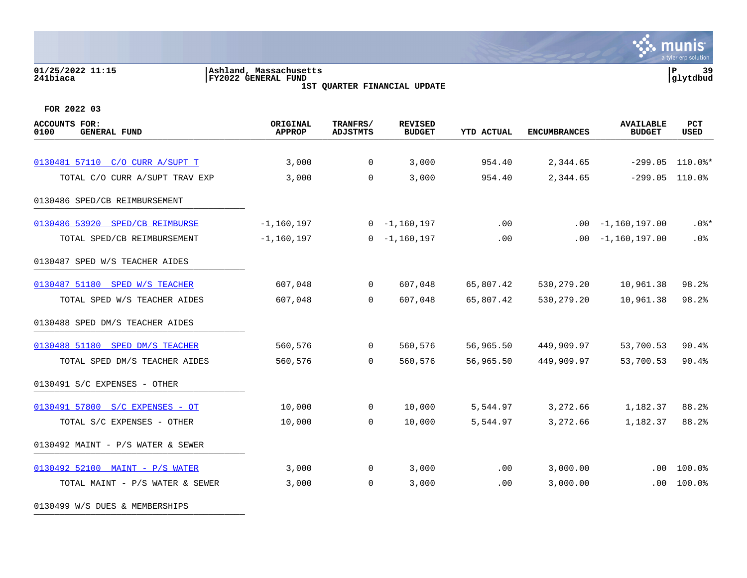### **01/25/2022 11:15 |Ashland, Massachusetts |P 39 241biaca |FY2022 GENERAL FUND |glytdbud 1ST QUARTER FINANCIAL UPDATE**

**∵ munis** a tyler erp solution

**FOR 2022 03**

| <b>ACCOUNTS FOR:</b><br>0100<br><b>GENERAL FUND</b> | ORIGINAL<br><b>APPROP</b> | TRANFRS/<br><b>ADJSTMTS</b> | <b>REVISED</b><br><b>BUDGET</b> | <b>YTD ACTUAL</b> | <b>ENCUMBRANCES</b> | <b>AVAILABLE</b><br><b>BUDGET</b> | <b>PCT</b><br>USED |
|-----------------------------------------------------|---------------------------|-----------------------------|---------------------------------|-------------------|---------------------|-----------------------------------|--------------------|
| 0130481 57110 C/O CURR A/SUPT T                     | 3,000                     | $\mathbf 0$                 | 3,000                           | 954.40            | 2,344.65            | $-299.05$                         | $110.0$ $\ast$     |
| TOTAL C/O CURR A/SUPT TRAV EXP                      | 3,000                     | $\mathbf 0$                 | 3,000                           | 954.40            | 2,344.65            | $-299.05$                         | 110.0%             |
| 0130486 SPED/CB REIMBURSEMENT                       |                           |                             |                                 |                   |                     |                                   |                    |
| 0130486 53920 SPED/CB REIMBURSE                     | $-1, 160, 197$            |                             | $0 - 1,160,197$                 | .00               |                     | $.00 - 1,160,197.00$              | $.0$ %*            |
| TOTAL SPED/CB REIMBURSEMENT                         | $-1, 160, 197$            |                             | $0 - 1,160,197$                 | .00               | .00                 | $-1,160,197.00$                   | .0%                |
| 0130487 SPED W/S TEACHER AIDES                      |                           |                             |                                 |                   |                     |                                   |                    |
| 0130487 51180 SPED W/S TEACHER                      | 607,048                   | $\overline{0}$              | 607,048                         | 65,807.42         | 530, 279. 20        | 10,961.38                         | 98.2%              |
| TOTAL SPED W/S TEACHER AIDES                        | 607,048                   | $\Omega$                    | 607,048                         | 65,807.42         | 530, 279. 20        | 10,961.38                         | 98.2%              |
| 0130488 SPED DM/S TEACHER AIDES                     |                           |                             |                                 |                   |                     |                                   |                    |
| 0130488 51180 SPED DM/S TEACHER                     | 560,576                   | $\mathbf 0$                 | 560,576                         | 56,965.50         | 449,909.97          | 53,700.53                         | 90.4%              |
| TOTAL SPED DM/S TEACHER AIDES                       | 560,576                   | $\Omega$                    | 560,576                         | 56,965.50         | 449,909.97          | 53,700.53                         | 90.4%              |
| 0130491 S/C EXPENSES - OTHER                        |                           |                             |                                 |                   |                     |                                   |                    |
| 0130491 57800 S/C EXPENSES - OT                     | 10,000                    | $\mathbf 0$                 | 10,000                          | 5,544.97          | 3,272.66            | 1,182.37                          | 88.2%              |
| TOTAL S/C EXPENSES - OTHER                          | 10,000                    | $\mathbf 0$                 | 10,000                          | 5,544.97          | 3,272.66            | 1,182.37                          | 88.2%              |
| 0130492 MAINT - P/S WATER & SEWER                   |                           |                             |                                 |                   |                     |                                   |                    |
| 0130492 52100 MAINT - P/S WATER                     | 3,000                     | 0                           | 3,000                           | .00               | 3,000.00            | $.00 \,$                          | 100.0%             |
| TOTAL MAINT - P/S WATER & SEWER                     | 3,000                     | $\mathbf 0$                 | 3,000                           | .00               | 3,000.00            | $.00 \,$                          | 100.0%             |

0130499 W/S DUES & MEMBERSHIPS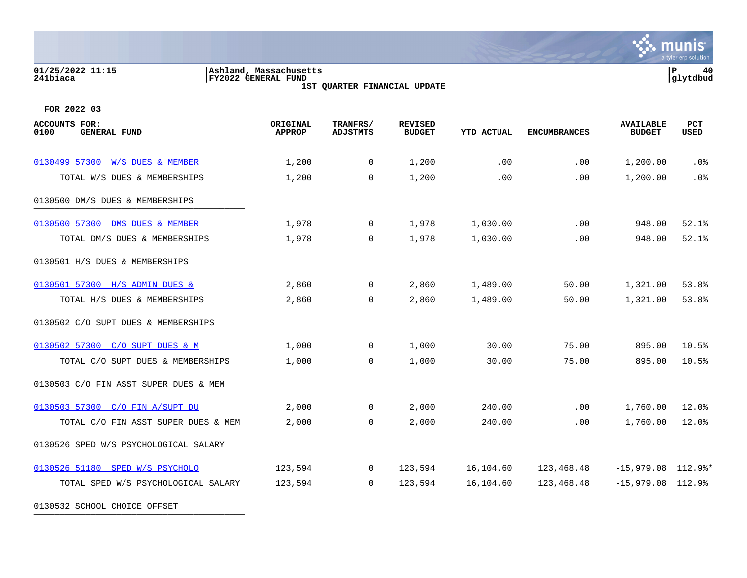### **01/25/2022 11:15 |Ashland, Massachusetts |P 40 241biaca |FY2022 GENERAL FUND |glytdbud**





| <b>ACCOUNTS FOR:</b><br>0100<br><b>GENERAL FUND</b> | ORIGINAL<br><b>APPROP</b> | TRANFRS/<br><b>ADJSTMTS</b> | <b>REVISED</b><br><b>BUDGET</b> | <b>YTD ACTUAL</b> | <b>ENCUMBRANCES</b> | <b>AVAILABLE</b><br><b>BUDGET</b> | PCT<br><b>USED</b> |
|-----------------------------------------------------|---------------------------|-----------------------------|---------------------------------|-------------------|---------------------|-----------------------------------|--------------------|
|                                                     |                           |                             |                                 |                   |                     |                                   |                    |
| 0130499 57300 W/S DUES & MEMBER                     | 1,200                     | $\mathbf 0$                 | 1,200                           | .00               | .00                 | 1,200.00                          | .0 <sub>8</sub>    |
| TOTAL W/S DUES & MEMBERSHIPS                        | 1,200                     | 0                           | 1,200                           | .00               | .00                 | 1,200.00                          | .0%                |
| 0130500 DM/S DUES & MEMBERSHIPS                     |                           |                             |                                 |                   |                     |                                   |                    |
| 0130500 57300 DMS DUES & MEMBER                     | 1,978                     | $\overline{0}$              | 1,978                           | 1,030.00          | .00                 | 948.00                            | 52.1%              |
| TOTAL DM/S DUES & MEMBERSHIPS                       | 1,978                     | $\Omega$                    | 1,978                           | 1,030.00          | .00                 | 948.00                            | 52.1%              |
| 0130501 H/S DUES & MEMBERSHIPS                      |                           |                             |                                 |                   |                     |                                   |                    |
| 0130501 57300 H/S ADMIN DUES &                      | 2,860                     | $\overline{0}$              | 2,860                           | 1,489.00          | 50.00               | 1,321.00                          | 53.8%              |
| TOTAL H/S DUES & MEMBERSHIPS                        | 2,860                     | $\mathbf 0$                 | 2,860                           | 1,489.00          | 50.00               | 1,321.00                          | 53.8%              |
| 0130502 C/O SUPT DUES & MEMBERSHIPS                 |                           |                             |                                 |                   |                     |                                   |                    |
| 0130502 57300 C/O SUPT DUES & M                     | 1,000                     | $\mathbf 0$                 | 1,000                           | 30.00             | 75.00               | 895.00                            | 10.5%              |
| TOTAL C/O SUPT DUES & MEMBERSHIPS                   | 1,000                     | 0                           | 1,000                           | 30.00             | 75.00               | 895.00                            | 10.5%              |
| 0130503 C/O FIN ASST SUPER DUES & MEM               |                           |                             |                                 |                   |                     |                                   |                    |
| 0130503 57300 C/O FIN A/SUPT DU                     | 2,000                     | $\overline{0}$              | 2,000                           | 240.00            | .00                 | 1,760.00                          | 12.0%              |
| TOTAL C/O FIN ASST SUPER DUES & MEM                 | 2,000                     | $\Omega$                    | 2,000                           | 240.00            | .00                 | 1,760.00                          | 12.0%              |
| 0130526 SPED W/S PSYCHOLOGICAL SALARY               |                           |                             |                                 |                   |                     |                                   |                    |
| 0130526 51180 SPED W/S PSYCHOLO                     | 123,594                   | $\mathbf 0$                 | 123,594                         | 16,104.60         | 123,468.48          | $-15,979.08$ 112.9%*              |                    |
| TOTAL SPED W/S PSYCHOLOGICAL SALARY                 | 123,594                   | $\Omega$                    | 123,594                         | 16,104.60         | 123,468.48          | $-15,979.08$ 112.9%               |                    |
| 0130532 SCHOOL CHOICE OFFSET                        |                           |                             |                                 |                   |                     |                                   |                    |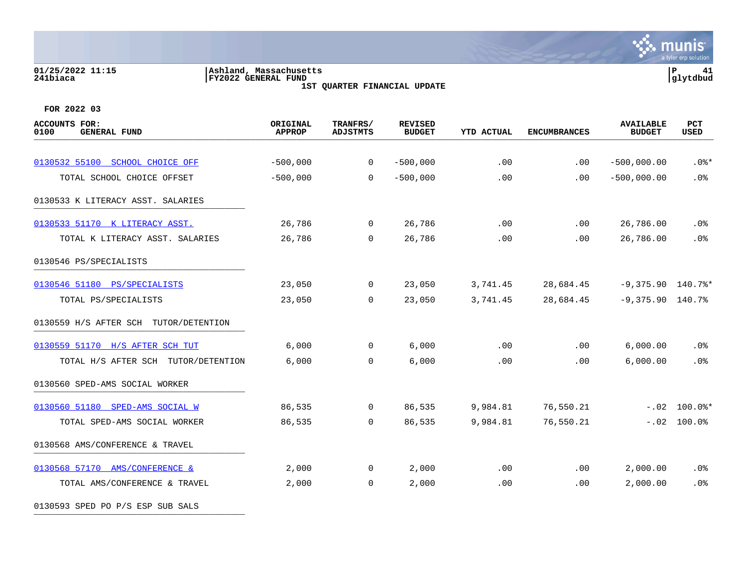# **01/25/2022 11:15 |Ashland, Massachusetts |P 41 241biaca |FY2022 GENERAL FUND |glytdbud**

**1ST QUARTER FINANCIAL UPDATE**



**FOR 2022 03**

0130593 SPED PO P/S ESP SUB SALS

| <b>ACCOUNTS FOR:</b><br>0100<br><b>GENERAL FUND</b> | ORIGINAL<br><b>APPROP</b> | TRANFRS/<br><b>ADJSTMTS</b> | <b>REVISED</b><br><b>BUDGET</b> | <b>YTD ACTUAL</b> | <b>ENCUMBRANCES</b> | <b>AVAILABLE</b><br><b>BUDGET</b> | PCT<br><b>USED</b> |
|-----------------------------------------------------|---------------------------|-----------------------------|---------------------------------|-------------------|---------------------|-----------------------------------|--------------------|
| 0130532 55100 SCHOOL CHOICE OFF                     | $-500,000$                | $\mathbf 0$                 | $-500,000$                      | .00               | $.00 \,$            | $-500,000.00$                     | $.0$ %*            |
| TOTAL SCHOOL CHOICE OFFSET                          | $-500,000$                | $\Omega$                    | $-500,000$                      | .00               | .00                 | $-500,000.00$                     | .0%                |
| 0130533 K LITERACY ASST. SALARIES                   |                           |                             |                                 |                   |                     |                                   |                    |
|                                                     |                           |                             |                                 |                   |                     |                                   |                    |
| 0130533 51170 K LITERACY ASST.                      | 26,786                    | $\mathbf 0$                 | 26,786                          | .00               | .00                 | 26,786.00                         | $.0\%$             |
| TOTAL K LITERACY ASST. SALARIES                     | 26,786                    | $\mathbf 0$                 | 26,786                          | .00               | .00                 | 26,786.00                         | .0%                |
| 0130546 PS/SPECIALISTS                              |                           |                             |                                 |                   |                     |                                   |                    |
| 0130546 51180 PS/SPECIALISTS                        | 23,050                    | $\mathbf 0$                 | 23,050                          | 3,741.45          | 28,684.45           | $-9,375.90$ 140.7%*               |                    |
| TOTAL PS/SPECIALISTS                                | 23,050                    | $\mathbf 0$                 | 23,050                          | 3,741.45          | 28,684.45           | $-9,375.90$ 140.7%                |                    |
| 0130559 H/S AFTER SCH TUTOR/DETENTION               |                           |                             |                                 |                   |                     |                                   |                    |
| 0130559 51170 H/S AFTER SCH TUT                     | 6,000                     | $\overline{0}$              | 6,000                           | $.00 \,$          | $.00 \,$            | 6,000.00                          | $.0\%$             |
| TOTAL H/S AFTER SCH TUTOR/DETENTION                 | 6,000                     | $\Omega$                    | 6,000                           | .00               | .00.                | 6,000.00                          | .0%                |
| 0130560 SPED-AMS SOCIAL WORKER                      |                           |                             |                                 |                   |                     |                                   |                    |
| 0130560 51180 SPED-AMS SOCIAL W                     | 86,535                    | $\overline{0}$              | 86,535                          | 9,984.81          | 76,550.21           |                                   | $-.02$ 100.0%*     |
| TOTAL SPED-AMS SOCIAL WORKER                        | 86,535                    | $\mathbf 0$                 | 86,535                          | 9,984.81          | 76,550.21           |                                   | $-.02$ 100.0%      |
| 0130568 AMS/CONFERENCE & TRAVEL                     |                           |                             |                                 |                   |                     |                                   |                    |
| 0130568 57170 AMS/CONFERENCE &                      | 2,000                     | 0                           | 2,000                           | .00               | $.00 \,$            | 2,000.00                          | .0%                |
| TOTAL AMS/CONFERENCE & TRAVEL                       | 2,000                     | $\mathbf 0$                 | 2,000                           | .00               | .00                 | 2,000.00                          | .0%                |
|                                                     |                           |                             |                                 |                   |                     |                                   |                    |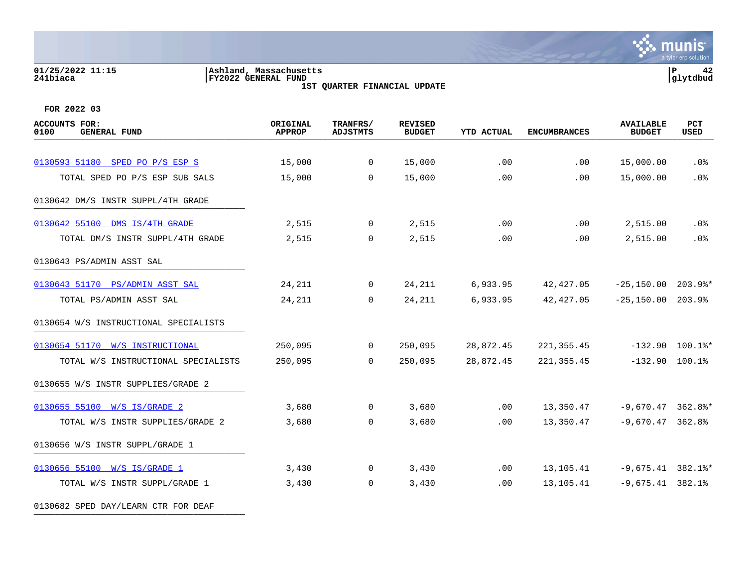### **01/25/2022 11:15 |Ashland, Massachusetts |P 42 241biaca |FY2022 GENERAL FUND |glytdbud 1ST QUARTER FINANCIAL UPDATE**

**\*** munis a tyler erp solution

| <b>ACCOUNTS FOR:</b><br>0100<br><b>GENERAL FUND</b> | ORIGINAL<br><b>APPROP</b> | TRANFRS/<br><b>ADJSTMTS</b> | <b>REVISED</b><br><b>BUDGET</b> | <b>YTD ACTUAL</b> | <b>ENCUMBRANCES</b> | <b>AVAILABLE</b><br><b>BUDGET</b> | PCT<br>USED |
|-----------------------------------------------------|---------------------------|-----------------------------|---------------------------------|-------------------|---------------------|-----------------------------------|-------------|
|                                                     |                           |                             |                                 |                   |                     |                                   |             |
| 0130593 51180 SPED PO P/S ESP S                     | 15,000                    | $\overline{0}$              | 15,000                          | .00               | .00                 | 15,000.00                         | $.0\%$      |
| TOTAL SPED PO P/S ESP SUB SALS                      | 15,000                    | $\Omega$                    | 15,000                          | .00               | .00                 | 15,000.00                         | .0%         |
| 0130642 DM/S INSTR SUPPL/4TH GRADE                  |                           |                             |                                 |                   |                     |                                   |             |
| 0130642 55100 DMS IS/4TH GRADE                      | 2,515                     | $\overline{0}$              | 2,515                           | .00               | .00                 | 2,515.00                          | $.0\%$      |
| TOTAL DM/S INSTR SUPPL/4TH GRADE                    | 2,515                     | 0                           | 2,515                           | .00               | .00                 | 2,515.00                          | .0%         |
| 0130643 PS/ADMIN ASST SAL                           |                           |                             |                                 |                   |                     |                                   |             |
| 0130643 51170 PS/ADMIN ASST SAL                     | 24,211                    | $\Omega$                    | 24,211                          | 6,933.95          | 42,427.05           | $-25,150.00$ 203.9%*              |             |
| TOTAL PS/ADMIN ASST SAL                             | 24,211                    | $\Omega$                    | 24, 211                         | 6,933.95          | 42, 427.05          | $-25,150.00$ 203.9%               |             |
| 0130654 W/S INSTRUCTIONAL SPECIALISTS               |                           |                             |                                 |                   |                     |                                   |             |
| 0130654 51170 W/S INSTRUCTIONAL                     | 250,095                   | $\mathbf 0$                 | 250,095                         | 28,872.45         | 221, 355.45         | $-132.90$ 100.1%*                 |             |
| TOTAL W/S INSTRUCTIONAL SPECIALISTS                 | 250,095                   | $\Omega$                    | 250,095                         | 28,872.45         | 221, 355.45         | $-132.90$ 100.1%                  |             |
| 0130655 W/S INSTR SUPPLIES/GRADE 2                  |                           |                             |                                 |                   |                     |                                   |             |
| 0130655 55100 W/S IS/GRADE 2                        | 3,680                     | $\overline{0}$              | 3,680                           | $.00 \,$          | 13,350.47           | $-9,670.47$ 362.8%*               |             |
| TOTAL W/S INSTR SUPPLIES/GRADE 2                    | 3,680                     | 0                           | 3,680                           | .00               | 13,350.47           | $-9,670.47$ 362.8%                |             |
| 0130656 W/S INSTR SUPPL/GRADE 1                     |                           |                             |                                 |                   |                     |                                   |             |
| 0130656 55100 W/S IS/GRADE 1                        | 3,430                     | $\overline{0}$              | 3,430                           | .00               | 13,105.41           | $-9,675.41$ 382.1%*               |             |
| TOTAL W/S INSTR SUPPL/GRADE 1                       | 3,430                     | $\overline{0}$              | 3,430                           | .00               | 13,105.41           | $-9,675.41$ 382.1%                |             |
| 0130682 SPED DAY/LEARN CTR FOR DEAF                 |                           |                             |                                 |                   |                     |                                   |             |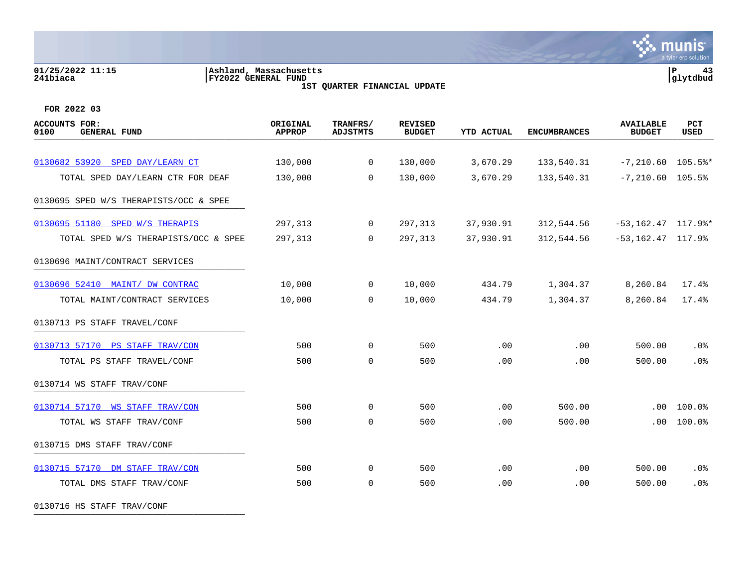### **01/25/2022 11:15 |Ashland, Massachusetts |P 43 241biaca |FY2022 GENERAL FUND |glytdbud 1ST QUARTER FINANCIAL UPDATE**

 $\mathcal{L}$  munis a tyler erp solution

**FOR 2022 03**

| <b>ACCOUNTS FOR:</b><br>0100<br><b>GENERAL FUND</b> | ORIGINAL<br><b>APPROP</b> | TRANFRS/<br><b>ADJSTMTS</b> | <b>REVISED</b><br><b>BUDGET</b> | <b>YTD ACTUAL</b> | <b>ENCUMBRANCES</b> | <b>AVAILABLE</b><br><b>BUDGET</b> | PCT<br><b>USED</b> |
|-----------------------------------------------------|---------------------------|-----------------------------|---------------------------------|-------------------|---------------------|-----------------------------------|--------------------|
|                                                     |                           |                             |                                 |                   |                     |                                   |                    |
| 0130682 53920 SPED DAY/LEARN CT                     | 130,000                   | $\mathbf 0$                 | 130,000                         | 3,670.29          | 133,540.31          | $-7,210.60$ 105.5%*               |                    |
| TOTAL SPED DAY/LEARN CTR FOR DEAF                   | 130,000                   | $\mathbf 0$                 | 130,000                         | 3,670.29          | 133,540.31          | $-7, 210.60$                      | 105.5%             |
| 0130695 SPED W/S THERAPISTS/OCC & SPEE              |                           |                             |                                 |                   |                     |                                   |                    |
| 0130695 51180 SPED W/S THERAPIS                     | 297,313                   | $\mathbf 0$                 | 297,313                         | 37,930.91         | 312,544.56          | $-53, 162.47$ 117.9%*             |                    |
| TOTAL SPED W/S THERAPISTS/OCC & SPEE                | 297,313                   | $\mathbf 0$                 | 297,313                         | 37,930.91         | 312,544.56          | $-53, 162.47$ 117.9%              |                    |
| 0130696 MAINT/CONTRACT SERVICES                     |                           |                             |                                 |                   |                     |                                   |                    |
| 0130696 52410 MAINT/ DW CONTRAC                     | 10,000                    | $\mathbf 0$                 | 10,000                          | 434.79            | 1,304.37            | 8,260.84                          | 17.4%              |
| TOTAL MAINT/CONTRACT SERVICES                       | 10,000                    | $\mathbf 0$                 | 10,000                          | 434.79            | 1,304.37            | 8,260.84                          | 17.4%              |
| 0130713 PS STAFF TRAVEL/CONF                        |                           |                             |                                 |                   |                     |                                   |                    |
| 0130713 57170 PS STAFF TRAV/CON                     | 500                       | $\mathbf 0$                 | 500                             | .00               | .00                 | 500.00                            | .0%                |
| TOTAL PS STAFF TRAVEL/CONF                          | 500                       | $\mathbf 0$                 | 500                             | .00               | .00                 | 500.00                            | .0%                |
| 0130714 WS STAFF TRAV/CONF                          |                           |                             |                                 |                   |                     |                                   |                    |
| 0130714 57170 WS STAFF TRAV/CON                     | 500                       | $\mathbf 0$                 | 500                             | .00               | 500.00              | .00                               | 100.0%             |
| TOTAL WS STAFF TRAV/CONF                            | 500                       | $\mathbf 0$                 | 500                             | .00               | 500.00              | .00                               | 100.0%             |
| 0130715 DMS STAFF TRAV/CONF                         |                           |                             |                                 |                   |                     |                                   |                    |
| 0130715 57170 DM STAFF TRAV/CON                     | 500                       | $\mathbf 0$                 | 500                             | .00               | .00                 | 500.00                            | .0%                |
| TOTAL DMS STAFF TRAV/CONF                           | 500                       | $\mathbf 0$                 | 500                             | .00               | .00                 | 500.00                            | .0%                |

0130716 HS STAFF TRAV/CONF \_\_\_\_\_\_\_\_\_\_\_\_\_\_\_\_\_\_\_\_\_\_\_\_\_\_\_\_\_\_\_\_\_\_\_\_\_\_\_\_\_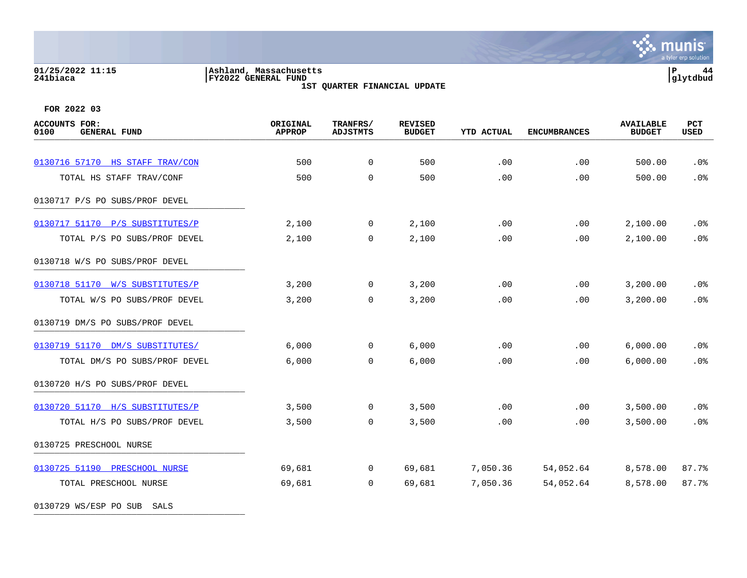# **01/25/2022 11:15 |Ashland, Massachusetts |P 44 241biaca |FY2022 GENERAL FUND |glytdbud**

**1ST QUARTER FINANCIAL UPDATE**



**FOR 2022 03**

| <b>ACCOUNTS FOR:</b><br><b>GENERAL FUND</b><br>0100 | ORIGINAL<br><b>APPROP</b> | TRANFRS/<br><b>ADJSTMTS</b> | <b>REVISED</b><br><b>BUDGET</b> | <b>YTD ACTUAL</b> | <b>ENCUMBRANCES</b> | <b>AVAILABLE</b><br><b>BUDGET</b> | PCT<br><b>USED</b> |
|-----------------------------------------------------|---------------------------|-----------------------------|---------------------------------|-------------------|---------------------|-----------------------------------|--------------------|
|                                                     |                           |                             |                                 |                   |                     |                                   |                    |
| 0130716 57170 HS STAFF TRAV/CON                     | 500                       | $\mathbf 0$                 | 500                             | .00               | .00                 | 500.00                            | .0%                |
| TOTAL HS STAFF TRAV/CONF                            | 500                       | $\mathbf 0$                 | 500                             | .00               | .00                 | 500.00                            | .0%                |
| 0130717 P/S PO SUBS/PROF DEVEL                      |                           |                             |                                 |                   |                     |                                   |                    |
| 0130717 51170<br>P/S SUBSTITUTES/P                  | 2,100                     | 0                           | 2,100                           | .00               | .00                 | 2,100.00                          | .0%                |
| TOTAL P/S PO SUBS/PROF DEVEL                        | 2,100                     | 0                           | 2,100                           | .00               | .00                 | 2,100.00                          | .0%                |
| 0130718 W/S PO SUBS/PROF DEVEL                      |                           |                             |                                 |                   |                     |                                   |                    |
| 0130718 51170 W/S SUBSTITUTES/P                     | 3,200                     | 0                           | 3,200                           | .00               | .00.                | 3,200.00                          | .0 <sub>8</sub>    |
| TOTAL W/S PO SUBS/PROF DEVEL                        | 3,200                     | $\mathbf 0$                 | 3,200                           | .00               | .00                 | 3,200.00                          | .0%                |
| 0130719 DM/S PO SUBS/PROF DEVEL                     |                           |                             |                                 |                   |                     |                                   |                    |
| 0130719 51170 DM/S SUBSTITUTES/                     | 6,000                     | $\mathbf 0$                 | 6,000                           | .00               | .00                 | 6,000.00                          | .0%                |
| TOTAL DM/S PO SUBS/PROF DEVEL                       | 6,000                     | $\mathbf 0$                 | 6,000                           | .00               | .00                 | 6,000.00                          | .0%                |
| 0130720 H/S PO SUBS/PROF DEVEL                      |                           |                             |                                 |                   |                     |                                   |                    |
| 0130720 51170 H/S SUBSTITUTES/P                     | 3,500                     | 0                           | 3,500                           | .00               | .00.                | 3,500.00                          | .0%                |
| TOTAL H/S PO SUBS/PROF DEVEL                        | 3,500                     | 0                           | 3,500                           | .00               | .00                 | 3,500.00                          | .0%                |
| 0130725 PRESCHOOL NURSE                             |                           |                             |                                 |                   |                     |                                   |                    |
| 0130725 51190 PRESCHOOL NURSE                       | 69,681                    | $\mathbf 0$                 | 69,681                          | 7,050.36          | 54,052.64           | 8,578.00                          | 87.7%              |
| TOTAL PRESCHOOL NURSE                               | 69,681                    | 0                           | 69,681                          | 7,050.36          | 54,052.64           | 8,578.00                          | 87.7%              |
|                                                     |                           |                             |                                 |                   |                     |                                   |                    |

0130729 WS/ESP PO SUB SALS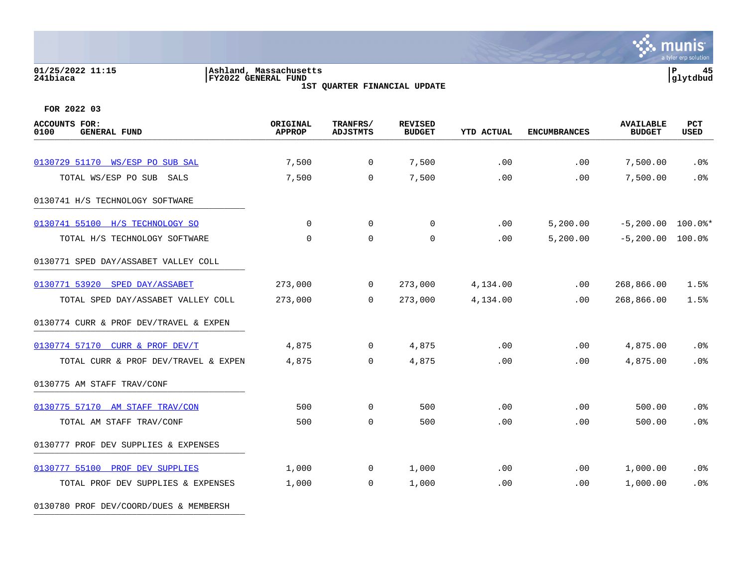### **01/25/2022 11:15 |Ashland, Massachusetts |P 45 241biaca |FY2022 GENERAL FUND |glytdbud 1ST QUARTER FINANCIAL UPDATE**

**∵∴** munis a tyler erp solution

**FOR 2022 03**

| <b>ACCOUNTS FOR:</b><br>0100<br><b>GENERAL FUND</b> | ORIGINAL<br><b>APPROP</b> | TRANFRS/<br><b>ADJSTMTS</b> | <b>REVISED</b><br><b>BUDGET</b> | <b>YTD ACTUAL</b> | <b>ENCUMBRANCES</b> | <b>AVAILABLE</b><br><b>BUDGET</b> | <b>PCT</b><br>USED |
|-----------------------------------------------------|---------------------------|-----------------------------|---------------------------------|-------------------|---------------------|-----------------------------------|--------------------|
| 0130729 51170 WS/ESP PO SUB SAL                     | 7,500                     | $\mathbf 0$                 | 7,500                           | .00               | .00                 | 7,500.00                          | .0%                |
| TOTAL WS/ESP PO SUB SALS                            | 7,500                     | $\Omega$                    | 7,500                           | .00               | .00                 | 7,500.00                          | .0%                |
| 0130741 H/S TECHNOLOGY SOFTWARE                     |                           |                             |                                 |                   |                     |                                   |                    |
| 0130741 55100 H/S TECHNOLOGY SO                     | $\Omega$                  | $\Omega$                    | $\mathbf{0}$                    | .00               | 5,200.00            | $-5,200.00$ 100.0%*               |                    |
| TOTAL H/S TECHNOLOGY SOFTWARE                       | $\mathbf 0$               | $\Omega$                    | $\mathbf{0}$                    | .00               | 5,200.00            | $-5,200.00$ 100.0%                |                    |
| 0130771 SPED DAY/ASSABET VALLEY COLL                |                           |                             |                                 |                   |                     |                                   |                    |
| 0130771 53920 SPED DAY/ASSABET                      | 273,000                   | $\overline{0}$              | 273,000                         | 4,134.00          | .00                 | 268,866.00                        | 1.5%               |
| TOTAL SPED DAY/ASSABET VALLEY COLL                  | 273,000                   | $\Omega$                    | 273,000                         | 4,134.00          | .00                 | 268,866.00                        | 1.5%               |
| 0130774 CURR & PROF DEV/TRAVEL & EXPEN              |                           |                             |                                 |                   |                     |                                   |                    |
| 0130774 57170 CURR & PROF DEV/T                     | 4,875                     | $\overline{0}$              | 4,875                           | .00               | .00                 | 4,875.00                          | $.0\%$             |
| TOTAL CURR & PROF DEV/TRAVEL & EXPEN                | 4,875                     | 0                           | 4,875                           | .00               | .00                 | 4,875.00                          | .0%                |
| 0130775 AM STAFF TRAV/CONF                          |                           |                             |                                 |                   |                     |                                   |                    |
| 0130775 57170 AM STAFF TRAV/CON                     | 500                       | $\Omega$                    | 500                             | .00               | .00                 | 500.00                            | .0%                |
| TOTAL AM STAFF TRAV/CONF                            | 500                       | $\mathbf 0$                 | 500                             | .00               | .00                 | 500.00                            | .0%                |
| 0130777 PROF DEV SUPPLIES & EXPENSES                |                           |                             |                                 |                   |                     |                                   |                    |
| 0130777 55100 PROF DEV SUPPLIES                     | 1,000                     | $\overline{0}$              | 1,000                           | .00               | .00                 | 1,000.00                          | $.0\%$             |
| TOTAL PROF DEV SUPPLIES & EXPENSES                  | 1,000                     | $\mathbf 0$                 | 1,000                           | .00               | .00                 | 1,000.00                          | .0%                |

0130780 PROF DEV/COORD/DUES & MEMBERSH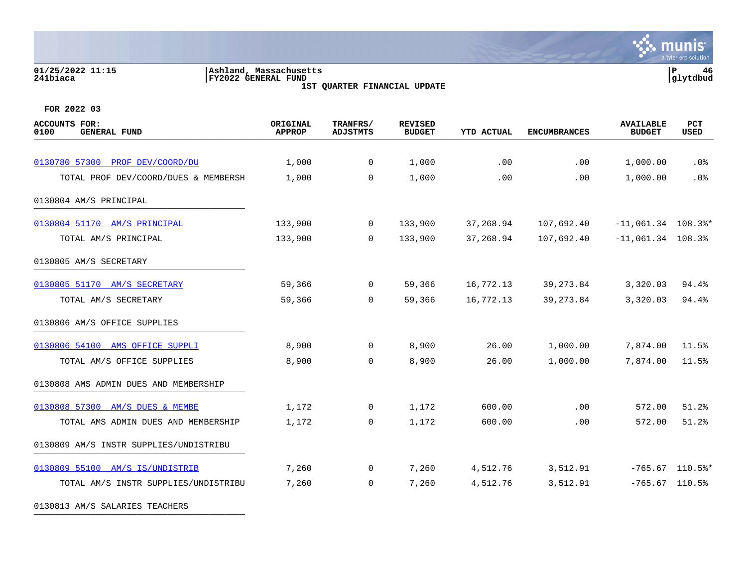### **01/25/2022 11:15 |Ashland, Massachusetts |P 46 241biaca |FY2022 GENERAL FUND |glytdbud 1ST QUARTER FINANCIAL UPDATE**



**FOR 2022 03**

| ACCOUNTS FOR:<br>0100<br><b>GENERAL FUND</b> | ORIGINAL<br><b>APPROP</b> | TRANFRS/<br>ADJSTMTS | <b>REVISED</b><br><b>BUDGET</b> | <b>YTD ACTUAL</b> | <b>ENCUMBRANCES</b> | <b>AVAILABLE</b><br><b>BUDGET</b> | <b>PCT</b><br>USED |
|----------------------------------------------|---------------------------|----------------------|---------------------------------|-------------------|---------------------|-----------------------------------|--------------------|
| 0130780 57300 PROF DEV/COORD/DU              | 1,000                     | $\overline{0}$       | 1,000                           | .00               | .00                 | 1,000.00                          | $.0\%$             |
| TOTAL PROF DEV/COORD/DUES & MEMBERSH         | 1,000                     | $\overline{0}$       | 1,000                           | .00               | .00                 | 1,000.00                          | .0%                |
| 0130804 AM/S PRINCIPAL                       |                           |                      |                                 |                   |                     |                                   |                    |
| 0130804 51170 AM/S PRINCIPAL                 | 133,900                   | $\overline{0}$       | 133,900                         | 37,268.94         | 107,692.40          | $-11,061.34$ 108.3%*              |                    |
| TOTAL AM/S PRINCIPAL                         | 133,900                   | $\Omega$             | 133,900                         | 37,268.94         | 107,692.40          | $-11,061.34$ 108.3%               |                    |
| 0130805 AM/S SECRETARY                       |                           |                      |                                 |                   |                     |                                   |                    |
| 0130805 51170 AM/S SECRETARY                 | 59,366                    | $\overline{0}$       | 59,366                          | 16,772.13         | 39, 273.84          | 3,320.03                          | 94.4%              |
| TOTAL AM/S SECRETARY                         | 59,366                    | $\Omega$             | 59,366                          | 16,772.13         | 39,273.84           | 3,320.03                          | 94.4%              |
| 0130806 AM/S OFFICE SUPPLIES                 |                           |                      |                                 |                   |                     |                                   |                    |
| 0130806 54100 AMS OFFICE SUPPLI              | 8,900                     | $\overline{0}$       | 8,900                           | 26.00             | 1,000.00            | 7,874.00                          | 11.5%              |
| TOTAL AM/S OFFICE SUPPLIES                   | 8,900                     | $\overline{0}$       | 8,900                           | 26.00             | 1,000.00            | 7,874.00                          | 11.5%              |
| 0130808 AMS ADMIN DUES AND MEMBERSHIP        |                           |                      |                                 |                   |                     |                                   |                    |
| 0130808 57300 AM/S DUES & MEMBE              | 1,172                     | $\mathbf 0$          | 1,172                           | 600.00            | .00                 | 572.00                            | 51.2%              |
| TOTAL AMS ADMIN DUES AND MEMBERSHIP          | 1,172                     | $\overline{0}$       | 1,172                           | 600.00            | .00                 | 572.00                            | 51.2%              |
| 0130809 AM/S INSTR SUPPLIES/UNDISTRIBU       |                           |                      |                                 |                   |                     |                                   |                    |
| 0130809 55100 AM/S IS/UNDISTRIB              | 7,260                     | $\mathbf{0}$         | 7,260                           | 4,512.76          | 3,512.91            |                                   | $-765.67$ 110.5%*  |
| TOTAL AM/S INSTR SUPPLIES/UNDISTRIBU         | 7,260                     | 0                    | 7,260                           | 4,512.76          | 3,512.91            | $-765.67$ 110.5%                  |                    |

0130813 AM/S SALARIES TEACHERS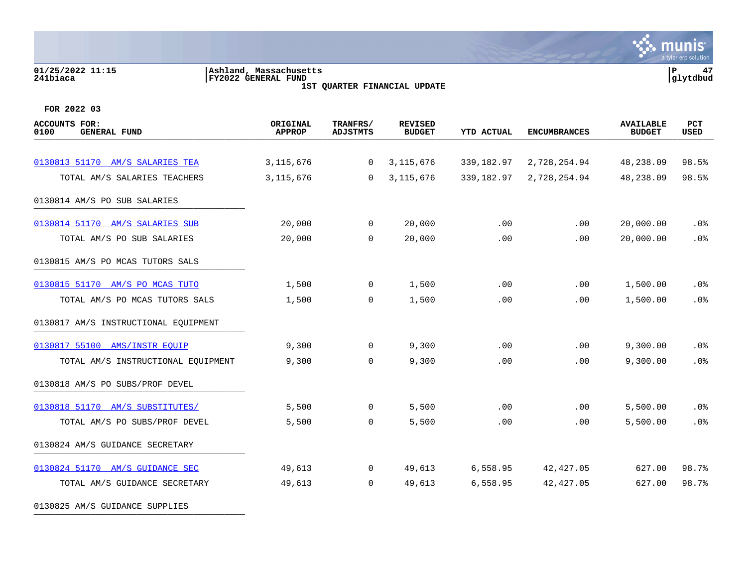### **01/25/2022 11:15 |Ashland, Massachusetts |P 47 241biaca |FY2022 GENERAL FUND |glytdbud 1ST QUARTER FINANCIAL UPDATE**



| <b>ACCOUNTS FOR:</b><br><b>GENERAL FUND</b><br>0100 | ORIGINAL<br><b>APPROP</b> | TRANFRS/<br><b>ADJSTMTS</b> | <b>REVISED</b><br><b>BUDGET</b> | <b>YTD ACTUAL</b> | <b>ENCUMBRANCES</b> | <b>AVAILABLE</b><br><b>BUDGET</b> | PCT<br>USED |
|-----------------------------------------------------|---------------------------|-----------------------------|---------------------------------|-------------------|---------------------|-----------------------------------|-------------|
|                                                     |                           |                             |                                 |                   |                     |                                   |             |
| 0130813 51170 AM/S SALARIES TEA                     | 3, 115, 676               | 0                           | 3, 115, 676                     | 339,182.97        | 2,728,254.94        | 48,238.09                         | 98.5%       |
| TOTAL AM/S SALARIES TEACHERS                        | 3, 115, 676               | $\Omega$                    | 3, 115, 676                     | 339,182.97        | 2,728,254.94        | 48,238.09                         | 98.5%       |
| 0130814 AM/S PO SUB SALARIES                        |                           |                             |                                 |                   |                     |                                   |             |
| 0130814 51170 AM/S SALARIES SUB                     | 20,000                    | $\mathbf 0$                 | 20,000                          | .00               | .00                 | 20,000.00                         | .0%         |
| TOTAL AM/S PO SUB SALARIES                          | 20,000                    | $\mathbf 0$                 | 20,000                          | .00               | .00                 | 20,000.00                         | .0%         |
| 0130815 AM/S PO MCAS TUTORS SALS                    |                           |                             |                                 |                   |                     |                                   |             |
| 0130815 51170 AM/S PO MCAS TUTO                     | 1,500                     | 0                           | 1,500                           | .00               | .00                 | 1,500.00                          | .0%         |
| TOTAL AM/S PO MCAS TUTORS SALS                      | 1,500                     | $\mathbf 0$                 | 1,500                           | .00               | .00                 | 1,500.00                          | .0%         |
| 0130817 AM/S INSTRUCTIONAL EQUIPMENT                |                           |                             |                                 |                   |                     |                                   |             |
| 0130817 55100 AMS/INSTR EOUIP                       | 9,300                     | $\mathbf 0$                 | 9,300                           | .00               | .00                 | 9,300.00                          | .0%         |
| TOTAL AM/S INSTRUCTIONAL EQUIPMENT                  | 9,300                     | 0                           | 9,300                           | .00               | .00                 | 9,300.00                          | .0%         |
| 0130818 AM/S PO SUBS/PROF DEVEL                     |                           |                             |                                 |                   |                     |                                   |             |
| 0130818 51170 AM/S SUBSTITUTES/                     | 5,500                     | 0                           | 5,500                           | .00               | .00                 | 5,500.00                          | $.0\%$      |
| TOTAL AM/S PO SUBS/PROF DEVEL                       | 5,500                     | $\mathbf 0$                 | 5,500                           | .00               | .00                 | 5,500.00                          | .0%         |
| 0130824 AM/S GUIDANCE SECRETARY                     |                           |                             |                                 |                   |                     |                                   |             |
| 0130824 51170 AM/S GUIDANCE SEC                     | 49,613                    | $\mathbf 0$                 | 49,613                          | 6,558.95          | 42,427.05           | 627.00                            | 98.7%       |
| TOTAL AM/S GUIDANCE SECRETARY                       | 49,613                    | $\mathbf 0$                 | 49,613                          | 6,558.95          | 42, 427.05          | 627.00                            | 98.7%       |
| 0130825 AM/S GUIDANCE SUPPLIES                      |                           |                             |                                 |                   |                     |                                   |             |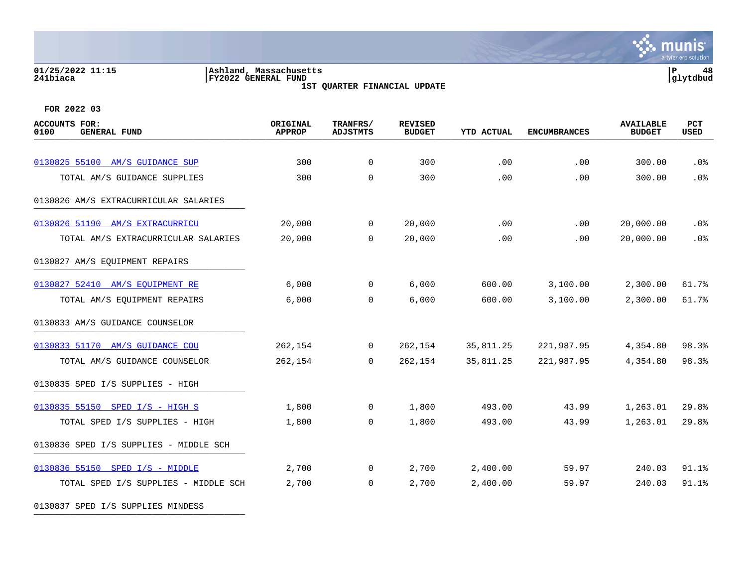### **01/25/2022 11:15 |Ashland, Massachusetts |P 48 241biaca |FY2022 GENERAL FUND |glytdbud 1ST QUARTER FINANCIAL UPDATE**



| <b>ACCOUNTS FOR:</b><br>0100<br><b>GENERAL FUND</b> | ORIGINAL<br><b>APPROP</b> | TRANFRS/<br><b>ADJSTMTS</b> | <b>REVISED</b><br><b>BUDGET</b> | <b>YTD ACTUAL</b> | <b>ENCUMBRANCES</b> | <b>AVAILABLE</b><br><b>BUDGET</b> | PCT<br><b>USED</b> |
|-----------------------------------------------------|---------------------------|-----------------------------|---------------------------------|-------------------|---------------------|-----------------------------------|--------------------|
|                                                     |                           |                             |                                 |                   |                     |                                   |                    |
| 0130825 55100 AM/S GUIDANCE SUP                     | 300                       | $\mathbf 0$                 | 300                             | .00               | .00                 | 300.00                            | .0%                |
| TOTAL AM/S GUIDANCE SUPPLIES                        | 300                       | $\mathbf 0$                 | 300                             | .00               | .00                 | 300.00                            | .0%                |
| 0130826 AM/S EXTRACURRICULAR SALARIES               |                           |                             |                                 |                   |                     |                                   |                    |
| 0130826 51190 AM/S EXTRACURRICU                     | 20,000                    | $\mathbf 0$                 | 20,000                          | .00               | .00                 | 20,000.00                         | .0%                |
| TOTAL AM/S EXTRACURRICULAR SALARIES                 | 20,000                    | $\Omega$                    | 20,000                          | .00               | .00                 | 20,000.00                         | .0 <sub>8</sub>    |
| 0130827 AM/S EQUIPMENT REPAIRS                      |                           |                             |                                 |                   |                     |                                   |                    |
| 0130827 52410 AM/S EQUIPMENT RE                     | 6,000                     | $\mathbf{0}$                | 6,000                           | 600.00            | 3,100.00            | 2,300.00                          | 61.7%              |
| TOTAL AM/S EQUIPMENT REPAIRS                        | 6,000                     | $\mathbf 0$                 | 6,000                           | 600.00            | 3,100.00            | 2,300.00                          | 61.7%              |
| 0130833 AM/S GUIDANCE COUNSELOR                     |                           |                             |                                 |                   |                     |                                   |                    |
| 0130833 51170 AM/S GUIDANCE COU                     | 262,154                   | $\mathbf 0$                 | 262,154                         | 35,811.25         | 221,987.95          | 4,354.80                          | 98.3%              |
| TOTAL AM/S GUIDANCE COUNSELOR                       | 262,154                   | $\Omega$                    | 262,154                         | 35,811.25         | 221,987.95          | 4,354.80                          | 98.3%              |
| 0130835 SPED I/S SUPPLIES - HIGH                    |                           |                             |                                 |                   |                     |                                   |                    |
| 0130835 55150 SPED I/S - HIGH S                     | 1,800                     | $\mathbf 0$                 | 1,800                           | 493.00            | 43.99               | 1,263.01                          | 29.8%              |
| TOTAL SPED I/S SUPPLIES - HIGH                      | 1,800                     | $\Omega$                    | 1,800                           | 493.00            | 43.99               | 1,263.01                          | 29.8%              |
| 0130836 SPED I/S SUPPLIES - MIDDLE SCH              |                           |                             |                                 |                   |                     |                                   |                    |
| 0130836 55150 SPED I/S - MIDDLE                     | 2,700                     | 0                           | 2,700                           | 2,400.00          | 59.97               | 240.03                            | 91.1%              |
| TOTAL SPED I/S SUPPLIES - MIDDLE SCH                | 2,700                     | $\mathbf 0$                 | 2,700                           | 2,400.00          | 59.97               | 240.03                            | 91.1%              |
| 0130837 SPED I/S SUPPLIES MINDESS                   |                           |                             |                                 |                   |                     |                                   |                    |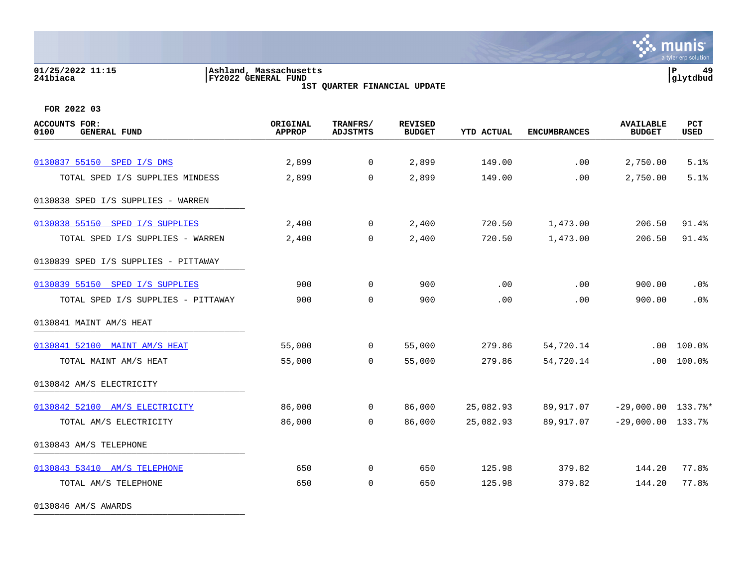### **01/25/2022 11:15 |Ashland, Massachusetts |P 49 241biaca |FY2022 GENERAL FUND |glytdbud 1ST QUARTER FINANCIAL UPDATE**



**FOR 2022 03**

| <b>ACCOUNTS FOR:</b><br>0100<br><b>GENERAL FUND</b> | ORIGINAL<br><b>APPROP</b> | TRANFRS/<br><b>ADJSTMTS</b> | <b>REVISED</b><br><b>BUDGET</b> | <b>YTD ACTUAL</b> | <b>ENCUMBRANCES</b> | <b>AVAILABLE</b><br><b>BUDGET</b> | PCT<br>USED |
|-----------------------------------------------------|---------------------------|-----------------------------|---------------------------------|-------------------|---------------------|-----------------------------------|-------------|
|                                                     |                           |                             |                                 |                   |                     |                                   |             |
| 0130837 55150 SPED I/S DMS                          | 2,899                     | $\overline{0}$              | 2,899                           | 149.00            | .00                 | 2,750.00                          | 5.1%        |
| TOTAL SPED I/S SUPPLIES MINDESS                     | 2,899                     | $\mathbf 0$                 | 2,899                           | 149.00            | .00                 | 2,750.00                          | 5.1%        |
| 0130838 SPED I/S SUPPLIES - WARREN                  |                           |                             |                                 |                   |                     |                                   |             |
| 0130838 55150 SPED I/S SUPPLIES                     | 2,400                     | $\mathbf 0$                 | 2,400                           | 720.50            | 1,473.00            | 206.50                            | 91.4%       |
| TOTAL SPED I/S SUPPLIES - WARREN                    | 2,400                     | $\mathbf 0$                 | 2,400                           | 720.50            | 1,473.00            | 206.50                            | 91.4%       |
| 0130839 SPED I/S SUPPLIES - PITTAWAY                |                           |                             |                                 |                   |                     |                                   |             |
| 0130839 55150 SPED I/S SUPPLIES                     | 900                       | $\overline{0}$              | 900                             | .00               | .00                 | 900.00                            | .0%         |
| TOTAL SPED I/S SUPPLIES - PITTAWAY                  | 900                       | 0                           | 900                             | .00               | .00                 | 900.00                            | .0%         |
| 0130841 MAINT AM/S HEAT                             |                           |                             |                                 |                   |                     |                                   |             |
| 0130841 52100 MAINT AM/S HEAT                       | 55,000                    | $\mathbf 0$                 | 55,000                          | 279.86            | 54,720.14           | $.00 \,$                          | 100.0%      |
| TOTAL MAINT AM/S HEAT                               | 55,000                    | $\Omega$                    | 55,000                          | 279.86            | 54,720.14           | .00                               | 100.0%      |
| 0130842 AM/S ELECTRICITY                            |                           |                             |                                 |                   |                     |                                   |             |
| 0130842 52100 AM/S ELECTRICITY                      | 86,000                    | $\Omega$                    | 86,000                          | 25,082.93         | 89,917.07           | $-29,000.00$ 133.7%*              |             |
| TOTAL AM/S ELECTRICITY                              | 86,000                    | $\overline{0}$              | 86,000                          | 25,082.93         | 89,917.07           | $-29,000.00$ 133.7%               |             |
| 0130843 AM/S TELEPHONE                              |                           |                             |                                 |                   |                     |                                   |             |
| 0130843 53410 AM/S TELEPHONE                        | 650                       | $\overline{0}$              | 650                             | 125.98            | 379.82              | 144.20                            | 77.8%       |
| TOTAL AM/S TELEPHONE                                | 650                       | 0                           | 650                             | 125.98            | 379.82              | 144.20                            | 77.8%       |
|                                                     |                           |                             |                                 |                   |                     |                                   |             |

0130846 AM/S AWARDS \_\_\_\_\_\_\_\_\_\_\_\_\_\_\_\_\_\_\_\_\_\_\_\_\_\_\_\_\_\_\_\_\_\_\_\_\_\_\_\_\_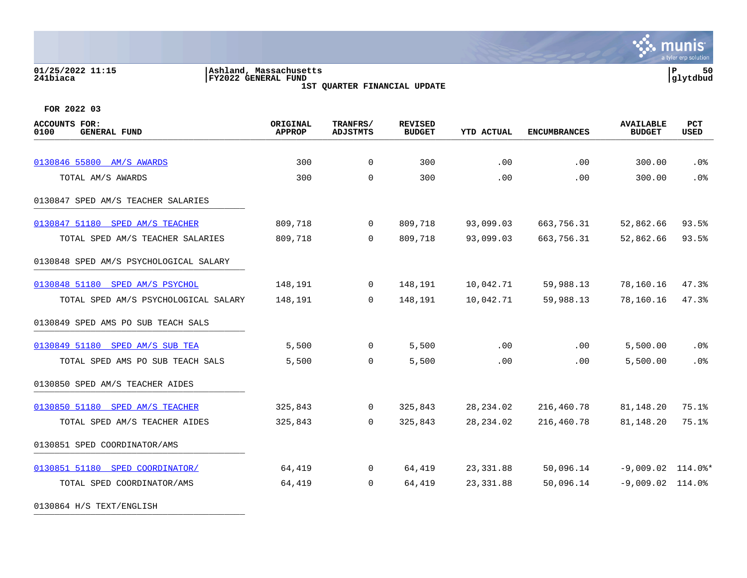### **01/25/2022 11:15 |Ashland, Massachusetts |P 50 241biaca |FY2022 GENERAL FUND |glytdbud 1ST QUARTER FINANCIAL UPDATE**



**FOR 2022 03**

| <b>ACCOUNTS FOR:</b><br>0100<br><b>GENERAL FUND</b> | ORIGINAL<br><b>APPROP</b> | TRANFRS/<br><b>ADJSTMTS</b> | <b>REVISED</b><br><b>BUDGET</b> | YTD ACTUAL | <b>ENCUMBRANCES</b> | <b>AVAILABLE</b><br><b>BUDGET</b> | PCT<br>USED |
|-----------------------------------------------------|---------------------------|-----------------------------|---------------------------------|------------|---------------------|-----------------------------------|-------------|
|                                                     |                           |                             |                                 |            |                     |                                   |             |
| 0130846 55800 AM/S AWARDS                           | 300                       | $\overline{0}$              | 300                             | .00        | .00                 | 300.00                            | .0%         |
| TOTAL AM/S AWARDS                                   | 300                       | 0                           | 300                             | .00        | .00                 | 300.00                            | .0%         |
| 0130847 SPED AM/S TEACHER SALARIES                  |                           |                             |                                 |            |                     |                                   |             |
| 0130847 51180 SPED AM/S TEACHER                     | 809,718                   | $\mathbf 0$                 | 809,718                         | 93,099.03  | 663,756.31          | 52,862.66                         | 93.5%       |
| TOTAL SPED AM/S TEACHER SALARIES                    | 809,718                   | $\mathbf 0$                 | 809,718                         | 93,099.03  | 663,756.31          | 52,862.66                         | 93.5%       |
| 0130848 SPED AM/S PSYCHOLOGICAL SALARY              |                           |                             |                                 |            |                     |                                   |             |
| 0130848 51180 SPED AM/S PSYCHOL                     | 148,191                   | $\mathbf 0$                 | 148,191                         | 10,042.71  | 59,988.13           | 78,160.16                         | 47.3%       |
| TOTAL SPED AM/S PSYCHOLOGICAL SALARY                | 148,191                   | $\Omega$                    | 148,191                         | 10,042.71  | 59,988.13           | 78,160.16                         | 47.3%       |
| 0130849 SPED AMS PO SUB TEACH SALS                  |                           |                             |                                 |            |                     |                                   |             |
| 0130849 51180 SPED AM/S SUB TEA                     | 5,500                     | $\mathbf 0$                 | 5,500                           | .00        | .00                 | 5,500.00                          | .0%         |
| TOTAL SPED AMS PO SUB TEACH SALS                    | 5,500                     | 0                           | 5,500                           | .00        | .00                 | 5,500.00                          | .0%         |
| 0130850 SPED AM/S TEACHER AIDES                     |                           |                             |                                 |            |                     |                                   |             |
| 0130850 51180 SPED AM/S TEACHER                     | 325,843                   | $\mathbf 0$                 | 325,843                         | 28, 234.02 | 216,460.78          | 81,148.20                         | 75.1%       |
| TOTAL SPED AM/S TEACHER AIDES                       | 325,843                   | $\Omega$                    | 325,843                         | 28, 234.02 | 216,460.78          | 81,148.20                         | 75.1%       |
| 0130851 SPED COORDINATOR/AMS                        |                           |                             |                                 |            |                     |                                   |             |
| 0130851 51180 SPED COORDINATOR/                     | 64,419                    | $\overline{0}$              | 64,419                          | 23,331.88  | 50,096.14           | $-9,009.02$ 114.0%*               |             |
| TOTAL SPED COORDINATOR/AMS                          | 64,419                    | $\Omega$                    | 64,419                          | 23, 331.88 | 50,096.14           | $-9,009.02$ 114.0%                |             |
|                                                     |                           |                             |                                 |            |                     |                                   |             |

0130864 H/S TEXT/ENGLISH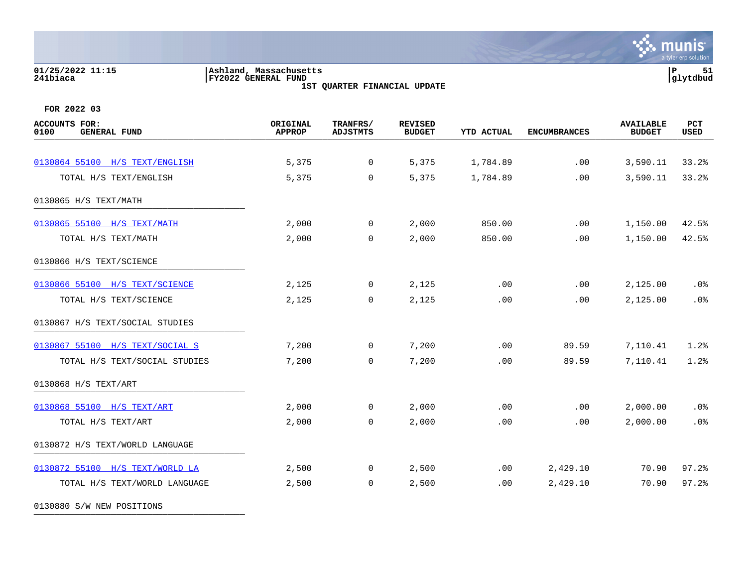# **01/25/2022 11:15 |Ashland, Massachusetts |P 51 241biaca |FY2022 GENERAL FUND |glytdbud**

**1ST QUARTER FINANCIAL UPDATE**



**FOR 2022 03**

|        |                      | <b>BUDGET</b> | <b>USED</b>          |
|--------|----------------------|---------------|----------------------|
|        |                      |               |                      |
|        |                      |               | 33.2%                |
|        |                      |               | 33.2%                |
|        |                      |               |                      |
| 850.00 | .00                  | 1,150.00      | 42.5%                |
| 850.00 | .00                  | 1,150.00      | 42.5%                |
|        |                      |               |                      |
| .00    | .00                  | 2,125.00      | $.0\%$               |
| .00    | .00                  | 2,125.00      | .0%                  |
|        |                      |               |                      |
| .00    | 89.59                | 7,110.41      | 1.2%                 |
| .00    | 89.59                | 7,110.41      | 1.2%                 |
|        |                      |               |                      |
| .00    | .00                  | 2,000.00      | .0%                  |
| .00    | .00                  | 2,000.00      | .0%                  |
|        |                      |               |                      |
| .00    | 2,429.10             | 70.90         | 97.2%                |
| .00    | 2,429.10             | 70.90         | 97.2%                |
|        | 1,784.89<br>1,784.89 | .00<br>.00    | 3,590.11<br>3,590.11 |

0130880 S/W NEW POSITIONS \_\_\_\_\_\_\_\_\_\_\_\_\_\_\_\_\_\_\_\_\_\_\_\_\_\_\_\_\_\_\_\_\_\_\_\_\_\_\_\_\_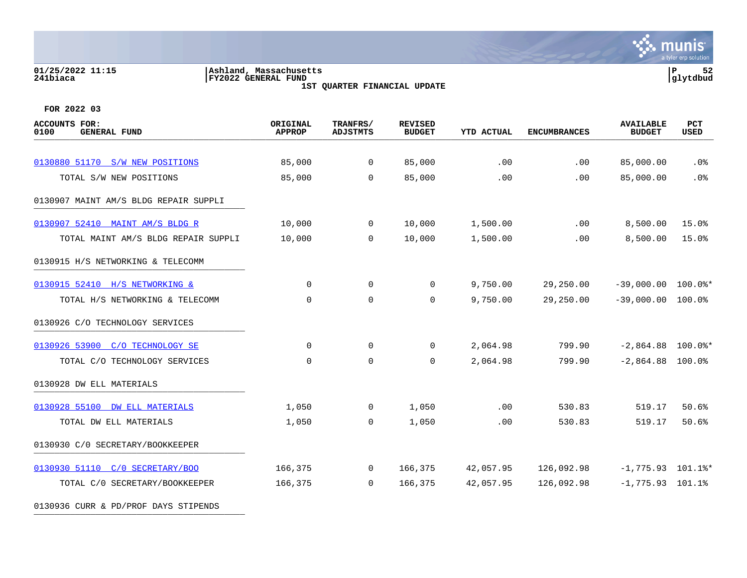### **01/25/2022 11:15 |Ashland, Massachusetts |P 52 241biaca |FY2022 GENERAL FUND |glytdbud 1ST QUARTER FINANCIAL UPDATE**

**\*** munis a tyler erp solution

**FOR 2022 03**

| <b>ACCOUNTS FOR:</b><br>0100<br><b>GENERAL FUND</b> | ORIGINAL<br><b>APPROP</b> | TRANFRS/<br><b>ADJSTMTS</b> | <b>REVISED</b><br><b>BUDGET</b> | YTD ACTUAL | <b>ENCUMBRANCES</b> | <b>AVAILABLE</b><br><b>BUDGET</b> | PCT<br>USED |
|-----------------------------------------------------|---------------------------|-----------------------------|---------------------------------|------------|---------------------|-----------------------------------|-------------|
| 0130880 51170 S/W NEW POSITIONS                     | 85,000                    | $\mathbf 0$                 | 85,000                          | .00        | .00                 | 85,000.00                         | $.0\%$      |
| TOTAL S/W NEW POSITIONS                             | 85,000                    | $\Omega$                    | 85,000                          | .00        | .00                 | 85,000.00                         | .0%         |
| 0130907 MAINT AM/S BLDG REPAIR SUPPLI               |                           |                             |                                 |            |                     |                                   |             |
| 0130907 52410 MAINT AM/S BLDG R                     | 10,000                    | $\mathbf 0$                 | 10,000                          | 1,500.00   | $.00 \,$            | 8,500.00                          | 15.0%       |
| TOTAL MAINT AM/S BLDG REPAIR SUPPLI                 | 10,000                    | $\Omega$                    | 10,000                          | 1,500.00   | .00                 | 8,500.00                          | 15.0%       |
| 0130915 H/S NETWORKING & TELECOMM                   |                           |                             |                                 |            |                     |                                   |             |
| 0130915 52410 H/S NETWORKING &                      | $\Omega$                  | $\mathbf 0$                 | $\mathbf 0$                     | 9,750.00   | 29,250.00           | $-39,000.00$ $100.0$ *            |             |
| TOTAL H/S NETWORKING & TELECOMM                     | $\Omega$                  | $\mathbf 0$                 | $\mathbf 0$                     | 9,750.00   | 29,250.00           | $-39,000.00$ 100.0%               |             |
| 0130926 C/O TECHNOLOGY SERVICES                     |                           |                             |                                 |            |                     |                                   |             |
| 0130926 53900 C/O TECHNOLOGY SE                     | $\Omega$                  | $\mathbf 0$                 | $\overline{0}$                  | 2,064.98   | 799.90              | $-2,864.88$ 100.0%*               |             |
| TOTAL C/O TECHNOLOGY SERVICES                       | $\Omega$                  | $\mathbf 0$                 | 0                               | 2,064.98   | 799.90              | $-2,864.88$ 100.0%                |             |
| 0130928 DW ELL MATERIALS                            |                           |                             |                                 |            |                     |                                   |             |
| 0130928 55100 DW ELL MATERIALS                      | 1,050                     | $\mathbf 0$                 | 1,050                           | .00        | 530.83              | 519.17                            | 50.6%       |
| TOTAL DW ELL MATERIALS                              | 1,050                     | $\mathbf 0$                 | 1,050                           | .00        | 530.83              | 519.17                            | 50.6%       |
| 0130930 C/O SECRETARY/BOOKKEEPER                    |                           |                             |                                 |            |                     |                                   |             |
| 0130930 51110 C/O SECRETARY/BOO                     | 166,375                   | $\overline{0}$              | 166,375                         | 42,057.95  | 126,092.98          | $-1,775.93$ 101.1%*               |             |
| TOTAL C/0 SECRETARY/BOOKKEEPER                      | 166,375                   | $\Omega$                    | 166,375                         | 42,057.95  | 126,092.98          | $-1,775.93$ 101.1%                |             |
|                                                     |                           |                             |                                 |            |                     |                                   |             |

0130936 CURR & PD/PROF DAYS STIPENDS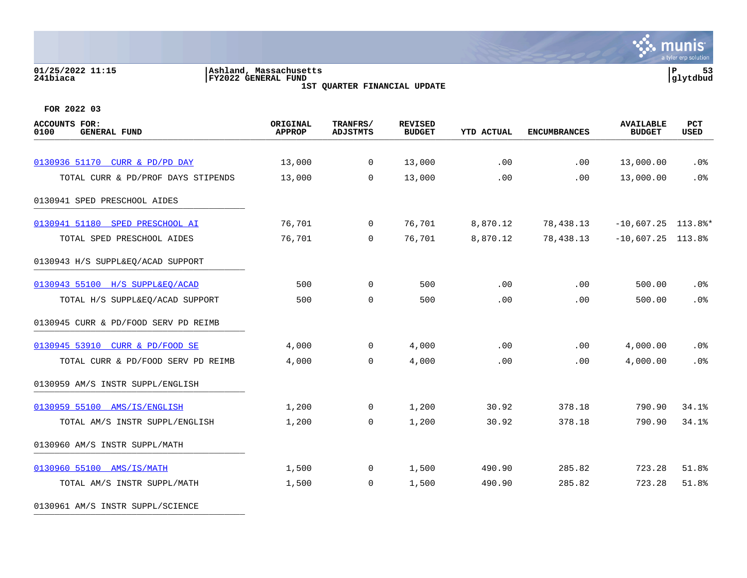### **01/25/2022 11:15 |Ashland, Massachusetts |P 53 241biaca |FY2022 GENERAL FUND |glytdbud 1ST QUARTER FINANCIAL UPDATE**

a tyler erp solution

**\*** munis

**FOR 2022 03**

| <b>ACCOUNTS FOR:</b><br><b>GENERAL FUND</b><br>0100 | ORIGINAL<br><b>APPROP</b> | TRANFRS/<br><b>ADJSTMTS</b> | <b>REVISED</b><br><b>BUDGET</b> | <b>YTD ACTUAL</b> | <b>ENCUMBRANCES</b> | <b>AVAILABLE</b><br><b>BUDGET</b> | PCT<br>USED |
|-----------------------------------------------------|---------------------------|-----------------------------|---------------------------------|-------------------|---------------------|-----------------------------------|-------------|
|                                                     |                           |                             |                                 |                   |                     |                                   |             |
| 0130936 51170 CURR & PD/PD DAY                      | 13,000                    | $\mathsf{O}$                | 13,000                          | .00               | .00                 | 13,000.00                         | .0%         |
| TOTAL CURR & PD/PROF DAYS STIPENDS                  | 13,000                    | $\mathbf 0$                 | 13,000                          | .00               | .00                 | 13,000.00                         | .0%         |
| 0130941 SPED PRESCHOOL AIDES                        |                           |                             |                                 |                   |                     |                                   |             |
| 0130941 51180 SPED PRESCHOOL AI                     | 76,701                    | $\overline{0}$              | 76,701                          | 8,870.12          | 78,438.13           | $-10,607.25$ 113.8%*              |             |
| TOTAL SPED PRESCHOOL AIDES                          | 76,701                    | $\mathbf 0$                 | 76,701                          | 8,870.12          | 78,438.13           | $-10,607.25$ 113.8%               |             |
| 0130943 H/S SUPPL&EQ/ACAD SUPPORT                   |                           |                             |                                 |                   |                     |                                   |             |
| 0130943 55100 H/S SUPPL&EQ/ACAD                     | 500                       | 0                           | 500                             | .00               | .00                 | 500.00                            | .0%         |
| TOTAL H/S SUPPL&EQ/ACAD SUPPORT                     | 500                       | $\mathbf 0$                 | 500                             | .00               | .00                 | 500.00                            | .0%         |
| 0130945 CURR & PD/FOOD SERV PD REIMB                |                           |                             |                                 |                   |                     |                                   |             |
| 0130945 53910 CURR & PD/FOOD SE                     | 4,000                     | $\mathbf 0$                 | 4,000                           | .00               | .00                 | 4,000.00                          | .0%         |
| TOTAL CURR & PD/FOOD SERV PD REIMB                  | 4,000                     | 0                           | 4,000                           | .00               | .00                 | 4,000.00                          | .0%         |
| 0130959 AM/S INSTR SUPPL/ENGLISH                    |                           |                             |                                 |                   |                     |                                   |             |
| 0130959 55100 AMS/IS/ENGLISH                        | 1,200                     | $\mathbf 0$                 | 1,200                           | 30.92             | 378.18              | 790.90                            | 34.1%       |
| TOTAL AM/S INSTR SUPPL/ENGLISH                      | 1,200                     | 0                           | 1,200                           | 30.92             | 378.18              | 790.90                            | 34.1%       |
| 0130960 AM/S INSTR SUPPL/MATH                       |                           |                             |                                 |                   |                     |                                   |             |
| 0130960 55100 AMS/IS/MATH                           | 1,500                     | $\overline{0}$              | 1,500                           | 490.90            | 285.82              | 723.28                            | 51.8%       |
| TOTAL AM/S INSTR SUPPL/MATH                         | 1,500                     | $\mathbf 0$                 | 1,500                           | 490.90            | 285.82              | 723.28                            | 51.8%       |
|                                                     |                           |                             |                                 |                   |                     |                                   |             |

0130961 AM/S INSTR SUPPL/SCIENCE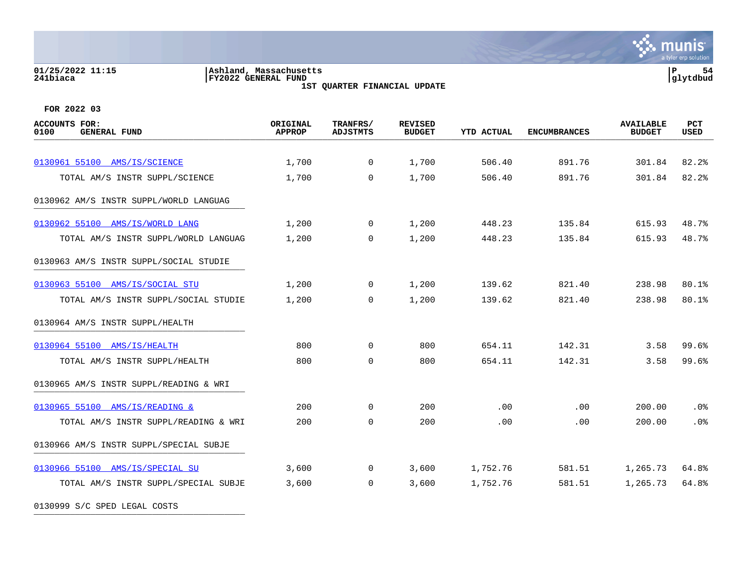### **01/25/2022 11:15 |Ashland, Massachusetts |P 54 241biaca |FY2022 GENERAL FUND |glytdbud 1ST QUARTER FINANCIAL UPDATE**



**FOR 2022 03**

| <b>ACCOUNTS FOR:</b><br><b>GENERAL FUND</b><br>0100 | ORIGINAL<br>APPROP | TRANFRS/<br><b>ADJSTMTS</b> | <b>REVISED</b><br><b>BUDGET</b> | <b>YTD ACTUAL</b> | <b>ENCUMBRANCES</b> | <b>AVAILABLE</b><br><b>BUDGET</b> | PCT<br><b>USED</b> |
|-----------------------------------------------------|--------------------|-----------------------------|---------------------------------|-------------------|---------------------|-----------------------------------|--------------------|
|                                                     |                    |                             |                                 |                   |                     |                                   |                    |
| 0130961 55100 AMS/IS/SCIENCE                        | 1,700              | $\Omega$                    | 1,700                           | 506.40            | 891.76              | 301.84                            | 82.2%              |
| TOTAL AM/S INSTR SUPPL/SCIENCE                      | 1,700              | $\Omega$                    | 1,700                           | 506.40            | 891.76              | 301.84                            | 82.2%              |
| 0130962 AM/S INSTR SUPPL/WORLD LANGUAG              |                    |                             |                                 |                   |                     |                                   |                    |
| 0130962 55100 AMS/IS/WORLD LANG                     | 1,200              | $\Omega$                    | 1,200                           | 448.23            | 135.84              | 615.93                            | 48.7%              |
| TOTAL AM/S INSTR SUPPL/WORLD LANGUAG                | 1,200              | $\Omega$                    | 1,200                           | 448.23            | 135.84              | 615.93                            | 48.7%              |
| 0130963 AM/S INSTR SUPPL/SOCIAL STUDIE              |                    |                             |                                 |                   |                     |                                   |                    |
| 0130963 55100 AMS/IS/SOCIAL STU                     | 1,200              | $\overline{0}$              | 1,200                           | 139.62            | 821.40              | 238.98                            | 80.1%              |
| TOTAL AM/S INSTR SUPPL/SOCIAL STUDIE                | 1,200              | $\Omega$                    | 1,200                           | 139.62            | 821.40              | 238.98                            | 80.1%              |
| 0130964 AM/S INSTR SUPPL/HEALTH                     |                    |                             |                                 |                   |                     |                                   |                    |
| 0130964 55100 AMS/IS/HEALTH                         | 800                | $\Omega$                    | 800                             | 654.11            | 142.31              | 3.58                              | 99.6%              |
| TOTAL AM/S INSTR SUPPL/HEALTH                       | 800                | $\Omega$                    | 800                             | 654.11            | 142.31              | 3.58                              | 99.6%              |
| 0130965 AM/S INSTR SUPPL/READING & WRI              |                    |                             |                                 |                   |                     |                                   |                    |
| 0130965 55100 AMS/IS/READING &                      | 200                | $\mathbf 0$                 | 200                             | .00               | .00                 | 200.00                            | .0%                |
| TOTAL AM/S INSTR SUPPL/READING & WRI                | 200                | $\mathbf 0$                 | 200                             | .00               | .00                 | 200.00                            | .0%                |
| 0130966 AM/S INSTR SUPPL/SPECIAL SUBJE              |                    |                             |                                 |                   |                     |                                   |                    |
| 0130966 55100 AMS/IS/SPECIAL SU                     | 3,600              | $\Omega$                    | 3,600                           | 1,752.76          | 581.51              | 1,265.73                          | 64.8%              |
| TOTAL AM/S INSTR SUPPL/SPECIAL SUBJE                | 3,600              | $\mathbf 0$                 | 3,600                           | 1,752.76          | 581.51              | 1,265.73                          | 64.8%              |

0130999 S/C SPED LEGAL COSTS \_\_\_\_\_\_\_\_\_\_\_\_\_\_\_\_\_\_\_\_\_\_\_\_\_\_\_\_\_\_\_\_\_\_\_\_\_\_\_\_\_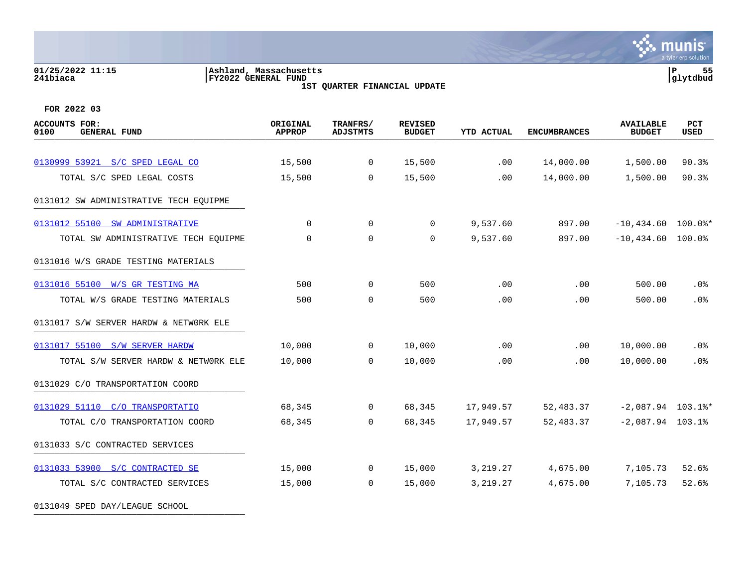### **01/25/2022 11:15 |Ashland, Massachusetts |P 55 241biaca |FY2022 GENERAL FUND |glytdbud 1ST QUARTER FINANCIAL UPDATE**

**\*** munis a tyler erp solution

| <b>ACCOUNTS FOR:</b><br>0100<br><b>GENERAL FUND</b> | ORIGINAL<br><b>APPROP</b> | TRANFRS/<br><b>ADJSTMTS</b> | <b>REVISED</b><br><b>BUDGET</b> | <b>YTD ACTUAL</b> | <b>ENCUMBRANCES</b> | <b>AVAILABLE</b><br><b>BUDGET</b> | PCT<br><b>USED</b> |
|-----------------------------------------------------|---------------------------|-----------------------------|---------------------------------|-------------------|---------------------|-----------------------------------|--------------------|
|                                                     |                           |                             |                                 |                   |                     |                                   |                    |
| 0130999 53921 S/C SPED LEGAL CO                     | 15,500                    | $\mathbf 0$                 | 15,500                          | .00               | 14,000.00           | 1,500.00                          | 90.3%              |
| TOTAL S/C SPED LEGAL COSTS                          | 15,500                    | $\overline{0}$              | 15,500                          | .00               | 14,000.00           | 1,500.00                          | 90.3%              |
| 0131012 SW ADMINISTRATIVE TECH EOUIPME              |                           |                             |                                 |                   |                     |                                   |                    |
| 0131012 55100 SW ADMINISTRATIVE                     | $\Omega$                  | $\mathbf 0$                 | $\mathbf 0$                     | 9,537.60          | 897.00              | $-10,434.60$ 100.0%*              |                    |
| TOTAL SW ADMINISTRATIVE TECH EQUIPME                | $\Omega$                  | $\Omega$                    | $\Omega$                        | 9,537.60          | 897.00              | $-10,434.60$ 100.0%               |                    |
| 0131016 W/S GRADE TESTING MATERIALS                 |                           |                             |                                 |                   |                     |                                   |                    |
| 0131016 55100 W/S GR TESTING MA                     | 500                       | $\Omega$                    | 500                             | .00               | .00                 | 500.00                            | .0%                |
| TOTAL W/S GRADE TESTING MATERIALS                   | 500                       | $\mathbf 0$                 | 500                             | .00               | .00                 | 500.00                            | .0%                |
| 0131017 S/W SERVER HARDW & NETWORK ELE              |                           |                             |                                 |                   |                     |                                   |                    |
| 0131017 55100 S/W SERVER HARDW                      | 10,000                    | $\mathbf 0$                 | 10,000                          | .00               | .00                 | 10,000.00                         | $.0\%$             |
| TOTAL S/W SERVER HARDW & NETWORK ELE                | 10,000                    | $\Omega$                    | 10,000                          | .00               | .00                 | 10,000.00                         | .0%                |
| 0131029 C/O TRANSPORTATION COORD                    |                           |                             |                                 |                   |                     |                                   |                    |
| 0131029 51110 C/O TRANSPORTATIO                     | 68,345                    | $\overline{0}$              | 68,345                          | 17,949.57         | 52,483.37           | $-2,087.94$ 103.1%*               |                    |
| TOTAL C/O TRANSPORTATION COORD                      | 68,345                    | $\Omega$                    | 68,345                          | 17,949.57         | 52,483.37           | $-2,087.94$ 103.1%                |                    |
| 0131033 S/C CONTRACTED SERVICES                     |                           |                             |                                 |                   |                     |                                   |                    |
| 0131033 53900 S/C CONTRACTED SE                     | 15,000                    | $\overline{0}$              | 15,000                          | 3,219.27          | 4,675.00            | 7,105.73                          | 52.6%              |
| TOTAL S/C CONTRACTED SERVICES                       | 15,000                    | $\Omega$                    | 15,000                          | 3,219.27          | 4,675.00            | 7,105.73                          | 52.6%              |
| 0131049 SPED DAY/LEAGUE SCHOOL                      |                           |                             |                                 |                   |                     |                                   |                    |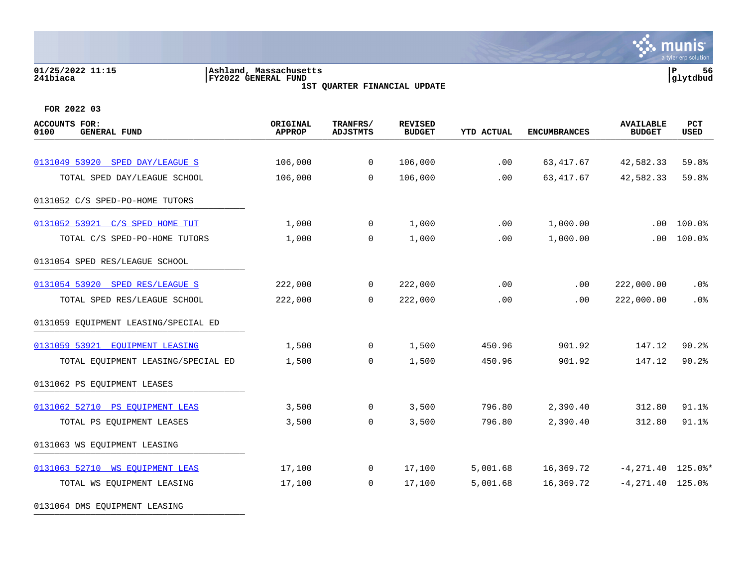### **01/25/2022 11:15 |Ashland, Massachusetts |P 56 241biaca |FY2022 GENERAL FUND |glytdbud 1ST QUARTER FINANCIAL UPDATE**

**\*** munis a tyler erp solution

| <b>ACCOUNTS FOR:</b><br>0100<br><b>GENERAL FUND</b> | ORIGINAL<br><b>APPROP</b> | TRANFRS/<br><b>ADJSTMTS</b> | <b>REVISED</b><br><b>BUDGET</b> | <b>YTD ACTUAL</b> | <b>ENCUMBRANCES</b> | <b>AVAILABLE</b><br><b>BUDGET</b> | PCT<br><b>USED</b> |
|-----------------------------------------------------|---------------------------|-----------------------------|---------------------------------|-------------------|---------------------|-----------------------------------|--------------------|
|                                                     |                           |                             |                                 |                   |                     |                                   |                    |
| 0131049 53920 SPED DAY/LEAGUE S                     | 106,000                   | $\mathbf 0$                 | 106,000                         | .00               | 63, 417.67          | 42,582.33                         | 59.8%              |
| TOTAL SPED DAY/LEAGUE SCHOOL                        | 106,000                   | $\Omega$                    | 106,000                         | .00               | 63, 417.67          | 42,582.33                         | 59.8%              |
| 0131052 C/S SPED-PO-HOME TUTORS                     |                           |                             |                                 |                   |                     |                                   |                    |
| 0131052 53921 C/S SPED HOME TUT                     | 1,000                     | $\mathbf{0}$                | 1,000                           | .00               | 1,000.00            | $.00 \,$                          | 100.0%             |
| TOTAL C/S SPED-PO-HOME TUTORS                       | 1,000                     | $\mathbf 0$                 | 1,000                           | .00               | 1,000.00            | $.00 \,$                          | 100.0%             |
| 0131054 SPED RES/LEAGUE SCHOOL                      |                           |                             |                                 |                   |                     |                                   |                    |
| 0131054 53920 SPED RES/LEAGUE S                     | 222,000                   | $\overline{0}$              | 222,000                         | .00               | .00                 | 222,000.00                        | .0%                |
| TOTAL SPED RES/LEAGUE SCHOOL                        | 222,000                   | $\overline{0}$              | 222,000                         | .00               | .00                 | 222,000.00                        | .0%                |
| 0131059 EQUIPMENT LEASING/SPECIAL ED                |                           |                             |                                 |                   |                     |                                   |                    |
| 0131059 53921 EQUIPMENT LEASING                     | 1,500                     | $\overline{0}$              | 1,500                           | 450.96            | 901.92              | 147.12                            | 90.2%              |
| TOTAL EQUIPMENT LEASING/SPECIAL ED                  | 1,500                     | $\mathbf 0$                 | 1,500                           | 450.96            | 901.92              | 147.12                            | 90.2%              |
| 0131062 PS EQUIPMENT LEASES                         |                           |                             |                                 |                   |                     |                                   |                    |
| 0131062 52710 PS EQUIPMENT LEAS                     | 3,500                     | $\mathbf 0$                 | 3,500                           | 796.80            | 2,390.40            | 312.80                            | 91.1%              |
| TOTAL PS EQUIPMENT LEASES                           | 3,500                     | $\mathbf 0$                 | 3,500                           | 796.80            | 2,390.40            | 312.80                            | 91.1%              |
| 0131063 WS EQUIPMENT LEASING                        |                           |                             |                                 |                   |                     |                                   |                    |
| 0131063 52710 WS EOUIPMENT LEAS                     | 17,100                    | $\overline{0}$              | 17,100                          | 5,001.68          | 16,369.72           | $-4, 271.40$ 125.0%*              |                    |
| TOTAL WS EQUIPMENT LEASING                          | 17,100                    | $\Omega$                    | 17,100                          | 5,001.68          | 16,369.72           | $-4, 271.40$ 125.0%               |                    |
| 0131064 DMS EQUIPMENT LEASING                       |                           |                             |                                 |                   |                     |                                   |                    |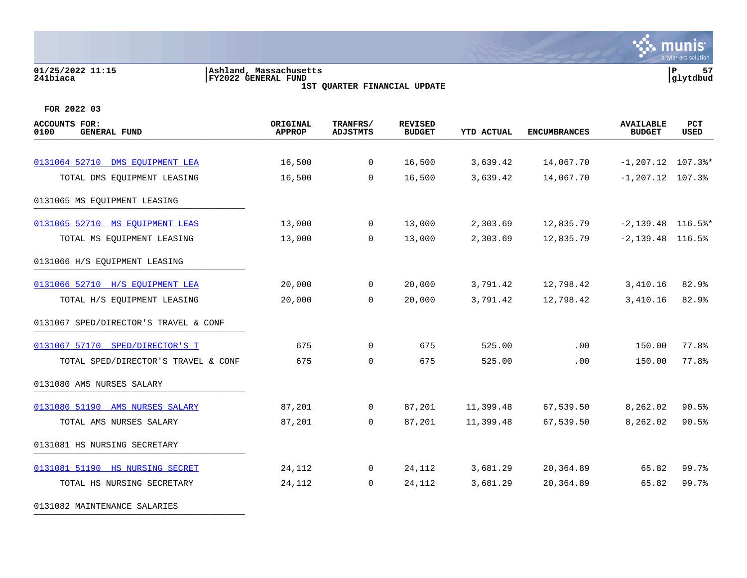### **01/25/2022 11:15 |Ashland, Massachusetts |P 57 241biaca |FY2022 GENERAL FUND |glytdbud 1ST QUARTER FINANCIAL UPDATE**



| ACCOUNTS FOR:<br><b>GENERAL FUND</b><br>0100 | ORIGINAL<br><b>APPROP</b> | TRANFRS/<br><b>ADJSTMTS</b> | <b>REVISED</b><br><b>BUDGET</b> | <b>YTD ACTUAL</b> | <b>ENCUMBRANCES</b> | <b>AVAILABLE</b><br><b>BUDGET</b> | <b>PCT</b><br>USED |
|----------------------------------------------|---------------------------|-----------------------------|---------------------------------|-------------------|---------------------|-----------------------------------|--------------------|
|                                              |                           |                             |                                 |                   |                     |                                   |                    |
| 0131064 52710 DMS EOUIPMENT LEA              | 16,500                    | $\mathbf 0$                 | 16,500                          | 3,639.42          | 14,067.70           | $-1, 207.12$ 107.3%*              |                    |
| TOTAL DMS EQUIPMENT LEASING                  | 16,500                    | $\Omega$                    | 16,500                          | 3,639.42          | 14,067.70           | $-1, 207.12$ 107.3%               |                    |
| 0131065 MS EQUIPMENT LEASING                 |                           |                             |                                 |                   |                     |                                   |                    |
| 0131065 52710 MS EQUIPMENT LEAS              | 13,000                    | $\overline{0}$              | 13,000                          | 2,303.69          | 12,835.79           | $-2,139.48$ 116.5%*               |                    |
| TOTAL MS EQUIPMENT LEASING                   | 13,000                    | $\Omega$                    | 13,000                          | 2,303.69          | 12,835.79           | $-2,139.48$ 116.5%                |                    |
| 0131066 H/S EQUIPMENT LEASING                |                           |                             |                                 |                   |                     |                                   |                    |
| 0131066 52710 H/S EQUIPMENT LEA              | 20,000                    | $\overline{0}$              | 20,000                          | 3,791.42          | 12,798.42           | 3,410.16                          | 82.9%              |
| TOTAL H/S EQUIPMENT LEASING                  | 20,000                    | 0                           | 20,000                          | 3,791.42          | 12,798.42           | 3,410.16                          | 82.9%              |
| 0131067 SPED/DIRECTOR'S TRAVEL & CONF        |                           |                             |                                 |                   |                     |                                   |                    |
| 0131067 57170 SPED/DIRECTOR'S T              | 675                       | $\overline{0}$              | 675                             | 525.00            | .00                 | 150.00                            | 77.8%              |
| TOTAL SPED/DIRECTOR'S TRAVEL & CONF          | 675                       | $\mathbf 0$                 | 675                             | 525.00            | .00                 | 150.00                            | 77.8%              |
| 0131080 AMS NURSES SALARY                    |                           |                             |                                 |                   |                     |                                   |                    |
| 0131080 51190 AMS NURSES SALARY              | 87,201                    | $\mathbf 0$                 | 87,201                          | 11,399.48         | 67,539.50           | 8,262.02                          | 90.5%              |
| TOTAL AMS NURSES SALARY                      | 87,201                    | $\Omega$                    | 87,201                          | 11,399.48         | 67,539.50           | 8,262.02                          | 90.5%              |
| 0131081 HS NURSING SECRETARY                 |                           |                             |                                 |                   |                     |                                   |                    |
| 0131081 51190 HS NURSING SECRET              | 24,112                    | $\overline{0}$              | 24,112                          | 3,681.29          | 20,364.89           | 65.82                             | 99.7%              |
| TOTAL HS NURSING SECRETARY                   | 24,112                    | $\Omega$                    | 24,112                          | 3,681.29          | 20,364.89           | 65.82                             | 99.7%              |
| 0131082 MAINTENANCE SALARIES                 |                           |                             |                                 |                   |                     |                                   |                    |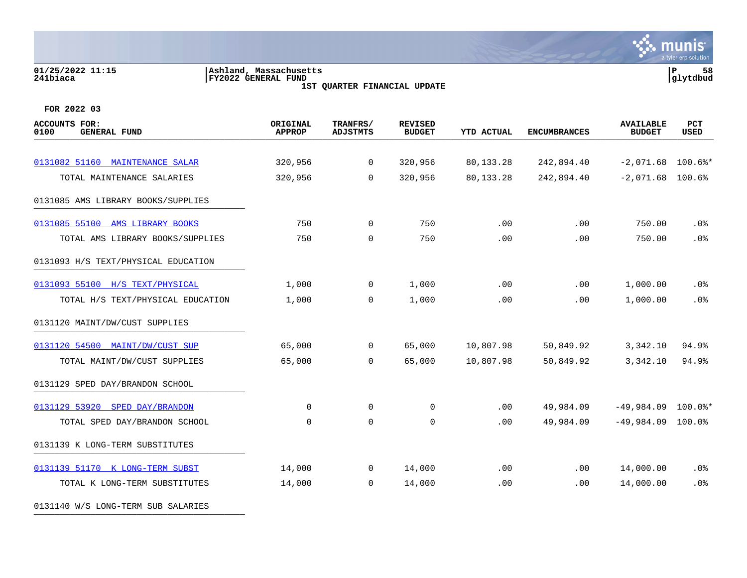# **01/25/2022 11:15 |Ashland, Massachusetts |P 58 241biaca |FY2022 GENERAL FUND |glytdbud**

**1ST QUARTER FINANCIAL UPDATE**



**∵∴** munis

**FOR 2022 03**

| <b>ACCOUNTS FOR:</b><br><b>GENERAL FUND</b><br>0100 | ORIGINAL<br><b>APPROP</b> | TRANFRS/<br><b>ADJSTMTS</b> | <b>REVISED</b><br><b>BUDGET</b> | <b>YTD ACTUAL</b> | <b>ENCUMBRANCES</b> | <b>AVAILABLE</b><br><b>BUDGET</b> | <b>PCT</b><br><b>USED</b> |
|-----------------------------------------------------|---------------------------|-----------------------------|---------------------------------|-------------------|---------------------|-----------------------------------|---------------------------|
|                                                     |                           |                             |                                 |                   |                     |                                   |                           |
| 0131082 51160 MAINTENANCE SALAR                     | 320,956                   | $\mathsf{O}$                | 320,956                         | 80,133.28         | 242,894.40          | $-2,071.68$ 100.6%*               |                           |
| TOTAL MAINTENANCE SALARIES                          | 320,956                   | $\mathbf 0$                 | 320,956                         | 80,133.28         | 242,894.40          | $-2,071.68$ 100.6%                |                           |
| 0131085 AMS LIBRARY BOOKS/SUPPLIES                  |                           |                             |                                 |                   |                     |                                   |                           |
| 0131085 55100 AMS LIBRARY BOOKS                     | 750                       | 0                           | 750                             | .00               | .00                 | 750.00                            | .0%                       |
| TOTAL AMS LIBRARY BOOKS/SUPPLIES                    | 750                       | $\mathbf 0$                 | 750                             | .00               | .00                 | 750.00                            | .0%                       |
| 0131093 H/S TEXT/PHYSICAL EDUCATION                 |                           |                             |                                 |                   |                     |                                   |                           |
| 0131093 55100 H/S TEXT/PHYSICAL                     | 1,000                     | 0                           | 1,000                           | .00               | .00                 | 1,000.00                          | .0%                       |
| TOTAL H/S TEXT/PHYSICAL EDUCATION                   | 1,000                     | $\Omega$                    | 1,000                           | .00               | .00                 | 1,000.00                          | .0%                       |
| 0131120 MAINT/DW/CUST SUPPLIES                      |                           |                             |                                 |                   |                     |                                   |                           |
| 0131120 54500 MAINT/DW/CUST SUP                     | 65,000                    | 0                           | 65,000                          | 10,807.98         | 50,849.92           | 3,342.10                          | 94.9%                     |
| TOTAL MAINT/DW/CUST SUPPLIES                        | 65,000                    | $\Omega$                    | 65,000                          | 10,807.98         | 50,849.92           | 3,342.10                          | 94.9%                     |
| 0131129 SPED DAY/BRANDON SCHOOL                     |                           |                             |                                 |                   |                     |                                   |                           |
| 0131129 53920 SPED DAY/BRANDON                      | $\Omega$                  | $\mathbf 0$                 | $\Omega$                        | .00               | 49,984.09           | $-49,984.09$ 100.0%*              |                           |
| TOTAL SPED DAY/BRANDON SCHOOL                       | $\Omega$                  | $\mathbf 0$                 | $\Omega$                        | .00               | 49,984.09           | $-49,984.09$ 100.0%               |                           |
| 0131139 K LONG-TERM SUBSTITUTES                     |                           |                             |                                 |                   |                     |                                   |                           |
| 0131139 51170 K LONG-TERM SUBST                     | 14,000                    | 0                           | 14,000                          | .00               | .00.                | 14,000.00                         | .0 <sub>8</sub>           |
| TOTAL K LONG-TERM SUBSTITUTES                       | 14,000                    | 0                           | 14,000                          | .00               | .00                 | 14,000.00                         | .0%                       |
|                                                     |                           |                             |                                 |                   |                     |                                   |                           |

0131140 W/S LONG-TERM SUB SALARIES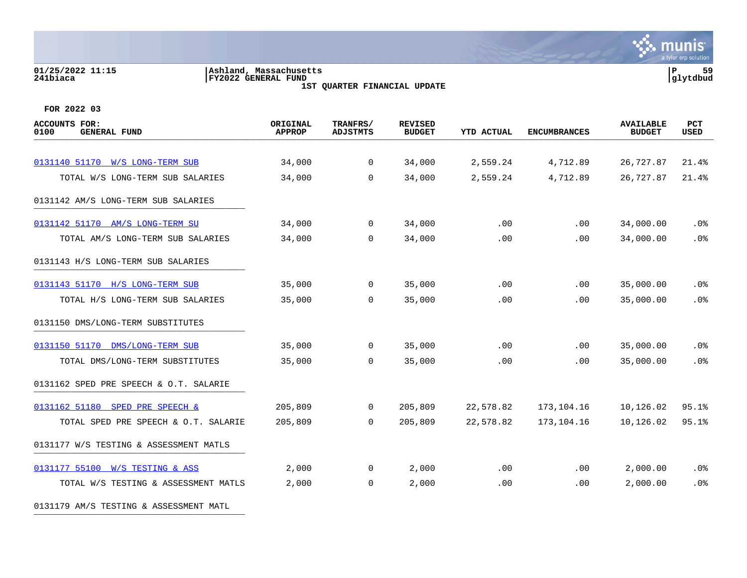### **01/25/2022 11:15 |Ashland, Massachusetts |P 59 241biaca |FY2022 GENERAL FUND |glytdbud 1ST QUARTER FINANCIAL UPDATE**



| <b>ACCOUNTS FOR:</b><br>0100<br><b>GENERAL FUND</b> | ORIGINAL<br><b>APPROP</b> | TRANFRS/<br><b>ADJSTMTS</b> | <b>REVISED</b><br><b>BUDGET</b> | <b>YTD ACTUAL</b> | <b>ENCUMBRANCES</b> | <b>AVAILABLE</b><br><b>BUDGET</b> | PCT<br><b>USED</b> |
|-----------------------------------------------------|---------------------------|-----------------------------|---------------------------------|-------------------|---------------------|-----------------------------------|--------------------|
|                                                     |                           |                             |                                 |                   |                     |                                   |                    |
| 0131140 51170 W/S LONG-TERM SUB                     | 34,000                    | $\mathbf 0$                 | 34,000                          | 2,559.24          | 4,712.89            | 26,727.87                         | 21.4%              |
| TOTAL W/S LONG-TERM SUB SALARIES                    | 34,000                    | $\Omega$                    | 34,000                          | 2,559.24          | 4,712.89            | 26,727.87                         | 21.4%              |
| 0131142 AM/S LONG-TERM SUB SALARIES                 |                           |                             |                                 |                   |                     |                                   |                    |
| 0131142 51170 AM/S LONG-TERM SU                     | 34,000                    | $\mathbf{0}$                | 34,000                          | .00               | .00                 | 34,000.00                         | $.0\%$             |
| TOTAL AM/S LONG-TERM SUB SALARIES                   | 34,000                    | $\Omega$                    | 34,000                          | .00               | .00                 | 34,000.00                         | .0%                |
| 0131143 H/S LONG-TERM SUB SALARIES                  |                           |                             |                                 |                   |                     |                                   |                    |
| 0131143 51170 H/S LONG-TERM SUB                     | 35,000                    | $\Omega$                    | 35,000                          | .00               | .00                 | 35,000.00                         | .0%                |
| TOTAL H/S LONG-TERM SUB SALARIES                    | 35,000                    | $\mathbf 0$                 | 35,000                          | .00               | .00                 | 35,000.00                         | .0%                |
| 0131150 DMS/LONG-TERM SUBSTITUTES                   |                           |                             |                                 |                   |                     |                                   |                    |
| 0131150 51170 DMS/LONG-TERM SUB                     | 35,000                    | $\overline{0}$              | 35,000                          | .00               | .00                 | 35,000.00                         | .0%                |
| TOTAL DMS/LONG-TERM SUBSTITUTES                     | 35,000                    | $\Omega$                    | 35,000                          | .00               | .00                 | 35,000.00                         | .0%                |
| 0131162 SPED PRE SPEECH & O.T. SALARIE              |                           |                             |                                 |                   |                     |                                   |                    |
| 0131162 51180 SPED PRE SPEECH &                     | 205,809                   | $\mathbf{0}$                | 205,809                         | 22,578.82         | 173,104.16          | 10,126.02                         | 95.1%              |
| TOTAL SPED PRE SPEECH & O.T. SALARIE                | 205,809                   | $\Omega$                    | 205,809                         | 22,578.82         | 173,104.16          | 10,126.02                         | 95.1%              |
| 0131177 W/S TESTING & ASSESSMENT MATLS              |                           |                             |                                 |                   |                     |                                   |                    |
| 0131177 55100 W/S TESTING & ASS                     | 2,000                     | $\mathbf 0$                 | 2,000                           | .00               | $.00 \,$            | 2,000.00                          | $.0\%$             |
| TOTAL W/S TESTING & ASSESSMENT MATLS                | 2,000                     | $\overline{0}$              | 2,000                           | .00               | .00                 | 2,000.00                          | .0%                |
| 0131179 AM/S TESTING & ASSESSMENT MATL              |                           |                             |                                 |                   |                     |                                   |                    |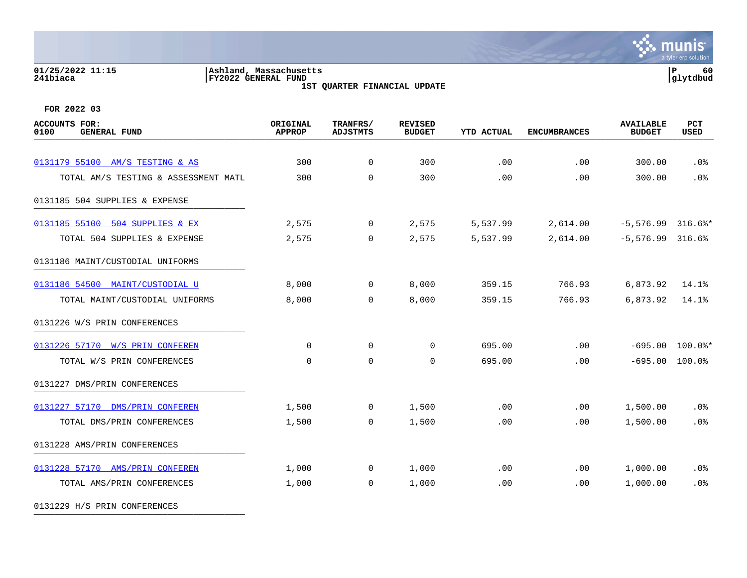### **01/25/2022 11:15 |Ashland, Massachusetts |P 60 241biaca |FY2022 GENERAL FUND |glytdbud 1ST QUARTER FINANCIAL UPDATE**



**FOR 2022 03**

| <b>ACCOUNTS FOR:</b><br>0100<br><b>GENERAL FUND</b> | ORIGINAL<br><b>APPROP</b> | TRANFRS/<br><b>ADJSTMTS</b> | <b>REVISED</b><br><b>BUDGET</b> | <b>YTD ACTUAL</b> | <b>ENCUMBRANCES</b> | <b>AVAILABLE</b><br><b>BUDGET</b> | PCT<br><b>USED</b> |
|-----------------------------------------------------|---------------------------|-----------------------------|---------------------------------|-------------------|---------------------|-----------------------------------|--------------------|
| 0131179 55100 AM/S TESTING & AS                     | 300                       | $\overline{0}$              | 300                             | .00               | .00                 | 300.00                            | .0%                |
| TOTAL AM/S TESTING & ASSESSMENT MATL                | 300                       | $\Omega$                    | 300                             | .00               | .00                 | 300.00                            | .0%                |
|                                                     |                           |                             |                                 |                   |                     |                                   |                    |
| 0131185 504 SUPPLIES & EXPENSE                      |                           |                             |                                 |                   |                     |                                   |                    |
| 0131185 55100 504 SUPPLIES & EX                     | 2,575                     | $\overline{0}$              | 2,575                           | 5,537.99          | 2,614.00            | $-5,576.99$ 316.6%*               |                    |
| TOTAL 504 SUPPLIES & EXPENSE                        | 2,575                     | $\overline{0}$              | 2,575                           | 5,537.99          | 2,614.00            | $-5,576.99$ 316.6%                |                    |
| 0131186 MAINT/CUSTODIAL UNIFORMS                    |                           |                             |                                 |                   |                     |                                   |                    |
| 0131186 54500 MAINT/CUSTODIAL U                     | 8,000                     | $\mathbf{0}$                | 8,000                           | 359.15            | 766.93              | 6,873.92                          | 14.1%              |
| TOTAL MAINT/CUSTODIAL UNIFORMS                      | 8,000                     | $\Omega$                    | 8,000                           | 359.15            | 766.93              | 6,873.92                          | 14.1%              |
| 0131226 W/S PRIN CONFERENCES                        |                           |                             |                                 |                   |                     |                                   |                    |
| 0131226 57170 W/S PRIN CONFEREN                     | $\mathbf 0$               | $\mathbf 0$                 | 0                               | 695.00            | .00                 | $-695.00$                         | $100.0$ *          |
| TOTAL W/S PRIN CONFERENCES                          | $\mathbf 0$               | $\mathbf 0$                 | 0                               | 695.00            | .00                 | $-695.00$                         | 100.0%             |
| 0131227 DMS/PRIN CONFERENCES                        |                           |                             |                                 |                   |                     |                                   |                    |
| 0131227 57170 DMS/PRIN CONFEREN                     | 1,500                     | $\mathbf 0$                 | 1,500                           | .00               | .00                 | 1,500.00                          | $.0\%$             |
| TOTAL DMS/PRIN CONFERENCES                          | 1,500                     | $\Omega$                    | 1,500                           | .00               | .00                 | 1,500.00                          | .0%                |
| 0131228 AMS/PRIN CONFERENCES                        |                           |                             |                                 |                   |                     |                                   |                    |
| 0131228 57170 AMS/PRIN CONFEREN                     | 1,000                     | $\mathbf 0$                 | 1,000                           | .00               | .00                 | 1,000.00                          | .0 <sub>8</sub>    |
| TOTAL AMS/PRIN CONFERENCES                          | 1,000                     | $\overline{0}$              | 1,000                           | .00               | .00                 | 1,000.00                          | .0%                |
|                                                     |                           |                             |                                 |                   |                     |                                   |                    |

0131229 H/S PRIN CONFERENCES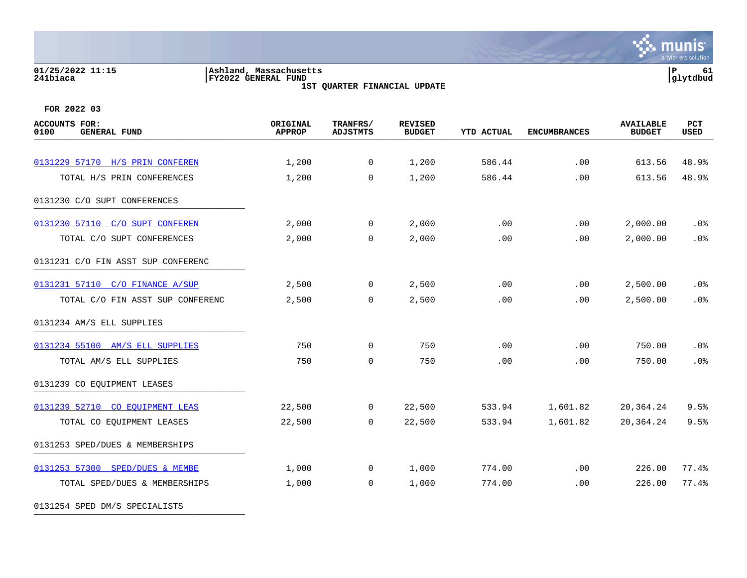### **01/25/2022 11:15 |Ashland, Massachusetts |P 61 241biaca |FY2022 GENERAL FUND |glytdbud 1ST QUARTER FINANCIAL UPDATE**

 $\mathbf{\ddot{\cdot}}$  munis a tyler erp solution

**FOR 2022 03**

0131254 SPED DM/S SPECIALISTS \_\_\_\_\_\_\_\_\_\_\_\_\_\_\_\_\_\_\_\_\_\_\_\_\_\_\_\_\_\_\_\_\_\_\_\_\_\_\_\_\_

| <b>ACCOUNTS FOR:</b><br>0100<br><b>GENERAL FUND</b> | ORIGINAL<br><b>APPROP</b> | TRANFRS/<br><b>ADJSTMTS</b> | <b>REVISED</b><br><b>BUDGET</b> | <b>YTD ACTUAL</b> | <b>ENCUMBRANCES</b> | <b>AVAILABLE</b><br><b>BUDGET</b> | PCT<br>USED |
|-----------------------------------------------------|---------------------------|-----------------------------|---------------------------------|-------------------|---------------------|-----------------------------------|-------------|
|                                                     |                           |                             |                                 |                   |                     |                                   |             |
| 0131229 57170 H/S PRIN CONFEREN                     | 1,200                     | $\overline{0}$              | 1,200                           | 586.44            | .00                 | 613.56                            | 48.9%       |
| TOTAL H/S PRIN CONFERENCES                          | 1,200                     | $\mathbf 0$                 | 1,200                           | 586.44            | .00                 | 613.56                            | 48.9%       |
| 0131230 C/O SUPT CONFERENCES                        |                           |                             |                                 |                   |                     |                                   |             |
| 0131230 57110 C/O SUPT CONFEREN                     | 2,000                     | $\overline{0}$              | 2,000                           | .00               | $.00 \,$            | 2,000.00                          | .0%         |
| TOTAL C/O SUPT CONFERENCES                          | 2,000                     | $\Omega$                    | 2,000                           | .00               | .00                 | 2,000.00                          | .0%         |
| 0131231 C/O FIN ASST SUP CONFERENC                  |                           |                             |                                 |                   |                     |                                   |             |
| 0131231 57110 C/O FINANCE A/SUP                     | 2,500                     | $\overline{0}$              | 2,500                           | .00               | .00                 | 2,500.00                          | $.0\%$      |
| TOTAL C/O FIN ASST SUP CONFERENC                    | 2,500                     | $\Omega$                    | 2,500                           | .00               | .00                 | 2,500.00                          | .0%         |
| 0131234 AM/S ELL SUPPLIES                           |                           |                             |                                 |                   |                     |                                   |             |
| 0131234 55100 AM/S ELL SUPPLIES                     | 750                       | $\overline{0}$              | 750                             | .00               | .00                 | 750.00                            | $.0\%$      |
| TOTAL AM/S ELL SUPPLIES                             | 750                       | $\mathbf 0$                 | 750                             | .00               | .00                 | 750.00                            | .0%         |
| 0131239 CO EQUIPMENT LEASES                         |                           |                             |                                 |                   |                     |                                   |             |
| 0131239 52710 CO EOUIPMENT LEAS                     | 22,500                    | $\overline{0}$              | 22,500                          | 533.94            | 1,601.82            | 20,364.24                         | 9.5%        |
| TOTAL CO EQUIPMENT LEASES                           | 22,500                    | $\mathbf 0$                 | 22,500                          | 533.94            | 1,601.82            | 20,364.24                         | 9.5%        |
| 0131253 SPED/DUES & MEMBERSHIPS                     |                           |                             |                                 |                   |                     |                                   |             |
| 0131253 57300 SPED/DUES & MEMBE                     | 1,000                     | $\mathbf 0$                 | 1,000                           | 774.00            | .00                 | 226.00                            | 77.4%       |
| TOTAL SPED/DUES & MEMBERSHIPS                       | 1,000                     | $\overline{0}$              | 1,000                           | 774.00            | .00                 | 226.00                            | 77.4%       |
|                                                     |                           |                             |                                 |                   |                     |                                   |             |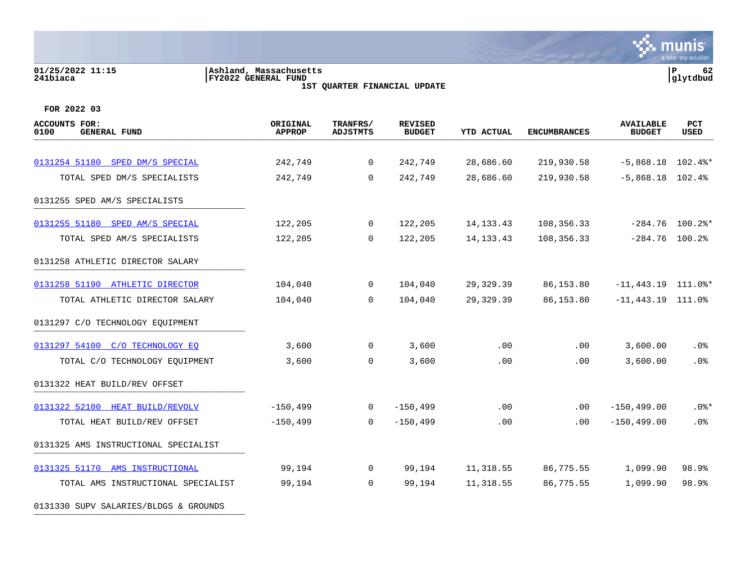### **01/25/2022 11:15 |Ashland, Massachusetts |P 62 241biaca |FY2022 GENERAL FUND |glytdbud 1ST QUARTER FINANCIAL UPDATE**

**\*** munis a tyler erp solution

| ACCOUNTS FOR:<br>0100<br><b>GENERAL FUND</b> | ORIGINAL<br><b>APPROP</b> | TRANFRS/<br><b>ADJSTMTS</b> | <b>REVISED</b><br><b>BUDGET</b> | <b>YTD ACTUAL</b> | <b>ENCUMBRANCES</b> | <b>AVAILABLE</b><br><b>BUDGET</b> | PCT<br>USED       |
|----------------------------------------------|---------------------------|-----------------------------|---------------------------------|-------------------|---------------------|-----------------------------------|-------------------|
|                                              |                           |                             |                                 |                   |                     |                                   |                   |
| 0131254 51180 SPED DM/S SPECIAL              | 242,749                   | $\overline{0}$              | 242,749                         | 28,686.60         | 219,930.58          | $-5,868.18$ 102.4%*               |                   |
| TOTAL SPED DM/S SPECIALISTS                  | 242,749                   | $\Omega$                    | 242,749                         | 28,686.60         | 219,930.58          | $-5,868.18$ 102.4%                |                   |
| 0131255 SPED AM/S SPECIALISTS                |                           |                             |                                 |                   |                     |                                   |                   |
| 0131255 51180 SPED AM/S SPECIAL              | 122,205                   | 0                           | 122,205                         | 14, 133. 43       | 108,356.33          |                                   | $-284.76$ 100.2%* |
| TOTAL SPED AM/S SPECIALISTS                  | 122,205                   | $\Omega$                    | 122,205                         | 14, 133. 43       | 108,356.33          | $-284.76$ 100.2%                  |                   |
| 0131258 ATHLETIC DIRECTOR SALARY             |                           |                             |                                 |                   |                     |                                   |                   |
| 0131258 51190 ATHLETIC DIRECTOR              | 104,040                   | $\overline{0}$              | 104,040                         | 29,329.39         | 86,153.80           | $-11,443.19$ 111.0%*              |                   |
| TOTAL ATHLETIC DIRECTOR SALARY               | 104,040                   | 0                           | 104,040                         | 29,329.39         | 86,153.80           | $-11,443.19$ 111.0%               |                   |
| 0131297 C/O TECHNOLOGY EQUIPMENT             |                           |                             |                                 |                   |                     |                                   |                   |
| 0131297 54100 C/O TECHNOLOGY EQ              | 3,600                     | 0                           | 3,600                           | .00               | $.00 \,$            | 3,600.00                          | .0%               |
| TOTAL C/O TECHNOLOGY EQUIPMENT               | 3,600                     | 0                           | 3,600                           | .00               | .00                 | 3,600.00                          | .0%               |
| 0131322 HEAT BUILD/REV OFFSET                |                           |                             |                                 |                   |                     |                                   |                   |
| 0131322 52100 HEAT BUILD/REVOLV              | $-150, 499$               | 0                           | $-150, 499$                     | .00               | $.00 \,$            | $-150, 499.00$                    | .0%*              |
| TOTAL HEAT BUILD/REV OFFSET                  | $-150, 499$               | $\Omega$                    | $-150, 499$                     | .00               | $.00 \,$            | $-150, 499.00$                    | .0%               |
| 0131325 AMS INSTRUCTIONAL SPECIALIST         |                           |                             |                                 |                   |                     |                                   |                   |
| 0131325 51170 AMS INSTRUCTIONAL              | 99,194                    | $\overline{0}$              | 99,194                          | 11,318.55         | 86,775.55           | 1,099.90                          | 98.9%             |
| TOTAL AMS INSTRUCTIONAL SPECIALIST           | 99,194                    | $\Omega$                    | 99,194                          | 11,318.55         | 86,775.55           | 1,099.90                          | 98.9%             |
| 0131330 SUPV SALARIES/BLDGS & GROUNDS        |                           |                             |                                 |                   |                     |                                   |                   |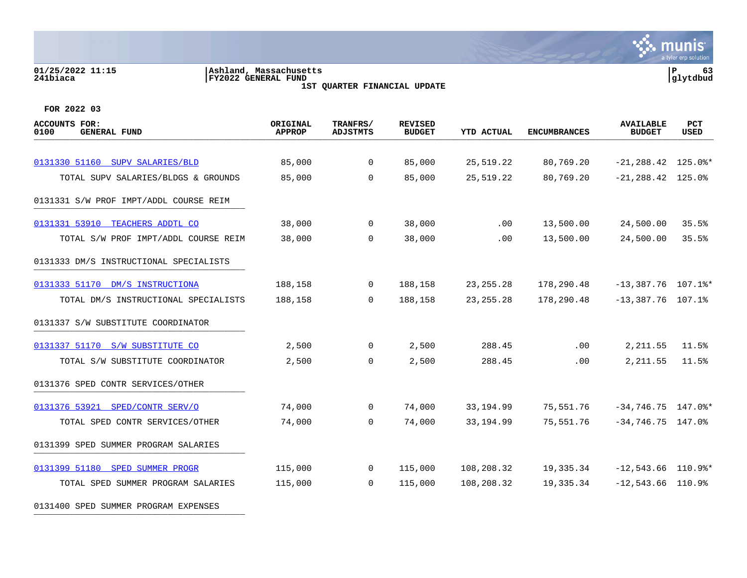## **01/25/2022 11:15 |Ashland, Massachusetts |P 63 241biaca |FY2022 GENERAL FUND |glytdbud**

**1ST QUARTER FINANCIAL UPDATE**



| <b>ACCOUNTS FOR:</b><br><b>GENERAL FUND</b><br>0100 | ORIGINAL<br><b>APPROP</b> | TRANFRS/<br><b>ADJSTMTS</b> | <b>REVISED</b><br><b>BUDGET</b> | <b>YTD ACTUAL</b> | <b>ENCUMBRANCES</b> | <b>AVAILABLE</b><br><b>BUDGET</b> | PCT<br><b>USED</b> |
|-----------------------------------------------------|---------------------------|-----------------------------|---------------------------------|-------------------|---------------------|-----------------------------------|--------------------|
|                                                     |                           |                             |                                 |                   |                     |                                   |                    |
| 0131330 51160 SUPV SALARIES/BLD                     | 85,000                    | $\mathbf{0}$                | 85,000                          | 25,519.22         | 80,769.20           | $-21, 288.42$ 125.0%*             |                    |
| TOTAL SUPV SALARIES/BLDGS & GROUNDS                 | 85,000                    | $\overline{0}$              | 85,000                          | 25,519.22         | 80,769.20           | $-21, 288.42$ 125.0%              |                    |
| 0131331 S/W PROF IMPT/ADDL COURSE REIM              |                           |                             |                                 |                   |                     |                                   |                    |
| 0131331 53910 TEACHERS ADDTL CO                     | 38,000                    | $\overline{0}$              | 38,000                          | .00               | 13,500.00           | 24,500.00                         | 35.5%              |
| TOTAL S/W PROF IMPT/ADDL COURSE REIM                | 38,000                    | $\Omega$                    | 38,000                          | .00               | 13,500.00           | 24,500.00                         | 35.5%              |
| 0131333 DM/S INSTRUCTIONAL SPECIALISTS              |                           |                             |                                 |                   |                     |                                   |                    |
| 0131333 51170 DM/S INSTRUCTIONA                     | 188,158                   | $\mathbf 0$                 | 188,158                         | 23, 255. 28       | 178,290.48          | $-13,387.76$ 107.1%*              |                    |
| TOTAL DM/S INSTRUCTIONAL SPECIALISTS                | 188,158                   | $\overline{0}$              | 188,158                         | 23, 255. 28       | 178,290.48          | $-13,387.76$ 107.1%               |                    |
| 0131337 S/W SUBSTITUTE COORDINATOR                  |                           |                             |                                 |                   |                     |                                   |                    |
| 0131337 51170 S/W SUBSTITUTE CO                     | 2,500                     | $\overline{0}$              | 2,500                           | 288.45            | .00                 | 2,211.55                          | 11.5%              |
| TOTAL S/W SUBSTITUTE COORDINATOR                    | 2,500                     | $\Omega$                    | 2,500                           | 288.45            | .00                 | 2, 211.55                         | 11.5%              |
| 0131376 SPED CONTR SERVICES/OTHER                   |                           |                             |                                 |                   |                     |                                   |                    |
| 0131376 53921 SPED/CONTR SERV/O                     | 74,000                    | $\mathbf{0}$                | 74,000                          | 33,194.99         | 75,551.76           | $-34,746.75$ 147.0%*              |                    |
| TOTAL SPED CONTR SERVICES/OTHER                     | 74,000                    | $\overline{0}$              | 74,000                          | 33, 194.99        | 75,551.76           | $-34,746.75$ 147.0%               |                    |
| 0131399 SPED SUMMER PROGRAM SALARIES                |                           |                             |                                 |                   |                     |                                   |                    |
| 0131399 51180 SPED SUMMER PROGR                     | 115,000                   | $\overline{0}$              | 115,000                         | 108,208.32        | 19,335.34           | $-12,543.66$ 110.9%*              |                    |
| TOTAL SPED SUMMER PROGRAM SALARIES                  | 115,000                   | $\Omega$                    | 115,000                         | 108,208.32        | 19,335.34           | $-12,543.66$ 110.9%               |                    |
| 0131400 SPED SUMMER PROGRAM EXPENSES                |                           |                             |                                 |                   |                     |                                   |                    |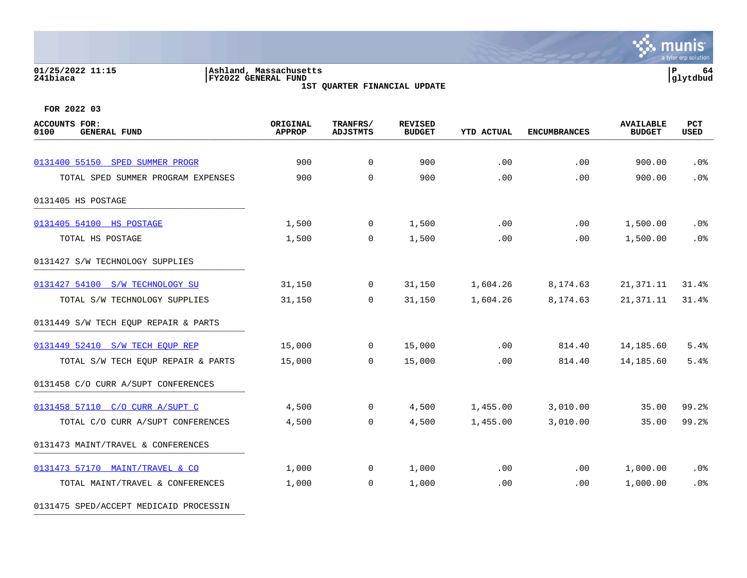### **01/25/2022 11:15 |Ashland, Massachusetts |P 64 241biaca |FY2022 GENERAL FUND |glytdbud 1ST QUARTER FINANCIAL UPDATE**

 $\mathbf{\ddot{\cdot}}$  munis a tyler erp solution

**FOR 2022 03**

0131475 SPED/ACCEPT MEDICAID PROCESSIN

| <b>ACCOUNTS FOR:</b><br>0100<br><b>GENERAL FUND</b> | ORIGINAL<br><b>APPROP</b> | TRANFRS/<br><b>ADJSTMTS</b> | <b>REVISED</b><br><b>BUDGET</b> | <b>YTD ACTUAL</b> | <b>ENCUMBRANCES</b> | <b>AVAILABLE</b><br><b>BUDGET</b> | PCT<br><b>USED</b> |
|-----------------------------------------------------|---------------------------|-----------------------------|---------------------------------|-------------------|---------------------|-----------------------------------|--------------------|
| 0131400 55150 SPED SUMMER PROGR                     | 900                       | $\mathbf 0$                 | 900                             | .00               | .00                 | 900.00                            | .0%                |
| TOTAL SPED SUMMER PROGRAM EXPENSES                  | 900                       | $\Omega$                    | 900                             | .00               | .00                 | 900.00                            | .0%                |
| 0131405 HS POSTAGE                                  |                           |                             |                                 |                   |                     |                                   |                    |
| 0131405 54100 HS POSTAGE                            | 1,500                     | $\overline{0}$              | 1,500                           | .00               | .00                 | 1,500.00                          | $.0\%$             |
| TOTAL HS POSTAGE                                    | 1,500                     | $\mathbf 0$                 | 1,500                           | .00               | .00                 | 1,500.00                          | .0%                |
| 0131427 S/W TECHNOLOGY SUPPLIES                     |                           |                             |                                 |                   |                     |                                   |                    |
| 0131427 54100 S/W TECHNOLOGY SU                     | 31,150                    | $\mathbf 0$                 | 31,150                          | 1,604.26          | 8,174.63            | 21,371.11                         | 31.4%              |
| TOTAL S/W TECHNOLOGY SUPPLIES                       | 31,150                    | $\Omega$                    | 31,150                          | 1,604.26          | 8,174.63            | 21,371.11                         | 31.4%              |
| 0131449 S/W TECH EQUP REPAIR & PARTS                |                           |                             |                                 |                   |                     |                                   |                    |
| 0131449 52410 S/W TECH EQUP REP                     | 15,000                    | $\overline{0}$              | 15,000                          | .00               | 814.40              | 14,185.60                         | 5.4%               |
| TOTAL S/W TECH EQUP REPAIR & PARTS                  | 15,000                    | $\Omega$                    | 15,000                          | .00               | 814.40              | 14,185.60                         | 5.4%               |
| 0131458 C/O CURR A/SUPT CONFERENCES                 |                           |                             |                                 |                   |                     |                                   |                    |
| 0131458 57110 C/O CURR A/SUPT C                     | 4,500                     | 0                           | 4,500                           | 1,455.00          | 3,010.00            | 35.00                             | 99.2%              |
| TOTAL C/O CURR A/SUPT CONFERENCES                   | 4,500                     | $\mathbf 0$                 | 4,500                           | 1,455.00          | 3,010.00            | 35.00                             | 99.2%              |
| 0131473 MAINT/TRAVEL & CONFERENCES                  |                           |                             |                                 |                   |                     |                                   |                    |
| 0131473 57170 MAINT/TRAVEL & CO                     | 1,000                     | $\overline{0}$              | 1,000                           | .00               | $.00 \,$            | 1,000.00                          | $.0\%$             |
| TOTAL MAINT/TRAVEL & CONFERENCES                    | 1,000                     | $\mathbf 0$                 | 1,000                           | .00               | .00                 | 1,000.00                          | .0%                |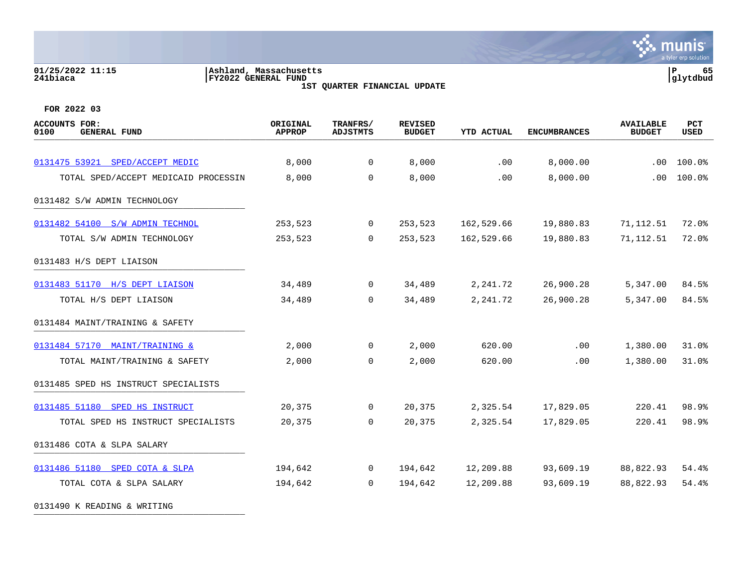# **01/25/2022 11:15 |Ashland, Massachusetts |P 65 241biaca |FY2022 GENERAL FUND |glytdbud**

**1ST QUARTER FINANCIAL UPDATE**



| <b>ACCOUNTS FOR:</b><br>0100<br><b>GENERAL FUND</b> | ORIGINAL<br><b>APPROP</b> | TRANFRS/<br><b>ADJSTMTS</b> | <b>REVISED</b><br><b>BUDGET</b> | <b>YTD ACTUAL</b> | <b>ENCUMBRANCES</b> | <b>AVAILABLE</b><br><b>BUDGET</b> | PCT<br><b>USED</b> |
|-----------------------------------------------------|---------------------------|-----------------------------|---------------------------------|-------------------|---------------------|-----------------------------------|--------------------|
|                                                     |                           |                             |                                 |                   |                     |                                   |                    |
| 0131475 53921 SPED/ACCEPT MEDIC                     | 8,000                     | 0                           | 8,000                           | .00               | 8,000.00            | .00                               | 100.0%             |
| TOTAL SPED/ACCEPT MEDICAID PROCESSIN                | 8,000                     | $\mathbf 0$                 | 8,000                           | .00               | 8,000.00            | .00                               | 100.0%             |
| 0131482 S/W ADMIN TECHNOLOGY                        |                           |                             |                                 |                   |                     |                                   |                    |
| 0131482 54100 S/W ADMIN TECHNOL                     | 253,523                   | $\overline{0}$              | 253,523                         | 162,529.66        | 19,880.83           | 71,112.51                         | 72.0%              |
| TOTAL S/W ADMIN TECHNOLOGY                          | 253,523                   | $\Omega$                    | 253,523                         | 162,529.66        | 19,880.83           | 71,112.51                         | 72.0%              |
| 0131483 H/S DEPT LIAISON                            |                           |                             |                                 |                   |                     |                                   |                    |
| 0131483 51170 H/S DEPT LIAISON                      | 34,489                    | $\overline{0}$              | 34,489                          | 2,241.72          | 26,900.28           | 5,347.00                          | 84.5%              |
| TOTAL H/S DEPT LIAISON                              | 34,489                    | 0                           | 34,489                          | 2,241.72          | 26,900.28           | 5,347.00                          | 84.5%              |
| 0131484 MAINT/TRAINING & SAFETY                     |                           |                             |                                 |                   |                     |                                   |                    |
| 0131484 57170 MAINT/TRAINING &                      | 2,000                     | $\mathbf 0$                 | 2,000                           | 620.00            | .00                 | 1,380.00                          | 31.0%              |
| TOTAL MAINT/TRAINING & SAFETY                       | 2,000                     | $\mathbf 0$                 | 2,000                           | 620.00            | .00                 | 1,380.00                          | 31.0%              |
| 0131485 SPED HS INSTRUCT SPECIALISTS                |                           |                             |                                 |                   |                     |                                   |                    |
| 0131485 51180 SPED HS INSTRUCT                      | 20,375                    | 0                           | 20,375                          | 2,325.54          | 17,829.05           | 220.41                            | 98.9%              |
| TOTAL SPED HS INSTRUCT SPECIALISTS                  | 20,375                    | $\mathbf 0$                 | 20,375                          | 2,325.54          | 17,829.05           | 220.41                            | 98.9%              |
| 0131486 COTA & SLPA SALARY                          |                           |                             |                                 |                   |                     |                                   |                    |
| 0131486 51180 SPED COTA & SLPA                      | 194,642                   | $\overline{0}$              | 194,642                         | 12,209.88         | 93,609.19           | 88,822.93                         | 54.4%              |
| TOTAL COTA & SLPA SALARY                            | 194,642                   | $\Omega$                    | 194,642                         | 12,209.88         | 93,609.19           | 88,822.93                         | 54.4%              |
| 0131490 K READING & WRITING                         |                           |                             |                                 |                   |                     |                                   |                    |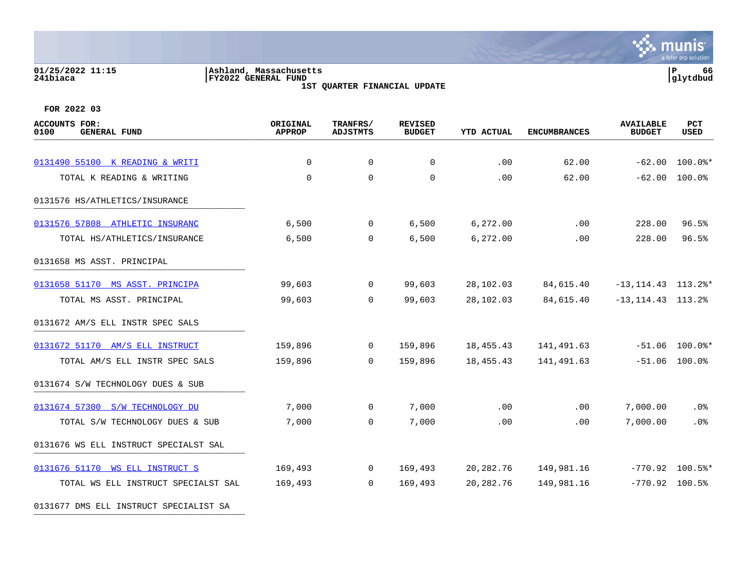### **01/25/2022 11:15 |Ashland, Massachusetts |P 66 241biaca |FY2022 GENERAL FUND |glytdbud 1ST QUARTER FINANCIAL UPDATE**



| <b>ACCOUNTS FOR:</b><br>0100<br><b>GENERAL FUND</b> | ORIGINAL<br><b>APPROP</b> | TRANFRS/<br><b>ADJSTMTS</b> | <b>REVISED</b><br><b>BUDGET</b> | <b>YTD ACTUAL</b> | <b>ENCUMBRANCES</b> | <b>AVAILABLE</b><br><b>BUDGET</b>  | PCT<br><b>USED</b>                  |
|-----------------------------------------------------|---------------------------|-----------------------------|---------------------------------|-------------------|---------------------|------------------------------------|-------------------------------------|
|                                                     |                           |                             |                                 |                   |                     |                                    |                                     |
| 0131490 55100 K READING & WRITI                     | $\Omega$<br>$\Omega$      | $\mathbf 0$<br>$\mathbf 0$  | 0<br>0                          | .00<br>.00        | 62.00<br>62.00      |                                    | $-62.00$ 100.0%*<br>$-62.00$ 100.0% |
| TOTAL K READING & WRITING                           |                           |                             |                                 |                   |                     |                                    |                                     |
| 0131576 HS/ATHLETICS/INSURANCE                      |                           |                             |                                 |                   |                     |                                    |                                     |
| 0131576 57808 ATHLETIC INSURANC                     | 6,500                     | $\mathbf 0$                 | 6,500                           | 6,272.00          | .00                 | 228.00                             | 96.5%                               |
| TOTAL HS/ATHLETICS/INSURANCE                        | 6,500                     | $\Omega$                    | 6,500                           | 6,272.00          | .00                 | 228.00                             | 96.5%                               |
| 0131658 MS ASST. PRINCIPAL                          |                           |                             |                                 |                   |                     |                                    |                                     |
| 0131658 51170 MS ASST. PRINCIPA                     | 99,603                    | 0                           | 99,603                          | 28,102.03         | 84,615.40           | $-13, 114.43$ $113.2$ *            |                                     |
| TOTAL MS ASST. PRINCIPAL                            | 99,603                    | $\mathbf 0$                 | 99,603                          | 28,102.03         | 84,615.40           | $-13, 114.43$ $113.2$ <sup>8</sup> |                                     |
| 0131672 AM/S ELL INSTR SPEC SALS                    |                           |                             |                                 |                   |                     |                                    |                                     |
| 0131672 51170 AM/S ELL INSTRUCT                     | 159,896                   | $\mathbf 0$                 | 159,896                         | 18,455.43         | 141,491.63          |                                    | $-51.06$ 100.0%*                    |
| TOTAL AM/S ELL INSTR SPEC SALS                      | 159,896                   | $\Omega$                    | 159,896                         | 18,455.43         | 141,491.63          |                                    | $-51.06$ 100.0%                     |
| 0131674 S/W TECHNOLOGY DUES & SUB                   |                           |                             |                                 |                   |                     |                                    |                                     |
| 0131674 57300 S/W TECHNOLOGY DU                     | 7,000                     | $\mathbf 0$                 | 7,000                           | .00               | .00                 | 7,000.00                           | .0%                                 |
| TOTAL S/W TECHNOLOGY DUES & SUB                     | 7,000                     | $\Omega$                    | 7,000                           | .00               | .00                 | 7,000.00                           | .0%                                 |
| 0131676 WS ELL INSTRUCT SPECIALST SAL               |                           |                             |                                 |                   |                     |                                    |                                     |
| 0131676 51170 WS ELL INSTRUCT S                     | 169,493                   | $\overline{0}$              | 169,493                         | 20,282.76         | 149,981.16          | $-770.92$ 100.5%*                  |                                     |
| TOTAL WS ELL INSTRUCT SPECIALST SAL                 | 169,493                   | $\Omega$                    | 169,493                         | 20,282.76         | 149,981.16          | $-770.92$ 100.5%                   |                                     |
| 0131677 DMS ELL INSTRUCT SPECIALIST SA              |                           |                             |                                 |                   |                     |                                    |                                     |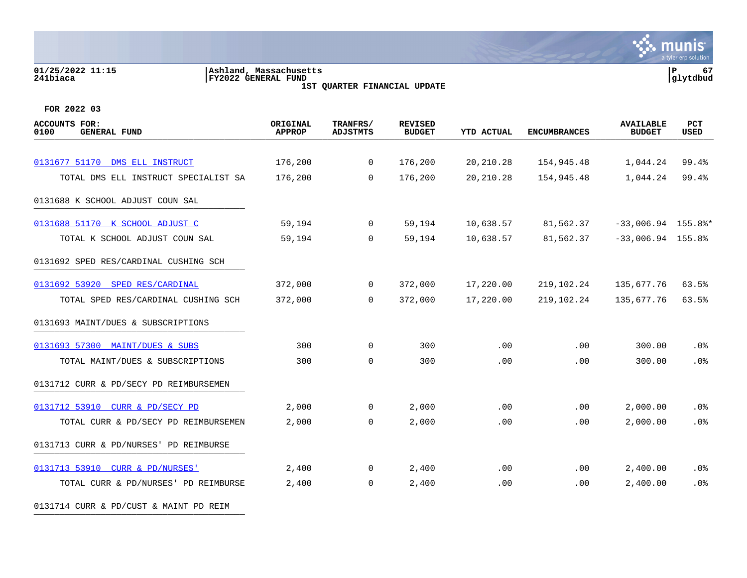### **01/25/2022 11:15 |Ashland, Massachusetts |P 67 241biaca |FY2022 GENERAL FUND |glytdbud 1ST QUARTER FINANCIAL UPDATE**



**FOR 2022 03**

| <b>ACCOUNTS FOR:</b><br>0100<br><b>GENERAL FUND</b> | ORIGINAL<br><b>APPROP</b> | TRANFRS/<br><b>ADJSTMTS</b> | <b>REVISED</b><br><b>BUDGET</b> | <b>YTD ACTUAL</b> | <b>ENCUMBRANCES</b> | <b>AVAILABLE</b><br><b>BUDGET</b> | PCT<br><b>USED</b> |
|-----------------------------------------------------|---------------------------|-----------------------------|---------------------------------|-------------------|---------------------|-----------------------------------|--------------------|
|                                                     |                           |                             |                                 |                   |                     |                                   |                    |
| 0131677 51170 DMS ELL INSTRUCT                      | 176,200                   | $\mathbf 0$                 | 176,200                         | 20, 210. 28       | 154,945.48          | 1,044.24                          | 99.4%              |
| TOTAL DMS ELL INSTRUCT SPECIALIST SA                | 176,200                   | $\mathbf 0$                 | 176,200                         | 20,210.28         | 154,945.48          | 1,044.24                          | 99.4%              |
| 0131688 K SCHOOL ADJUST COUN SAL                    |                           |                             |                                 |                   |                     |                                   |                    |
| 0131688 51170 K SCHOOL ADJUST C                     | 59,194                    | $\overline{0}$              | 59,194                          | 10,638.57         | 81,562.37           | $-33,006.94$ 155.8%*              |                    |
| TOTAL K SCHOOL ADJUST COUN SAL                      | 59,194                    | $\mathbf 0$                 | 59,194                          | 10,638.57         | 81,562.37           | $-33,006.94$ 155.8%               |                    |
| 0131692 SPED RES/CARDINAL CUSHING SCH               |                           |                             |                                 |                   |                     |                                   |                    |
| 0131692 53920 SPED RES/CARDINAL                     | 372,000                   | $\mathbf 0$                 | 372,000                         | 17,220.00         | 219,102.24          | 135,677.76                        | 63.5%              |
| TOTAL SPED RES/CARDINAL CUSHING SCH                 | 372,000                   | $\Omega$                    | 372,000                         | 17,220.00         | 219,102.24          | 135,677.76                        | 63.5%              |
| 0131693 MAINT/DUES & SUBSCRIPTIONS                  |                           |                             |                                 |                   |                     |                                   |                    |
| 0131693 57300 MAINT/DUES & SUBS                     | 300                       | $\mathsf{O}$                | 300                             | .00               | .00                 | 300.00                            | .0%                |
| TOTAL MAINT/DUES & SUBSCRIPTIONS                    | 300                       | $\mathbf 0$                 | 300                             | .00               | .00                 | 300.00                            | .0%                |
| 0131712 CURR & PD/SECY PD REIMBURSEMEN              |                           |                             |                                 |                   |                     |                                   |                    |
| 0131712 53910 CURR & PD/SECY PD                     | 2,000                     | $\mathbf 0$                 | 2,000                           | .00               | .00                 | 2,000.00                          | .0%                |
| TOTAL CURR & PD/SECY PD REIMBURSEMEN                | 2,000                     | 0                           | 2,000                           | .00               | .00                 | 2,000.00                          | .0%                |
| 0131713 CURR & PD/NURSES' PD REIMBURSE              |                           |                             |                                 |                   |                     |                                   |                    |
| 0131713 53910 CURR & PD/NURSES'                     | 2,400                     | $\mathbf 0$                 | 2,400                           | .00               | $.00 \,$            | 2,400.00                          | .0%                |
| TOTAL CURR & PD/NURSES' PD REIMBURSE                | 2,400                     | $\mathbf 0$                 | 2,400                           | .00               | .00                 | 2,400.00                          | .0%                |

0131714 CURR & PD/CUST & MAINT PD REIM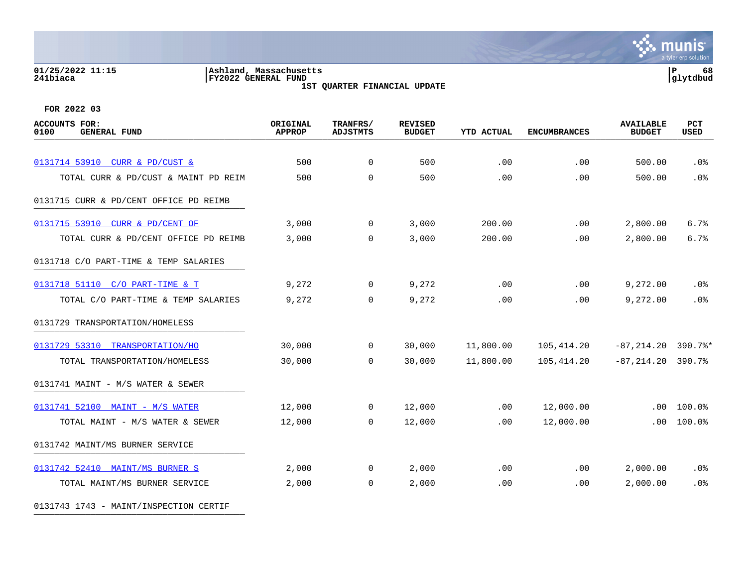# **01/25/2022 11:15 |Ashland, Massachusetts |P 68 241biaca |FY2022 GENERAL FUND |glytdbud**

**1ST QUARTER FINANCIAL UPDATE**



**FOR 2022 03**

| <b>ACCOUNTS FOR:</b><br>0100<br><b>GENERAL FUND</b> | ORIGINAL<br><b>APPROP</b> | TRANFRS/<br><b>ADJSTMTS</b> | <b>REVISED</b><br><b>BUDGET</b> | <b>YTD ACTUAL</b> | <b>ENCUMBRANCES</b> | <b>AVAILABLE</b><br><b>BUDGET</b> | PCT<br><b>USED</b> |
|-----------------------------------------------------|---------------------------|-----------------------------|---------------------------------|-------------------|---------------------|-----------------------------------|--------------------|
|                                                     |                           |                             |                                 |                   |                     |                                   |                    |
| 0131714 53910 CURR & PD/CUST &                      | 500                       | $\mathbf 0$                 | 500                             | .00               | .00                 | 500.00                            | .0%                |
| TOTAL CURR & PD/CUST & MAINT PD REIM                | 500                       | $\Omega$                    | 500                             | .00               | .00                 | 500.00                            | .0%                |
| 0131715 CURR & PD/CENT OFFICE PD REIMB              |                           |                             |                                 |                   |                     |                                   |                    |
| 0131715 53910 CURR & PD/CENT OF                     | 3,000                     | $\overline{0}$              | 3,000                           | 200.00            | $.00 \,$            | 2,800.00                          | 6.7%               |
| TOTAL CURR & PD/CENT OFFICE PD REIMB                | 3,000                     | $\Omega$                    | 3,000                           | 200.00            | .00                 | 2,800.00                          | 6.7%               |
| 0131718 C/O PART-TIME & TEMP SALARIES               |                           |                             |                                 |                   |                     |                                   |                    |
| 0131718 51110 C/O PART-TIME & T                     | 9,272                     | $\overline{0}$              | 9,272                           | .00               | $.00 \,$            | 9,272.00                          | .0%                |
| TOTAL C/O PART-TIME & TEMP SALARIES                 | 9,272                     | 0                           | 9,272                           | .00               | .00                 | 9,272.00                          | .0%                |
| 0131729 TRANSPORTATION/HOMELESS                     |                           |                             |                                 |                   |                     |                                   |                    |
| 0131729 53310 TRANSPORTATION/HO                     | 30,000                    | $\Omega$                    | 30,000                          | 11,800.00         | 105,414.20          | $-87, 214.20$ 390.7%*             |                    |
| TOTAL TRANSPORTATION/HOMELESS                       | 30,000                    | $\Omega$                    | 30,000                          | 11,800.00         | 105,414.20          | $-87, 214.20$ 390.7%              |                    |
| 0131741 MAINT - M/S WATER & SEWER                   |                           |                             |                                 |                   |                     |                                   |                    |
| 0131741 52100 MAINT - M/S WATER                     | 12,000                    | $\overline{0}$              | 12,000                          | .00               | 12,000.00           | $.00 \,$                          | 100.0%             |
| TOTAL MAINT - M/S WATER & SEWER                     | 12,000                    | $\Omega$                    | 12,000                          | .00               | 12,000.00           | .00                               | 100.0%             |
| 0131742 MAINT/MS BURNER SERVICE                     |                           |                             |                                 |                   |                     |                                   |                    |
| 0131742 52410 MAINT/MS BURNER S                     | 2,000                     | $\overline{0}$              | 2,000                           | .00               | $.00 \,$            | 2,000.00                          | .0%                |
| TOTAL MAINT/MS BURNER SERVICE                       | 2,000                     | 0                           | 2,000                           | .00               | .00                 | 2,000.00                          | .0%                |
|                                                     |                           |                             |                                 |                   |                     |                                   |                    |

0131743 1743 - MAINT/INSPECTION CERTIF \_\_\_\_\_\_\_\_\_\_\_\_\_\_\_\_\_\_\_\_\_\_\_\_\_\_\_\_\_\_\_\_\_\_\_\_\_\_\_\_\_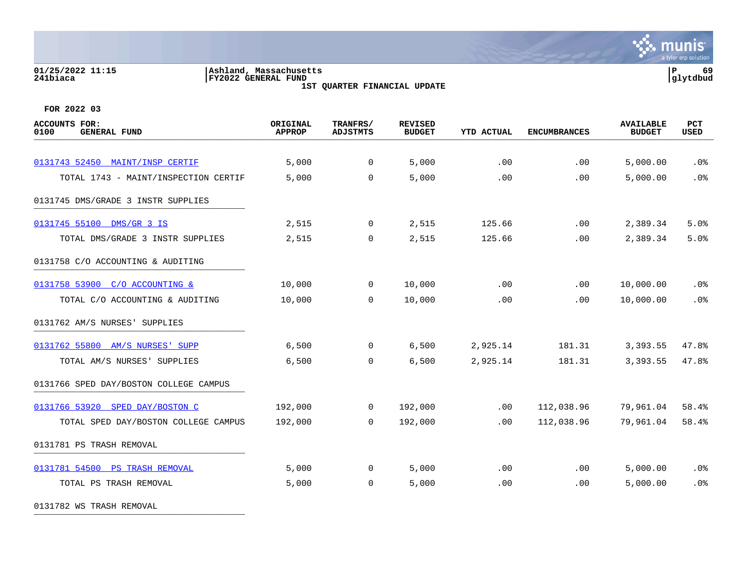# **01/25/2022 11:15 |Ashland, Massachusetts |P 69 241biaca |FY2022 GENERAL FUND |glytdbud**

**1ST QUARTER FINANCIAL UPDATE**



**FOR 2022 03**

| <b>ACCOUNTS FOR:</b><br><b>GENERAL FUND</b><br>0100 | ORIGINAL<br><b>APPROP</b> | TRANFRS/<br><b>ADJSTMTS</b> | <b>REVISED</b><br><b>BUDGET</b> | <b>YTD ACTUAL</b> | <b>ENCUMBRANCES</b> | <b>AVAILABLE</b><br><b>BUDGET</b> | PCT<br><b>USED</b> |
|-----------------------------------------------------|---------------------------|-----------------------------|---------------------------------|-------------------|---------------------|-----------------------------------|--------------------|
|                                                     |                           |                             |                                 |                   |                     |                                   |                    |
| 0131743 52450 MAINT/INSP CERTIF                     | 5,000                     | $\overline{0}$              | 5,000                           | .00               | .00                 | 5,000.00                          | .0%                |
| TOTAL 1743 - MAINT/INSPECTION CERTIF                | 5,000                     | $\mathbf 0$                 | 5,000                           | .00               | .00                 | 5,000.00                          | .0%                |
| 0131745 DMS/GRADE 3 INSTR SUPPLIES                  |                           |                             |                                 |                   |                     |                                   |                    |
| 0131745 55100 DMS/GR 3 IS                           | 2,515                     | $\overline{0}$              | 2,515                           | 125.66            | .00                 | 2,389.34                          | 5.0%               |
| TOTAL DMS/GRADE 3 INSTR SUPPLIES                    | 2,515                     | 0                           | 2,515                           | 125.66            | .00                 | 2,389.34                          | 5.0%               |
| 0131758 C/O ACCOUNTING & AUDITING                   |                           |                             |                                 |                   |                     |                                   |                    |
| 0131758 53900 C/O ACCOUNTING &                      | 10,000                    | $\mathbf 0$                 | 10,000                          | .00               | .00                 | 10,000.00                         | .0 <sub>8</sub>    |
| TOTAL C/O ACCOUNTING & AUDITING                     | 10,000                    | $\Omega$                    | 10,000                          | .00               | .00                 | 10,000.00                         | .0%                |
| 0131762 AM/S NURSES' SUPPLIES                       |                           |                             |                                 |                   |                     |                                   |                    |
| 0131762 55800 AM/S NURSES' SUPP                     | 6,500                     | $\overline{0}$              | 6,500                           | 2,925.14          | 181.31              | 3,393.55                          | 47.8%              |
| TOTAL AM/S NURSES' SUPPLIES                         | 6,500                     | $\mathbf 0$                 | 6,500                           | 2,925.14          | 181.31              | 3,393.55                          | 47.8%              |
| 0131766 SPED DAY/BOSTON COLLEGE CAMPUS              |                           |                             |                                 |                   |                     |                                   |                    |
| 0131766 53920 SPED DAY/BOSTON C                     | 192,000                   | $\mathbf 0$                 | 192,000                         | $.00 \,$          | 112,038.96          | 79,961.04                         | 58.4%              |
| TOTAL SPED DAY/BOSTON COLLEGE CAMPUS                | 192,000                   | $\mathbf 0$                 | 192,000                         | .00               | 112,038.96          | 79,961.04                         | 58.4%              |
| 0131781 PS TRASH REMOVAL                            |                           |                             |                                 |                   |                     |                                   |                    |
| 0131781 54500 PS TRASH REMOVAL                      | 5,000                     | $\mathbf 0$                 | 5,000                           | .00               | .00                 | 5,000.00                          | .0%                |
| TOTAL PS TRASH REMOVAL                              | 5,000                     | 0                           | 5,000                           | .00               | .00                 | 5,000.00                          | .0%                |
|                                                     |                           |                             |                                 |                   |                     |                                   |                    |

0131782 WS TRASH REMOVAL \_\_\_\_\_\_\_\_\_\_\_\_\_\_\_\_\_\_\_\_\_\_\_\_\_\_\_\_\_\_\_\_\_\_\_\_\_\_\_\_\_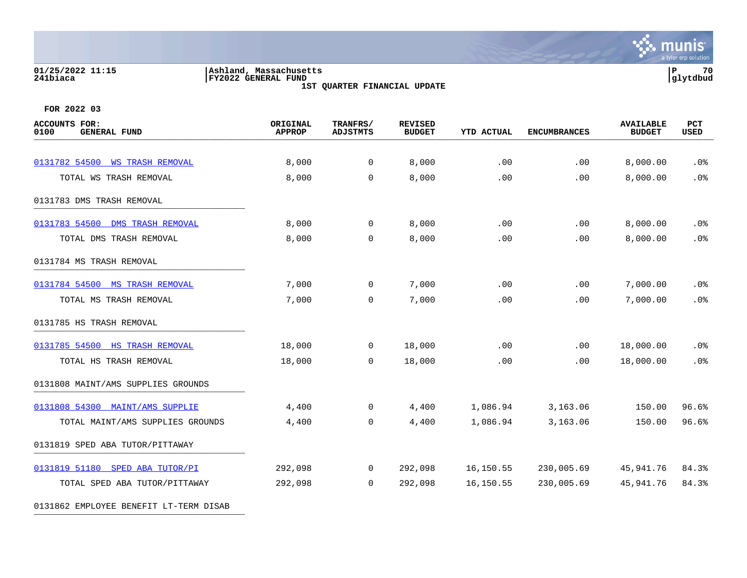### **01/25/2022 11:15 |Ashland, Massachusetts |P 70 241biaca |FY2022 GENERAL FUND |glytdbud**

**1ST QUARTER FINANCIAL UPDATE**



| <b>ACCOUNTS FOR:</b><br>0100<br><b>GENERAL FUND</b> | ORIGINAL<br><b>APPROP</b> | TRANFRS/<br><b>ADJSTMTS</b> | <b>REVISED</b><br><b>BUDGET</b> | <b>YTD ACTUAL</b> | <b>ENCUMBRANCES</b> | <b>AVAILABLE</b><br><b>BUDGET</b> | PCT<br><b>USED</b> |
|-----------------------------------------------------|---------------------------|-----------------------------|---------------------------------|-------------------|---------------------|-----------------------------------|--------------------|
|                                                     |                           |                             |                                 |                   |                     |                                   |                    |
| 0131782 54500 WS TRASH REMOVAL                      | 8,000                     | $\mathbf 0$                 | 8,000                           | .00               | .00                 | 8,000.00                          | .0 <sub>8</sub>    |
| TOTAL WS TRASH REMOVAL                              | 8,000                     | $\mathbf 0$                 | 8,000                           | .00               | .00                 | 8,000.00                          | .0%                |
| 0131783 DMS TRASH REMOVAL                           |                           |                             |                                 |                   |                     |                                   |                    |
| 0131783 54500 DMS TRASH REMOVAL                     | 8,000                     | 0                           | 8,000                           | .00               | .00                 | 8,000.00                          | .0%                |
| TOTAL DMS TRASH REMOVAL                             | 8,000                     | $\mathbf 0$                 | 8,000                           | .00               | .00                 | 8,000.00                          | .0%                |
| 0131784 MS TRASH REMOVAL                            |                           |                             |                                 |                   |                     |                                   |                    |
| 0131784 54500 MS TRASH REMOVAL                      | 7,000                     | $\mathbf{0}$                | 7,000                           | .00               | .00                 | 7,000.00                          | .0 <sub>8</sub>    |
| TOTAL MS TRASH REMOVAL                              | 7,000                     | 0                           | 7,000                           | .00               | .00                 | 7,000.00                          | .0%                |
| 0131785 HS TRASH REMOVAL                            |                           |                             |                                 |                   |                     |                                   |                    |
| 0131785 54500 HS TRASH REMOVAL                      | 18,000                    | 0                           | 18,000                          | .00               | .00                 | 18,000.00                         | .0%                |
| TOTAL HS TRASH REMOVAL                              | 18,000                    | $\Omega$                    | 18,000                          | .00               | .00                 | 18,000.00                         | .0%                |
| 0131808 MAINT/AMS SUPPLIES GROUNDS                  |                           |                             |                                 |                   |                     |                                   |                    |
| 0131808 54300 MAINT/AMS SUPPLIE                     | 4,400                     | $\mathbf{0}$                | 4,400                           | 1,086.94          | 3,163.06            | 150.00                            | 96.6%              |
| TOTAL MAINT/AMS SUPPLIES GROUNDS                    | 4,400                     | $\overline{0}$              | 4,400                           | 1,086.94          | 3,163.06            | 150.00                            | 96.6%              |
| 0131819 SPED ABA TUTOR/PITTAWAY                     |                           |                             |                                 |                   |                     |                                   |                    |
| 0131819 51180 SPED ABA TUTOR/PI                     | 292,098                   | 0                           | 292,098                         | 16,150.55         | 230,005.69          | 45,941.76                         | 84.3%              |
| TOTAL SPED ABA TUTOR/PITTAWAY                       | 292,098                   | $\mathbf 0$                 | 292,098                         | 16,150.55         | 230,005.69          | 45,941.76                         | 84.3%              |
| 0131862 EMPLOYEE BENEFIT LT-TERM DISAB              |                           |                             |                                 |                   |                     |                                   |                    |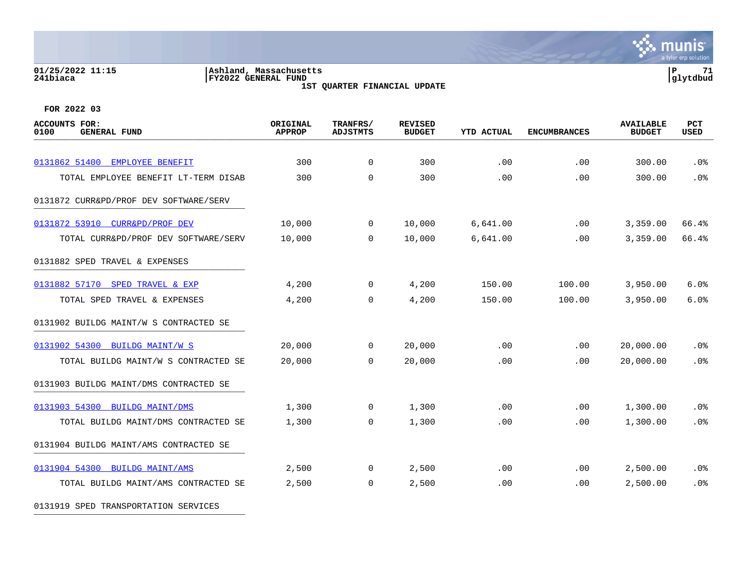### **01/25/2022 11:15 |Ashland, Massachusetts |P 71 241biaca |FY2022 GENERAL FUND |glytdbud 1ST QUARTER FINANCIAL UPDATE**



**FOR 2022 03**

| <b>ACCOUNTS FOR:</b><br>0100<br><b>GENERAL FUND</b> | ORIGINAL<br><b>APPROP</b> | TRANFRS/<br><b>ADJSTMTS</b> | <b>REVISED</b><br><b>BUDGET</b> | <b>YTD ACTUAL</b> | <b>ENCUMBRANCES</b> | <b>AVAILABLE</b><br><b>BUDGET</b> | PCT<br>USED     |
|-----------------------------------------------------|---------------------------|-----------------------------|---------------------------------|-------------------|---------------------|-----------------------------------|-----------------|
| 0131862 51400 EMPLOYEE BENEFIT                      | 300                       | $\overline{0}$              | 300                             | .00               | .00                 | 300.00                            | .0%             |
| TOTAL EMPLOYEE BENEFIT LT-TERM DISAB                | 300                       | $\Omega$                    | 300                             | .00               | .00                 | 300.00                            | .0%             |
| 0131872 CURR&PD/PROF DEV SOFTWARE/SERV              |                           |                             |                                 |                   |                     |                                   |                 |
| 0131872 53910 CURR&PD/PROF DEV                      | 10,000                    | $\overline{0}$              | 10,000                          | 6,641.00          | .00                 | 3,359.00                          | 66.4%           |
| TOTAL CURR&PD/PROF DEV SOFTWARE/SERV                | 10,000                    | $\Omega$                    | 10,000                          | 6,641.00          | .00                 | 3,359.00                          | 66.4%           |
| 0131882 SPED TRAVEL & EXPENSES                      |                           |                             |                                 |                   |                     |                                   |                 |
| 0131882 57170<br>SPED TRAVEL & EXP                  | 4,200                     | $\overline{0}$              | 4,200                           | 150.00            | 100.00              | 3,950.00                          | 6.0%            |
| TOTAL SPED TRAVEL & EXPENSES                        | 4,200                     | 0                           | 4,200                           | 150.00            | 100.00              | 3,950.00                          | 6.0%            |
| 0131902 BUILDG MAINT/W S CONTRACTED SE              |                           |                             |                                 |                   |                     |                                   |                 |
| 0131902 54300 BUILDG MAINT/W S                      | 20,000                    | $\overline{0}$              | 20,000                          | .00               | .00                 | 20,000.00                         | .0%             |
| TOTAL BUILDG MAINT/W S CONTRACTED SE                | 20,000                    | $\Omega$                    | 20,000                          | .00               | .00                 | 20,000.00                         | .0%             |
| 0131903 BUILDG MAINT/DMS CONTRACTED SE              |                           |                             |                                 |                   |                     |                                   |                 |
| 0131903 54300 BUILDG MAINT/DMS                      | 1,300                     | 0                           | 1,300                           | .00.              | .00                 | 1,300.00                          | .0 <sub>8</sub> |
| TOTAL BUILDG MAINT/DMS CONTRACTED SE                | 1,300                     | 0                           | 1,300                           | .00               | .00                 | 1,300.00                          | .0%             |
| 0131904 BUILDG MAINT/AMS CONTRACTED SE              |                           |                             |                                 |                   |                     |                                   |                 |
| 0131904 54300 BUILDG MAINT/AMS                      | 2,500                     | $\overline{0}$              | 2,500                           | .00               | .00                 | 2,500.00                          | .0 <sub>8</sub> |
| TOTAL BUILDG MAINT/AMS CONTRACTED SE                | 2,500                     | $\mathbf{0}$                | 2,500                           | .00               | .00                 | 2,500.00                          | .0%             |

0131919 SPED TRANSPORTATION SERVICES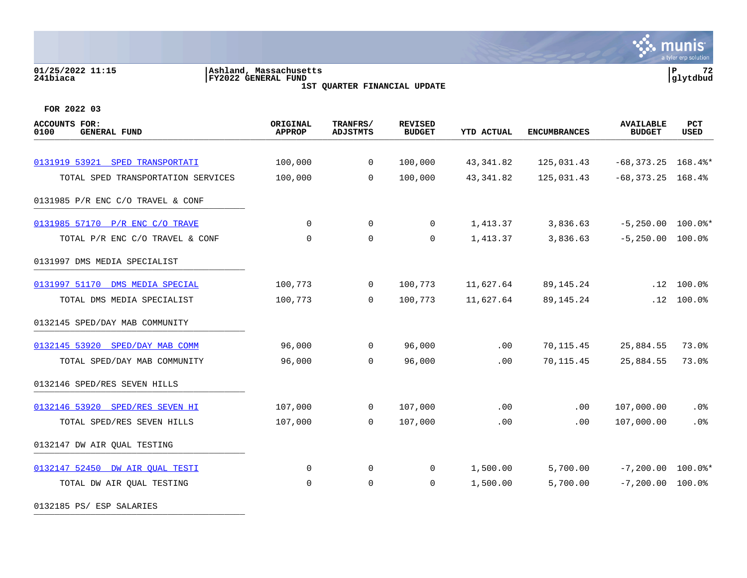### **01/25/2022 11:15 |Ashland, Massachusetts |P 72 241biaca |FY2022 GENERAL FUND |glytdbud 1ST QUARTER FINANCIAL UPDATE**



 $\mathbf{\ddot{\cdot}}$  munis

**FOR 2022 03**

| ACCOUNTS FOR:<br><b>GENERAL FUND</b><br>0100 | ORIGINAL<br><b>APPROP</b> | TRANFRS/<br><b>ADJSTMTS</b> | <b>REVISED</b><br><b>BUDGET</b> | <b>YTD ACTUAL</b> | <b>ENCUMBRANCES</b> | <b>AVAILABLE</b><br><b>BUDGET</b> | <b>PCT</b><br>USED |
|----------------------------------------------|---------------------------|-----------------------------|---------------------------------|-------------------|---------------------|-----------------------------------|--------------------|
|                                              |                           |                             |                                 |                   |                     |                                   |                    |
| 0131919 53921 SPED TRANSPORTATI              | 100,000                   | $\overline{0}$              | 100,000                         | 43, 341.82        | 125,031.43          | $-68,373.25$ 168.4%*              |                    |
| TOTAL SPED TRANSPORTATION SERVICES           | 100,000                   | $\mathbf 0$                 | 100,000                         | 43, 341.82        | 125,031.43          | $-68,373.25$ 168.4%               |                    |
| 0131985 P/R ENC C/O TRAVEL & CONF            |                           |                             |                                 |                   |                     |                                   |                    |
| 0131985 57170 P/R ENC C/O TRAVE              | 0                         | $\overline{0}$              | 0                               | 1,413.37          | 3,836.63            | $-5,250.00$ 100.0%*               |                    |
| TOTAL P/R ENC C/O TRAVEL & CONF              | $\mathbf 0$               | 0                           | $\mathbf 0$                     | 1,413.37          | 3,836.63            | $-5,250.00$ 100.0%                |                    |
| 0131997 DMS MEDIA SPECIALIST                 |                           |                             |                                 |                   |                     |                                   |                    |
| 0131997 51170 DMS MEDIA SPECIAL              | 100,773                   | $\overline{0}$              | 100,773                         | 11,627.64         | 89,145.24           |                                   | $.12$ $100.0%$     |
| TOTAL DMS MEDIA SPECIALIST                   | 100,773                   | $\Omega$                    | 100,773                         | 11,627.64         | 89, 145. 24         | .12                               | 100.0%             |
| 0132145 SPED/DAY MAB COMMUNITY               |                           |                             |                                 |                   |                     |                                   |                    |
| 0132145 53920 SPED/DAY MAB COMM              | 96,000                    | $\overline{0}$              | 96,000                          | .00               | 70,115.45           | 25,884.55                         | 73.0%              |
| TOTAL SPED/DAY MAB COMMUNITY                 | 96,000                    | $\Omega$                    | 96,000                          | .00               | 70,115.45           | 25,884.55                         | 73.0%              |
| 0132146 SPED/RES SEVEN HILLS                 |                           |                             |                                 |                   |                     |                                   |                    |
| 0132146 53920 SPED/RES SEVEN HI              | 107,000                   | $\overline{0}$              | 107,000                         | .00               | .00                 | 107,000.00                        | .0%                |
| TOTAL SPED/RES SEVEN HILLS                   | 107,000                   | $\mathbf 0$                 | 107,000                         | .00               | .00                 | 107,000.00                        | .0%                |
| 0132147 DW AIR QUAL TESTING                  |                           |                             |                                 |                   |                     |                                   |                    |
| 0132147 52450 DW AIR OUAL TESTI              | 0                         | $\overline{0}$              | 0                               | 1,500.00          | 5,700.00            | $-7,200.00$ 100.0%*               |                    |
| TOTAL DW AIR QUAL TESTING                    | $\mathbf 0$               | $\mathbf 0$                 | $\mathbf 0$                     | 1,500.00          | 5,700.00            | $-7,200.00$ 100.0%                |                    |
|                                              |                           |                             |                                 |                   |                     |                                   |                    |

0132185 PS/ ESP SALARIES \_\_\_\_\_\_\_\_\_\_\_\_\_\_\_\_\_\_\_\_\_\_\_\_\_\_\_\_\_\_\_\_\_\_\_\_\_\_\_\_\_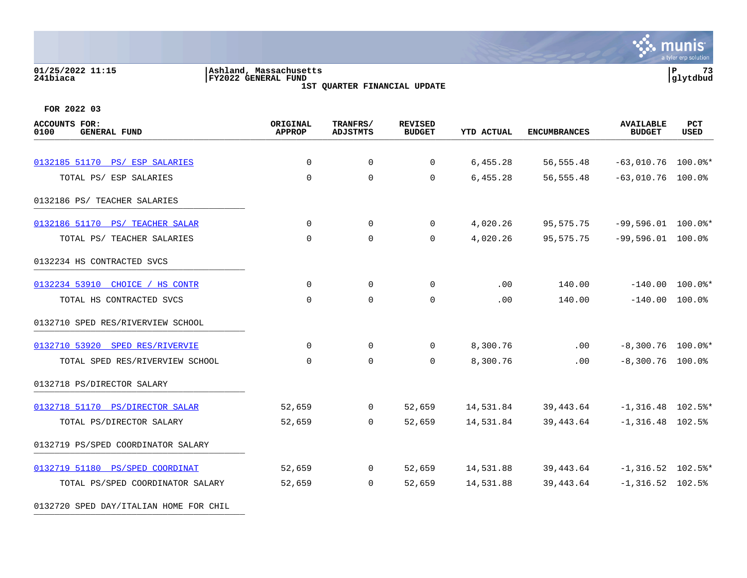### **01/25/2022 11:15 |Ashland, Massachusetts |P 73 241biaca |FY2022 GENERAL FUND |glytdbud 1ST QUARTER FINANCIAL UPDATE**



| <b>ACCOUNTS FOR:</b><br>0100<br><b>GENERAL FUND</b> | ORIGINAL<br><b>APPROP</b> | TRANFRS/<br><b>ADJSTMTS</b> | <b>REVISED</b><br><b>BUDGET</b> | <b>YTD ACTUAL</b> | <b>ENCUMBRANCES</b> | <b>AVAILABLE</b><br><b>BUDGET</b> | PCT<br>USED |
|-----------------------------------------------------|---------------------------|-----------------------------|---------------------------------|-------------------|---------------------|-----------------------------------|-------------|
|                                                     |                           |                             |                                 |                   |                     |                                   |             |
| 0132185 51170 PS/ ESP SALARIES                      | $\mathbf 0$               | $\mathbf 0$                 | 0                               | 6,455.28          | 56, 555.48          | $-63,010.76$ 100.0%*              |             |
| TOTAL PS/ ESP SALARIES                              | $\Omega$                  | $\Omega$                    | $\mathbf 0$                     | 6,455.28          | 56,555.48           | $-63,010.76$ 100.0%               |             |
| 0132186 PS/ TEACHER SALARIES                        |                           |                             |                                 |                   |                     |                                   |             |
| 0132186 51170 PS/ TEACHER SALAR                     | $\mathbf 0$               | $\mathbf 0$                 | 0                               | 4,020.26          | 95,575.75           | $-99,596.01$ 100.0%*              |             |
| TOTAL PS/ TEACHER SALARIES                          | $\mathbf 0$               | $\mathbf 0$                 | $\mathbf 0$                     | 4,020.26          | 95,575.75           | $-99,596.01$ 100.0%               |             |
| 0132234 HS CONTRACTED SVCS                          |                           |                             |                                 |                   |                     |                                   |             |
| 0132234 53910 CHOICE / HS CONTR                     | $\mathbf 0$               | $\mathbf 0$                 | 0                               | .00               | 140.00              | $-140.00$ 100.0%*                 |             |
| TOTAL HS CONTRACTED SVCS                            | $\Omega$                  | $\mathbf 0$                 | $\mathbf 0$                     | .00               | 140.00              | $-140.00$ 100.0%                  |             |
| 0132710 SPED RES/RIVERVIEW SCHOOL                   |                           |                             |                                 |                   |                     |                                   |             |
| 0132710 53920 SPED RES/RIVERVIE                     | $\mathbf 0$               | 0                           | 0                               | 8,300.76          | $.00 \,$            | $-8,300.76$ 100.0%*               |             |
| TOTAL SPED RES/RIVERVIEW SCHOOL                     | 0                         | $\mathbf 0$                 | $\mathbf 0$                     | 8,300.76          | .00                 | $-8,300.76$ 100.0%                |             |
| 0132718 PS/DIRECTOR SALARY                          |                           |                             |                                 |                   |                     |                                   |             |
| 0132718 51170 PS/DIRECTOR SALAR                     | 52,659                    | $\overline{0}$              | 52,659                          | 14,531.84         | 39,443.64           | $-1,316.48$ 102.5%*               |             |
| TOTAL PS/DIRECTOR SALARY                            | 52,659                    | $\Omega$                    | 52,659                          | 14,531.84         | 39, 443.64          | $-1,316.48$ 102.5%                |             |
| 0132719 PS/SPED COORDINATOR SALARY                  |                           |                             |                                 |                   |                     |                                   |             |
| 0132719 51180 PS/SPED COORDINAT                     | 52,659                    | $\overline{0}$              | 52,659                          | 14,531.88         | 39,443.64           | $-1,316.52$ 102.5%*               |             |
| TOTAL PS/SPED COORDINATOR SALARY                    | 52,659                    | $\Omega$                    | 52,659                          | 14,531.88         | 39,443.64           | $-1,316.52$ 102.5%                |             |
| 0132720 SPED DAY/ITALIAN HOME FOR CHIL              |                           |                             |                                 |                   |                     |                                   |             |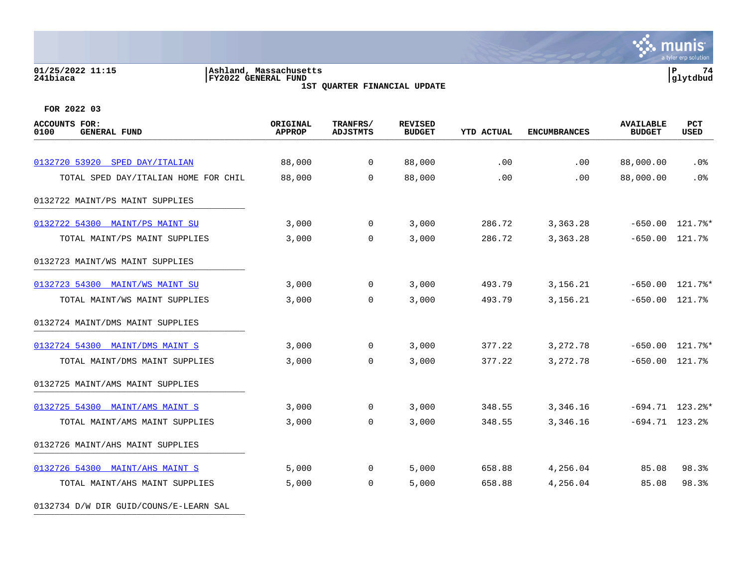# **01/25/2022 11:15 |Ashland, Massachusetts |P 74 241biaca |FY2022 GENERAL FUND |glytdbud**

**1ST QUARTER FINANCIAL UPDATE**



**FOR 2022 03**

0132734 D/W DIR GUID/COUNS/E-LEARN SAL

| <b>ACCOUNTS FOR:</b><br>0100<br><b>GENERAL FUND</b> | ORIGINAL<br><b>APPROP</b> | TRANFRS/<br><b>ADJSTMTS</b> | <b>REVISED</b><br><b>BUDGET</b> | <b>YTD ACTUAL</b> | <b>ENCUMBRANCES</b> | <b>AVAILABLE</b><br><b>BUDGET</b> | PCT<br><b>USED</b> |
|-----------------------------------------------------|---------------------------|-----------------------------|---------------------------------|-------------------|---------------------|-----------------------------------|--------------------|
| 0132720 53920 SPED DAY/ITALIAN                      | 88,000                    | $\overline{0}$              | 88,000                          | .00               | .00                 | 88,000.00                         | $.0\%$             |
| TOTAL SPED DAY/ITALIAN HOME FOR CHIL                | 88,000                    | $\Omega$                    | 88,000                          | .00               | .00                 | 88,000.00                         | .0%                |
| 0132722 MAINT/PS MAINT SUPPLIES                     |                           |                             |                                 |                   |                     |                                   |                    |
| 0132722 54300 MAINT/PS MAINT SU                     | 3,000                     | $\overline{0}$              | 3,000                           | 286.72            | 3,363.28            |                                   | $-650.00$ 121.7%*  |
| TOTAL MAINT/PS MAINT SUPPLIES                       | 3,000                     | $\overline{0}$              | 3,000                           | 286.72            | 3,363.28            | $-650.00$ 121.7%                  |                    |
| 0132723 MAINT/WS MAINT SUPPLIES                     |                           |                             |                                 |                   |                     |                                   |                    |
| 0132723 54300 MAINT/WS MAINT SU                     | 3,000                     | $\overline{0}$              | 3,000                           | 493.79            | 3,156.21            |                                   | $-650.00$ 121.7%*  |
| TOTAL MAINT/WS MAINT SUPPLIES                       | 3,000                     | $\Omega$                    | 3,000                           | 493.79            | 3,156.21            | $-650.00$ 121.7%                  |                    |
| 0132724 MAINT/DMS MAINT SUPPLIES                    |                           |                             |                                 |                   |                     |                                   |                    |
| 0132724 54300 MAINT/DMS MAINT S                     | 3,000                     | $\mathbf{0}$                | 3,000                           | 377.22            | 3,272.78            |                                   | $-650.00$ 121.7%*  |
| TOTAL MAINT/DMS MAINT SUPPLIES                      | 3,000                     | $\Omega$                    | 3,000                           | 377.22            | 3, 272. 78          | $-650.00$ 121.7%                  |                    |
| 0132725 MAINT/AMS MAINT SUPPLIES                    |                           |                             |                                 |                   |                     |                                   |                    |
| 0132725 54300 MAINT/AMS MAINT S                     | 3,000                     | $\mathbf{0}$                | 3,000                           | 348.55            | 3,346.16            |                                   | $-694.71$ 123.2%*  |
| TOTAL MAINT/AMS MAINT SUPPLIES                      | 3,000                     | $\overline{0}$              | 3,000                           | 348.55            | 3,346.16            | $-694.71$ 123.2%                  |                    |
| 0132726 MAINT/AHS MAINT SUPPLIES                    |                           |                             |                                 |                   |                     |                                   |                    |
| 0132726 54300 MAINT/AHS MAINT S                     | 5,000                     | $\mathbf 0$                 | 5,000                           | 658.88            | 4,256.04            | 85.08                             | 98.3%              |
| TOTAL MAINT/AHS MAINT SUPPLIES                      | 5,000                     | $\overline{0}$              | 5,000                           | 658.88            | 4,256.04            | 85.08                             | 98.3%              |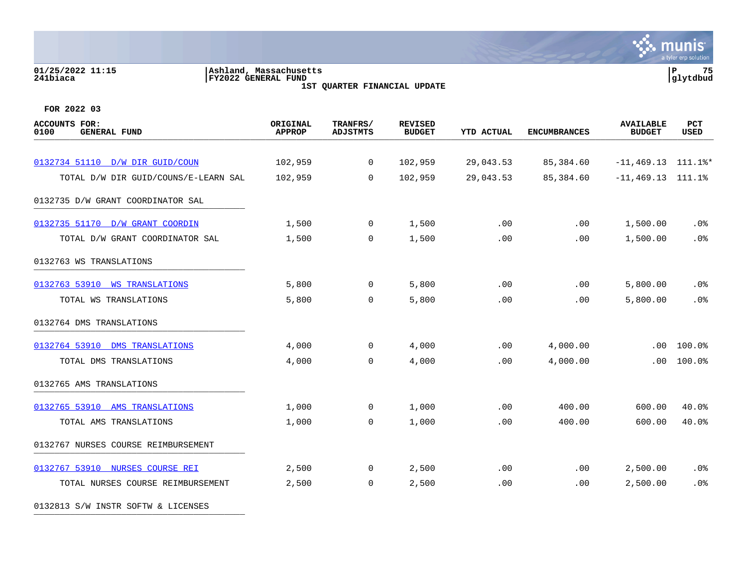### **01/25/2022 11:15 |Ashland, Massachusetts |P 75 241biaca |FY2022 GENERAL FUND |glytdbud 1ST QUARTER FINANCIAL UPDATE**



**FOR 2022 03**

| <b>ACCOUNTS FOR:</b><br>0100<br><b>GENERAL FUND</b> | ORIGINAL<br><b>APPROP</b> | TRANFRS/<br><b>ADJSTMTS</b> | <b>REVISED</b><br><b>BUDGET</b> | <b>YTD ACTUAL</b> | <b>ENCUMBRANCES</b> | <b>AVAILABLE</b><br><b>BUDGET</b> | <b>PCT</b><br><b>USED</b> |
|-----------------------------------------------------|---------------------------|-----------------------------|---------------------------------|-------------------|---------------------|-----------------------------------|---------------------------|
|                                                     |                           |                             |                                 |                   |                     |                                   |                           |
| 0132734 51110 D/W DIR GUID/COUN                     | 102,959                   | 0                           | 102,959                         | 29,043.53         | 85,384.60           | $-11,469.13$ $111.1$ <sup>*</sup> |                           |
| TOTAL D/W DIR GUID/COUNS/E-LEARN SAL                | 102,959                   | 0                           | 102,959                         | 29,043.53         | 85,384.60           | $-11, 469.13$                     | 111.1%                    |
| 0132735 D/W GRANT COORDINATOR SAL                   |                           |                             |                                 |                   |                     |                                   |                           |
| 0132735 51170<br>D/W GRANT COORDIN                  | 1,500                     | 0                           | 1,500                           | .00               | .00                 | 1,500.00                          | .0 <sub>8</sub>           |
| TOTAL D/W GRANT COORDINATOR SAL                     | 1,500                     | 0                           | 1,500                           | .00               | .00                 | 1,500.00                          | .0%                       |
| 0132763 WS TRANSLATIONS                             |                           |                             |                                 |                   |                     |                                   |                           |
| 0132763 53910 WS TRANSLATIONS                       | 5,800                     | $\mathbf 0$                 | 5,800                           | .00               | .00                 | 5,800.00                          | .0%                       |
| TOTAL WS TRANSLATIONS                               | 5,800                     | $\mathbf 0$                 | 5,800                           | .00               | .00                 | 5,800.00                          | .0%                       |
| 0132764 DMS TRANSLATIONS                            |                           |                             |                                 |                   |                     |                                   |                           |
| 0132764 53910 DMS TRANSLATIONS                      | 4,000                     | $\mathbf 0$                 | 4,000                           | .00               | 4,000.00            | .00                               | 100.0%                    |
| TOTAL DMS TRANSLATIONS                              | 4,000                     | $\mathbf 0$                 | 4,000                           | .00               | 4,000.00            | .00                               | 100.0%                    |
| 0132765 AMS TRANSLATIONS                            |                           |                             |                                 |                   |                     |                                   |                           |
| 0132765 53910 AMS TRANSLATIONS                      | 1,000                     | $\mathbf 0$                 | 1,000                           | .00               | 400.00              | 600.00                            | 40.0%                     |
| TOTAL AMS TRANSLATIONS                              | 1,000                     | 0                           | 1,000                           | .00               | 400.00              | 600.00                            | 40.0%                     |
| 0132767 NURSES COURSE REIMBURSEMENT                 |                           |                             |                                 |                   |                     |                                   |                           |
| 0132767 53910 NURSES COURSE REI                     | 2,500                     | 0                           | 2,500                           | .00               | .00                 | 2,500.00                          | .0 <sub>8</sub>           |
| TOTAL NURSES COURSE REIMBURSEMENT                   | 2,500                     | $\mathbf 0$                 | 2,500                           | .00               | .00                 | 2,500.00                          | .0 <sup>8</sup>           |

0132813 S/W INSTR SOFTW & LICENSES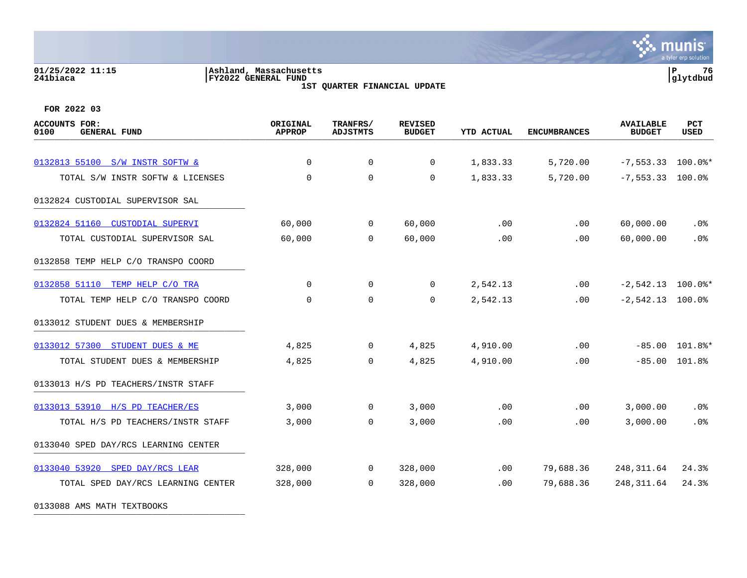### **01/25/2022 11:15 |Ashland, Massachusetts |P 76 241biaca |FY2022 GENERAL FUND |glytdbud 1ST QUARTER FINANCIAL UPDATE**

 $\mathbf{\ddot{\cdot}}$  munis a tyler erp solution

**FOR 2022 03**

| <b>ACCOUNTS FOR:</b><br><b>GENERAL FUND</b><br>0100 | ORIGINAL<br><b>APPROP</b> | TRANFRS/<br><b>ADJSTMTS</b> | <b>REVISED</b><br><b>BUDGET</b> | <b>YTD ACTUAL</b> | <b>ENCUMBRANCES</b> | <b>AVAILABLE</b><br><b>BUDGET</b> | <b>PCT</b><br><b>USED</b> |
|-----------------------------------------------------|---------------------------|-----------------------------|---------------------------------|-------------------|---------------------|-----------------------------------|---------------------------|
|                                                     |                           |                             |                                 |                   |                     |                                   |                           |
| 0132813 55100 S/W INSTR SOFTW &                     | $\mathbf 0$               | $\mathbf 0$                 | 0                               | 1,833.33          | 5,720.00            | $-7,553.33$ 100.0%*               |                           |
| TOTAL S/W INSTR SOFTW & LICENSES                    | 0                         | $\mathbf 0$                 | 0                               | 1,833.33          | 5,720.00            | $-7, 553.33$                      | $100.0$ $^{\circ}$        |
| 0132824 CUSTODIAL SUPERVISOR SAL                    |                           |                             |                                 |                   |                     |                                   |                           |
| 0132824 51160<br><b>CUSTODIAL SUPERVI</b>           | 60,000                    | 0                           | 60,000                          | .00               | .00                 | 60,000.00                         | .0%                       |
| TOTAL CUSTODIAL SUPERVISOR SAL                      | 60,000                    | $\mathbf 0$                 | 60,000                          | .00               | .00                 | 60,000.00                         | .0%                       |
| 0132858 TEMP HELP C/O TRANSPO COORD                 |                           |                             |                                 |                   |                     |                                   |                           |
| 0132858 51110<br>TEMP HELP C/O TRA                  | $\Omega$                  | $\mathbf 0$                 | $\Omega$                        | 2,542.13          | .00                 | $-2,542.13$ 100.0%*               |                           |
| TOTAL TEMP HELP C/O TRANSPO COORD                   | $\mathbf 0$               | $\mathbf 0$                 | $\mathbf 0$                     | 2,542.13          | .00                 | $-2,542.13$ 100.0%                |                           |
| 0133012 STUDENT DUES & MEMBERSHIP                   |                           |                             |                                 |                   |                     |                                   |                           |
| 0133012 57300 STUDENT DUES & ME                     | 4,825                     | 0                           | 4,825                           | 4,910.00          | .00                 |                                   | $-85.00$ 101.8%*          |
| TOTAL STUDENT DUES & MEMBERSHIP                     | 4,825                     | $\mathbf 0$                 | 4,825                           | 4,910.00          | .00                 | $-85.00$                          | 101.8%                    |
| 0133013 H/S PD TEACHERS/INSTR STAFF                 |                           |                             |                                 |                   |                     |                                   |                           |
| 0133013 53910 H/S PD TEACHER/ES                     | 3,000                     | $\mathbf 0$                 | 3,000                           | .00               | .00                 | 3,000.00                          | .0%                       |
| TOTAL H/S PD TEACHERS/INSTR STAFF                   | 3,000                     | $\mathbf 0$                 | 3,000                           | .00               | .00                 | 3,000.00                          | .0%                       |
| 0133040 SPED DAY/RCS LEARNING CENTER                |                           |                             |                                 |                   |                     |                                   |                           |
| 0133040 53920<br>SPED DAY/RCS LEAR                  | 328,000                   | 0                           | 328,000                         | .00               | 79,688.36           | 248, 311.64                       | 24.3%                     |
| TOTAL SPED DAY/RCS LEARNING CENTER                  | 328,000                   | $\mathbf 0$                 | 328,000                         | .00               | 79,688.36           | 248, 311.64                       | 24.3%                     |

0133088 AMS MATH TEXTBOOKS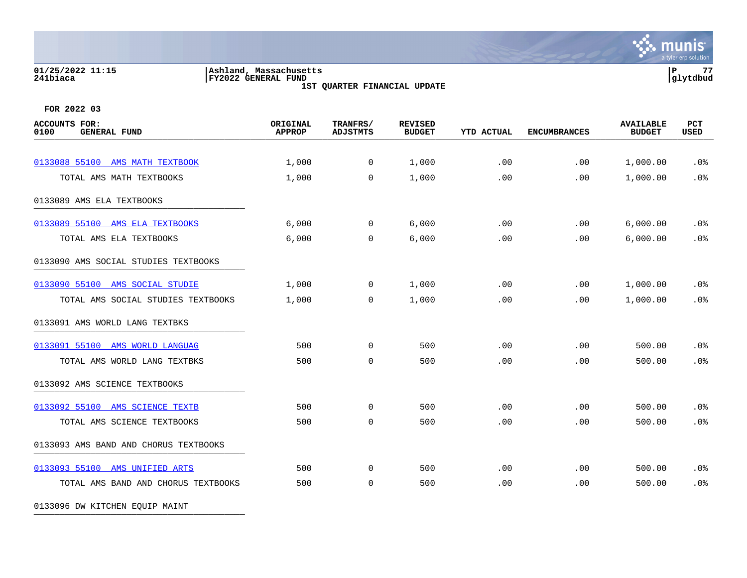# **01/25/2022 11:15 |Ashland, Massachusetts |P 77 241biaca |FY2022 GENERAL FUND |glytdbud**

**1ST QUARTER FINANCIAL UPDATE**



**FOR 2022 03**

| <b>ACCOUNTS FOR:</b><br><b>GENERAL FUND</b><br>0100 | ORIGINAL<br><b>APPROP</b> | TRANFRS/<br><b>ADJSTMTS</b> | <b>REVISED</b><br><b>BUDGET</b> | <b>YTD ACTUAL</b> | <b>ENCUMBRANCES</b> | <b>AVAILABLE</b><br><b>BUDGET</b> | <b>PCT</b><br><b>USED</b> |
|-----------------------------------------------------|---------------------------|-----------------------------|---------------------------------|-------------------|---------------------|-----------------------------------|---------------------------|
| 0133088 55100 AMS MATH TEXTBOOK                     | 1,000                     | $\mathsf{O}$                | 1,000                           | .00               | .00                 | 1,000.00                          | .0%                       |
| TOTAL AMS MATH TEXTBOOKS                            | 1,000                     | $\mathbf 0$                 | 1,000                           | .00               | .00                 | 1,000.00                          | .0%                       |
| 0133089 AMS ELA TEXTBOOKS                           |                           |                             |                                 |                   |                     |                                   |                           |
| 0133089 55100<br>AMS ELA TEXTBOOKS                  | 6,000                     | 0                           | 6,000                           | .00               | .00                 | 6,000.00                          | .0 <sub>8</sub>           |
| TOTAL AMS ELA TEXTBOOKS                             | 6,000                     | 0                           | 6,000                           | .00               | .00                 | 6,000.00                          | .0%                       |
| 0133090 AMS SOCIAL STUDIES TEXTBOOKS                |                           |                             |                                 |                   |                     |                                   |                           |
| 0133090 55100 AMS SOCIAL STUDIE                     | 1,000                     | $\mathbf 0$                 | 1,000                           | .00               | .00                 | 1,000.00                          | .0%                       |
| TOTAL AMS SOCIAL STUDIES TEXTBOOKS                  | 1,000                     | 0                           | 1,000                           | .00               | .00                 | 1,000.00                          | .0%                       |
| 0133091 AMS WORLD LANG TEXTBKS                      |                           |                             |                                 |                   |                     |                                   |                           |
| 0133091 55100 AMS WORLD LANGUAG                     | 500                       | $\mathbf 0$                 | 500                             | .00               | .00                 | 500.00                            | .0%                       |
| TOTAL AMS WORLD LANG TEXTBKS                        | 500                       | $\mathbf 0$                 | 500                             | .00               | .00                 | 500.00                            | .0%                       |
| 0133092 AMS SCIENCE TEXTBOOKS                       |                           |                             |                                 |                   |                     |                                   |                           |
| 0133092 55100 AMS SCIENCE TEXTB                     | 500                       | $\mathbf 0$                 | 500                             | .00               | .00                 | 500.00                            | .0%                       |
| TOTAL AMS SCIENCE TEXTBOOKS                         | 500                       | 0                           | 500                             | .00               | .00                 | 500.00                            | .0%                       |
| 0133093 AMS BAND AND CHORUS TEXTBOOKS               |                           |                             |                                 |                   |                     |                                   |                           |
| 0133093 55100 AMS UNIFIED ARTS                      | 500                       | 0                           | 500                             | .00               | .00                 | 500.00                            | $.0\%$                    |
| TOTAL AMS BAND AND CHORUS TEXTBOOKS                 | 500                       | $\mathbf 0$                 | 500                             | .00               | .00                 | 500.00                            | .0%                       |

0133096 DW KITCHEN EQUIP MAINT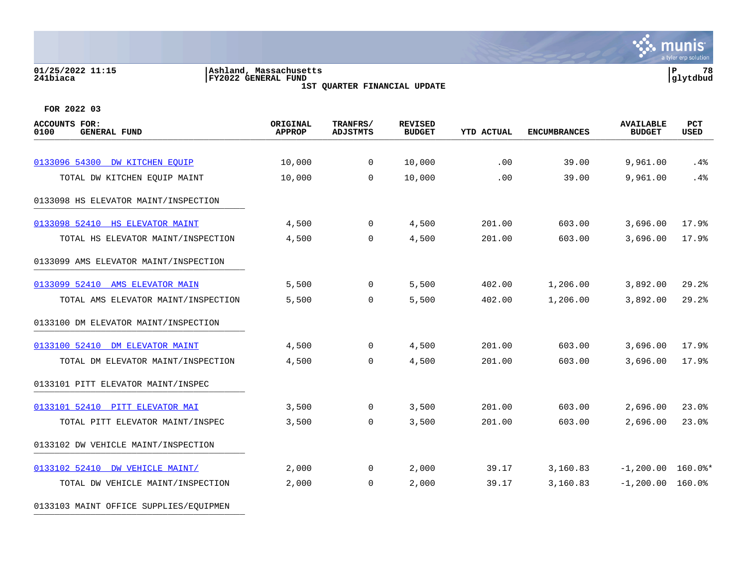### **01/25/2022 11:15 |Ashland, Massachusetts |P 78 241biaca |FY2022 GENERAL FUND |glytdbud 1ST QUARTER FINANCIAL UPDATE**

**\*** munis a tyler erp solution

| <b>ACCOUNTS FOR:</b><br>0100<br><b>GENERAL FUND</b> | ORIGINAL<br><b>APPROP</b> | TRANFRS/<br><b>ADJSTMTS</b> | <b>REVISED</b><br><b>BUDGET</b> | <b>YTD ACTUAL</b> | <b>ENCUMBRANCES</b> | <b>AVAILABLE</b><br><b>BUDGET</b> | PCT<br><b>USED</b> |
|-----------------------------------------------------|---------------------------|-----------------------------|---------------------------------|-------------------|---------------------|-----------------------------------|--------------------|
|                                                     |                           |                             |                                 |                   |                     |                                   |                    |
| 0133096 54300 DW KITCHEN EOUIP                      | 10,000                    | $\mathbf{0}$                | 10,000                          | .00               | 39.00               | 9,961.00                          | .4%                |
| TOTAL DW KITCHEN EQUIP MAINT                        | 10,000                    | $\Omega$                    | 10,000                          | .00               | 39.00               | 9,961.00                          | .4%                |
| 0133098 HS ELEVATOR MAINT/INSPECTION                |                           |                             |                                 |                   |                     |                                   |                    |
| 0133098 52410 HS ELEVATOR MAINT                     | 4,500                     | $\mathbf{0}$                | 4,500                           | 201.00            | 603.00              | 3,696.00                          | 17.9%              |
| TOTAL HS ELEVATOR MAINT/INSPECTION                  | 4,500                     | $\mathbf 0$                 | 4,500                           | 201.00            | 603.00              | 3,696.00                          | 17.9%              |
| 0133099 AMS ELEVATOR MAINT/INSPECTION               |                           |                             |                                 |                   |                     |                                   |                    |
| 0133099 52410 AMS ELEVATOR MAIN                     | 5,500                     | $\mathbf 0$                 | 5,500                           | 402.00            | 1,206.00            | 3,892.00                          | 29.2%              |
| TOTAL AMS ELEVATOR MAINT/INSPECTION                 | 5,500                     | $\mathbf 0$                 | 5,500                           | 402.00            | 1,206.00            | 3,892.00                          | 29.2%              |
| 0133100 DM ELEVATOR MAINT/INSPECTION                |                           |                             |                                 |                   |                     |                                   |                    |
| 0133100 52410 DM ELEVATOR MAINT                     | 4,500                     | $\overline{0}$              | 4,500                           | 201.00            | 603.00              | 3,696.00                          | 17.9%              |
| TOTAL DM ELEVATOR MAINT/INSPECTION                  | 4,500                     | $\mathbf 0$                 | 4,500                           | 201.00            | 603.00              | 3,696.00                          | 17.9%              |
| 0133101 PITT ELEVATOR MAINT/INSPEC                  |                           |                             |                                 |                   |                     |                                   |                    |
| 0133101 52410 PITT ELEVATOR MAI                     | 3,500                     | $\mathbf 0$                 | 3,500                           | 201.00            | 603.00              | 2,696.00                          | 23.0%              |
| TOTAL PITT ELEVATOR MAINT/INSPEC                    | 3,500                     | $\mathbf 0$                 | 3,500                           | 201.00            | 603.00              | 2,696.00                          | 23.0%              |
| 0133102 DW VEHICLE MAINT/INSPECTION                 |                           |                             |                                 |                   |                     |                                   |                    |
| 0133102 52410 DW VEHICLE MAINT/                     | 2,000                     | $\mathbf 0$                 | 2,000                           | 39.17             | 3,160.83            | $-1,200.00$ 160.0%*               |                    |
| TOTAL DW VEHICLE MAINT/INSPECTION                   | 2,000                     | $\mathbf 0$                 | 2,000                           | 39.17             | 3,160.83            | $-1,200.00$ 160.0%                |                    |
| 0133103 MAINT OFFICE SUPPLIES/EQUIPMEN              |                           |                             |                                 |                   |                     |                                   |                    |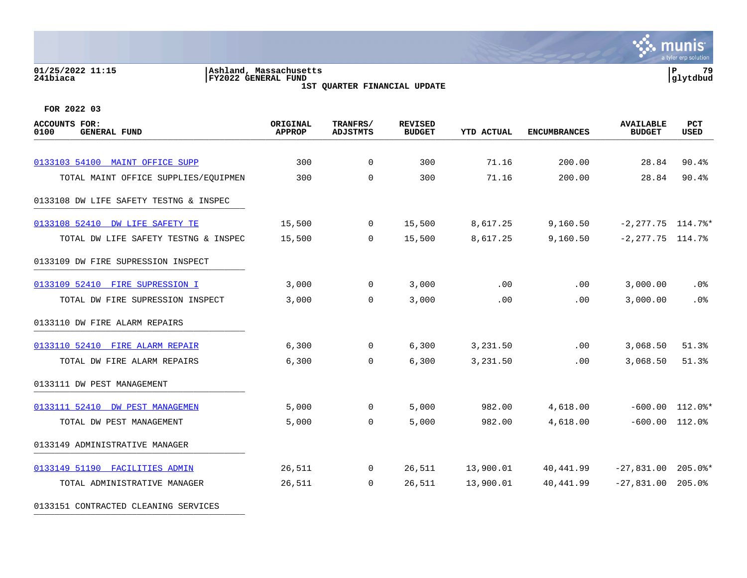### **01/25/2022 11:15 |Ashland, Massachusetts |P 79 241biaca |FY2022 GENERAL FUND |glytdbud 1ST QUARTER FINANCIAL UPDATE**

**\*** munis a tyler erp solution

| <b>ACCOUNTS FOR:</b><br>0100<br><b>GENERAL FUND</b> | ORIGINAL<br><b>APPROP</b> | TRANFRS/<br><b>ADJSTMTS</b> | <b>REVISED</b><br><b>BUDGET</b> | <b>YTD ACTUAL</b> | <b>ENCUMBRANCES</b> | <b>AVAILABLE</b><br><b>BUDGET</b> | PCT<br><b>USED</b> |
|-----------------------------------------------------|---------------------------|-----------------------------|---------------------------------|-------------------|---------------------|-----------------------------------|--------------------|
|                                                     |                           |                             |                                 |                   |                     |                                   |                    |
| 0133103 54100 MAINT OFFICE SUPP                     | 300                       | $\mathbf 0$                 | 300                             | 71.16             | 200.00              | 28.84                             | 90.4%              |
| TOTAL MAINT OFFICE SUPPLIES/EQUIPMEN                | 300                       | $\mathbf 0$                 | 300                             | 71.16             | 200.00              | 28.84                             | 90.4%              |
| 0133108 DW LIFE SAFETY TESTNG & INSPEC              |                           |                             |                                 |                   |                     |                                   |                    |
| 0133108 52410 DW LIFE SAFETY TE                     | 15,500                    | $\mathbf 0$                 | 15,500                          | 8,617.25          | 9,160.50            | $-2, 277.75$ 114.7%*              |                    |
| TOTAL DW LIFE SAFETY TESTNG & INSPEC                | 15,500                    | $\Omega$                    | 15,500                          | 8,617.25          | 9,160.50            | $-2, 277.75$ 114.7%               |                    |
| 0133109 DW FIRE SUPRESSION INSPECT                  |                           |                             |                                 |                   |                     |                                   |                    |
| 0133109 52410 FIRE SUPRESSION I                     | 3,000                     | $\Omega$                    | 3,000                           | .00               | .00                 | 3,000.00                          | .0%                |
| TOTAL DW FIRE SUPRESSION INSPECT                    | 3,000                     | $\mathbf 0$                 | 3,000                           | .00               | .00                 | 3,000.00                          | .0%                |
| 0133110 DW FIRE ALARM REPAIRS                       |                           |                             |                                 |                   |                     |                                   |                    |
| 0133110 52410 FIRE ALARM REPAIR                     | 6,300                     | $\mathbf 0$                 | 6,300                           | 3,231.50          | $.00 \,$            | 3,068.50                          | 51.3%              |
| TOTAL DW FIRE ALARM REPAIRS                         | 6,300                     | $\Omega$                    | 6,300                           | 3,231.50          | .00                 | 3,068.50                          | 51.3%              |
| 0133111 DW PEST MANAGEMENT                          |                           |                             |                                 |                   |                     |                                   |                    |
| 0133111 52410 DW PEST MANAGEMEN                     | 5,000                     | 0                           | 5,000                           | 982.00            | 4,618.00            |                                   | $-600.00$ 112.0%*  |
| TOTAL DW PEST MANAGEMENT                            | 5,000                     | $\Omega$                    | 5,000                           | 982.00            | 4,618.00            | $-600.00$ $112.0$ <sup>*</sup>    |                    |
| 0133149 ADMINISTRATIVE MANAGER                      |                           |                             |                                 |                   |                     |                                   |                    |
| 0133149 51190 FACILITIES ADMIN                      | 26,511                    | $\overline{0}$              | 26,511                          | 13,900.01         | 40,441.99           | $-27,831.00$ 205.0%*              |                    |
| TOTAL ADMINISTRATIVE MANAGER                        | 26,511                    | $\Omega$                    | 26,511                          | 13,900.01         | 40,441.99           | $-27,831.00$ 205.0%               |                    |
| 0133151 CONTRACTED CLEANING SERVICES                |                           |                             |                                 |                   |                     |                                   |                    |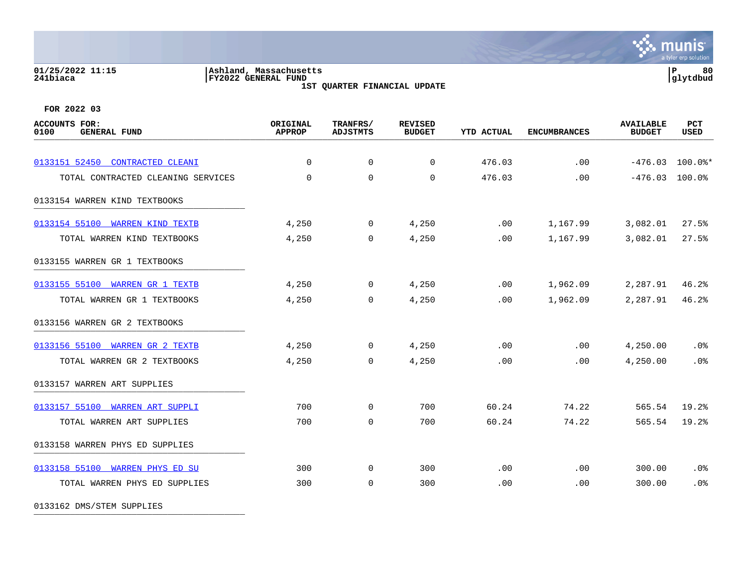### **01/25/2022 11:15 |Ashland, Massachusetts |P 80 241biaca |FY2022 GENERAL FUND |glytdbud 1ST QUARTER FINANCIAL UPDATE**

**्रैं: munis** a tyler erp solution

**FOR 2022 03**

| <b>ACCOUNTS FOR:</b><br>0100<br><b>GENERAL FUND</b> | ORIGINAL<br><b>APPROP</b> | TRANFRS/<br><b>ADJSTMTS</b> | <b>REVISED</b><br><b>BUDGET</b> | <b>YTD ACTUAL</b> | <b>ENCUMBRANCES</b> | <b>AVAILABLE</b><br><b>BUDGET</b> | <b>PCT</b><br>USED |
|-----------------------------------------------------|---------------------------|-----------------------------|---------------------------------|-------------------|---------------------|-----------------------------------|--------------------|
| 0133151 52450 CONTRACTED CLEANI                     | $\Omega$                  | $\mathbf 0$                 | $\mathbf 0$                     | 476.03            | .00                 | $-476.03$ 100.0%*                 |                    |
| TOTAL CONTRACTED CLEANING SERVICES                  | $\mathbf 0$               | $\mathbf 0$                 | $\mathbf 0$                     | 476.03            | .00                 | $-476.03$ 100.0%                  |                    |
| 0133154 WARREN KIND TEXTBOOKS                       |                           |                             |                                 |                   |                     |                                   |                    |
| 0133154 55100 WARREN KIND TEXTB                     | 4,250                     | $\mathbf 0$                 | 4,250                           | .00               | 1,167.99            | 3,082.01                          | 27.5%              |
| TOTAL WARREN KIND TEXTBOOKS                         | 4,250                     | $\mathbf 0$                 | 4,250                           | .00               | 1,167.99            | 3,082.01                          | 27.5%              |
| 0133155 WARREN GR 1 TEXTBOOKS                       |                           |                             |                                 |                   |                     |                                   |                    |
| 0133155 55100 WARREN GR 1 TEXTB                     | 4,250                     | $\mathbf 0$                 | 4,250                           | .00               | 1,962.09            | 2,287.91                          | 46.2%              |
| TOTAL WARREN GR 1 TEXTBOOKS                         | 4,250                     | $\mathbf 0$                 | 4,250                           | .00               | 1,962.09            | 2,287.91                          | 46.2%              |
| 0133156 WARREN GR 2 TEXTBOOKS                       |                           |                             |                                 |                   |                     |                                   |                    |
| 0133156 55100 WARREN GR 2 TEXTB                     | 4,250                     | $\mathbf 0$                 | 4,250                           | .00               | .00                 | 4,250.00                          | $.0\%$             |
| TOTAL WARREN GR 2 TEXTBOOKS                         | 4,250                     | $\mathbf 0$                 | 4,250                           | .00               | .00                 | 4,250.00                          | .0%                |
| 0133157 WARREN ART SUPPLIES                         |                           |                             |                                 |                   |                     |                                   |                    |
| 0133157 55100 WARREN ART SUPPLI                     | 700                       | $\mathbf 0$                 | 700                             | 60.24             | 74.22               | 565.54                            | 19.2%              |
| TOTAL WARREN ART SUPPLIES                           | 700                       | $\mathbf 0$                 | 700                             | 60.24             | 74.22               | 565.54                            | 19.2%              |
| 0133158 WARREN PHYS ED SUPPLIES                     |                           |                             |                                 |                   |                     |                                   |                    |
| 0133158 55100 WARREN PHYS ED SU                     | 300                       | $\mathbf 0$                 | 300                             | .00               | .00                 | 300.00                            | .0%                |
| TOTAL WARREN PHYS ED SUPPLIES                       | 300                       | $\mathbf 0$                 | 300                             | .00               | .00                 | 300.00                            | .0%                |

0133162 DMS/STEM SUPPLIES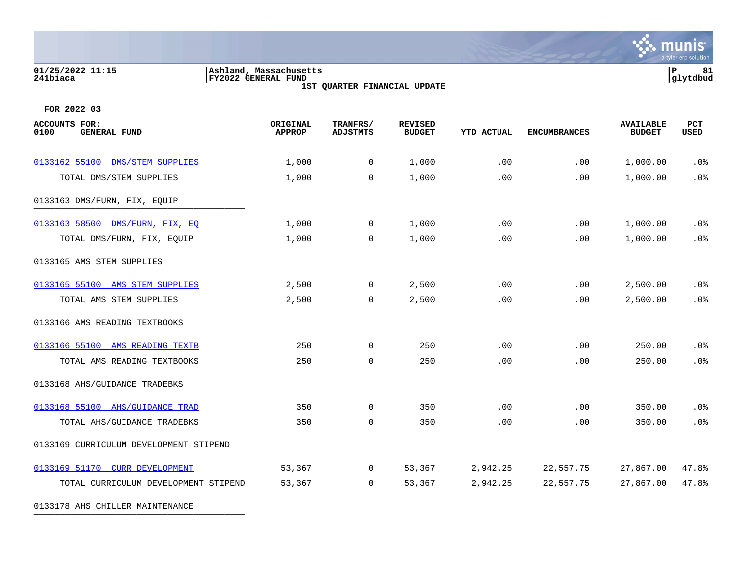## **01/25/2022 11:15 |Ashland, Massachusetts |P 81 241biaca |FY2022 GENERAL FUND |glytdbud**

**1ST QUARTER FINANCIAL UPDATE**



**FOR 2022 03**

| <b>ACCOUNTS FOR:</b><br>0100<br><b>GENERAL FUND</b> | ORIGINAL<br><b>APPROP</b> | TRANFRS/<br><b>ADJSTMTS</b> | <b>REVISED</b><br><b>BUDGET</b> | <b>YTD ACTUAL</b> | <b>ENCUMBRANCES</b> | <b>AVAILABLE</b><br><b>BUDGET</b> | PCT<br><b>USED</b> |
|-----------------------------------------------------|---------------------------|-----------------------------|---------------------------------|-------------------|---------------------|-----------------------------------|--------------------|
| 0133162 55100 DMS/STEM SUPPLIES                     | 1,000                     | $\mathbf 0$                 | 1,000                           | .00               | .00                 | 1,000.00                          | .0%                |
| TOTAL DMS/STEM SUPPLIES                             | 1,000                     | $\Omega$                    | 1,000                           | .00               | .00                 | 1,000.00                          | .0%                |
| 0133163 DMS/FURN, FIX, EQUIP                        |                           |                             |                                 |                   |                     |                                   |                    |
|                                                     |                           |                             |                                 |                   |                     |                                   |                    |
| 0133163 58500 DMS/FURN, FIX, EO                     | 1,000                     | $\mathbf 0$                 | 1,000                           | .00               | .00                 | 1,000.00                          | .0%                |
| TOTAL DMS/FURN, FIX, EQUIP                          | 1,000                     | $\mathbf 0$                 | 1,000                           | .00               | .00                 | 1,000.00                          | .0%                |
| 0133165 AMS STEM SUPPLIES                           |                           |                             |                                 |                   |                     |                                   |                    |
| 0133165 55100 AMS STEM SUPPLIES                     | 2,500                     | 0                           | 2,500                           | .00               | .00                 | 2,500.00                          | .0%                |
| TOTAL AMS STEM SUPPLIES                             | 2,500                     | $\overline{0}$              | 2,500                           | .00               | .00                 | 2,500.00                          | .0%                |
| 0133166 AMS READING TEXTBOOKS                       |                           |                             |                                 |                   |                     |                                   |                    |
| 0133166 55100 AMS READING TEXTB                     | 250                       | $\overline{0}$              | 250                             | .00               | .00                 | 250.00                            | .0%                |
| TOTAL AMS READING TEXTBOOKS                         | 250                       | $\mathbf 0$                 | 250                             | .00               | .00                 | 250.00                            | .0%                |
| 0133168 AHS/GUIDANCE TRADEBKS                       |                           |                             |                                 |                   |                     |                                   |                    |
| 0133168 55100 AHS/GUIDANCE TRAD                     | 350                       | $\overline{0}$              | 350                             | .00               | .00                 | 350.00                            | .0%                |
| TOTAL AHS/GUIDANCE TRADEBKS                         | 350                       | 0                           | 350                             | .00               | .00                 | 350.00                            | .0%                |
| 0133169 CURRICULUM DEVELOPMENT STIPEND              |                           |                             |                                 |                   |                     |                                   |                    |
| 0133169 51170 CURR DEVELOPMENT                      | 53,367                    | $\overline{0}$              | 53,367                          | 2,942.25          | 22,557.75           | 27,867.00                         | 47.8%              |
| TOTAL CURRICULUM DEVELOPMENT STIPEND                | 53,367                    | $\overline{0}$              | 53,367                          | 2,942.25          | 22,557.75           | 27,867.00                         | 47.8%              |
|                                                     |                           |                             |                                 |                   |                     |                                   |                    |

0133178 AHS CHILLER MAINTENANCE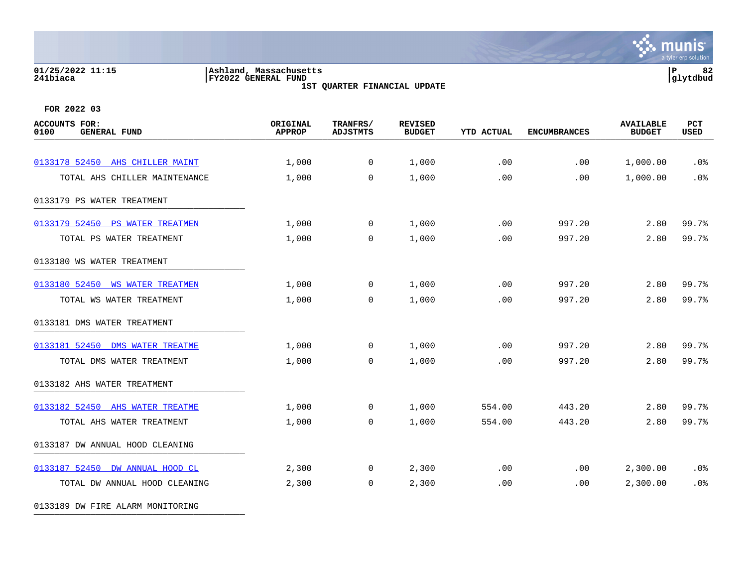### **01/25/2022 11:15 |Ashland, Massachusetts |P 82 241biaca |FY2022 GENERAL FUND |glytdbud 1ST QUARTER FINANCIAL UPDATE**



**FOR 2022 03**

0133189 DW FIRE ALARM MONITORING

| <b>ACCOUNTS FOR:</b><br>0100<br><b>GENERAL FUND</b> | ORIGINAL<br><b>APPROP</b> | TRANFRS/<br><b>ADJSTMTS</b> | <b>REVISED</b><br><b>BUDGET</b> | <b>YTD ACTUAL</b> | <b>ENCUMBRANCES</b> | <b>AVAILABLE</b><br><b>BUDGET</b> | PCT<br><b>USED</b> |
|-----------------------------------------------------|---------------------------|-----------------------------|---------------------------------|-------------------|---------------------|-----------------------------------|--------------------|
| 0133178 52450 AHS CHILLER MAINT                     | 1,000                     | $\overline{0}$              | 1,000                           | .00               | .00                 | 1,000.00                          | .0%                |
| TOTAL AHS CHILLER MAINTENANCE                       | 1,000                     | $\Omega$                    | 1,000                           | .00               | .00                 | 1,000.00                          | .0%                |
| 0133179 PS WATER TREATMENT                          |                           |                             |                                 |                   |                     |                                   |                    |
| 0133179 52450 PS WATER TREATMEN                     | 1,000                     | $\overline{0}$              | 1,000                           | .00               | 997.20              | 2.80                              | 99.7%              |
| TOTAL PS WATER TREATMENT                            | 1,000                     | $\Omega$                    | 1,000                           | .00               | 997.20              | 2.80                              | 99.7%              |
| 0133180 WS WATER TREATMENT                          |                           |                             |                                 |                   |                     |                                   |                    |
| 0133180 52450 WS WATER TREATMEN                     | 1,000                     | $\mathbf 0$                 | 1,000                           | .00               | 997.20              | 2.80                              | 99.7%              |
| TOTAL WS WATER TREATMENT                            | 1,000                     | $\mathbf 0$                 | 1,000                           | .00               | 997.20              | 2.80                              | 99.7%              |
| 0133181 DMS WATER TREATMENT                         |                           |                             |                                 |                   |                     |                                   |                    |
| 0133181 52450 DMS WATER TREATME                     | 1,000                     | $\mathbf 0$                 | 1,000                           | .00               | 997.20              | 2.80                              | 99.7%              |
| TOTAL DMS WATER TREATMENT                           | 1,000                     | $\overline{0}$              | 1,000                           | .00               | 997.20              | 2.80                              | 99.7%              |
| 0133182 AHS WATER TREATMENT                         |                           |                             |                                 |                   |                     |                                   |                    |
| 0133182 52450 AHS WATER TREATME                     | 1,000                     | $\Omega$                    | 1,000                           | 554.00            | 443.20              | 2.80                              | 99.7%              |
| TOTAL AHS WATER TREATMENT                           | 1,000                     | $\Omega$                    | 1,000                           | 554.00            | 443.20              | 2.80                              | 99.7%              |
| 0133187 DW ANNUAL HOOD CLEANING                     |                           |                             |                                 |                   |                     |                                   |                    |
| 0133187 52450 DW ANNUAL HOOD CL                     | 2,300                     | $\mathbf 0$                 | 2,300                           | .00               | $.00 \,$            | 2,300.00                          | .0%                |
| TOTAL DW ANNUAL HOOD CLEANING                       | 2,300                     | $\overline{0}$              | 2,300                           | .00               | .00                 | 2,300.00                          | .0%                |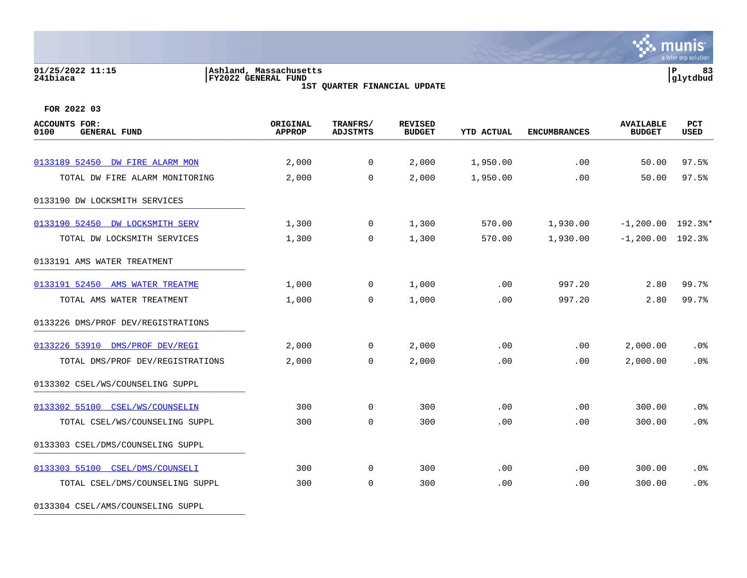# **01/25/2022 11:15 |Ashland, Massachusetts |P 83 241biaca |FY2022 GENERAL FUND |glytdbud**

**1ST QUARTER FINANCIAL UPDATE**



**FOR 2022 03**

| <b>ACCOUNTS FOR:</b><br>0100<br><b>GENERAL FUND</b> | ORIGINAL<br><b>APPROP</b> | TRANFRS/<br><b>ADJSTMTS</b> | <b>REVISED</b><br><b>BUDGET</b> | <b>YTD ACTUAL</b> | <b>ENCUMBRANCES</b> | <b>AVAILABLE</b><br><b>BUDGET</b> | PCT<br><b>USED</b> |
|-----------------------------------------------------|---------------------------|-----------------------------|---------------------------------|-------------------|---------------------|-----------------------------------|--------------------|
| 0133189 52450 DW FIRE ALARM MON                     |                           | $\mathbf 0$                 |                                 | 1,950.00          | .00                 | 50.00                             | 97.5%              |
|                                                     | 2,000                     |                             | 2,000                           |                   |                     |                                   |                    |
| TOTAL DW FIRE ALARM MONITORING                      | 2,000                     | $\Omega$                    | 2,000                           | 1,950.00          | .00                 | 50.00                             | 97.5%              |
| 0133190 DW LOCKSMITH SERVICES                       |                           |                             |                                 |                   |                     |                                   |                    |
| 0133190 52450 DW LOCKSMITH SERV                     | 1,300                     | $\mathbf 0$                 | 1,300                           | 570.00            | 1,930.00            | $-1,200.00$ 192.3%*               |                    |
| TOTAL DW LOCKSMITH SERVICES                         | 1,300                     | $\mathbf 0$                 | 1,300                           | 570.00            | 1,930.00            | $-1, 200.00$ 192.3%               |                    |
| 0133191 AMS WATER TREATMENT                         |                           |                             |                                 |                   |                     |                                   |                    |
| 0133191 52450 AMS WATER TREATME                     | 1,000                     | 0                           | 1,000                           | .00               | 997.20              | 2.80                              | 99.7%              |
| TOTAL AMS WATER TREATMENT                           | 1,000                     | 0                           | 1,000                           | .00               | 997.20              | 2.80                              | 99.7%              |
| 0133226 DMS/PROF DEV/REGISTRATIONS                  |                           |                             |                                 |                   |                     |                                   |                    |
| 0133226 53910 DMS/PROF DEV/REGI                     | 2,000                     | 0                           | 2,000                           | .00               | .00                 | 2,000.00                          | .0 <sub>8</sub>    |
| TOTAL DMS/PROF DEV/REGISTRATIONS                    | 2,000                     | $\mathbf 0$                 | 2,000                           | .00               | .00                 | 2,000.00                          | .0%                |
| 0133302 CSEL/WS/COUNSELING SUPPL                    |                           |                             |                                 |                   |                     |                                   |                    |
| 0133302 55100 CSEL/WS/COUNSELIN                     | 300                       | $\mathbf 0$                 | 300                             | .00               | .00                 | 300.00                            | .0%                |
| TOTAL CSEL/WS/COUNSELING SUPPL                      | 300                       | $\mathbf 0$                 | 300                             | .00               | .00                 | 300.00                            | .0%                |
| 0133303 CSEL/DMS/COUNSELING SUPPL                   |                           |                             |                                 |                   |                     |                                   |                    |
| 0133303 55100 CSEL/DMS/COUNSELI                     | 300                       | $\mathbf 0$                 | 300                             | .00               | .00                 | 300.00                            | .0%                |
| TOTAL CSEL/DMS/COUNSELING SUPPL                     | 300                       | $\mathbf 0$                 | 300                             | .00               | .00                 | 300.00                            | .0%                |

0133304 CSEL/AMS/COUNSELING SUPPL \_\_\_\_\_\_\_\_\_\_\_\_\_\_\_\_\_\_\_\_\_\_\_\_\_\_\_\_\_\_\_\_\_\_\_\_\_\_\_\_\_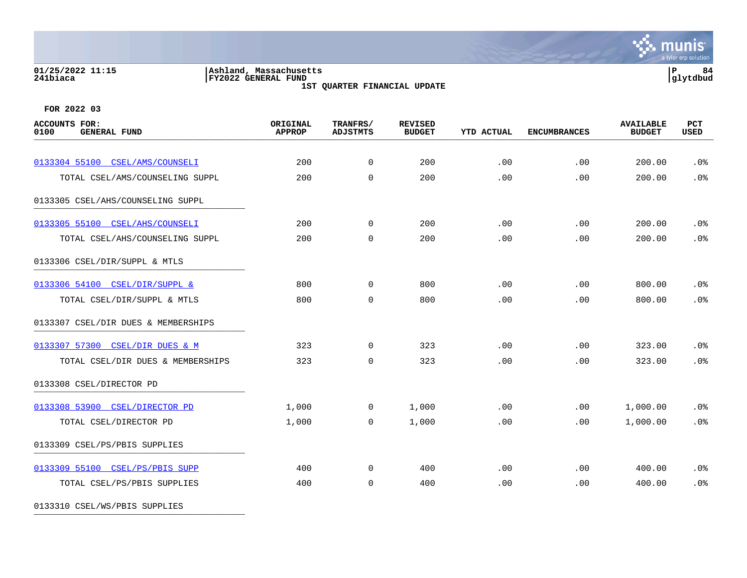# **01/25/2022 11:15 |Ashland, Massachusetts |P 84 241biaca |FY2022 GENERAL FUND |glytdbud**

**1ST QUARTER FINANCIAL UPDATE**



**FOR 2022 03**

| <b>ACCOUNTS FOR:</b><br>0100<br><b>GENERAL FUND</b> | ORIGINAL<br><b>APPROP</b> | TRANFRS/<br><b>ADJSTMTS</b> | <b>REVISED</b><br><b>BUDGET</b> | <b>YTD ACTUAL</b> | <b>ENCUMBRANCES</b> | <b>AVAILABLE</b><br><b>BUDGET</b> | PCT<br><b>USED</b> |
|-----------------------------------------------------|---------------------------|-----------------------------|---------------------------------|-------------------|---------------------|-----------------------------------|--------------------|
|                                                     |                           |                             |                                 |                   |                     |                                   |                    |
| 0133304 55100 CSEL/AMS/COUNSELI                     | 200                       | $\mathbf 0$                 | 200                             | .00               | .00                 | 200.00                            | .0%                |
| TOTAL CSEL/AMS/COUNSELING SUPPL                     | 200                       | $\mathbf 0$                 | 200                             | .00               | .00                 | 200.00                            | .0%                |
| 0133305 CSEL/AHS/COUNSELING SUPPL                   |                           |                             |                                 |                   |                     |                                   |                    |
| 0133305 55100 CSEL/AHS/COUNSELI                     | 200                       | $\mathbf 0$                 | 200                             | .00               | .00                 | 200.00                            | .0%                |
| TOTAL CSEL/AHS/COUNSELING SUPPL                     | 200                       | $\mathbf 0$                 | 200                             | .00               | .00                 | 200.00                            | .0%                |
| 0133306 CSEL/DIR/SUPPL & MTLS                       |                           |                             |                                 |                   |                     |                                   |                    |
| 0133306 54100 CSEL/DIR/SUPPL &                      | 800                       | $\overline{0}$              | 800                             | .00               | .00                 | 800.00                            | .0%                |
| TOTAL CSEL/DIR/SUPPL & MTLS                         | 800                       | $\mathbf 0$                 | 800                             | .00               | .00                 | 800.00                            | .0%                |
| 0133307 CSEL/DIR DUES & MEMBERSHIPS                 |                           |                             |                                 |                   |                     |                                   |                    |
| 0133307 57300 CSEL/DIR DUES & M                     | 323                       | $\overline{0}$              | 323                             | .00               | .00                 | 323.00                            | .0 <sub>8</sub>    |
| TOTAL CSEL/DIR DUES & MEMBERSHIPS                   | 323                       | $\mathbf 0$                 | 323                             | .00               | .00                 | 323.00                            | .0%                |
| 0133308 CSEL/DIRECTOR PD                            |                           |                             |                                 |                   |                     |                                   |                    |
| 0133308 53900 CSEL/DIRECTOR PD                      | 1,000                     | $\overline{0}$              | 1,000                           | .00               | .00                 | 1,000.00                          | .0 <sub>8</sub>    |
| TOTAL CSEL/DIRECTOR PD                              | 1,000                     | $\Omega$                    | 1,000                           | .00               | .00                 | 1,000.00                          | .0%                |
| 0133309 CSEL/PS/PBIS SUPPLIES                       |                           |                             |                                 |                   |                     |                                   |                    |
| 0133309 55100 CSEL/PS/PBIS SUPP                     | 400                       | $\mathbf 0$                 | 400                             | .00               | .00                 | 400.00                            | .0%                |
| TOTAL CSEL/PS/PBIS SUPPLIES                         | 400                       | $\mathbf 0$                 | 400                             | .00               | .00                 | 400.00                            | .0 <sup>8</sup>    |
|                                                     |                           |                             |                                 |                   |                     |                                   |                    |

0133310 CSEL/WS/PBIS SUPPLIES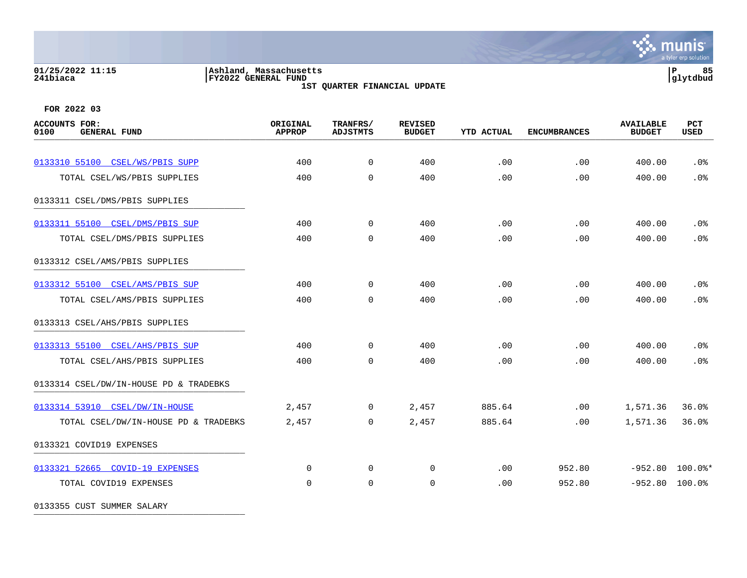## **01/25/2022 11:15 |Ashland, Massachusetts |P 85 241biaca |FY2022 GENERAL FUND |glytdbud**

**1ST QUARTER FINANCIAL UPDATE**



 $\mathbf{\ddot{\cdot}}$  munis

**FOR 2022 03**

| <b>ACCOUNTS FOR:</b><br>0100<br><b>GENERAL FUND</b> | ORIGINAL<br><b>APPROP</b> | TRANFRS/<br><b>ADJSTMTS</b> | <b>REVISED</b><br><b>BUDGET</b> | <b>YTD ACTUAL</b> | <b>ENCUMBRANCES</b> | <b>AVAILABLE</b><br><b>BUDGET</b> | PCT<br><b>USED</b> |
|-----------------------------------------------------|---------------------------|-----------------------------|---------------------------------|-------------------|---------------------|-----------------------------------|--------------------|
|                                                     |                           |                             |                                 |                   |                     |                                   |                    |
| 0133310 55100 CSEL/WS/PBIS SUPP                     | 400                       | $\overline{0}$              | 400                             | .00               | .00                 | 400.00                            | .0%                |
| TOTAL CSEL/WS/PBIS SUPPLIES                         | 400                       | $\mathbf 0$                 | 400                             | .00               | .00                 | 400.00                            | .0%                |
| 0133311 CSEL/DMS/PBIS SUPPLIES                      |                           |                             |                                 |                   |                     |                                   |                    |
| 0133311 55100 CSEL/DMS/PBIS SUP                     | 400                       | $\mathbf{0}$                | 400                             | .00               | .00                 | 400.00                            | .0 <sub>8</sub>    |
| TOTAL CSEL/DMS/PBIS SUPPLIES                        | 400                       | $\Omega$                    | 400                             | .00               | .00                 | 400.00                            | .0%                |
| 0133312 CSEL/AMS/PBIS SUPPLIES                      |                           |                             |                                 |                   |                     |                                   |                    |
| 0133312 55100 CSEL/AMS/PBIS SUP                     | 400                       | $\overline{0}$              | 400                             | .00               | .00                 | 400.00                            | .0%                |
| TOTAL CSEL/AMS/PBIS SUPPLIES                        | 400                       | $\Omega$                    | 400                             | .00               | .00                 | 400.00                            | .0%                |
| 0133313 CSEL/AHS/PBIS SUPPLIES                      |                           |                             |                                 |                   |                     |                                   |                    |
| 0133313 55100 CSEL/AHS/PBIS SUP                     | 400                       | $\Omega$                    | 400                             | $.00 \,$          | .00                 | 400.00                            | .0%                |
| TOTAL CSEL/AHS/PBIS SUPPLIES                        | 400                       | $\mathbf 0$                 | 400                             | .00               | .00                 | 400.00                            | .0%                |
| 0133314 CSEL/DW/IN-HOUSE PD & TRADEBKS              |                           |                             |                                 |                   |                     |                                   |                    |
| 0133314 53910 CSEL/DW/IN-HOUSE                      | 2,457                     | $\mathbf{0}$                | 2,457                           | 885.64            | .00                 | 1,571.36                          | 36.0%              |
| TOTAL CSEL/DW/IN-HOUSE PD & TRADEBKS                | 2,457                     | $\mathbf 0$                 | 2,457                           | 885.64            | .00                 | 1,571.36                          | 36.0%              |
| 0133321 COVID19 EXPENSES                            |                           |                             |                                 |                   |                     |                                   |                    |
| 0133321 52665 COVID-19 EXPENSES                     | $\Omega$                  | $\mathbf 0$                 | $\mathbf 0$                     | .00               | 952.80              | $-952.80$ 100.0%*                 |                    |
| TOTAL COVID19 EXPENSES                              | $\Omega$                  | $\Omega$                    | 0                               | .00               | 952.80              | $-952.80$ 100.0%                  |                    |
|                                                     |                           |                             |                                 |                   |                     |                                   |                    |

0133355 CUST SUMMER SALARY \_\_\_\_\_\_\_\_\_\_\_\_\_\_\_\_\_\_\_\_\_\_\_\_\_\_\_\_\_\_\_\_\_\_\_\_\_\_\_\_\_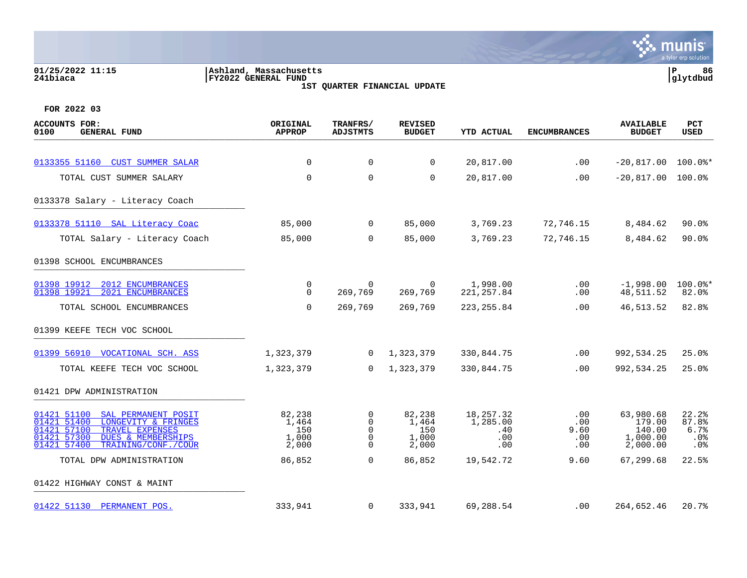### **01/25/2022 11:15 |Ashland, Massachusetts |P 86 241biaca |FY2022 GENERAL FUND |glytdbud 1ST QUARTER FINANCIAL UPDATE**



| <b>ACCOUNTS FOR:</b><br>0100<br><b>GENERAL FUND</b>                                                                                                                                              | ORIGINAL<br><b>APPROP</b>                | TRANFRS/<br><b>ADJSTMTS</b>                      | <b>REVISED</b><br><b>BUDGET</b>          | YTD ACTUAL                                  | <b>ENCUMBRANCES</b>              | <b>AVAILABLE</b><br><b>BUDGET</b>                     | <b>PCT</b><br>USED                   |
|--------------------------------------------------------------------------------------------------------------------------------------------------------------------------------------------------|------------------------------------------|--------------------------------------------------|------------------------------------------|---------------------------------------------|----------------------------------|-------------------------------------------------------|--------------------------------------|
| 0133355 51160 CUST SUMMER SALAR                                                                                                                                                                  | $\Omega$                                 | $\mathbf 0$                                      | $\mathbf 0$                              | 20,817.00                                   | .00                              | $-20,817.00$                                          | $100.0$ $*$                          |
| TOTAL CUST SUMMER SALARY                                                                                                                                                                         | $\mathbf 0$                              | $\mathbf 0$                                      | $\mathbf 0$                              | 20,817.00                                   | .00                              | $-20,817.00$                                          | 100.0%                               |
| 0133378 Salary - Literacy Coach                                                                                                                                                                  |                                          |                                                  |                                          |                                             |                                  |                                                       |                                      |
| 0133378 51110 SAL Literacy Coac                                                                                                                                                                  | 85,000                                   | $\mathbf 0$                                      | 85,000                                   | 3,769.23                                    | 72,746.15                        | 8,484.62                                              | $90.0$ <sup>8</sup>                  |
| TOTAL Salary - Literacy Coach                                                                                                                                                                    | 85,000                                   | $\mathbf 0$                                      | 85,000                                   | 3,769.23                                    | 72,746.15                        | 8,484.62                                              | $90.0$ $%$                           |
| 01398 SCHOOL ENCUMBRANCES                                                                                                                                                                        |                                          |                                                  |                                          |                                             |                                  |                                                       |                                      |
| 01398 19912<br>2012 ENCUMBRANCES<br>01398 19921<br>2021 ENCUMBRANCES                                                                                                                             | 0<br>$\Omega$                            | 0<br>269,769                                     | $\overline{0}$<br>269,769                | 1,998.00<br>221, 257.84                     | $.00 \,$<br>.00                  | $-1,998.00$<br>48,511.52                              | $100.0$ *<br>82.0%                   |
| TOTAL SCHOOL ENCUMBRANCES                                                                                                                                                                        | $\mathbf 0$                              | 269,769                                          | 269,769                                  | 223, 255.84                                 | .00                              | 46,513.52                                             | 82.8%                                |
| 01399 KEEFE TECH VOC SCHOOL                                                                                                                                                                      |                                          |                                                  |                                          |                                             |                                  |                                                       |                                      |
| 01399 56910 VOCATIONAL SCH. ASS                                                                                                                                                                  | 1,323,379                                | $\Omega$                                         | 1,323,379                                | 330,844.75                                  | .00                              | 992,534.25                                            | 25.0%                                |
| TOTAL KEEFE TECH VOC SCHOOL                                                                                                                                                                      | 1,323,379                                | $\Omega$                                         | 1,323,379                                | 330,844.75                                  | .00                              | 992,534.25                                            | 25.0%                                |
| 01421 DPW ADMINISTRATION                                                                                                                                                                         |                                          |                                                  |                                          |                                             |                                  |                                                       |                                      |
| SAL PERMANENT POSIT<br>01421 51100<br>01421 51400<br>LONGEVITY & FRINGES<br>01421 57100<br>TRAVEL EXPENSES<br>01421 57300<br><b>DUES &amp; MEMBERSHIPS</b><br>01421 57400<br>TRAINING/CONF./COUR | 82,238<br>1,464<br>150<br>1,000<br>2,000 | $\mathbf 0$<br>0<br>$\mathbf 0$<br>0<br>$\Omega$ | 82,238<br>1,464<br>150<br>1,000<br>2,000 | 18, 257.32<br>1,285.00<br>.40<br>.00<br>.00 | .00<br>.00<br>9.60<br>.00<br>.00 | 63,980.68<br>179.00<br>140.00<br>1,000.00<br>2,000.00 | 22.2%<br>87.8%<br>6.7%<br>.0%<br>.0% |
| TOTAL DPW ADMINISTRATION                                                                                                                                                                         | 86,852                                   | $\Omega$                                         | 86,852                                   | 19,542.72                                   | 9.60                             | 67,299.68                                             | 22.5%                                |
| 01422 HIGHWAY CONST & MAINT                                                                                                                                                                      |                                          |                                                  |                                          |                                             |                                  |                                                       |                                      |
| 01422 51130 PERMANENT POS.                                                                                                                                                                       | 333,941                                  | $\mathbf 0$                                      | 333,941                                  | 69,288.54                                   | .00                              | 264,652.46                                            | 20.7%                                |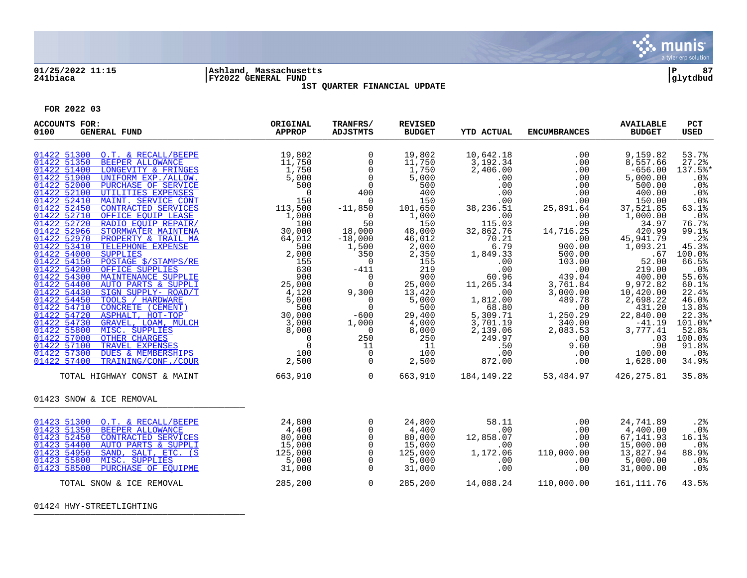

### **01/25/2022 11:15 |Ashland, Massachusetts |P 87 241biaca |FY2022 GENERAL FUND |glytdbud 1ST QUARTER FINANCIAL UPDATE**



**FOR 2022 03**

| <b>ACCOUNTS FOR:</b><br>0100<br><b>GENERAL FUND</b>                                                                                                                                                                                                                                                                                                                                                                                                                                                                                                                                                                                                                                                                                                                                                                                                                                         | ORIGINAL<br><b>APPROP</b> | TRANFRS/<br><b>ADJSTMTS</b>                                                                                                                                                                                                                                                                                                                                                                                  | <b>REVISED</b><br><b>BUDGET</b>                                                                                                                                                                                                                 | <b>YTD ACTUAL</b>                                                                                                                                                                                                                                                                                                              | <b>ENCUMBRANCES</b>                                                                                                                                                                                                                                                                                                                                                                                                                                          | <b>AVAILABLE</b><br><b>BUDGET</b>                                                                                                                                                                                                                                                                                                                                                           | PCT<br><b>USED</b>                                                                                                                                                                                                                                         |
|---------------------------------------------------------------------------------------------------------------------------------------------------------------------------------------------------------------------------------------------------------------------------------------------------------------------------------------------------------------------------------------------------------------------------------------------------------------------------------------------------------------------------------------------------------------------------------------------------------------------------------------------------------------------------------------------------------------------------------------------------------------------------------------------------------------------------------------------------------------------------------------------|---------------------------|--------------------------------------------------------------------------------------------------------------------------------------------------------------------------------------------------------------------------------------------------------------------------------------------------------------------------------------------------------------------------------------------------------------|-------------------------------------------------------------------------------------------------------------------------------------------------------------------------------------------------------------------------------------------------|--------------------------------------------------------------------------------------------------------------------------------------------------------------------------------------------------------------------------------------------------------------------------------------------------------------------------------|--------------------------------------------------------------------------------------------------------------------------------------------------------------------------------------------------------------------------------------------------------------------------------------------------------------------------------------------------------------------------------------------------------------------------------------------------------------|---------------------------------------------------------------------------------------------------------------------------------------------------------------------------------------------------------------------------------------------------------------------------------------------------------------------------------------------------------------------------------------------|------------------------------------------------------------------------------------------------------------------------------------------------------------------------------------------------------------------------------------------------------------|
| $\begin{tabular}{ c c c c } \hline &O.T. &\& RECALJ/BEPE &\\\hline \multicolumn{4}{ c }{\textbf{B}} & \multicolumn{4}{ c }{\textbf{B}} & \multicolumn{4}{ c }{\textbf{B}} & \multicolumn{4}{ c }{\textbf{B}} & \multicolumn{4}{ c }{\textbf{B}} & \multicolumn{4}{ c }{\textbf{B}} & \multicolumn{4}{ c }{\textbf{B}} & \multicolumn{4}{ c }{\textbf{B}} & \multicolumn{4}{ c }{\textbf{B}} & \multicolumn{4}{ c }{\textbf{B}} & \$<br>01422 51300 O.T. & RECALL/BEEPE<br>01422 51350<br>01422 51400<br>01422 51900<br>01422 52000<br>01422 52100<br>01422 52410<br>01422 52450<br>01422 52710<br>01422 52720<br>01422 52966<br>01422 52970<br>01422 53410<br>01422 54000<br>01422 54150<br>01422 54200<br>01422 54300<br>01422 54400<br>01422 54430<br>01422 54450<br>01422 54710<br>01422 54720<br>01422 54730<br>01422 55800<br>01422 57000<br>01422 57100<br>01422 57300<br>01422 57400 |                           | $\mathbf 0$<br>$\mathbf 0$<br>$\mathsf{O}$<br>$\overline{0}$<br>$\overline{0}$<br>400<br>$\overline{0}$<br>$-11,850$<br>$\overline{0}$<br>50<br>18,000<br>$-18,000$<br>1,500<br>350<br>$\overline{0}$<br>$-411$<br>$\begin{matrix}0\\0\end{matrix}$<br>9,300<br>$\overline{0}$<br>$-600$<br>1,000<br>$\overline{0}$<br>250<br>$\begin{array}{c} 11 \\ 0 \end{array}$<br>$\begin{matrix} 0 \\ 0 \end{matrix}$ | 19,802<br>11,750<br>1,750<br>5,000<br>500<br>400<br>150<br>101,650<br>1,000<br>150<br>48,000<br>46,012<br>2,000<br>2,350<br>155<br>219<br>900<br>25,000<br>13,420<br>5,000<br>500<br>29,400<br>$\frac{4}{8}$ , 000<br>250<br>11<br>100<br>2,500 | 10,642.18<br>$3,192.34$<br>2,406.00<br>.00<br>.00<br>.00<br>.00<br>38,236.51<br>115.00<br>115.03<br>32,862.76<br>70.21<br>6.79<br>1,849.33<br>$\begin{array}{c} . & 0 & 0 \\ . & 0 & 0 \end{array}$<br>60.96<br>11,265.34<br>$1,812.00$<br>$68.80$<br>5, 309. 71<br>3, 701. 19<br>2,139.06<br>249.97<br>.50<br>$.00$<br>872.00 | $\begin{array}{ccccc} .18 & & & & & \\ 34 & & & & & \\ 00 & & & & .0 & & \\ 00 & & & & .00 & & \\ 0 & & & & .00 & & \\ 0 & & & & .00 & & \\ 0 & & & & .00 & & \\ 0 & & & & .00 & & \\ 0 & & & & .00 & & \\ 0 & & & & .00 & & \\ \end{array}$<br>.00<br>14,716.25<br>$00.00$<br>900.00<br>500.00<br>$103$<br>.00<br>.00 04<br>439.04<br>3,761.84<br>3,000.00<br>489.78<br>.00<br>1,250.29<br>$1,250.29$<br>340.00<br>340.00<br>2,083.53<br>.00<br>9.60<br>.00 | 9,159.82<br>8,557.66<br>$-656.00$<br>5,000.00<br>500.00<br>400.00<br>150.00<br>37,521.85<br>1,000.00<br>34.97<br>420.99<br>45,941.79<br>1,093.21<br>.67<br>52.00<br>219.00<br>400.00<br>9,972.82<br>10,420.00<br>2,698.22<br>431.20<br>$\begin{array}{r} 431.20 \\ 22,840.00 \\ -41.19 \\ 3,777.41 \\ .03 \end{array}$<br>$9.\overline{60}$<br>$0.00$<br>$0.00$<br>$1,628.00$<br>$1,628.00$ | 53.7%<br>27.2%<br>137.5%*<br>.0%<br>.0%<br>.0%<br>.0%<br>63.1%<br>.0%<br>76.7%<br>99.1%<br>.2%<br>45.3%<br>100.0%<br>66.5%<br>.0 <sup>°</sup><br>55.6%<br>60.1%<br>22.4%<br>46.0%<br>13.8%<br>22.3%<br>101.0%*<br>52.8%<br>100.0%<br>91.8%<br>.0%<br>34.9% |
| TOTAL HIGHWAY CONST & MAINT                                                                                                                                                                                                                                                                                                                                                                                                                                                                                                                                                                                                                                                                                                                                                                                                                                                                 | 663,910                   | $\overline{0}$                                                                                                                                                                                                                                                                                                                                                                                               |                                                                                                                                                                                                                                                 |                                                                                                                                                                                                                                                                                                                                | 663,910 184,149.22 53,484.97 426,275.81                                                                                                                                                                                                                                                                                                                                                                                                                      |                                                                                                                                                                                                                                                                                                                                                                                             | 35.8%                                                                                                                                                                                                                                                      |
| 01423 SNOW & ICE REMOVAL                                                                                                                                                                                                                                                                                                                                                                                                                                                                                                                                                                                                                                                                                                                                                                                                                                                                    |                           |                                                                                                                                                                                                                                                                                                                                                                                                              |                                                                                                                                                                                                                                                 |                                                                                                                                                                                                                                                                                                                                |                                                                                                                                                                                                                                                                                                                                                                                                                                                              |                                                                                                                                                                                                                                                                                                                                                                                             |                                                                                                                                                                                                                                                            |
| 01423 51300 O.T. & RECALL/BEEPE<br>01423 51350<br>BEEPER ALLOWANCE<br>01423 52450<br>CONTRACTED SERVICES<br>AUTO PARTS & SUPPLI<br>01423 54400<br>SAND, SALT, ETC. (S<br>01423 54950<br>MISC. SUPPLIES<br>01423 55800<br>PURCHASE OF EOUIPME<br>01423 58500<br>TOTAL SNOW & ICE REMOVAL                                                                                                                                                                                                                                                                                                                                                                                                                                                                                                                                                                                                     | 24,800<br>285, 200        | $\overline{0}$<br>$\Omega$<br>$\mathsf{O}$<br>$\mathsf{O}$<br>$\begin{matrix} 0 \\ 0 \\ 0 \\ 0 \end{matrix}$<br>$\overline{0}$                                                                                                                                                                                                                                                                               | 24,800<br>4,400<br>80,000<br>15,000<br>125,000<br>5,000<br>31,000<br>285,200                                                                                                                                                                    | 58.11<br>.00<br>12,858.07<br>.00<br>1,172.06<br>.00<br>.00                                                                                                                                                                                                                                                                     | .00<br>.00<br>.00<br>.00<br>110,000.00<br>.00<br>.00<br>14,088.24   110,000.00   161,111.76                                                                                                                                                                                                                                                                                                                                                                  | 24,741.89<br>4,400.00<br>67,141.93<br>15,000.00<br>13,827.94<br>5,000.00<br>31,000.00                                                                                                                                                                                                                                                                                                       | .2%<br>.0%<br>16.1%<br>.0%<br>88.9%<br>.0%<br>.0%<br>43.5%                                                                                                                                                                                                 |

01424 HWY-STREETLIGHTING \_\_\_\_\_\_\_\_\_\_\_\_\_\_\_\_\_\_\_\_\_\_\_\_\_\_\_\_\_\_\_\_\_\_\_\_\_\_\_\_\_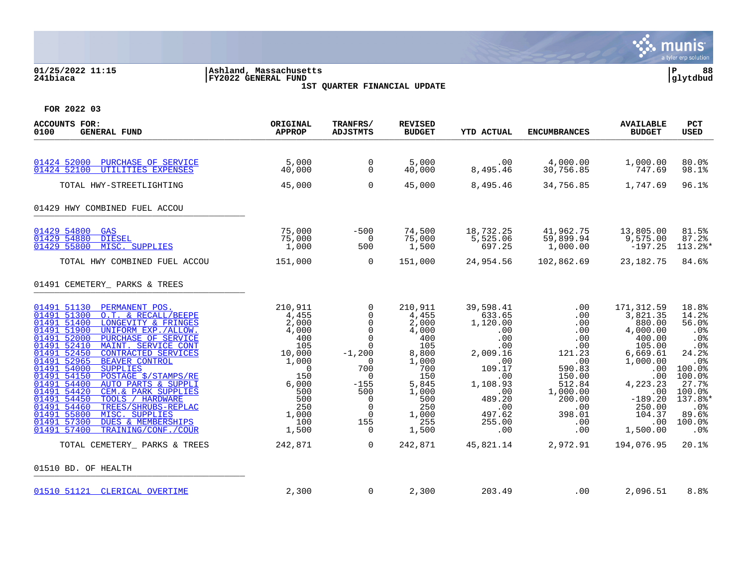

## **01/25/2022 11:15 |Ashland, Massachusetts |P 88 241biaca |FY2022 GENERAL FUND |glytdbud 1ST QUARTER FINANCIAL UPDATE**



| ACCOUNTS FOR:<br><b>GENERAL FUND</b><br>0100                                                                                                                                                                                                                                                                                                                                                                                                                                                                                                                                                                                                                                                                                                     | ORIGINAL<br><b>APPROP</b>                                                                                                                                | TRANFRS/<br><b>ADJSTMTS</b>                                                                                                                                                             | <b>REVISED</b><br><b>BUDGET</b>                                                                                                                      | <b>YTD ACTUAL</b>                                                                                                                                                    | <b>ENCUMBRANCES</b>                                                                                                                                    | <b>AVAILABLE</b><br><b>BUDGET</b>                                                                                                                                                            | <b>PCT</b><br>USED                                                                                                                                       |
|--------------------------------------------------------------------------------------------------------------------------------------------------------------------------------------------------------------------------------------------------------------------------------------------------------------------------------------------------------------------------------------------------------------------------------------------------------------------------------------------------------------------------------------------------------------------------------------------------------------------------------------------------------------------------------------------------------------------------------------------------|----------------------------------------------------------------------------------------------------------------------------------------------------------|-----------------------------------------------------------------------------------------------------------------------------------------------------------------------------------------|------------------------------------------------------------------------------------------------------------------------------------------------------|----------------------------------------------------------------------------------------------------------------------------------------------------------------------|--------------------------------------------------------------------------------------------------------------------------------------------------------|----------------------------------------------------------------------------------------------------------------------------------------------------------------------------------------------|----------------------------------------------------------------------------------------------------------------------------------------------------------|
| 01424 52000<br>PURCHASE OF SERVICE<br>01424 52100<br>UTILITIES EXPENSES<br>TOTAL HWY-STREETLIGHTING<br>01429 HWY COMBINED FUEL ACCOU                                                                                                                                                                                                                                                                                                                                                                                                                                                                                                                                                                                                             | 5,000<br>40,000<br>45,000                                                                                                                                | 0<br>$\Omega$<br>$\mathbf 0$                                                                                                                                                            | 5,000<br>40,000<br>45,000                                                                                                                            | .00<br>8,495.46<br>8,495.46                                                                                                                                          | 4,000.00<br>30,756.85<br>34,756.85                                                                                                                     | 1,000.00<br>747.69<br>1,747.69                                                                                                                                                               | 80.0%<br>98.1%<br>96.1%                                                                                                                                  |
| 01429 54800<br><b>GAS</b><br>01429 54880<br><b>DIESEL</b><br>01429 55800<br>MISC. SUPPLIES<br>TOTAL HWY COMBINED FUEL ACCOU                                                                                                                                                                                                                                                                                                                                                                                                                                                                                                                                                                                                                      | 75,000<br>75,000<br>1,000<br>151,000                                                                                                                     | $-500$<br>$\Omega$<br>500<br>$\Omega$                                                                                                                                                   | 74,500<br>75,000<br>1,500<br>151,000                                                                                                                 | 18,732.25<br>5,525.06<br>697.25<br>24,954.56                                                                                                                         | 41,962.75<br>59,899.94<br>1,000.00<br>102,862.69                                                                                                       | 13,805.00<br>9,575.00<br>$-197.25$<br>23, 182. 75                                                                                                                                            | 81.5%<br>87.2%<br>113.2%*<br>84.6%                                                                                                                       |
| 01491 CEMETERY_ PARKS & TREES<br>01491 51130<br>PERMANENT POS.<br>O.T. & RECALL/BEEPE<br>01491 51300<br>01491 51400<br>LONGEVITY & FRINGES<br>01491 51900<br>UNIFORM EXP./ALLOW.<br>01491 52000<br>PURCHASE OF SERVICE<br>MAINT. SERVICE CONT<br>01491 52410<br>01491 52450<br><b>CONTRACTED SERVICES</b><br>01491 52965<br><b>BEAVER CONTROL</b><br>01491<br>54000<br><b>SUPPLIES</b><br>01491 54150<br>POSTAGE \$/STAMPS/RE<br>54400<br>01491<br>AUTO PARTS & SUPPLI<br>01491 54420<br>CEM. & PARK SUPPLIES<br>01491 54450<br>TOOLS / HARDWARE<br>01491<br>54460<br>TREES/SHRUBS-REPLAC<br>01491 55800<br>MISC. SUPPLIES<br>01491 57300<br><b>DUES &amp; MEMBERSHIPS</b><br>01491 57400<br>TRAINING/CONF./COUR<br>TOTAL CEMETERY PARKS & TREES | 210,911<br>4,455<br>2,000<br>4,000<br>400<br>105<br>10,000<br>1,000<br>$\Omega$<br>150<br>6,000<br>500<br>500<br>250<br>1,000<br>100<br>1,500<br>242,871 | 0<br>0<br>$\Omega$<br>$\mathbf 0$<br>$\mathbf 0$<br>$\Omega$<br>$-1,200$<br>$\Omega$<br>700<br>$\Omega$<br>$-155$<br>500<br>$\Omega$<br>$\mathbf 0$<br>$\Omega$<br>155<br>0<br>$\Omega$ | 210,911<br>4,455<br>2,000<br>4,000<br>400<br>105<br>8,800<br>1,000<br>700<br>150<br>5,845<br>1,000<br>500<br>250<br>1,000<br>255<br>1,500<br>242,871 | 39,598.41<br>633.65<br>1,120.00<br>.00<br>.00<br>.00<br>2,009.16<br>.00<br>109.17<br>.00<br>1,108.93<br>.00<br>489.20<br>.00<br>497.62<br>255.00<br>.00<br>45,821.14 | .00<br>.00<br>.00<br>.00<br>.00<br>.00<br>121.23<br>.00<br>590.83<br>150.00<br>512.84<br>1,000.00<br>200.00<br>.00<br>398.01<br>.00<br>.00<br>2,972.91 | 171, 312.59<br>3,821.35<br>880.00<br>4,000.00<br>400.00<br>105.00<br>6,669.61<br>1,000.00<br>.00<br>.00<br>4,223.23<br>.00<br>$-189.20$<br>250.00<br>104.37<br>.00<br>1,500.00<br>194,076.95 | 18.8%<br>14.2%<br>56.0%<br>.0%<br>.0%<br>.0%<br>24.2%<br>.0%<br>100.0%<br>100.0%<br>27.7%<br>100.0%<br>137.8%*<br>.0%<br>89.6%<br>100.0%<br>.0%<br>20.1% |
| 01510 BD. OF HEALTH                                                                                                                                                                                                                                                                                                                                                                                                                                                                                                                                                                                                                                                                                                                              |                                                                                                                                                          |                                                                                                                                                                                         |                                                                                                                                                      |                                                                                                                                                                      |                                                                                                                                                        |                                                                                                                                                                                              |                                                                                                                                                          |
| 01510 51121<br>CLERICAL OVERTIME                                                                                                                                                                                                                                                                                                                                                                                                                                                                                                                                                                                                                                                                                                                 | 2,300                                                                                                                                                    | 0                                                                                                                                                                                       | 2,300                                                                                                                                                | 203.49                                                                                                                                                               | .00                                                                                                                                                    | 2,096.51                                                                                                                                                                                     | 8.8%                                                                                                                                                     |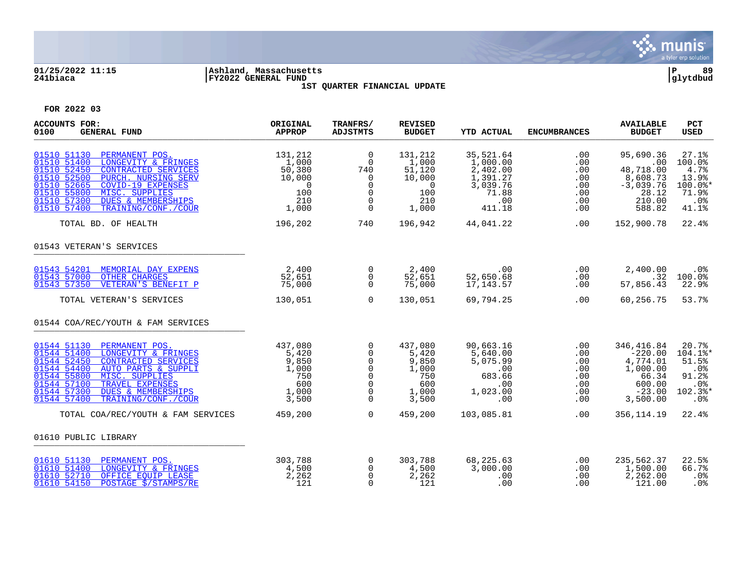

### **01/25/2022 11:15 |Ashland, Massachusetts |P 89 241biaca |FY2022 GENERAL FUND |glytdbud 1ST QUARTER FINANCIAL UPDATE**



| <b>ACCOUNTS FOR:</b><br>0100<br><b>GENERAL FUND</b>                                                                                                                                                                                                                                                               | ORIGINAL<br><b>APPROP</b>                                               | TRANFRS/<br><b>ADJSTMTS</b>                                                                     | <b>REVISED</b><br><b>BUDGET</b>                                               | <b>YTD ACTUAL</b>                                                                   | <b>ENCUMBRANCES</b>                                       | <b>AVAILABLE</b><br><b>BUDGET</b>                                                          | <b>PCT</b><br><b>USED</b>                                                 |
|-------------------------------------------------------------------------------------------------------------------------------------------------------------------------------------------------------------------------------------------------------------------------------------------------------------------|-------------------------------------------------------------------------|-------------------------------------------------------------------------------------------------|-------------------------------------------------------------------------------|-------------------------------------------------------------------------------------|-----------------------------------------------------------|--------------------------------------------------------------------------------------------|---------------------------------------------------------------------------|
| 01510 51130<br>PERMANENT POS.<br>01510 51400<br>LONGEVITY & FRINGES<br>CONTRACTED SERVICES<br>01510 52450<br>PURCH. NURSING SERV<br>01510 52500<br><b>COVID-19 EXPENSES</b><br>01510 52665<br>01510 55800<br>MISC. SUPPLIES<br>01510 57300<br><b>DUES &amp; MEMBERSHIPS</b><br>01510 57400<br>TRAINING/CONF./COUR | 131,212<br>1,000<br>50,380<br>10,000<br>$\Omega$<br>100<br>210<br>1,000 | $\overline{0}$<br>$\mathbf 0$<br>740<br>$\Omega$<br>$\Omega$<br>0<br>$\mathbf 0$<br>$\mathbf 0$ | 131,212<br>1,000<br>51,120<br>10,000<br>$\overline{0}$<br>100<br>210<br>1,000 | 35,521.64<br>1,000.00<br>2,402.00<br>1,391.27<br>3,039.76<br>71.88<br>.00<br>411.18 | .00<br>.00<br>.00<br>.00<br>.00<br>.00<br>.00<br>$.00 \,$ | 95,690.36<br>.00<br>48,718.00<br>8,608.73<br>$-3,039.76$<br>28.12<br>210.00<br>588.82      | 27.1%<br>100.0%<br>4.7%<br>13.9%<br>$100.0$ *<br>71.9%<br>$.0\%$<br>41.1% |
| TOTAL BD. OF HEALTH                                                                                                                                                                                                                                                                                               | 196,202                                                                 | 740                                                                                             | 196,942                                                                       | 44,041.22                                                                           | .00                                                       | 152,900.78                                                                                 | 22.4%                                                                     |
| 01543 VETERAN'S SERVICES                                                                                                                                                                                                                                                                                          |                                                                         |                                                                                                 |                                                                               |                                                                                     |                                                           |                                                                                            |                                                                           |
| 01543 54201<br>MEMORIAL DAY EXPENS<br>01543 57000<br><b>OTHER CHARGES</b><br>01543 57350<br>VETERAN'S BENEFIT P                                                                                                                                                                                                   | 2,400<br>52,651<br>75,000                                               | $\overline{0}$<br>$\overline{0}$<br>$\Omega$                                                    | 2,400<br>52,651<br>75,000                                                     | $\sim 00$<br>52,650.68<br>17,143.57                                                 | .00<br>.00<br>.00                                         | 2,400.00<br>.32<br>57,856.43                                                               | .0%<br>100.0%<br>22.9%                                                    |
| TOTAL VETERAN'S SERVICES                                                                                                                                                                                                                                                                                          | 130,051                                                                 | $\Omega$                                                                                        | 130,051                                                                       | 69,794.25                                                                           | .00                                                       | 60,256.75                                                                                  | 53.7%                                                                     |
| 01544 COA/REC/YOUTH & FAM SERVICES                                                                                                                                                                                                                                                                                |                                                                         |                                                                                                 |                                                                               |                                                                                     |                                                           |                                                                                            |                                                                           |
| 01544 51130<br>PERMANENT POS.<br>01544 51400<br>LONGEVITY & FRINGES<br>01544 52450<br>CONTRACTED SERVICES<br>01544 54400<br>AUTO PARTS & SUPPLI<br>MISC. SUPPLIES<br>01544 55800<br>01544 57100<br>TRAVEL EXPENSES<br><b>DUES &amp; MEMBERSHIPS</b><br>01544 57300<br>01544 57400<br>TRAINING/CONF./COUR          | 437,080<br>5,420<br>9,850<br>1,000<br>750<br>600<br>1,000<br>3,500      | 0<br>0<br>$\mathbf 0$<br>$\mathbf 0$<br>$\mathbf 0$<br>$\mathbf 0$<br>$\Omega$<br>$\Omega$      | 437,080<br>5,420<br>9,850<br>1,000<br>750<br>600<br>1,000<br>3,500            | 90,663.16<br>5,640.00<br>5,075.99<br>.00<br>683.66<br>.00<br>1,023.00<br>.00        | .00<br>.00<br>.00<br>.00<br>.00<br>.00<br>.00<br>.00      | 346,416.84<br>$-220.00$<br>4,774.01<br>1,000.00<br>66.34<br>600.00<br>$-23.00$<br>3,500.00 | 20.7%<br>104.1%*<br>51.5%<br>.0%<br>91.2%<br>.0%<br>102.3%*<br>.0%        |
| TOTAL COA/REC/YOUTH & FAM SERVICES                                                                                                                                                                                                                                                                                | 459,200                                                                 | $\overline{0}$                                                                                  | 459,200                                                                       | 103,085.81                                                                          | .00                                                       | 356, 114.19                                                                                | 22.4%                                                                     |
| 01610 PUBLIC LIBRARY                                                                                                                                                                                                                                                                                              |                                                                         |                                                                                                 |                                                                               |                                                                                     |                                                           |                                                                                            |                                                                           |
| 01610 51130 PERMANENT POS.<br>01610 51400 LONGEVITY & FRINGES<br>01610 52710<br>OFFICE EOUIP LEASE<br>01610 54150<br>POSTAGE \$/STAMPS/RE                                                                                                                                                                         | 303,788<br>4,500<br>2,262<br>121                                        | $\overline{0}$<br>0<br>$\Omega$<br>$\Omega$                                                     | 303,788<br>4,500<br>2,262<br>121                                              | 68,225.63<br>3,000.00<br>.00<br>.00                                                 | .00<br>.00<br>.00<br>.00                                  | 235,562.37<br>1,500.00<br>2,262.00<br>121.00                                               | 22.5%<br>66.7%<br>.0%<br>.0%                                              |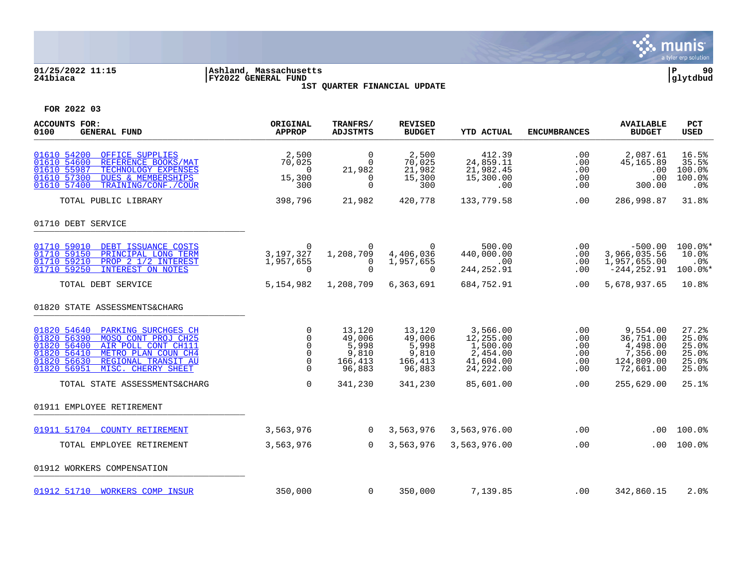

## **01/25/2022 11:15 |Ashland, Massachusetts |P 90 241biaca |FY2022 GENERAL FUND |glytdbud 1ST QUARTER FINANCIAL UPDATE**



| <b>ACCOUNTS FOR:</b><br>0100<br><b>GENERAL FUND</b>                                                                                                                                                                             | ORIGINAL<br><b>APPROP</b>                                                     | TRANFRS/<br><b>ADJSTMTS</b>                             | <b>REVISED</b><br><b>BUDGET</b>                         | <b>YTD ACTUAL</b>                                                       | <b>ENCUMBRANCES</b>                    | <b>AVAILABLE</b><br><b>BUDGET</b>                                        | PCT<br><b>USED</b>                                 |
|---------------------------------------------------------------------------------------------------------------------------------------------------------------------------------------------------------------------------------|-------------------------------------------------------------------------------|---------------------------------------------------------|---------------------------------------------------------|-------------------------------------------------------------------------|----------------------------------------|--------------------------------------------------------------------------|----------------------------------------------------|
| 01610 54200<br>OFFICE SUPPLIES<br>01610 54600<br>REFERENCE BOOKS/MAT<br>01610 55987<br>TECHNOLOGY EXPENSES<br>01610 57300<br><b>DUES &amp; MEMBERSHIPS</b><br>01610 57400<br>TRAINING/CONF./COUR                                | 2,500<br>70,025<br>$\Omega$<br>15,300<br>300                                  | $\Omega$<br>$\Omega$<br>21,982<br>0<br>$\mathbf 0$      | 2,500<br>70,025<br>21,982<br>15,300<br>300              | 412.39<br>24,859.11<br>21,982.45<br>15,300.00<br>.00                    | .00<br>.00<br>.00<br>.00<br>.00        | 2,087.61<br>45,165.89<br>.00<br>.00<br>300.00                            | 16.5%<br>35.5%<br>100.0%<br>100.0%<br>.0%          |
| TOTAL PUBLIC LIBRARY                                                                                                                                                                                                            | 398,796                                                                       | 21,982                                                  | 420,778                                                 | 133,779.58                                                              | .00                                    | 286,998.87                                                               | 31.8%                                              |
| 01710 DEBT SERVICE                                                                                                                                                                                                              |                                                                               |                                                         |                                                         |                                                                         |                                        |                                                                          |                                                    |
| 01710 59010<br>DEBT ISSUANCE COSTS<br>01710 59150<br>PRINCIPAL LONG TERM<br>01710 59210<br>PROP 2 1/2 INTEREST<br>01710 59250<br><b>INTEREST ON NOTES</b>                                                                       | $\Omega$<br>3,197,327<br>1,957,655<br>$\Omega$                                | 0<br>1,208,709<br>0<br>$\Omega$                         | $\Omega$<br>4,406,036<br>1,957,655<br>$\Omega$          | 500.00<br>440,000.00<br>.00<br>244, 252.91                              | .00<br>.00<br>.00<br>.00               | $-500.00$<br>3,966,035.56<br>1,957,655.00<br>$-244, 252.91$              | $100.0$ *<br>10.0%<br>$.0\%$<br>100.0%*            |
| TOTAL DEBT SERVICE                                                                                                                                                                                                              | 5,154,982                                                                     | 1,208,709                                               | 6,363,691                                               | 684,752.91                                                              | .00                                    | 5,678,937.65                                                             | 10.8%                                              |
| 01820 STATE ASSESSMENTS&CHARG                                                                                                                                                                                                   |                                                                               |                                                         |                                                         |                                                                         |                                        |                                                                          |                                                    |
| 01820 54640<br>PARKING SURCHGES CH<br>01820 56390<br>MOSO CONT PROJ CH25<br>01820 56400<br>AIR POLL CONT CH111<br>01820 56410<br>METRO PLAN COUN CH4<br>01820 56630<br>REGIONAL TRANSIT AU<br>01820 56951<br>MISC. CHERRY SHEET | $\mathbf 0$<br>$\Omega$<br>$\mathbf 0$<br>$\Omega$<br>$\mathbf 0$<br>$\Omega$ | 13,120<br>49,006<br>5,998<br>9,810<br>166,413<br>96,883 | 13,120<br>49,006<br>5,998<br>9,810<br>166,413<br>96,883 | 3,566.00<br>12,255.00<br>1,500.00<br>2,454.00<br>41,604.00<br>24,222.00 | .00<br>.00<br>.00<br>.00<br>.00<br>.00 | 9,554.00<br>36,751.00<br>4,498.00<br>7,356.00<br>124,809.00<br>72,661.00 | 27.2%<br>25.0%<br>25.0%<br>25.0%<br>25.0%<br>25.0% |
| TOTAL STATE ASSESSMENTS&CHARG                                                                                                                                                                                                   | $\Omega$                                                                      | 341,230                                                 | 341,230                                                 | 85,601.00                                                               | .00                                    | 255,629.00                                                               | 25.1%                                              |
| 01911 EMPLOYEE RETIREMENT                                                                                                                                                                                                       |                                                                               |                                                         |                                                         |                                                                         |                                        |                                                                          |                                                    |
| 01911 51704<br><b>COUNTY RETIREMENT</b>                                                                                                                                                                                         | 3,563,976                                                                     | $\overline{0}$                                          | 3,563,976                                               | 3,563,976.00                                                            | .00                                    | .00                                                                      | 100.0%                                             |
| TOTAL EMPLOYEE RETIREMENT                                                                                                                                                                                                       | 3,563,976                                                                     | $\Omega$                                                | 3,563,976                                               | 3,563,976.00                                                            | .00                                    | .00.                                                                     | 100.0%                                             |
| 01912 WORKERS COMPENSATION                                                                                                                                                                                                      |                                                                               |                                                         |                                                         |                                                                         |                                        |                                                                          |                                                    |
| 01912 51710 WORKERS COMP INSUR                                                                                                                                                                                                  | 350,000                                                                       | 0                                                       | 350,000                                                 | 7,139.85                                                                | .00                                    | 342,860.15                                                               | 2.0%                                               |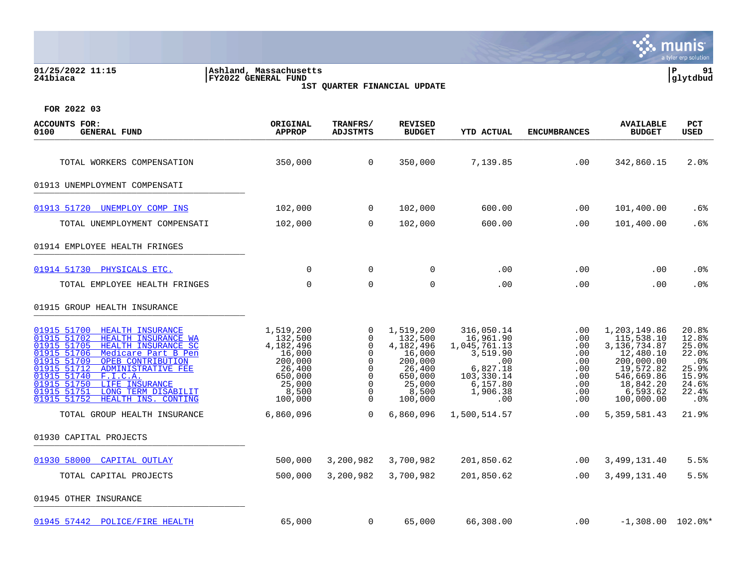| 01/25/2022 11:15<br>241biaca                                                                                                                                                                                                                                                                                                                                              | Ashland, Massachusetts<br>FY2022 GENERAL FUND                                                             |                                                                                         | 1ST QUARTER FINANCIAL UPDATE                                                                              |                                                                                                                     |                                                                    |                                                                                                                                           | P<br>91<br> glytdbud                                                                           |
|---------------------------------------------------------------------------------------------------------------------------------------------------------------------------------------------------------------------------------------------------------------------------------------------------------------------------------------------------------------------------|-----------------------------------------------------------------------------------------------------------|-----------------------------------------------------------------------------------------|-----------------------------------------------------------------------------------------------------------|---------------------------------------------------------------------------------------------------------------------|--------------------------------------------------------------------|-------------------------------------------------------------------------------------------------------------------------------------------|------------------------------------------------------------------------------------------------|
| FOR 2022 03                                                                                                                                                                                                                                                                                                                                                               |                                                                                                           |                                                                                         |                                                                                                           |                                                                                                                     |                                                                    |                                                                                                                                           |                                                                                                |
| <b>ACCOUNTS FOR:</b><br>0100<br><b>GENERAL FUND</b>                                                                                                                                                                                                                                                                                                                       | ORIGINAL<br><b>APPROP</b>                                                                                 | TRANFRS/<br><b>ADJSTMTS</b>                                                             | <b>REVISED</b><br><b>BUDGET</b>                                                                           | <b>YTD ACTUAL</b>                                                                                                   | <b>ENCUMBRANCES</b>                                                | <b>AVAILABLE</b><br><b>BUDGET</b>                                                                                                         | <b>PCT</b><br><b>USED</b>                                                                      |
| TOTAL WORKERS COMPENSATION                                                                                                                                                                                                                                                                                                                                                | 350,000                                                                                                   | $\overline{0}$                                                                          | 350,000                                                                                                   | 7,139.85                                                                                                            | .00                                                                | 342,860.15                                                                                                                                | 2.0%                                                                                           |
| 01913 UNEMPLOYMENT COMPENSATI                                                                                                                                                                                                                                                                                                                                             |                                                                                                           |                                                                                         |                                                                                                           |                                                                                                                     |                                                                    |                                                                                                                                           |                                                                                                |
| 01913 51720<br>UNEMPLOY COMP INS                                                                                                                                                                                                                                                                                                                                          | 102,000                                                                                                   | $\mathbf 0$                                                                             | 102,000                                                                                                   | 600.00                                                                                                              | .00                                                                | 101,400.00                                                                                                                                | .6%                                                                                            |
| TOTAL UNEMPLOYMENT COMPENSATI                                                                                                                                                                                                                                                                                                                                             | 102,000                                                                                                   | $\Omega$                                                                                | 102,000                                                                                                   | 600.00                                                                                                              | .00                                                                | 101,400.00                                                                                                                                | .6%                                                                                            |
| 01914 EMPLOYEE HEALTH FRINGES                                                                                                                                                                                                                                                                                                                                             |                                                                                                           |                                                                                         |                                                                                                           |                                                                                                                     |                                                                    |                                                                                                                                           |                                                                                                |
| 01914 51730 PHYSICALS ETC.                                                                                                                                                                                                                                                                                                                                                | $\mathbf 0$                                                                                               | $\mathbf 0$                                                                             | 0                                                                                                         | .00                                                                                                                 | .00                                                                | .00                                                                                                                                       | .0%                                                                                            |
| TOTAL EMPLOYEE HEALTH FRINGES                                                                                                                                                                                                                                                                                                                                             | $\mathbf 0$                                                                                               | $\mathbf 0$                                                                             | 0                                                                                                         | .00                                                                                                                 | .00                                                                | .00                                                                                                                                       | .0%                                                                                            |
| 01915 GROUP HEALTH INSURANCE                                                                                                                                                                                                                                                                                                                                              |                                                                                                           |                                                                                         |                                                                                                           |                                                                                                                     |                                                                    |                                                                                                                                           |                                                                                                |
| 01915 51700<br>HEALTH INSURANCE<br>01915 51702<br>HEALTH INSURANCE WA<br>HEALTH INSURANCE SC<br>01915 51705<br>01915 51706<br>Medicare Part B Pen<br>01915 51709<br>OPEB CONTRIBUTION<br>01915 51712<br><b>ADMINISTRATIVE FEE</b><br>01915 51740<br>F.I.C.A.<br>01915 51750<br>LIFE INSURANCE<br>01915 51751<br>LONG TERM DISABILIT<br>01915 51752<br>HEALTH INS. CONTING | 1,519,200<br>132,500<br>4,182,496<br>16,000<br>200,000<br>26,400<br>650,000<br>25,000<br>8,500<br>100,000 | 0<br>0<br>$\mathbf 0$<br>$\Omega$<br>0<br>0<br>$\Omega$<br>0<br>$\mathbf 0$<br>$\Omega$ | 1,519,200<br>132,500<br>4,182,496<br>16,000<br>200,000<br>26,400<br>650,000<br>25,000<br>8,500<br>100,000 | 316,050.14<br>16,961.90<br>1,045,761.13<br>3,519.90<br>.00<br>6,827.18<br>103,330.14<br>6,157.80<br>1,906.38<br>.00 | .00<br>.00<br>.00<br>.00<br>.00<br>.00<br>.00<br>.00<br>.00<br>.00 | 1,203,149.86<br>115,538.10<br>3, 136, 734.87<br>12,480.10<br>200,000.00<br>19,572.82<br>546,669.86<br>18,842.20<br>6,593.62<br>100,000.00 | 20.8%<br>12.8%<br>25.0%<br>22.0%<br>.0 <sub>8</sub><br>25.9%<br>15.9%<br>24.6%<br>22.4%<br>.0% |
| TOTAL GROUP HEALTH INSURANCE                                                                                                                                                                                                                                                                                                                                              | 6,860,096                                                                                                 | 0                                                                                       | 6,860,096                                                                                                 | 1,500,514.57                                                                                                        | .00                                                                | 5, 359, 581.43                                                                                                                            | 21.9%                                                                                          |

a tyler erp solutior

01930 CAPITAL PROJECTS \_\_\_\_\_\_\_\_\_\_\_\_\_\_\_\_\_\_\_\_\_\_\_\_\_\_\_\_\_\_\_\_\_\_\_\_\_\_\_\_\_

| 01930 58000 CAPITAL OUTLAY |                             | 500,000 3,200,982 3,700,982 | 201,850.62 | $.00 \quad 3.499.131.40$ | 5.5% |
|----------------------------|-----------------------------|-----------------------------|------------|--------------------------|------|
| TOTAL CAPITAL PROJECTS     | 500,000 3,200,982 3,700,982 |                             | 201,850.62 | $.00 \quad 3.499.131.40$ | 5.5% |

01945 OTHER INSURANCE \_\_\_\_\_\_\_\_\_\_\_\_\_\_\_\_\_\_\_\_\_\_\_\_\_\_\_\_\_\_\_\_\_\_\_\_\_\_\_\_\_

| 01945 57442 POLICE/FIRE HEALTH | 65,000 | 65,000 | 66,308.00 | $-1,308.00$ $102.0$ * |  |
|--------------------------------|--------|--------|-----------|-----------------------|--|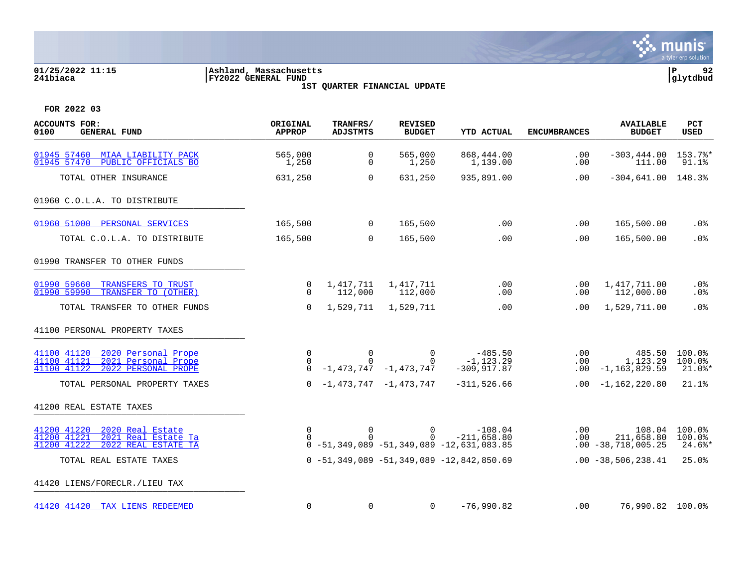

### **01/25/2022 11:15 |Ashland, Massachusetts |P 92 241biaca |FY2022 GENERAL FUND |glytdbud 1ST QUARTER FINANCIAL UPDATE**

| <b>ACCOUNTS FOR:</b><br>0100<br><b>GENERAL FUND</b>                                                            | ORIGINAL<br><b>APPROP</b>           | TRANFRS/<br><b>ADJSTMTS</b> | <b>REVISED</b><br><b>BUDGET</b>                     | <b>YTD ACTUAL</b>                                                                 | <b>ENCUMBRANCES</b>         | <b>AVAILABLE</b><br><b>BUDGET</b>             | <b>PCT</b><br><b>USED</b>                   |
|----------------------------------------------------------------------------------------------------------------|-------------------------------------|-----------------------------|-----------------------------------------------------|-----------------------------------------------------------------------------------|-----------------------------|-----------------------------------------------|---------------------------------------------|
| 01945 57460<br>MIAA LIABILITY PACK<br>PUBLIC OFFICIALS BO<br>01945 57470                                       | 565,000<br>1,250                    | 0<br>0                      | 565,000<br>1,250                                    | 868,444.00<br>1,139.00                                                            | .00<br>.00                  | $-303, 444.00$<br>111.00                      | 153.7%*<br>91.1%                            |
| TOTAL OTHER INSURANCE                                                                                          | 631,250                             | $\Omega$                    | 631,250                                             | 935,891.00                                                                        | .00                         | $-304, 641.00$ 148.3%                         |                                             |
| 01960 C.O.L.A. TO DISTRIBUTE                                                                                   |                                     |                             |                                                     |                                                                                   |                             |                                               |                                             |
| 01960 51000 PERSONAL SERVICES                                                                                  | 165,500                             | $\mathbf 0$                 | 165,500                                             | .00                                                                               | .00                         | 165,500.00                                    | .0%                                         |
| TOTAL C.O.L.A. TO DISTRIBUTE                                                                                   | 165,500                             | $\Omega$                    | 165,500                                             | .00                                                                               | .00                         | 165,500.00                                    | .0%                                         |
| 01990 TRANSFER TO OTHER FUNDS                                                                                  |                                     |                             |                                                     |                                                                                   |                             |                                               |                                             |
| 01990 59660<br>TRANSFERS TO TRUST<br>01990 59990<br>TRANSFER TO (OTHER)                                        | 0<br>$\Omega$                       | 1,417,711<br>112,000        | 1,417,711<br>112,000                                | .00<br>.00                                                                        | .00<br>.00                  | 1,417,711.00<br>112,000.00                    | $.0\%$<br>$.0\%$                            |
| TOTAL TRANSFER TO OTHER FUNDS                                                                                  | $\Omega$                            | 1,529,711                   | 1,529,711                                           | .00                                                                               | .00                         | 1,529,711.00                                  | .0%                                         |
| 41100 PERSONAL PROPERTY TAXES                                                                                  |                                     |                             |                                                     |                                                                                   |                             |                                               |                                             |
| 2020 Personal Prope<br>41100 41120<br>41100 41121<br>2021 Personal Prope<br>41100 41122<br>2022 PERSONAL PROPE | $\Omega$<br>$\mathbf 0$<br>$\Omega$ | $\Omega$<br>$\Omega$        | $\Omega$<br>$\Omega$<br>$-1, 473, 747 -1, 473, 747$ | -485.50<br>$-1, 123.29$<br>$-309, 917.87$                                         | .00<br>$.00 \,$<br>$.00 \,$ | 485.50<br>1,123.29<br>$-1, 163, 829.59$       | 100.0%<br>$100.0$ <sup>8</sup><br>$21.0$ %* |
| TOTAL PERSONAL PROPERTY TAXES                                                                                  | $\Omega$                            | -1,473,747 -1,473,747       |                                                     | $-311,526.66$                                                                     | $.00\,$                     | $-1,162,220.80$                               | 21.1%                                       |
| 41200 REAL ESTATE TAXES                                                                                        |                                     |                             |                                                     |                                                                                   |                             |                                               |                                             |
| 41200 41220<br>2020 Real Estate<br>41200 41221<br>2021 Real Estate Ta<br>41200 41222<br>2022 REAL ESTATE TA    | 0<br>$\Omega$                       | $\overline{0}$<br>$\cap$    | $\overline{0}$<br>$\Omega$                          | $-108.04$<br>$-211,658.80$<br>$0 - 51, 349, 089 - 51, 349, 089 - 12, 631, 083.85$ | $.00 \,$<br>.00             | 108.04<br>211,658.80<br>$.00 - 38,718,005.25$ | 100.0%<br>100.0%<br>$24.6$ *                |
| TOTAL REAL ESTATE TAXES                                                                                        |                                     |                             |                                                     | $0 - 51, 349, 089 - 51, 349, 089 - 12, 842, 850.69$                               |                             | $.00 - 38,506,238.41$                         | 25.0%                                       |
| 41420 LIENS/FORECLR./LIEU TAX                                                                                  |                                     |                             |                                                     |                                                                                   |                             |                                               |                                             |
| 41420 41420 TAX LIENS REDEEMED                                                                                 | $\mathbf 0$                         | $\mathbf 0$                 | $\Omega$                                            | $-76,990.82$                                                                      | .00                         | 76,990.82 100.0%                              |                                             |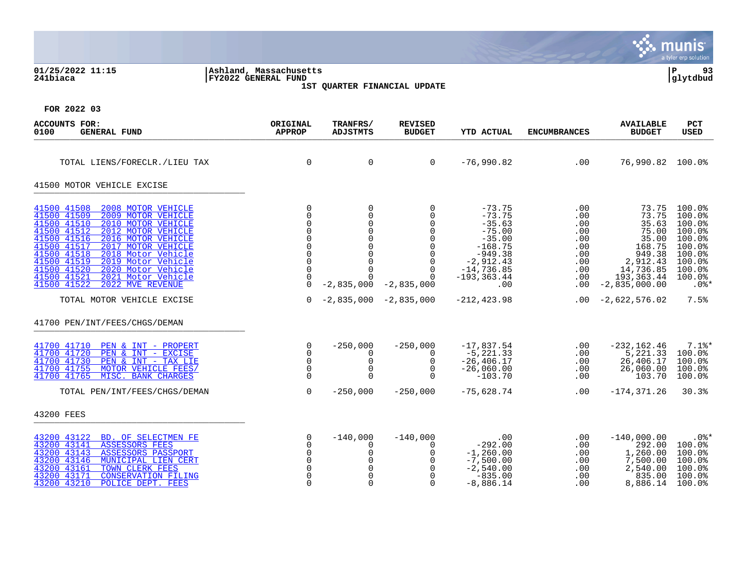|                                                                                                                                                                                                                                                                                                                                                                                                                   |                                                                                     |                                                                                                                                                           |                                                                                                                                           |                                                                                                                                            |                                                                                |                                                                                                                          | munis<br>a tyler erp solution                                                                              |
|-------------------------------------------------------------------------------------------------------------------------------------------------------------------------------------------------------------------------------------------------------------------------------------------------------------------------------------------------------------------------------------------------------------------|-------------------------------------------------------------------------------------|-----------------------------------------------------------------------------------------------------------------------------------------------------------|-------------------------------------------------------------------------------------------------------------------------------------------|--------------------------------------------------------------------------------------------------------------------------------------------|--------------------------------------------------------------------------------|--------------------------------------------------------------------------------------------------------------------------|------------------------------------------------------------------------------------------------------------|
| 01/25/2022 11:15<br>241biaca                                                                                                                                                                                                                                                                                                                                                                                      | Ashland, Massachusetts<br>FY2022 GENERAL FUND                                       |                                                                                                                                                           | 1ST QUARTER FINANCIAL UPDATE                                                                                                              |                                                                                                                                            |                                                                                |                                                                                                                          | ∣P<br>93<br> glytdbud                                                                                      |
| FOR 2022 03                                                                                                                                                                                                                                                                                                                                                                                                       |                                                                                     |                                                                                                                                                           |                                                                                                                                           |                                                                                                                                            |                                                                                |                                                                                                                          |                                                                                                            |
| <b>ACCOUNTS FOR:</b><br>0100<br><b>GENERAL FUND</b>                                                                                                                                                                                                                                                                                                                                                               | ORIGINAL<br><b>APPROP</b>                                                           | TRANFRS/<br><b>ADJSTMTS</b>                                                                                                                               | <b>REVISED</b><br><b>BUDGET</b>                                                                                                           | YTD ACTUAL                                                                                                                                 | <b>ENCUMBRANCES</b>                                                            | <b>AVAILABLE</b><br><b>BUDGET</b>                                                                                        | <b>PCT</b><br>USED                                                                                         |
| TOTAL LIENS/FORECLR./LIEU TAX                                                                                                                                                                                                                                                                                                                                                                                     | $\mathbf 0$                                                                         | 0                                                                                                                                                         | $\mathbf 0$                                                                                                                               | $-76,990.82$                                                                                                                               | .00                                                                            | 76,990.82 100.0%                                                                                                         |                                                                                                            |
| 41500 MOTOR VEHICLE EXCISE                                                                                                                                                                                                                                                                                                                                                                                        |                                                                                     |                                                                                                                                                           |                                                                                                                                           |                                                                                                                                            |                                                                                |                                                                                                                          |                                                                                                            |
| 41500 41508<br>2008 MOTOR VEHICLE<br>41500 41509<br>2009 MOTOR VEHICLE<br>41500 41510<br>2010 MOTOR VEHICLE<br>2012 MOTOR VEHICLE<br>41500 41512<br>41500 41516<br>2016 MOTOR VEHICLE<br>41500 41517<br>2017 MOTOR VEHICLE<br>41500 41518<br>2018 Motor Vehicle<br>41500 41519<br>2019 Motor Vehicle<br>41500 41520<br>2020 Motor Vehicle<br>41500 41521<br>2021 Motor Vehicle<br>41500 41522<br>2022 MVE REVENUE | $\mathbf 0$<br>$\Omega$<br>$\Omega$<br>$\Omega$<br>$\Omega$<br>$\Omega$<br>$\Omega$ | 0<br>$\mathbf 0$<br>$\mathsf 0$<br>$\mathsf 0$<br>$\overline{0}$<br>$\mathsf{O}$<br>$\mathsf 0$<br>$\overline{0}$<br>$\Omega$<br>$\Omega$<br>$-2,835,000$ | 0<br>$\Omega$<br>$\mathbf 0$<br>$\Omega$<br>$\mathbf 0$<br>$\Omega$<br>$\mathbf 0$<br>$\mathbf 0$<br>$\Omega$<br>$\Omega$<br>$-2,835,000$ | $-73.75$<br>$-73.75$<br>$-35.63$<br>$-75.00$<br>$-35.00$<br>$-168.75$<br>$-949.38$<br>$-2,912.43$<br>$-14,736.85$<br>$-193, 363.44$<br>.00 | .00<br>.00<br>.00<br>.00<br>$.00 \,$<br>.00<br>.00<br>.00<br>.00<br>.00<br>.00 | 73.75<br>73.75<br>35.63<br>75.00<br>35.00<br>168.75<br>949.38<br>2,912.43<br>14,736.85<br>193, 363.44<br>$-2,835,000.00$ | 100.0%<br>100.0%<br>100.0%<br>100.0%<br>100.0%<br>100.0%<br>100.0%<br>100.0%<br>100.0%<br>100.0%<br>$.0$ % |
| TOTAL MOTOR VEHICLE EXCISE                                                                                                                                                                                                                                                                                                                                                                                        | $\Omega$                                                                            |                                                                                                                                                           | $-2,835,000 -2,835,000$                                                                                                                   | $-212, 423.98$                                                                                                                             | $.00 \,$                                                                       | $-2,622,576.02$                                                                                                          | 7.5%                                                                                                       |
| 41700 PEN/INT/FEES/CHGS/DEMAN                                                                                                                                                                                                                                                                                                                                                                                     |                                                                                     |                                                                                                                                                           |                                                                                                                                           |                                                                                                                                            |                                                                                |                                                                                                                          |                                                                                                            |
| 41700 41710<br>PEN & INT - PROPERT<br>PEN & INT - EXCISE<br>41700 41720<br>41700 41730<br>PEN & INT - TAX LIE<br>41700 41755<br>MOTOR VEHICLE FEES/<br>41700 41765<br>MISC. BANK CHARGES                                                                                                                                                                                                                          | $\mathbf 0$<br>$\Omega$<br>$\Omega$<br>$\Omega$<br>$\Omega$                         | $-250,000$<br>$\Omega$<br>0<br>$\mathbf 0$<br>$\Omega$                                                                                                    | $-250,000$<br>$\Omega$<br>$\mathbf 0$<br>$\Omega$<br>$\Omega$                                                                             | $-17,837.54$<br>$-5, 221.33$<br>$-26, 406.17$<br>$-26,060.00$<br>$-103.70$                                                                 | .00<br>.00<br>.00<br>.00<br>.00                                                | $-232, 162.46$<br>5,221.33<br>26,406.17<br>26,060.00<br>103.70                                                           | $7.1$ %*<br>100.0%<br>100.0%<br>100.0%<br>100.0%                                                           |
| TOTAL PEN/INT/FEES/CHGS/DEMAN                                                                                                                                                                                                                                                                                                                                                                                     | $\Omega$                                                                            | $-250,000$                                                                                                                                                | $-250,000$                                                                                                                                | $-75,628.74$                                                                                                                               | .00                                                                            | $-174, 371.26$                                                                                                           | 30.3%                                                                                                      |
| 43200 FEES                                                                                                                                                                                                                                                                                                                                                                                                        |                                                                                     |                                                                                                                                                           |                                                                                                                                           |                                                                                                                                            |                                                                                |                                                                                                                          |                                                                                                            |
| BD. OF SELECTMEN FE<br>43200 43122<br><b>ASSESSORS FEES</b><br>43200 43141<br>43200 43143<br><b>ASSESSORS PASSPORT</b><br>43200 43146<br>MUNICIPAL LIEN CERT<br>43200 43161<br>TOWN CLERK FEES<br>43200 43171<br><b>CONSERVATION FILING</b><br>43200 43210<br>POLICE DEPT. FEES                                                                                                                                   | $\Omega$<br>$\Omega$<br>$\Omega$<br>$\Omega$<br>$\Omega$<br>$\Omega$                | $-140,000$<br>0<br>0<br>$\mathbf 0$<br>$\mathbf 0$<br>$\Omega$<br>$\Omega$                                                                                | $-140,000$<br>$\Omega$<br>0<br>$\Omega$<br>$\mathbf 0$<br>$\Omega$<br>$\Omega$                                                            | .00<br>$-292.00$<br>$-1,260.00$<br>$-7,500.00$<br>$-2,540.00$<br>$-835.00$<br>$-8,886.14$                                                  | $.00 \,$<br>.00<br>.00<br>$.00 \,$<br>.00<br>.00<br>.00                        | $-140,000.00$<br>292.00<br>1,260.00<br>7,500.00<br>2,540.00<br>835.00<br>8,886.14                                        | $.0$ %*<br>100.0%<br>100.0%<br>100.0%<br>100.0%<br>100.0%<br>$100.0$ <sup>8</sup>                          |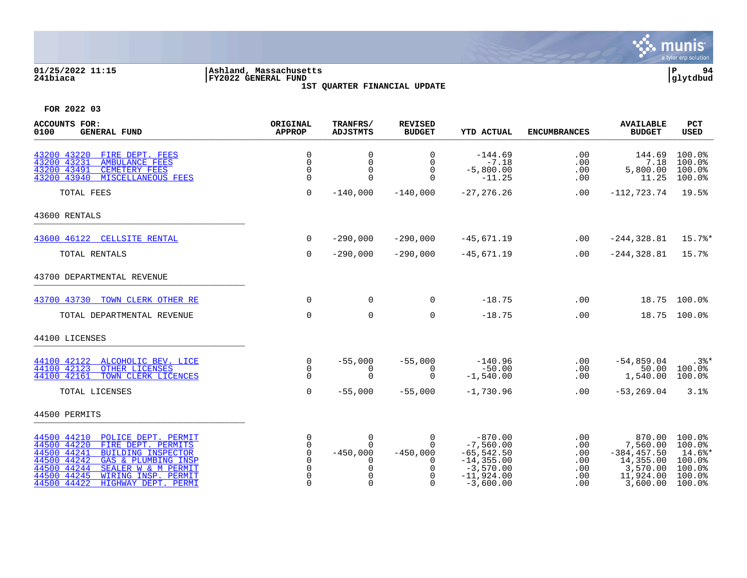

### **01/25/2022 11:15 |Ashland, Massachusetts |P 94 241biaca |FY2022 GENERAL FUND |glytdbud 1ST QUARTER FINANCIAL UPDATE**

| <b>ACCOUNTS FOR:</b><br>0100<br><b>GENERAL FUND</b>                                                                                                                                                                                                                         | ORIGINAL<br><b>APPROP</b>                                         | TRANFRS/<br><b>ADJSTMTS</b>                                  | <b>REVISED</b><br><b>BUDGET</b>                                                          | <b>YTD ACTUAL</b>                                                                                        | <b>ENCUMBRANCES</b>                           | <b>AVAILABLE</b><br><b>BUDGET</b>                                                      | <b>PCT</b><br><b>USED</b>                                          |
|-----------------------------------------------------------------------------------------------------------------------------------------------------------------------------------------------------------------------------------------------------------------------------|-------------------------------------------------------------------|--------------------------------------------------------------|------------------------------------------------------------------------------------------|----------------------------------------------------------------------------------------------------------|-----------------------------------------------|----------------------------------------------------------------------------------------|--------------------------------------------------------------------|
| 43200 43220<br>FIRE DEPT. FEES<br>43200 43231<br><b>AMBULANCE FEES</b><br>43200 43491<br><b>CEMETERY FEES</b><br>43200 43940<br><b>MISCELLANEOUS FEES</b>                                                                                                                   | 0<br>$\mathbf 0$<br>0<br>$\Omega$                                 | 0<br>$\mathsf{O}$<br>0<br>$\Omega$                           | 0<br>$\mathbf 0$<br>$\mathbf 0$<br>$\Omega$                                              | $-144.69$<br>$-7.18$<br>$-5,800.00$<br>$-11.25$                                                          | .00<br>.00<br>.00<br>.00                      | 144.69<br>7.18<br>5,800.00<br>11.25                                                    | 100.0%<br>100.0%<br>100.0%<br>100.0%                               |
| TOTAL FEES                                                                                                                                                                                                                                                                  | $\mathbf 0$                                                       | $-140,000$                                                   | $-140,000$                                                                               | $-27, 276.26$                                                                                            | .00                                           | $-112, 723.74$ 19.5%                                                                   |                                                                    |
| 43600 RENTALS                                                                                                                                                                                                                                                               |                                                                   |                                                              |                                                                                          |                                                                                                          |                                               |                                                                                        |                                                                    |
| 43600 46122 CELLSITE RENTAL                                                                                                                                                                                                                                                 | $\Omega$                                                          | $-290,000$                                                   | $-290,000$                                                                               | $-45,671.19$                                                                                             | .00                                           | $-244, 328.81$                                                                         | $15.7$ %*                                                          |
| TOTAL RENTALS                                                                                                                                                                                                                                                               | $\mathbf 0$                                                       | $-290,000$                                                   | $-290,000$                                                                               | $-45,671.19$                                                                                             | .00                                           | $-244, 328.81$                                                                         | 15.7%                                                              |
| 43700 DEPARTMENTAL REVENUE                                                                                                                                                                                                                                                  |                                                                   |                                                              |                                                                                          |                                                                                                          |                                               |                                                                                        |                                                                    |
| 43700 43730 TOWN CLERK OTHER RE                                                                                                                                                                                                                                             | $\mathbf 0$                                                       | $\overline{0}$                                               | $\mathbf 0$                                                                              | $-18.75$                                                                                                 | .00                                           |                                                                                        | 18.75 100.0%                                                       |
| TOTAL DEPARTMENTAL REVENUE                                                                                                                                                                                                                                                  | $\mathbf 0$                                                       | $\mathbf 0$                                                  | 0                                                                                        | $-18.75$                                                                                                 | .00                                           |                                                                                        | 18.75 100.0%                                                       |
| 44100 LICENSES                                                                                                                                                                                                                                                              |                                                                   |                                                              |                                                                                          |                                                                                                          |                                               |                                                                                        |                                                                    |
| 44100 42122 ALCOHOLIC BEV. LICE<br>44100 42123<br>OTHER LICENSES<br>44100 42161<br>TOWN CLERK LICENCES                                                                                                                                                                      | $\mathbf 0$<br>0<br>$\Omega$                                      | $-55,000$<br>0<br>$\Omega$                                   | $-55,000$<br>0<br>$\Omega$                                                               | $-140.96$<br>$-50.00$<br>$-1,540.00$                                                                     | .00<br>.00<br>.00                             | $-54,859.04$<br>50.00<br>1,540.00                                                      | .3%*<br>$100.0$ $^{\circ}$<br>100.0%                               |
| TOTAL LICENSES                                                                                                                                                                                                                                                              | $\mathbf 0$                                                       | $-55,000$                                                    | $-55,000$                                                                                | $-1,730.96$                                                                                              | .00                                           | $-53, 269.04$                                                                          | 3.1%                                                               |
| 44500 PERMITS                                                                                                                                                                                                                                                               |                                                                   |                                                              |                                                                                          |                                                                                                          |                                               |                                                                                        |                                                                    |
| 44500 44210<br>POLICE DEPT. PERMIT<br>44500 44220<br>FIRE DEPT. PERMITS<br>44500 44241<br><b>BUILDING INSPECTOR</b><br>44500 44242<br>GAS & PLUMBING INSP<br>44500 44244<br>SEALER W & M PERMIT<br>44500 44245<br>WIRING INSP. PERMIT<br>44500 44422<br>HIGHWAY DEPT. PERMI | 0<br>0<br>0<br>$\Omega$<br>$\mathbf 0$<br>$\Omega$<br>$\mathbf 0$ | $\mathsf{O}$<br>$\Omega$<br>$-450,000$<br>0<br>0<br>$\Omega$ | $\mathbf 0$<br>$\Omega$<br>$-450,000$<br>$\Omega$<br>$\mathbf 0$<br>$\Omega$<br>$\Omega$ | $-870.00$<br>$-7,560.00$<br>$-65, 542.50$<br>$-14, 355.00$<br>$-3,570.00$<br>$-11,924.00$<br>$-3,600.00$ | .00<br>.00<br>.00<br>.00<br>.00<br>.00<br>.00 | 870.00<br>7,560.00<br>$-384, 457.50$<br>14,355.00<br>3,570.00<br>11,924.00<br>3,600.00 | 100.0%<br>100.0%<br>14.6%*<br>100.0%<br>100.0%<br>100.0%<br>100.0% |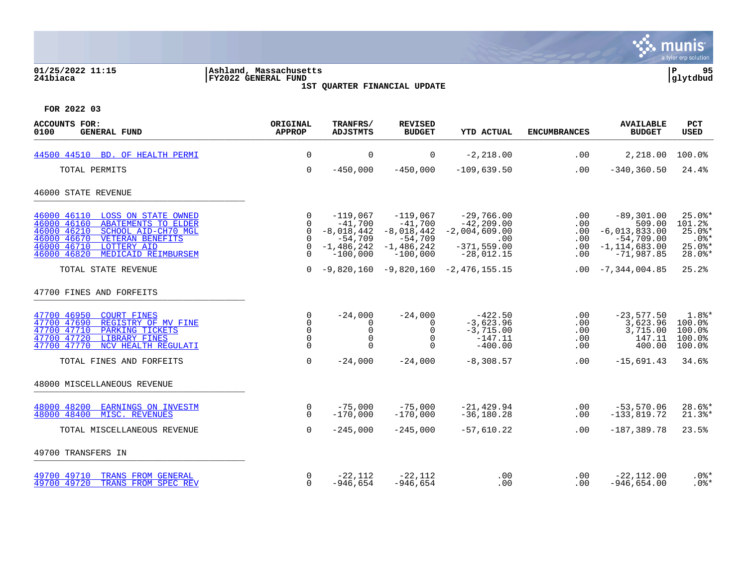

### **01/25/2022 11:15 |Ashland, Massachusetts |P 95 241biaca |FY2022 GENERAL FUND |glytdbud 1ST QUARTER FINANCIAL UPDATE**



| <b>ACCOUNTS FOR:</b><br>0100<br>GENERAL FUND                                                                                                                                                                                            | ORIGINAL<br><b>APPROP</b>                                    | TRANFRS/<br><b>ADJSTMTS</b>                                                    | <b>REVISED</b><br><b>BUDGET</b>                                                    | <b>YTD ACTUAL</b>                                                                               | <b>ENCUMBRANCES</b>                  | <b>AVAILABLE</b><br><b>BUDGET</b>                                                                  | <b>PCT</b><br><b>USED</b>                                            |
|-----------------------------------------------------------------------------------------------------------------------------------------------------------------------------------------------------------------------------------------|--------------------------------------------------------------|--------------------------------------------------------------------------------|------------------------------------------------------------------------------------|-------------------------------------------------------------------------------------------------|--------------------------------------|----------------------------------------------------------------------------------------------------|----------------------------------------------------------------------|
| 44500 44510 BD. OF HEALTH PERMI                                                                                                                                                                                                         | $\mathbf 0$                                                  | $\mathbf 0$                                                                    | $\mathbf 0$                                                                        | $-2, 218.00$                                                                                    | .00                                  | 2,218.00                                                                                           | 100.0%                                                               |
| TOTAL PERMITS                                                                                                                                                                                                                           | $\mathbf 0$                                                  | $-450,000$                                                                     | $-450,000$                                                                         | $-109,639.50$                                                                                   | .00                                  | $-340, 360.50$                                                                                     | 24.4%                                                                |
| 46000 STATE REVENUE                                                                                                                                                                                                                     |                                                              |                                                                                |                                                                                    |                                                                                                 |                                      |                                                                                                    |                                                                      |
| 46000 46110 LOSS ON STATE OWNED<br>46000 46160<br><b>ABATEMENTS TO ELDER</b><br>SCHOOL AID-CH70 MGL<br>46000 46210<br>46000 46670<br><b>VETERAN BENEFITS</b><br>46000 46710<br><b>LOTTERY AID</b><br>46000 46820<br>MEDICAID REIMBURSEM | 0<br>$\Omega$<br>$\mathbf 0$<br>0<br>$\mathbf 0$<br>$\Omega$ | $-119,067$<br>$-41,700$<br>-8,018,442<br>$-54,709$<br>-1,486,242<br>$-100,000$ | $-119,067$<br>$-41,700$<br>$-8,018,442$<br>$-54,709$<br>$-1,486,242$<br>$-100,000$ | $-29,766.00$<br>$-42, 209.00$<br>$-2,004,609.00$<br>$\sim$ 00<br>$-371, 559.00$<br>$-28,012.15$ | .00<br>.00<br>.00<br>.00<br>.00      | $-89,301.00$<br>509.00<br>$-6,013,833.00$<br>$-54,709.00$<br>$.00 -1, 114, 683.00$<br>$-71,987.85$ | $25.0$ $*$<br>101.2%<br>$25.0$ *<br>$.0$ %*<br>$25.0$ %*<br>$28.0$ * |
| TOTAL STATE REVENUE                                                                                                                                                                                                                     | $\Omega$                                                     | -9,820,160                                                                     |                                                                                    | $-9,820,160 -2,476,155.15$                                                                      | $.00 \,$                             | $-7,344,004.85$                                                                                    | 25.2%                                                                |
| 47700 FINES AND FORFEITS                                                                                                                                                                                                                |                                                              |                                                                                |                                                                                    |                                                                                                 |                                      |                                                                                                    |                                                                      |
| 47700 46950 COURT FINES<br>47700 47690<br>REGISTRY OF MV FINE<br>47700 47710<br>PARKING TICKETS<br>47700 47720<br><b>LIBRARY FINES</b><br>47700 47770<br>NCV HEALTH REGULATI                                                            | 0<br>$\Omega$<br>$\mathbf 0$<br>$\mathbf 0$<br>$\Omega$      | $-24,000$<br>0<br>0<br>$\Omega$                                                | $-24,000$<br>0<br>$\mathbf 0$<br>$\mathbf 0$<br>$\Omega$                           | $-422.50$<br>$-3,623.96$<br>$-3,715.00$<br>$-147.11$<br>$-400.00$                               | $.00 \,$<br>.00<br>.00<br>.00<br>.00 | $-23,577.50$<br>3,623.96<br>3,715.00<br>147.11<br>400.00                                           | $1.8$ <sup>*</sup><br>100.0%<br>100.0%<br>100.0%<br>100.0%           |
| TOTAL FINES AND FORFEITS                                                                                                                                                                                                                | $\mathbf 0$                                                  | $-24,000$                                                                      | $-24,000$                                                                          | $-8,308.57$                                                                                     | .00                                  | $-15,691.43$                                                                                       | 34.6%                                                                |
| 48000 MISCELLANEOUS REVENUE                                                                                                                                                                                                             |                                                              |                                                                                |                                                                                    |                                                                                                 |                                      |                                                                                                    |                                                                      |
| 48000 48200<br><b>EARNINGS ON INVESTM</b><br>MISC. REVENUES<br>48000 48400                                                                                                                                                              | $\overline{0}$<br>$\Omega$                                   | $-75,000$<br>$-170,000$                                                        | $-75,000$<br>$-170,000$                                                            | $-21, 429.94$<br>$-36, 180.28$                                                                  | .00<br>.00                           | $-53,570.06$<br>$-133,819.72$                                                                      | $28.6$ *<br>$21.3$ $*$                                               |
| TOTAL MISCELLANEOUS REVENUE                                                                                                                                                                                                             | $\Omega$                                                     | $-245,000$                                                                     | $-245,000$                                                                         | $-57,610.22$                                                                                    | .00                                  | $-187, 389.78$                                                                                     | 23.5%                                                                |
| 49700 TRANSFERS IN                                                                                                                                                                                                                      |                                                              |                                                                                |                                                                                    |                                                                                                 |                                      |                                                                                                    |                                                                      |
| 49700 49710<br>TRANS FROM GENERAL<br>49700 49720<br>TRANS FROM SPEC REV                                                                                                                                                                 | 0<br>$\Omega$                                                | $-22,112$<br>$-946.654$                                                        | $-22,112$<br>$-946,654$                                                            | .00<br>.00                                                                                      | .00<br>.00                           | $-22,112.00$<br>$-946.654.00$                                                                      | $.0$ %*<br>$.0$ % *                                                  |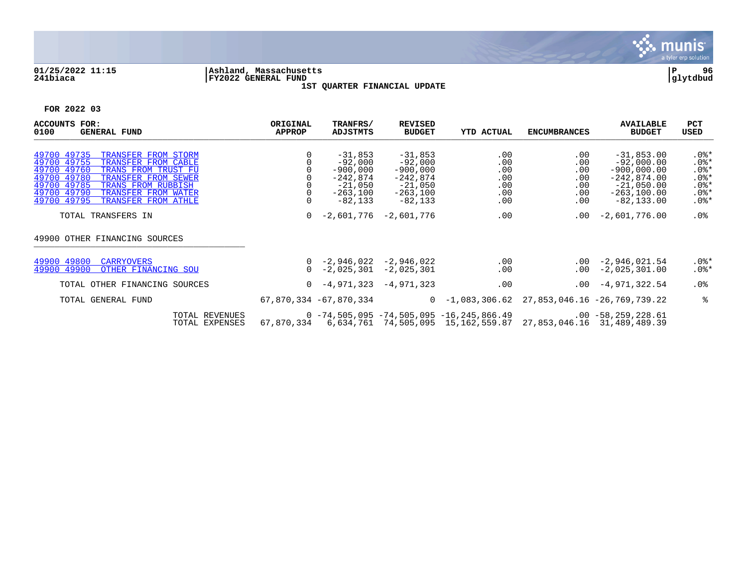

### **01/25/2022 11:15 |Ashland, Massachusetts |P 96 241biaca |FY2022 GENERAL FUND |glytdbud 1ST QUARTER FINANCIAL UPDATE**



| <b>ACCOUNTS</b><br>FOR:<br><b>GENERAL FUND</b><br>0100                                                                                                                                                                                                                | ORIGINAL<br><b>APPROP</b> | <b>TRANFRS/</b><br><b>ADJSTMTS</b>                                                        | <b>REVISED</b><br><b>BUDGET</b>                                                            | <b>YTD ACTUAL</b>                                                                         | <b>ENCUMBRANCES</b>                                     | <b>AVAILABLE</b><br><b>BUDGET</b>                                                                                  | PCT<br>USED                                                               |
|-----------------------------------------------------------------------------------------------------------------------------------------------------------------------------------------------------------------------------------------------------------------------|---------------------------|-------------------------------------------------------------------------------------------|--------------------------------------------------------------------------------------------|-------------------------------------------------------------------------------------------|---------------------------------------------------------|--------------------------------------------------------------------------------------------------------------------|---------------------------------------------------------------------------|
| 49700 49735<br>TRANSFER FROM STORM<br>49700 49755<br>TRANSFER FROM CABLE<br>49700 49760<br>TRANS FROM TRUST FU<br>49700 49780<br>TRANSFER FROM SEWER<br>49700 49785<br>TRANS FROM RUBBISH<br>49700 49790<br>TRANSFER FROM WATER<br>49700 49795<br>TRANSFER FROM ATHLE |                           | $-31,853$<br>$-92,000$<br>$-900,000$<br>$-242,874$<br>$-21,050$<br>-263,100<br>$-82, 133$ | $-31,853$<br>$-92,000$<br>$-900,000$<br>$-242,874$<br>$-21,050$<br>$-263,100$<br>$-82,133$ | .00<br>.00<br>.00<br>.00<br>.00<br>.00<br>.00                                             | $.00 \,$<br>.00<br>.00<br>.00<br>.00<br>$.00 \,$<br>.00 | $-31,853.00$<br>$-92,000.00$<br>$-900,000.00$<br>$-242,874.00$<br>$-21,050.00$<br>$-263, 100.00$<br>$-82, 133, 00$ | $.0$ %*<br>$.0$ %*<br>$.0$ %*<br>$.0$ %*<br>$.0$ %*<br>$.0$ %*<br>$.0$ %* |
| TOTAL TRANSFERS IN                                                                                                                                                                                                                                                    | $\overline{0}$            | $-2,601,776$                                                                              | $-2,601,776$                                                                               | .00                                                                                       | $.00 \,$                                                | $-2,601,776.00$                                                                                                    | .0%                                                                       |
| 49900 OTHER FINANCING SOURCES                                                                                                                                                                                                                                         |                           |                                                                                           |                                                                                            |                                                                                           |                                                         |                                                                                                                    |                                                                           |
| 49900 49800<br><b>CARRYOVERS</b><br>49900 49900<br>OTHER FINANCING SOU                                                                                                                                                                                                | $\Omega$                  | $0 -2,946,022 -2,946,022$<br>-2,025,301                                                   | $-2,025,301$                                                                               | .00<br>.00                                                                                |                                                         | $.00 -2,946,021.54$<br>$.00 -2.025.301.00$                                                                         | $.0$ %*<br>$.0$ %*                                                        |
| TOTAL OTHER FINANCING SOURCES                                                                                                                                                                                                                                         |                           | $0 - 4,971,323$                                                                           | -4,971,323                                                                                 | .00                                                                                       |                                                         | $.00 -4.971.322.54$                                                                                                | .0%                                                                       |
| TOTAL GENERAL FUND                                                                                                                                                                                                                                                    |                           | 67,870,334 -67,870,334                                                                    |                                                                                            | $0 - 1,083,306.62$                                                                        |                                                         | 27,853,046.16 -26,769,739.22                                                                                       | ႜ                                                                         |
| TOTAL REVENUES<br>TOTAL EXPENSES                                                                                                                                                                                                                                      | 67,870,334                |                                                                                           |                                                                                            | $0 - 74, 505, 095 - 74, 505, 095 - 16, 245, 866.49$<br>6,634,761 74,505,095 15,162,559.87 |                                                         | $.00 - 58, 259, 228.61$<br>27,853,046.16 31,489,489.39                                                             |                                                                           |